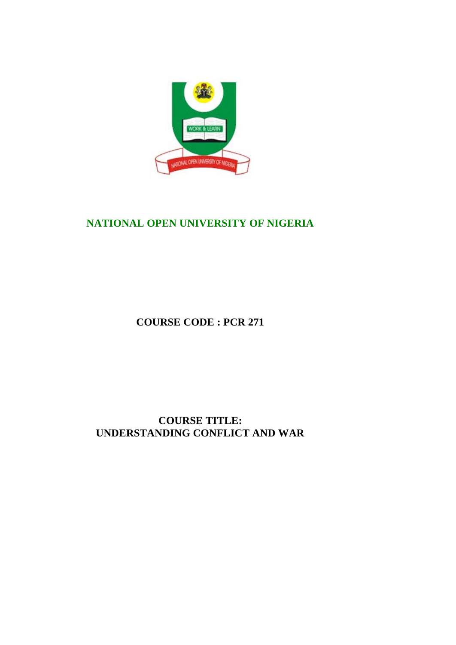

# **NATIONAL OPEN UNIVERSITY OF NIGERIA**

**COURSE CODE : PCR 271**

**COURSE TITLE: UNDERSTANDING CONFLICT AND WAR**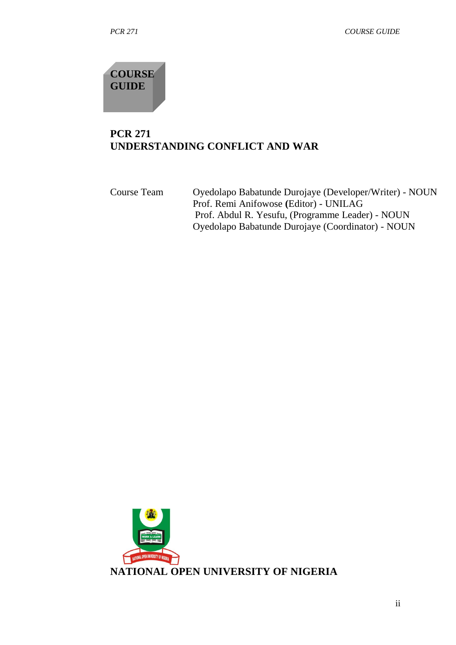**COURSE GUIDE**

# **PCR 271 UNDERSTANDING CONFLICT AND WAR**

| Course Team | Oyedolapo Babatunde Durojaye (Developer/Writer) - NOUN<br>Prof. Remi Anifowose (Editor) - UNILAG |
|-------------|--------------------------------------------------------------------------------------------------|
|             | Prof. Abdul R. Yesufu, (Programme Leader) - NOUN                                                 |
|             | Oyedolapo Babatunde Durojaye (Coordinator) - NOUN                                                |

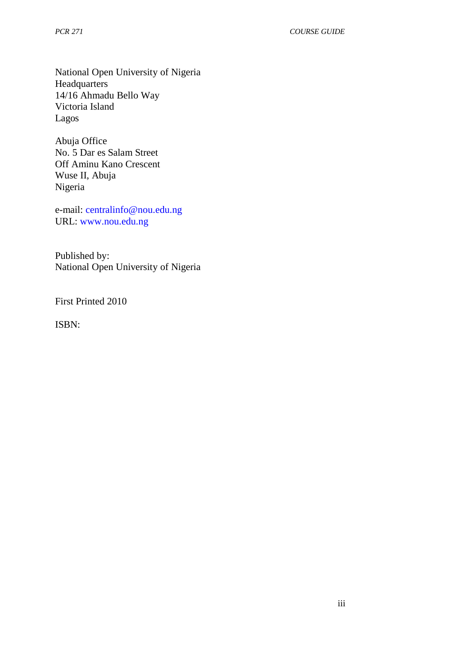National Open University of Nigeria **Headquarters** 14/16 Ahmadu Bello Way Victoria Island Lagos

Abuja Office No. 5 Dar es Salam Street Off Aminu Kano Crescent Wuse II, Abuja Nigeria

e-mail: centralinfo@nou.edu.ng URL: www.nou.edu.ng

Published by: National Open University of Nigeria

First Printed 2010

ISBN: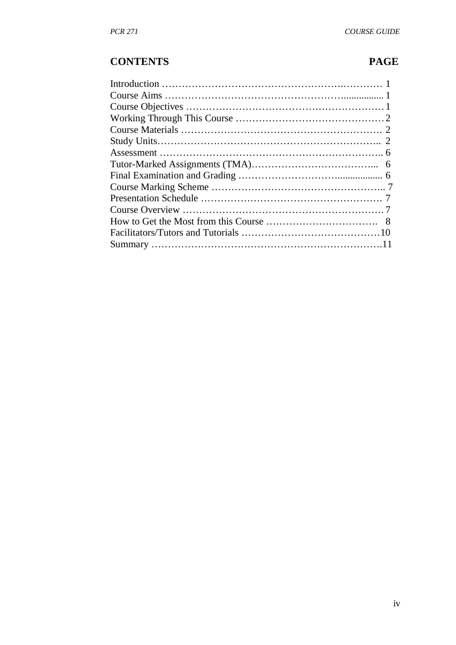# **CONTENTS PAGE**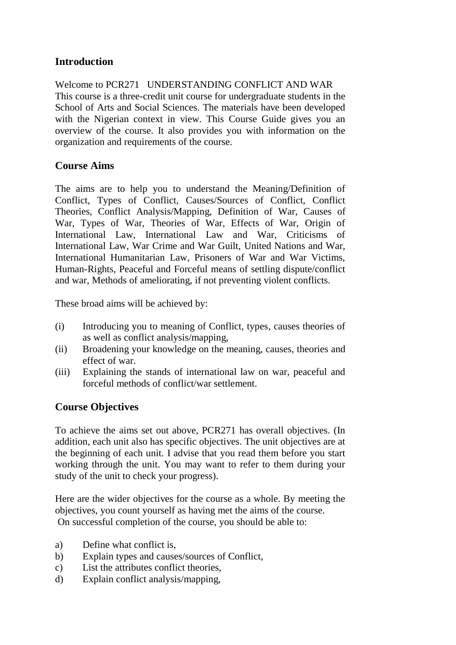## **Introduction**

Welcome to PCR271 UNDERSTANDING CONFLICT AND WAR This course is a three-credit unit course for undergraduate students in the School of Arts and Social Sciences. The materials have been developed with the Nigerian context in view. This Course Guide gives you an overview of the course. It also provides you with information on the organization and requirements of the course.

#### **Course Aims**

The aims are to help you to understand the Meaning/Definition of Conflict, Types of Conflict, Causes/Sources of Conflict, Conflict Theories, Conflict Analysis/Mapping, Definition of War, Causes of War, Types of War, Theories of War, Effects of War, Origin of International Law, International Law and War, Criticisms of International Law, War Crime and War Guilt, United Nations and War, International Humanitarian Law, Prisoners of War and War Victims, Human-Rights, Peaceful and Forceful means of settling dispute/conflict and war, Methods of ameliorating, if not preventing violent conflicts.

These broad aims will be achieved by:

- (i) Introducing you to meaning of Conflict, types, causes theories of as well as conflict analysis/mapping,
- (ii) Broadening your knowledge on the meaning, causes, theories and effect of war.
- (iii) Explaining the stands of international law on war, peaceful and forceful methods of conflict/war settlement.

#### **Course Objectives**

To achieve the aims set out above, PCR271 has overall objectives. (In addition, each unit also has specific objectives. The unit objectives are at the beginning of each unit. I advise that you read them before you start working through the unit. You may want to refer to them during your study of the unit to check your progress).

Here are the wider objectives for the course as a whole. By meeting the objectives, you count yourself as having met the aims of the course. On successful completion of the course, you should be able to:

- a) Define what conflict is,
- b) Explain types and causes/sources of Conflict,
- c) List the attributes conflict theories,
- d) Explain conflict analysis/mapping,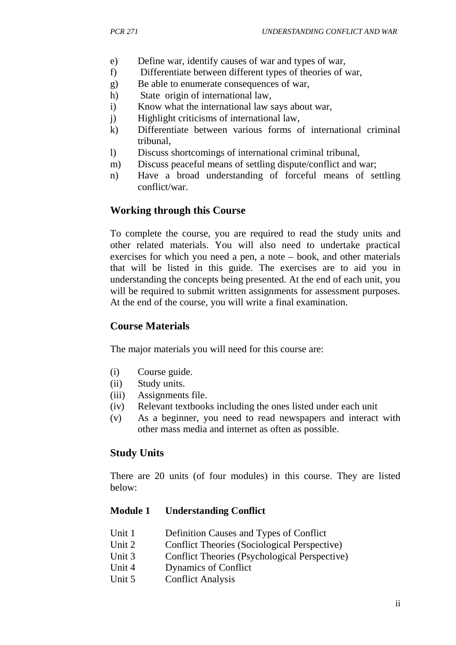- e) Define war, identify causes of war and types of war,
- f) Differentiate between different types of theories of war,
- g) Be able to enumerate consequences of war,
- h) State origin of international law,
- i) Know what the international law says about war,
- j) Highlight criticisms of international law,
- k) Differentiate between various forms of international criminal tribunal,
- l) Discuss shortcomings of international criminal tribunal,
- m) Discuss peaceful means of settling dispute/conflict and war;
- n) Have a broad understanding of forceful means of settling conflict/war.

## **Working through this Course**

To complete the course, you are required to read the study units and other related materials. You will also need to undertake practical exercises for which you need a pen, a note – book, and other materials that will be listed in this guide. The exercises are to aid you in understanding the concepts being presented. At the end of each unit, you will be required to submit written assignments for assessment purposes. At the end of the course, you will write a final examination.

## **Course Materials**

The major materials you will need for this course are:

- (i) Course guide.
- (ii) Study units.
- (iii) Assignments file.
- (iv) Relevant textbooks including the ones listed under each unit
- (v) As a beginner, you need to read newspapers and interact with other mass media and internet as often as possible.

#### **Study Units**

There are 20 units (of four modules) in this course. They are listed below:

#### **Module 1 Understanding Conflict**

- Unit 1 Definition Causes and Types of Conflict
- Unit 2 Conflict Theories (Sociological Perspective)
- Unit 3 Conflict Theories (Psychological Perspective)
- Unit 4 Dynamics of Conflict
- Unit 5 Conflict Analysis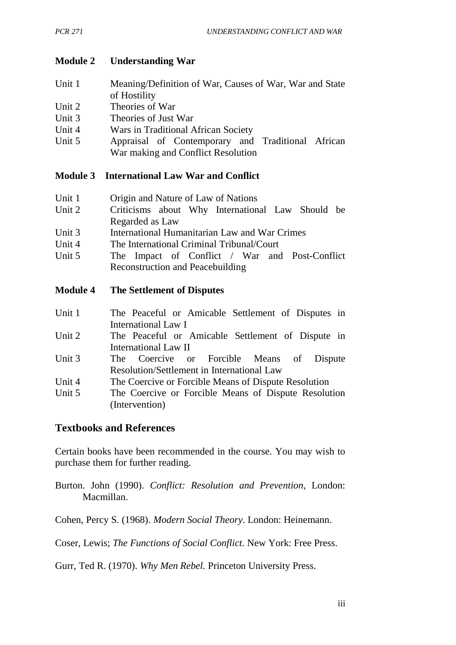#### **Module 2 Understanding War**

| Unit 1 | Meaning/Definition of War, Causes of War, War and State |
|--------|---------------------------------------------------------|
|        | of Hostility                                            |

- Unit 2 Theories of War
- Unit 3 Theories of Just War
- Unit 4 Wars in Traditional African Society
- Unit 5 Appraisal of Contemporary and Traditional African War making and Conflict Resolution

#### **Module 3 International Law War and Conflict**

| Unit 1 | Origin and Nature of Law of Nations |  |
|--------|-------------------------------------|--|
|--------|-------------------------------------|--|

- Unit 2 Criticisms about Why International Law Should be Regarded as Law
- Unit 3 International Humanitarian Law and War Crimes
- Unit 4 The International Criminal Tribunal/Court
- Unit 5 The Impact of Conflict / War and Post-Conflict Reconstruction and Peacebuilding

#### **Module 4 The Settlement of Disputes**

- Unit 1 The Peaceful or Amicable Settlement of Disputes in International Law I
- Unit 2 The Peaceful or Amicable Settlement of Dispute in International Law II
- Unit 3 The Coercive or Forcible Means of Dispute Resolution/Settlement in International Law
- Unit 4 The Coercive or Forcible Means of Dispute Resolution
- Unit 5 The Coercive or Forcible Means of Dispute Resolution (Intervention)

#### **Textbooks and References**

Certain books have been recommended in the course. You may wish to purchase them for further reading.

Burton. John (1990). *Conflict: Resolution and Prevention,* London: Macmillan.

Cohen, Percy S. (1968). *Modern Social Theory*. London: Heinemann.

Coser, Lewis; *The Functions of Social Conflict*. New York: Free Press.

Gurr, Ted R. (1970). *Why Men Rebel*. Princeton University Press.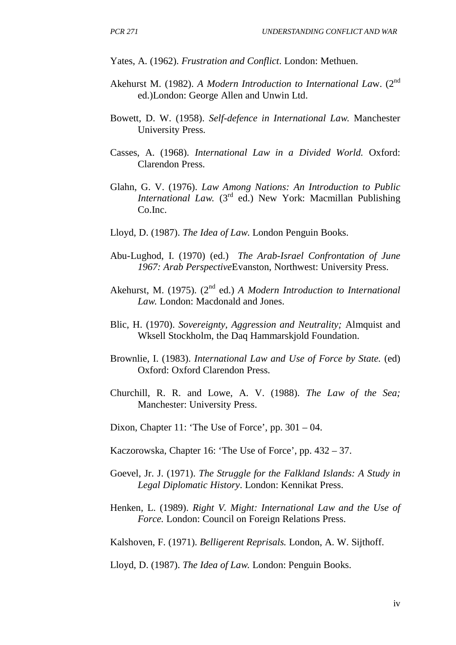Yates, A. (1962). *Frustration and Conflict*. London: Methuen.

- Akehurst M. (1982). *A Modern Introduction to International Law.* (2<sup>nd</sup> ed.)London: George Allen and Unwin Ltd.
- Bowett, D. W. (1958). *Self-defence in International Law.* Manchester University Press.
- Casses, A. (1968). *International Law in a Divided World.* Oxford: Clarendon Press.
- Glahn, G. V. (1976). *Law Among Nations: An Introduction to Public International Law.* (3<sup>rd</sup> ed.) New York: Macmillan Publishing Co.Inc.
- Lloyd, D. (1987). *The Idea of Law*. London Penguin Books.
- Abu-Lughod, I. (1970) (ed.) *The Arab-Israel Confrontation of June 1967: Arab Perspective*Evanston, Northwest: University Press.
- Akehurst, M. (1975). (2<sup>nd</sup> ed.) *A Modern Introduction to International Law.* London: Macdonald and Jones.
- Blic, H. (1970). *Sovereignty, Aggression and Neutrality;* Almquist and Wksell Stockholm, the Daq Hammarskjold Foundation.
- Brownlie, I. (1983). *International Law and Use of Force by State.* (ed) Oxford: Oxford Clarendon Press.
- Churchill, R. R. and Lowe, A. V. (1988). *The Law of the Sea;* Manchester: University Press.
- Dixon, Chapter 11: 'The Use of Force', pp. 301 04.
- Kaczorowska, Chapter 16: 'The Use of Force', pp. 432 37.
- Goevel, Jr. J. (1971). *The Struggle for the Falkland Islands: A Study in Legal Diplomatic History*. London: Kennikat Press.
- Henken, L. (1989). *Right V. Might: International Law and the Use of Force.* London: Council on Foreign Relations Press.

Kalshoven, F. (1971). *Belligerent Reprisals.* London, A. W. Sijthoff.

Lloyd, D. (1987). *The Idea of Law.* London: Penguin Books.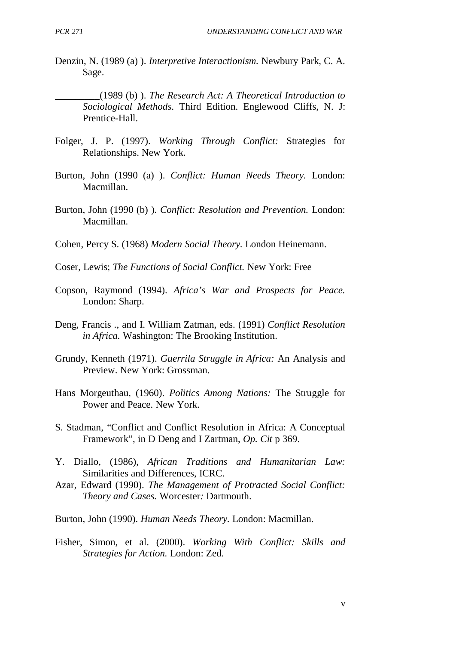Denzin, N. (1989 (a) ). *Interpretive Interactionism.* Newbury Park, C. A. Sage.

\_\_\_\_\_\_\_\_\_(1989 (b) ). *The Research Act: A Theoretical Introduction to Sociological Methods*. Third Edition. Englewood Cliffs, N. J: Prentice-Hall.

- Folger, J. P. (1997). *Working Through Conflict:* Strategies for Relationships. New York.
- Burton, John (1990 (a) ). *Conflict: Human Needs Theory.* London: Macmillan.
- Burton, John (1990 (b) ). *Conflict: Resolution and Prevention.* London: Macmillan.
- Cohen, Percy S. (1968) *Modern Social Theory.* London Heinemann.
- Coser, Lewis; *The Functions of Social Conflict.* New York: Free
- Copson, Raymond (1994). *Africa's War and Prospects for Peace.* London: Sharp.
- Deng, Francis ., and I. William Zatman, eds. (1991) *Conflict Resolution in Africa.* Washington: The Brooking Institution.
- Grundy, Kenneth (1971). *Guerrila Struggle in Africa:* An Analysis and Preview. New York: Grossman.
- Hans Morgeuthau, (1960). *Politics Among Nations:* The Struggle for Power and Peace. New York.
- S. Stadman, "Conflict and Conflict Resolution in Africa: A Conceptual Framework", in D Deng and I Zartman, *Op. Cit* p 369.
- Y. Diallo, (1986), *African Traditions and Humanitarian Law:* Similarities and Differences, ICRC.
- Azar, Edward (1990). *The Management of Protracted Social Conflict: Theory and Cases.* Worcester*:* Dartmouth.
- Burton, John (1990). *Human Needs Theory.* London: Macmillan.
- Fisher, Simon, et al. (2000). *Working With Conflict: Skills and Strategies for Action.* London: Zed.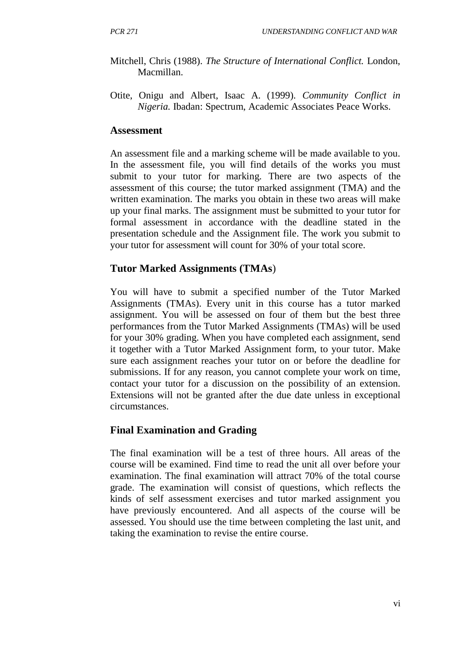- Mitchell, Chris (1988). *The Structure of International Conflict.* London, Macmillan.
- Otite, Onigu and Albert, Isaac A. (1999). *Community Conflict in Nigeria.* Ibadan: Spectrum, Academic Associates Peace Works.

#### **Assessment**

An assessment file and a marking scheme will be made available to you. In the assessment file, you will find details of the works you must submit to your tutor for marking. There are two aspects of the assessment of this course; the tutor marked assignment (TMA) and the written examination. The marks you obtain in these two areas will make up your final marks. The assignment must be submitted to your tutor for formal assessment in accordance with the deadline stated in the presentation schedule and the Assignment file. The work you submit to your tutor for assessment will count for 30% of your total score.

#### **Tutor Marked Assignments (TMAs**)

You will have to submit a specified number of the Tutor Marked Assignments (TMAs). Every unit in this course has a tutor marked assignment. You will be assessed on four of them but the best three performances from the Tutor Marked Assignments (TMAs) will be used for your 30% grading. When you have completed each assignment, send it together with a Tutor Marked Assignment form, to your tutor. Make sure each assignment reaches your tutor on or before the deadline for submissions. If for any reason, you cannot complete your work on time, contact your tutor for a discussion on the possibility of an extension. Extensions will not be granted after the due date unless in exceptional circumstances.

#### **Final Examination and Grading**

The final examination will be a test of three hours. All areas of the course will be examined. Find time to read the unit all over before your examination. The final examination will attract 70% of the total course grade. The examination will consist of questions, which reflects the kinds of self assessment exercises and tutor marked assignment you have previously encountered. And all aspects of the course will be assessed. You should use the time between completing the last unit, and taking the examination to revise the entire course.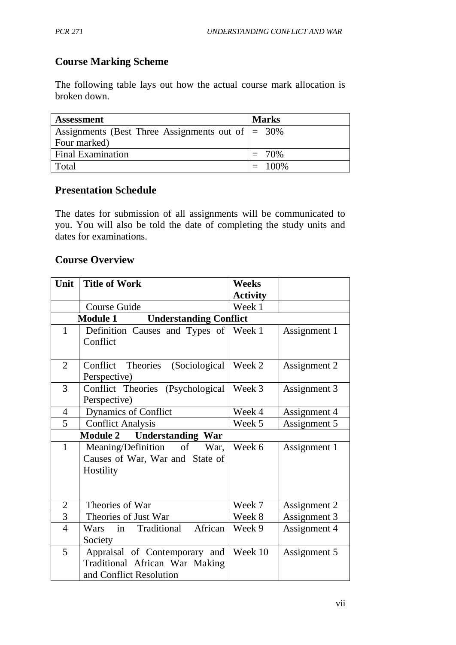## **Course Marking Scheme**

The following table lays out how the actual course mark allocation is broken down.

| <b>Assessment</b>                                           | <b>Marks</b> |  |
|-------------------------------------------------------------|--------------|--|
| Assignments (Best Three Assignments out of $\vert = 30\%$ ) |              |  |
| Four marked)                                                |              |  |
| <b>Final Examination</b>                                    | $= 70\%$     |  |
| Total                                                       | $= 100\%$    |  |

#### **Presentation Schedule**

The dates for submission of all assignments will be communicated to you. You will also be told the date of completing the study units and dates for examinations.

## **Course Overview**

| Unit           | <b>Title of Work</b>                             | <b>Weeks</b>    |              |
|----------------|--------------------------------------------------|-----------------|--------------|
|                |                                                  | <b>Activity</b> |              |
|                | <b>Course Guide</b>                              | Week 1          |              |
|                | <b>Understanding Conflict</b><br><b>Module 1</b> |                 |              |
| $\mathbf{1}$   | Definition Causes and Types of                   | Week 1          | Assignment 1 |
|                | Conflict                                         |                 |              |
| $\overline{2}$ | Conflict Theories<br>(Sociological)              | Week 2          | Assignment 2 |
|                | Perspective)                                     |                 |              |
| $\overline{3}$ | Conflict Theories (Psychological                 | Week 3          | Assignment 3 |
|                | Perspective)                                     |                 |              |
| $\overline{4}$ | <b>Dynamics of Conflict</b>                      | Week 4          | Assignment 4 |
| 5              | <b>Conflict Analysis</b>                         | Week 5          | Assignment 5 |
|                | <b>Module 2</b> Understanding War                |                 |              |
| $\mathbf{1}$   | Meaning/Definition of<br>War.                    | Week 6          | Assignment 1 |
|                | Causes of War, War and State of                  |                 |              |
|                | Hostility                                        |                 |              |
|                |                                                  |                 |              |
|                |                                                  |                 |              |
| $\overline{2}$ | Theories of War                                  | Week 7          | Assignment 2 |
| $\overline{3}$ | Theories of Just War                             | Week 8          | Assignment 3 |
| $\overline{4}$ | African<br>in Traditional<br>Wars                | Week 9          | Assignment 4 |
|                | Society                                          |                 |              |
| 5              | Appraisal of Contemporary and                    | Week 10         | Assignment 5 |
|                | Traditional African War Making                   |                 |              |
|                | and Conflict Resolution                          |                 |              |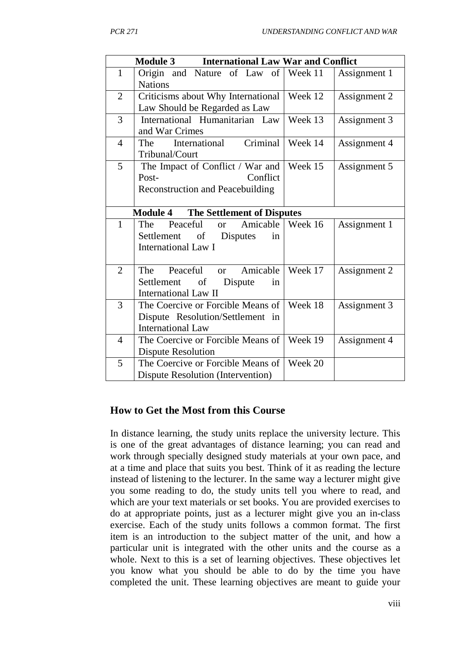|                | <b>International Law War and Conflict</b><br><b>Module 3</b>                                           |         |              |
|----------------|--------------------------------------------------------------------------------------------------------|---------|--------------|
| $\mathbf{1}$   | Origin and Nature of Law of Week 11<br><b>Nations</b>                                                  |         | Assignment 1 |
| $\overline{2}$ | Criticisms about Why International<br>Law Should be Regarded as Law                                    | Week 12 | Assignment 2 |
| 3              | International Humanitarian Law<br>and War Crimes                                                       | Week 13 | Assignment 3 |
| $\overline{4}$ | Criminal<br>International<br>The<br>Tribunal/Court                                                     | Week 14 | Assignment 4 |
| 5              | The Impact of Conflict / War and<br>Conflict<br>Post-<br><b>Reconstruction and Peacebuilding</b>       | Week 15 | Assignment 5 |
|                | <b>Module 4</b><br><b>The Settlement of Disputes</b>                                                   |         |              |
| $\mathbf{1}$   | Amicable<br>Peaceful<br>The<br><b>or</b><br>Settlement of Disputes<br>in<br><b>International Law I</b> | Week 16 | Assignment 1 |
| $\overline{2}$ | Peaceful or<br>Amicable<br>The<br>of<br>Settlement<br>Dispute<br>in<br><b>International Law II</b>     | Week 17 | Assignment 2 |
| 3              | The Coercive or Forcible Means of<br>Dispute Resolution/Settlement in<br><b>International Law</b>      | Week 18 | Assignment 3 |
| $\overline{4}$ | The Coercive or Forcible Means of<br>Dispute Resolution                                                | Week 19 | Assignment 4 |
| 5              | The Coercive or Forcible Means of<br><b>Dispute Resolution (Intervention)</b>                          | Week 20 |              |

#### **How to Get the Most from this Course**

In distance learning, the study units replace the university lecture. This is one of the great advantages of distance learning; you can read and work through specially designed study materials at your own pace, and at a time and place that suits you best. Think of it as reading the lecture instead of listening to the lecturer. In the same way a lecturer might give you some reading to do, the study units tell you where to read, and which are your text materials or set books. You are provided exercises to do at appropriate points, just as a lecturer might give you an in-class exercise. Each of the study units follows a common format. The first item is an introduction to the subject matter of the unit, and how a particular unit is integrated with the other units and the course as a whole. Next to this is a set of learning objectives. These objectives let you know what you should be able to do by the time you have completed the unit. These learning objectives are meant to guide your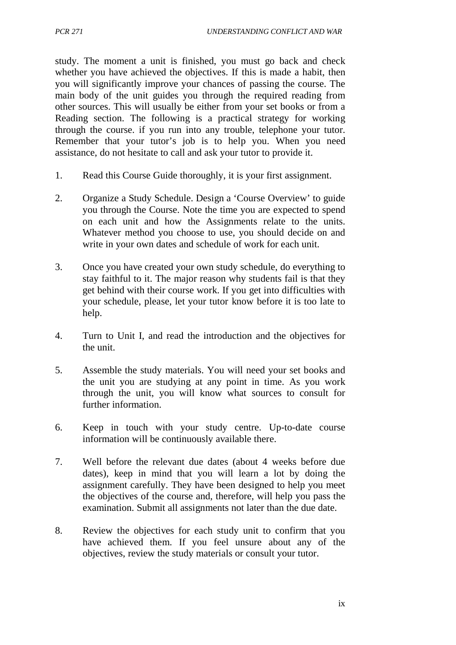study. The moment a unit is finished, you must go back and check whether you have achieved the objectives. If this is made a habit, then you will significantly improve your chances of passing the course. The main body of the unit guides you through the required reading from other sources. This will usually be either from your set books or from a Reading section. The following is a practical strategy for working through the course. if you run into any trouble, telephone your tutor. Remember that your tutor's job is to help you. When you need assistance, do not hesitate to call and ask your tutor to provide it.

- 1. Read this Course Guide thoroughly, it is your first assignment.
- 2. Organize a Study Schedule. Design a 'Course Overview' to guide you through the Course. Note the time you are expected to spend on each unit and how the Assignments relate to the units. Whatever method you choose to use, you should decide on and write in your own dates and schedule of work for each unit.
- 3. Once you have created your own study schedule, do everything to stay faithful to it. The major reason why students fail is that they get behind with their course work. If you get into difficulties with your schedule, please, let your tutor know before it is too late to help.
- 4. Turn to Unit I, and read the introduction and the objectives for the unit.
- 5. Assemble the study materials. You will need your set books and the unit you are studying at any point in time. As you work through the unit, you will know what sources to consult for further information.
- 6. Keep in touch with your study centre. Up-to-date course information will be continuously available there.
- 7. Well before the relevant due dates (about 4 weeks before due dates), keep in mind that you will learn a lot by doing the assignment carefully. They have been designed to help you meet the objectives of the course and, therefore, will help you pass the examination. Submit all assignments not later than the due date.
- 8. Review the objectives for each study unit to confirm that you have achieved them. If you feel unsure about any of the objectives, review the study materials or consult your tutor.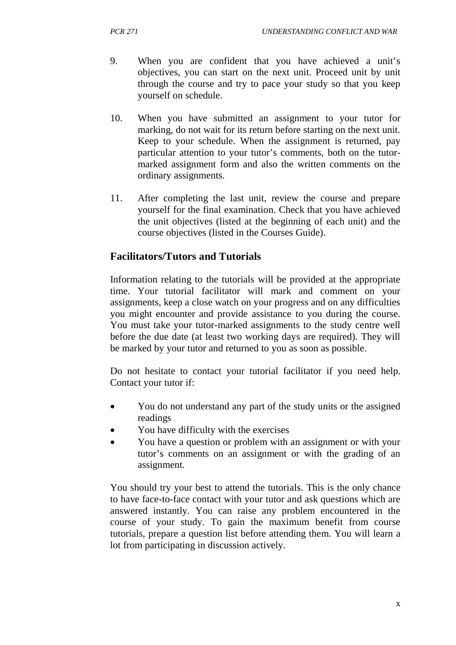- 9. When you are confident that you have achieved a unit's objectives, you can start on the next unit. Proceed unit by unit through the course and try to pace your study so that you keep yourself on schedule.
- 10. When you have submitted an assignment to your tutor for marking, do not wait for its return before starting on the next unit. Keep to your schedule. When the assignment is returned, pay particular attention to your tutor's comments, both on the tutormarked assignment form and also the written comments on the ordinary assignments.
- 11. After completing the last unit, review the course and prepare yourself for the final examination. Check that you have achieved the unit objectives (listed at the beginning of each unit) and the course objectives (listed in the Courses Guide).

#### **Facilitators/Tutors and Tutorials**

Information relating to the tutorials will be provided at the appropriate time. Your tutorial facilitator will mark and comment on your assignments, keep a close watch on your progress and on any difficulties you might encounter and provide assistance to you during the course. You must take your tutor-marked assignments to the study centre well before the due date (at least two working days are required). They will be marked by your tutor and returned to you as soon as possible.

Do not hesitate to contact your tutorial facilitator if you need help. Contact your tutor if:

- You do not understand any part of the study units or the assigned readings
- You have difficulty with the exercises
- You have a question or problem with an assignment or with your tutor's comments on an assignment or with the grading of an assignment.

You should try your best to attend the tutorials. This is the only chance to have face-to-face contact with your tutor and ask questions which are answered instantly. You can raise any problem encountered in the course of your study. To gain the maximum benefit from course tutorials, prepare a question list before attending them. You will learn a lot from participating in discussion actively.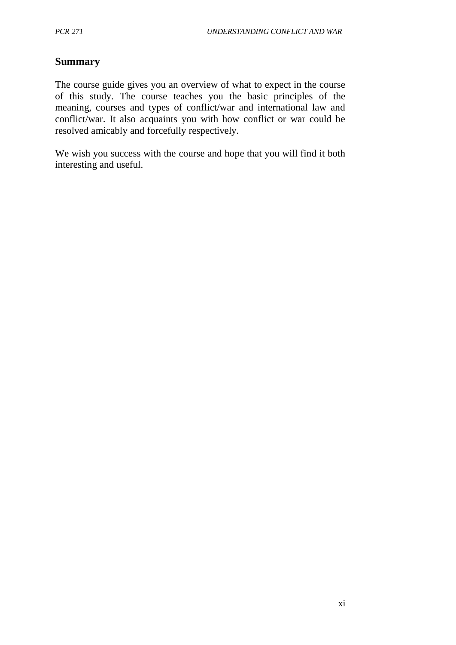#### **Summary**

The course guide gives you an overview of what to expect in the course of this study. The course teaches you the basic principles of the meaning, courses and types of conflict/war and international law and conflict/war. It also acquaints you with how conflict or war could be resolved amicably and forcefully respectively.

We wish you success with the course and hope that you will find it both interesting and useful.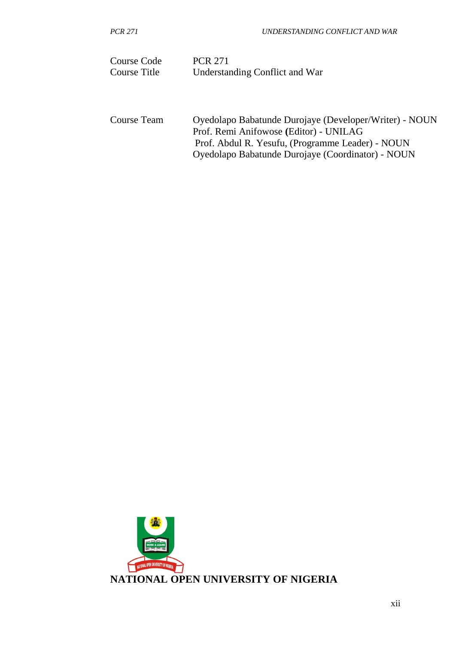| Course Code  | <b>PCR 271</b>                 |
|--------------|--------------------------------|
| Course Title | Understanding Conflict and War |

Course Team Oyedolapo Babatunde Durojaye (Developer/Writer) - NOUN Prof. Remi Anifowose **(**Editor) - UNILAG Prof. Abdul R. Yesufu, (Programme Leader) - NOUN Oyedolapo Babatunde Durojaye (Coordinator) - NOUN

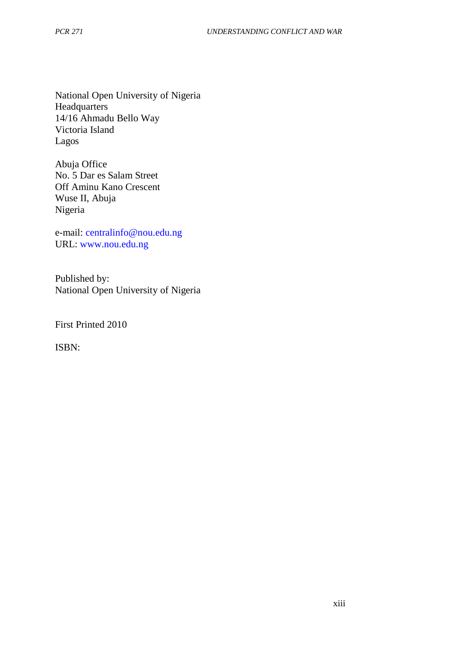National Open University of Nigeria **Headquarters** 14/16 Ahmadu Bello Way Victoria Island Lagos

Abuja Office No. 5 Dar es Salam Street Off Aminu Kano Crescent Wuse II, Abuja Nigeria

e-mail: centralinfo@nou.edu.ng URL: www.nou.edu.ng

Published by: National Open University of Nigeria

First Printed 2010

ISBN: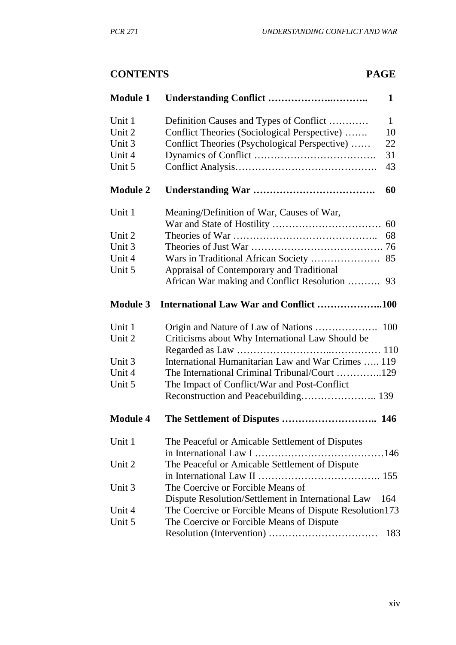## **CONTENTS PAGE**

| <b>Module 1</b> |                                                         | 1            |
|-----------------|---------------------------------------------------------|--------------|
| Unit 1          | Definition Causes and Types of Conflict                 | $\mathbf{1}$ |
| Unit 2          | Conflict Theories (Sociological Perspective)            | 10           |
| Unit 3          | Conflict Theories (Psychological Perspective)           | 22           |
| Unit 4          |                                                         | 31           |
| Unit 5          |                                                         | 43           |
| <b>Module 2</b> |                                                         | 60           |
| Unit 1          | Meaning/Definition of War, Causes of War,               |              |
|                 |                                                         | 60           |
| Unit 2          |                                                         | 68           |
| Unit 3          |                                                         |              |
| Unit 4          | Wars in Traditional African Society  85                 |              |
| Unit 5          | Appraisal of Contemporary and Traditional               |              |
|                 | African War making and Conflict Resolution              | 93           |
| <b>Module 3</b> | International Law War and Conflict 100                  |              |
| Unit 1          | Origin and Nature of Law of Nations  100                |              |
| Unit 2          | Criticisms about Why International Law Should be        |              |
|                 |                                                         |              |
| Unit 3          | International Humanitarian Law and War Crimes  119      |              |
| Unit 4          | The International Criminal Tribunal/Court 129           |              |
| Unit 5          | The Impact of Conflict/War and Post-Conflict            |              |
|                 | Reconstruction and Peacebuilding 139                    |              |
| <b>Module 4</b> | The Settlement of Disputes  146                         |              |
| Unit 1          | The Peaceful or Amicable Settlement of Disputes         |              |
|                 |                                                         |              |
| Unit 2          | The Peaceful or Amicable Settlement of Dispute          |              |
|                 |                                                         |              |
| Unit 3          | The Coercive or Forcible Means of                       |              |
|                 | Dispute Resolution/Settlement in International Law      | 164          |
| Unit 4          | The Coercive or Forcible Means of Dispute Resolution173 |              |
| Unit 5          | The Coercive or Forcible Means of Dispute               |              |
|                 |                                                         | 183          |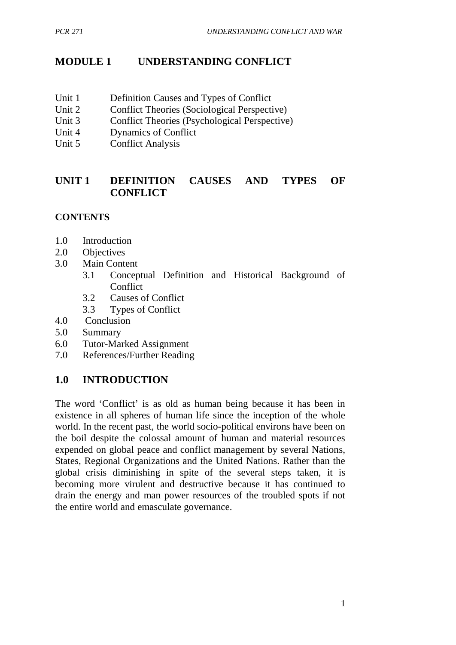## **MODULE 1 UNDERSTANDING CONFLICT**

- Unit 1 Definition Causes and Types of Conflict
- Unit 2 Conflict Theories (Sociological Perspective)
- Unit 3 Conflict Theories (Psychological Perspective)
- Unit 4 Dynamics of Conflict
- Unit 5 Conflict Analysis

### **UNIT 1 DEFINITION CAUSES AND TYPES OF CONFLICT**

## **CONTENTS**

- 1.0 Introduction
- 2.0 Objectives
- 3.0 Main Content
	- 3.1 Conceptual Definition and Historical Background of **Conflict**
	- 3.2 Causes of Conflict
	- 3.3 Types of Conflict
- 4.0 Conclusion
- 5.0 Summary
- 6.0 Tutor-Marked Assignment
- 7.0 References/Further Reading

## **1.0 INTRODUCTION**

The word 'Conflict' is as old as human being because it has been in existence in all spheres of human life since the inception of the whole world. In the recent past, the world socio-political environs have been on the boil despite the colossal amount of human and material resources expended on global peace and conflict management by several Nations, States, Regional Organizations and the United Nations. Rather than the global crisis diminishing in spite of the several steps taken, it is becoming more virulent and destructive because it has continued to drain the energy and man power resources of the troubled spots if not the entire world and emasculate governance.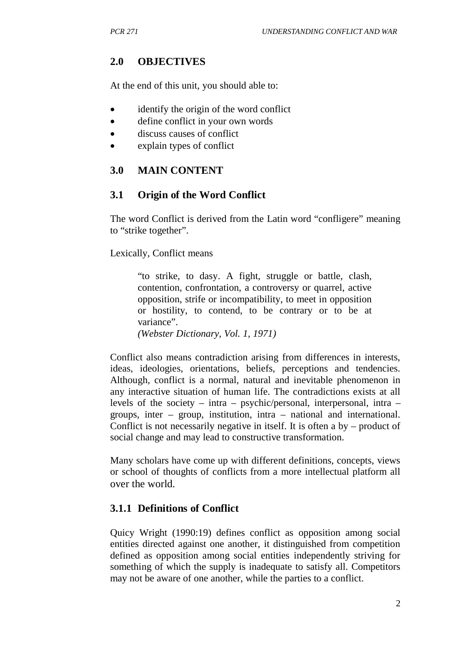## **2.0 OBJECTIVES**

At the end of this unit, you should able to:

- identify the origin of the word conflict
- define conflict in your own words
- discuss causes of conflict
- explain types of conflict

## **3.0 MAIN CONTENT**

## **3.1 Origin of the Word Conflict**

The word Conflict is derived from the Latin word "confligere" meaning to "strike together".

Lexically, Conflict means

"to strike, to dasy. A fight, struggle or battle, clash, contention, confrontation, a controversy or quarrel, active opposition, strife or incompatibility, to meet in opposition or hostility, to contend, to be contrary or to be at variance".

*(Webster Dictionary, Vol. 1, 1971)*

Conflict also means contradiction arising from differences in interests, ideas, ideologies, orientations, beliefs, perceptions and tendencies. Although, conflict is a normal, natural and inevitable phenomenon in any interactive situation of human life. The contradictions exists at all levels of the society – intra – psychic/personal, interpersonal, intra – groups, inter – group, institution, intra – national and international. Conflict is not necessarily negative in itself. It is often a by – product of social change and may lead to constructive transformation.

Many scholars have come up with different definitions, concepts, views or school of thoughts of conflicts from a more intellectual platform all over the world.

## **3.1.1 Definitions of Conflict**

Quicy Wright (1990:19) defines conflict as opposition among social entities directed against one another, it distinguished from competition defined as opposition among social entities independently striving for something of which the supply is inadequate to satisfy all. Competitors may not be aware of one another, while the parties to a conflict.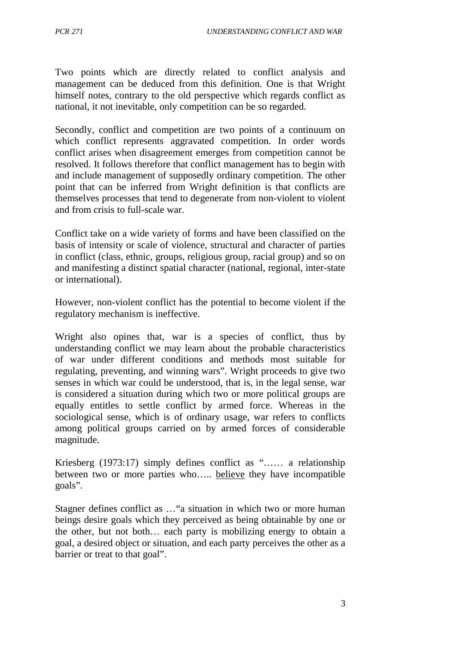Two points which are directly related to conflict analysis and management can be deduced from this definition. One is that Wright himself notes, contrary to the old perspective which regards conflict as national, it not inevitable, only competition can be so regarded.

Secondly, conflict and competition are two points of a continuum on which conflict represents aggravated competition. In order words conflict arises when disagreement emerges from competition cannot be resolved. It follows therefore that conflict management has to begin with and include management of supposedly ordinary competition. The other point that can be inferred from Wright definition is that conflicts are themselves processes that tend to degenerate from non-violent to violent and from crisis to full-scale war.

Conflict take on a wide variety of forms and have been classified on the basis of intensity or scale of violence, structural and character of parties in conflict (class, ethnic, groups, religious group, racial group) and so on and manifesting a distinct spatial character (national, regional, inter-state or international).

However, non-violent conflict has the potential to become violent if the regulatory mechanism is ineffective.

Wright also opines that, war is a species of conflict, thus by understanding conflict we may learn about the probable characteristics of war under different conditions and methods most suitable for regulating, preventing, and winning wars". Wright proceeds to give two senses in which war could be understood, that is, in the legal sense, war is considered a situation during which two or more political groups are equally entitles to settle conflict by armed force. Whereas in the sociological sense, which is of ordinary usage, war refers to conflicts among political groups carried on by armed forces of considerable magnitude.

Kriesberg (1973:17) simply defines conflict as "…… a relationship between two or more parties who….. believe they have incompatible goals".

Stagner defines conflict as …"a situation in which two or more human beings desire goals which they perceived as being obtainable by one or the other, but not both… each party is mobilizing energy to obtain a goal, a desired object or situation, and each party perceives the other as a barrier or treat to that goal".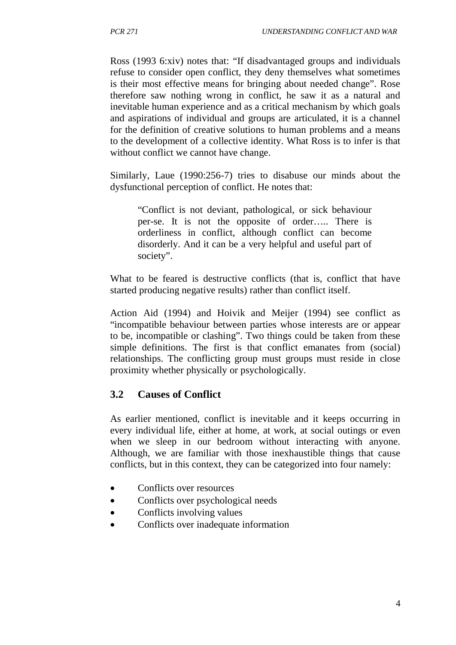Ross (1993 6:xiv) notes that: "If disadvantaged groups and individuals refuse to consider open conflict, they deny themselves what sometimes is their most effective means for bringing about needed change". Rose therefore saw nothing wrong in conflict, he saw it as a natural and inevitable human experience and as a critical mechanism by which goals and aspirations of individual and groups are articulated, it is a channel for the definition of creative solutions to human problems and a means to the development of a collective identity. What Ross is to infer is that without conflict we cannot have change.

Similarly, Laue (1990:256-7) tries to disabuse our minds about the dysfunctional perception of conflict. He notes that:

"Conflict is not deviant, pathological, or sick behaviour per-se. It is not the opposite of order….. There is orderliness in conflict, although conflict can become disorderly. And it can be a very helpful and useful part of society".

What to be feared is destructive conflicts (that is, conflict that have started producing negative results) rather than conflict itself.

Action Aid (1994) and Hoivik and Meijer (1994) see conflict as "incompatible behaviour between parties whose interests are or appear to be, incompatible or clashing". Two things could be taken from these simple definitions. The first is that conflict emanates from (social) relationships. The conflicting group must groups must reside in close proximity whether physically or psychologically.

#### **3.2 Causes of Conflict**

As earlier mentioned, conflict is inevitable and it keeps occurring in every individual life, either at home, at work, at social outings or even when we sleep in our bedroom without interacting with anyone. Although, we are familiar with those inexhaustible things that cause conflicts, but in this context, they can be categorized into four namely:

- Conflicts over resources
- Conflicts over psychological needs
- Conflicts involving values
- Conflicts over inadequate information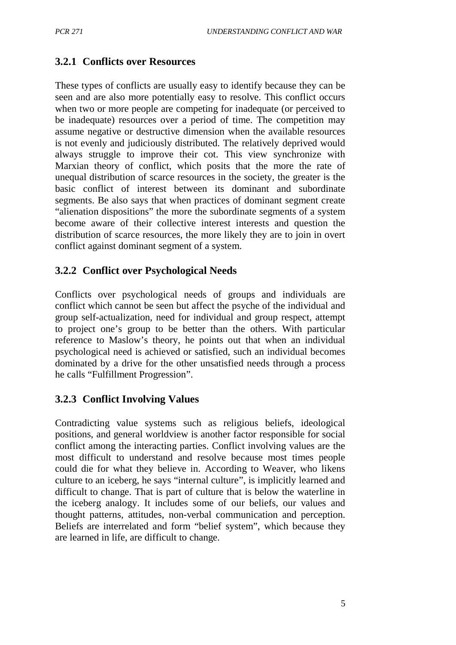## **3.2.1 Conflicts over Resources**

These types of conflicts are usually easy to identify because they can be seen and are also more potentially easy to resolve. This conflict occurs when two or more people are competing for inadequate (or perceived to be inadequate) resources over a period of time. The competition may assume negative or destructive dimension when the available resources is not evenly and judiciously distributed. The relatively deprived would always struggle to improve their cot. This view synchronize with Marxian theory of conflict, which posits that the more the rate of unequal distribution of scarce resources in the society, the greater is the basic conflict of interest between its dominant and subordinate segments. Be also says that when practices of dominant segment create "alienation dispositions" the more the subordinate segments of a system become aware of their collective interest interests and question the distribution of scarce resources, the more likely they are to join in overt conflict against dominant segment of a system.

## **3.2.2 Conflict over Psychological Needs**

Conflicts over psychological needs of groups and individuals are conflict which cannot be seen but affect the psyche of the individual and group self-actualization, need for individual and group respect, attempt to project one's group to be better than the others. With particular reference to Maslow's theory, he points out that when an individual psychological need is achieved or satisfied, such an individual becomes dominated by a drive for the other unsatisfied needs through a process he calls "Fulfillment Progression".

## **3.2.3 Conflict Involving Values**

Contradicting value systems such as religious beliefs, ideological positions, and general worldview is another factor responsible for social conflict among the interacting parties. Conflict involving values are the most difficult to understand and resolve because most times people could die for what they believe in. According to Weaver, who likens culture to an iceberg, he says "internal culture", is implicitly learned and difficult to change. That is part of culture that is below the waterline in the iceberg analogy. It includes some of our beliefs, our values and thought patterns, attitudes, non-verbal communication and perception. Beliefs are interrelated and form "belief system", which because they are learned in life, are difficult to change.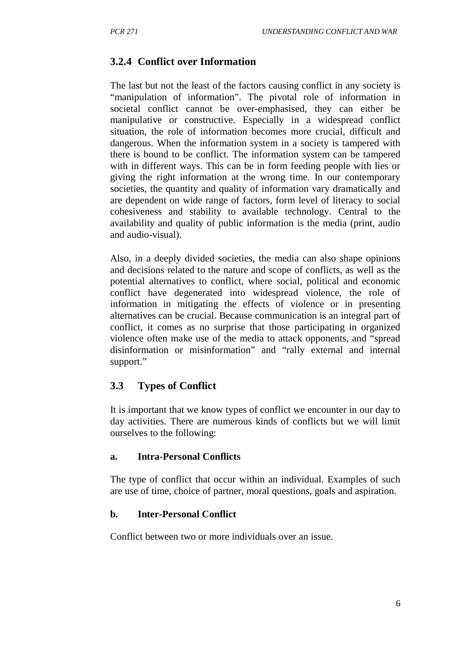#### **3.2.4 Conflict over Information**

The last but not the least of the factors causing conflict in any society is "manipulation of information". The pivotal role of information in societal conflict cannot be over-emphasised, they can either be manipulative or constructive. Especially in a widespread conflict situation, the role of information becomes more crucial, difficult and dangerous. When the information system in a society is tampered with there is bound to be conflict. The information system can be tampered with in different ways. This can be in form feeding people with lies or giving the right information at the wrong time. In our contemporary societies, the quantity and quality of information vary dramatically and are dependent on wide range of factors, form level of literacy to social cohesiveness and stability to available technology. Central to the availability and quality of public information is the media (print, audio and audio-visual).

Also, in a deeply divided societies, the media can also shape opinions and decisions related to the nature and scope of conflicts, as well as the potential alternatives to conflict, where social, political and economic conflict have degenerated into widespread violence, the role of information in mitigating the effects of violence or in presenting alternatives can be crucial. Because communication is an integral part of conflict, it comes as no surprise that those participating in organized violence often make use of the media to attack opponents, and "spread disinformation or misinformation" and "rally external and internal support."

#### **3.3 Types of Conflict**

It is important that we know types of conflict we encounter in our day to day activities. There are numerous kinds of conflicts but we will limit ourselves to the following:

#### **a. Intra-Personal Conflicts**

The type of conflict that occur within an individual. Examples of such are use of time, choice of partner, moral questions, goals and aspiration.

#### **b. Inter-Personal Conflict**

Conflict between two or more individuals over an issue.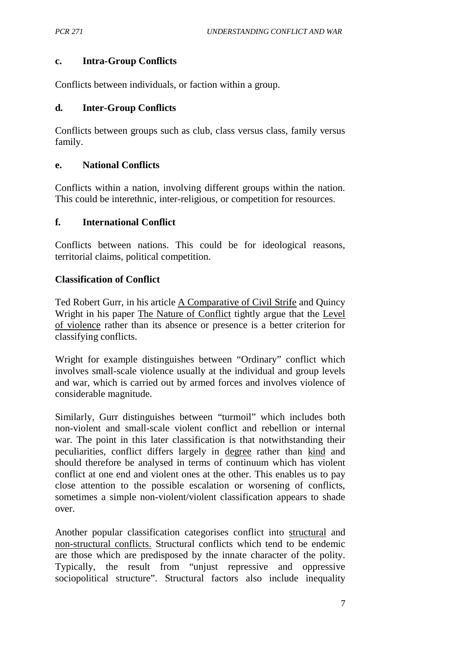#### **c. Intra-Group Conflicts**

Conflicts between individuals, or faction within a group.

#### **d. Inter-Group Conflicts**

Conflicts between groups such as club, class versus class, family versus family.

#### **e. National Conflicts**

Conflicts within a nation, involving different groups within the nation. This could be interethnic, inter-religious, or competition for resources.

#### **f. International Conflict**

Conflicts between nations. This could be for ideological reasons, territorial claims, political competition.

#### **Classification of Conflict**

Ted Robert Gurr, in his article A Comparative of Civil Strife and Quincy Wright in his paper The Nature of Conflict tightly argue that the Level of violence rather than its absence or presence is a better criterion for classifying conflicts.

Wright for example distinguishes between "Ordinary" conflict which involves small-scale violence usually at the individual and group levels and war, which is carried out by armed forces and involves violence of considerable magnitude.

Similarly, Gurr distinguishes between "turmoil" which includes both non-violent and small-scale violent conflict and rebellion or internal war. The point in this later classification is that notwithstanding their peculiarities, conflict differs largely in degree rather than kind and should therefore be analysed in terms of continuum which has violent conflict at one end and violent ones at the other. This enables us to pay close attention to the possible escalation or worsening of conflicts, sometimes a simple non-violent/violent classification appears to shade over.

Another popular classification categorises conflict into structural and non-structural conflicts. Structural conflicts which tend to be endemic are those which are predisposed by the innate character of the polity. Typically, the result from "unjust repressive and oppressive sociopolitical structure". Structural factors also include inequality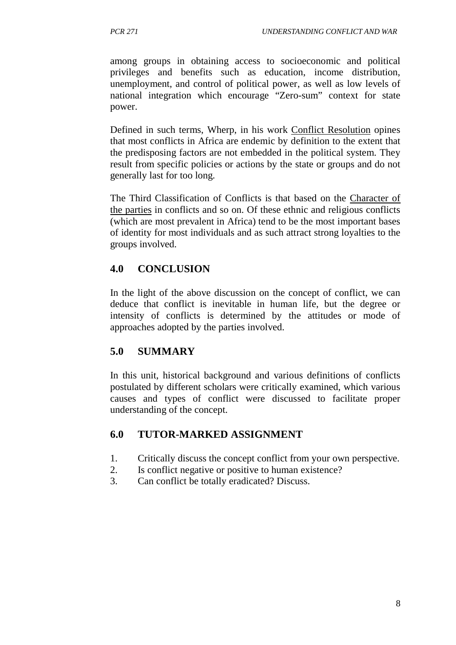among groups in obtaining access to socioeconomic and political privileges and benefits such as education, income distribution, unemployment, and control of political power, as well as low levels of national integration which encourage "Zero-sum" context for state power.

Defined in such terms, Wherp, in his work Conflict Resolution opines that most conflicts in Africa are endemic by definition to the extent that the predisposing factors are not embedded in the political system. They result from specific policies or actions by the state or groups and do not generally last for too long.

The Third Classification of Conflicts is that based on the Character of the parties in conflicts and so on. Of these ethnic and religious conflicts (which are most prevalent in Africa) tend to be the most important bases of identity for most individuals and as such attract strong loyalties to the groups involved.

## **4.0 CONCLUSION**

In the light of the above discussion on the concept of conflict, we can deduce that conflict is inevitable in human life, but the degree or intensity of conflicts is determined by the attitudes or mode of approaches adopted by the parties involved.

## **5.0 SUMMARY**

In this unit, historical background and various definitions of conflicts postulated by different scholars were critically examined, which various causes and types of conflict were discussed to facilitate proper understanding of the concept.

#### **6.0 TUTOR-MARKED ASSIGNMENT**

- 1. Critically discuss the concept conflict from your own perspective.
- 2. Is conflict negative or positive to human existence?
- 3. Can conflict be totally eradicated? Discuss.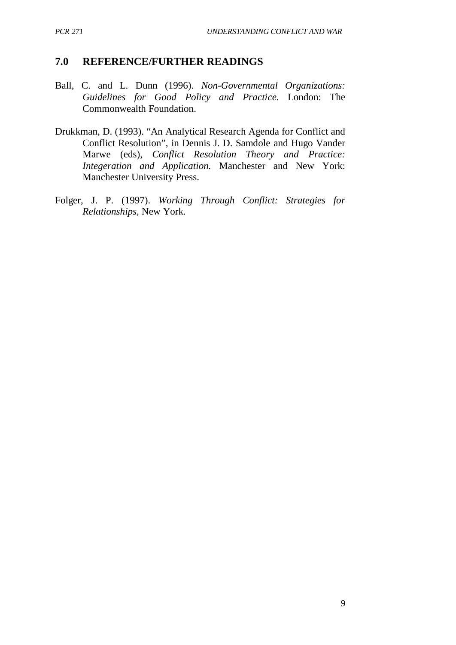#### **7.0 REFERENCE/FURTHER READINGS**

- Ball, C. and L. Dunn (1996). *Non-Governmental Organizations: Guidelines for Good Policy and Practice.* London: The Commonwealth Foundation.
- Drukkman, D. (1993). "An Analytical Research Agenda for Conflict and Conflict Resolution", in Dennis J. D. Samdole and Hugo Vander Marwe (eds), *Conflict Resolution Theory and Practice: Integeration and Application.* Manchester and New York: Manchester University Press.
- Folger, J. P. (1997). *Working Through Conflict: Strategies for Relationships,* New York.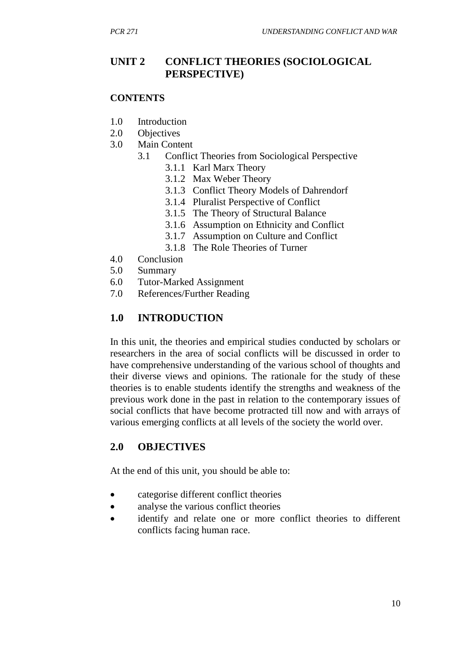#### **UNIT 2 CONFLICT THEORIES (SOCIOLOGICAL PERSPECTIVE)**

#### **CONTENTS**

- 1.0 Introduction
- 2.0 Objectives
- 3.0 Main Content
	- 3.1 Conflict Theories from Sociological Perspective
		- 3.1.1 Karl Marx Theory
		- 3.1.2 Max Weber Theory
		- 3.1.3 Conflict Theory Models of Dahrendorf
		- 3.1.4 Pluralist Perspective of Conflict
		- 3.1.5 The Theory of Structural Balance
		- 3.1.6 Assumption on Ethnicity and Conflict
		- 3.1.7 Assumption on Culture and Conflict
		- 3.1.8 The Role Theories of Turner
- 4.0 Conclusion
- 5.0 Summary
- 6.0 Tutor-Marked Assignment
- 7.0 References/Further Reading

#### **1.0 INTRODUCTION**

In this unit, the theories and empirical studies conducted by scholars or researchers in the area of social conflicts will be discussed in order to have comprehensive understanding of the various school of thoughts and their diverse views and opinions. The rationale for the study of these theories is to enable students identify the strengths and weakness of the previous work done in the past in relation to the contemporary issues of social conflicts that have become protracted till now and with arrays of various emerging conflicts at all levels of the society the world over.

#### **2.0 OBJECTIVES**

At the end of this unit, you should be able to:

- categorise different conflict theories
- analyse the various conflict theories
- identify and relate one or more conflict theories to different conflicts facing human race.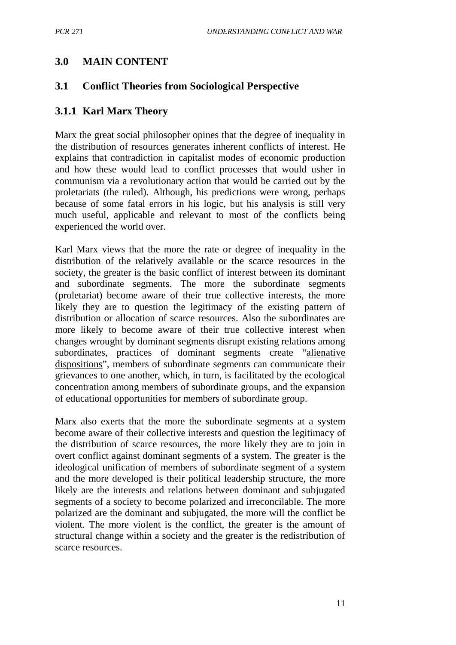## **3.0 MAIN CONTENT**

#### **3.1 Conflict Theories from Sociological Perspective**

#### **3.1.1 Karl Marx Theory**

Marx the great social philosopher opines that the degree of inequality in the distribution of resources generates inherent conflicts of interest. He explains that contradiction in capitalist modes of economic production and how these would lead to conflict processes that would usher in communism via a revolutionary action that would be carried out by the proletariats (the ruled). Although, his predictions were wrong, perhaps because of some fatal errors in his logic, but his analysis is still very much useful, applicable and relevant to most of the conflicts being experienced the world over.

Karl Marx views that the more the rate or degree of inequality in the distribution of the relatively available or the scarce resources in the society, the greater is the basic conflict of interest between its dominant and subordinate segments. The more the subordinate segments (proletariat) become aware of their true collective interests, the more likely they are to question the legitimacy of the existing pattern of distribution or allocation of scarce resources. Also the subordinates are more likely to become aware of their true collective interest when changes wrought by dominant segments disrupt existing relations among subordinates, practices of dominant segments create "alienative dispositions", members of subordinate segments can communicate their grievances to one another, which, in turn, is facilitated by the ecological concentration among members of subordinate groups, and the expansion of educational opportunities for members of subordinate group.

Marx also exerts that the more the subordinate segments at a system become aware of their collective interests and question the legitimacy of the distribution of scarce resources, the more likely they are to join in overt conflict against dominant segments of a system. The greater is the ideological unification of members of subordinate segment of a system and the more developed is their political leadership structure, the more likely are the interests and relations between dominant and subjugated segments of a society to become polarized and irreconcilable. The more polarized are the dominant and subjugated, the more will the conflict be violent. The more violent is the conflict, the greater is the amount of structural change within a society and the greater is the redistribution of scarce resources.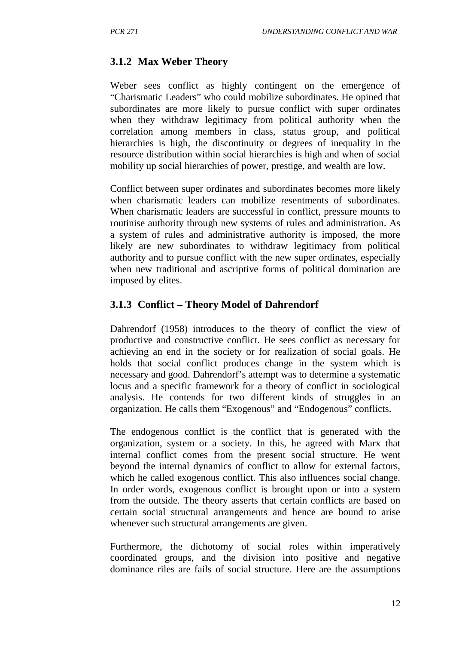#### **3.1.2 Max Weber Theory**

Weber sees conflict as highly contingent on the emergence of "Charismatic Leaders" who could mobilize subordinates. He opined that subordinates are more likely to pursue conflict with super ordinates when they withdraw legitimacy from political authority when the correlation among members in class, status group, and political hierarchies is high, the discontinuity or degrees of inequality in the resource distribution within social hierarchies is high and when of social mobility up social hierarchies of power, prestige, and wealth are low.

Conflict between super ordinates and subordinates becomes more likely when charismatic leaders can mobilize resentments of subordinates. When charismatic leaders are successful in conflict, pressure mounts to routinise authority through new systems of rules and administration. As a system of rules and administrative authority is imposed, the more likely are new subordinates to withdraw legitimacy from political authority and to pursue conflict with the new super ordinates, especially when new traditional and ascriptive forms of political domination are imposed by elites.

#### **3.1.3 Conflict – Theory Model of Dahrendorf**

Dahrendorf (1958) introduces to the theory of conflict the view of productive and constructive conflict. He sees conflict as necessary for achieving an end in the society or for realization of social goals. He holds that social conflict produces change in the system which is necessary and good. Dahrendorf's attempt was to determine a systematic locus and a specific framework for a theory of conflict in sociological analysis. He contends for two different kinds of struggles in an organization. He calls them "Exogenous" and "Endogenous" conflicts.

The endogenous conflict is the conflict that is generated with the organization, system or a society. In this, he agreed with Marx that internal conflict comes from the present social structure. He went beyond the internal dynamics of conflict to allow for external factors, which he called exogenous conflict. This also influences social change. In order words, exogenous conflict is brought upon or into a system from the outside. The theory asserts that certain conflicts are based on certain social structural arrangements and hence are bound to arise whenever such structural arrangements are given.

Furthermore, the dichotomy of social roles within imperatively coordinated groups, and the division into positive and negative dominance riles are fails of social structure. Here are the assumptions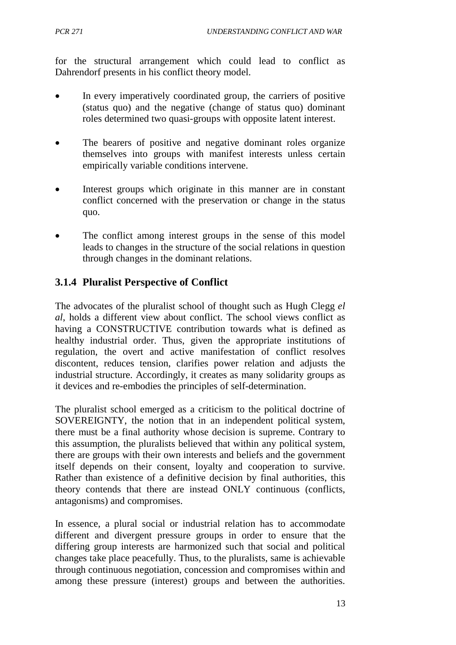for the structural arrangement which could lead to conflict as Dahrendorf presents in his conflict theory model.

- In every imperatively coordinated group, the carriers of positive (status quo) and the negative (change of status quo) dominant roles determined two quasi-groups with opposite latent interest.
- The bearers of positive and negative dominant roles organize themselves into groups with manifest interests unless certain empirically variable conditions intervene.
- Interest groups which originate in this manner are in constant conflict concerned with the preservation or change in the status quo.
- The conflict among interest groups in the sense of this model leads to changes in the structure of the social relations in question through changes in the dominant relations.

## **3.1.4 Pluralist Perspective of Conflict**

The advocates of the pluralist school of thought such as Hugh Clegg *el al*, holds a different view about conflict. The school views conflict as having a CONSTRUCTIVE contribution towards what is defined as healthy industrial order. Thus, given the appropriate institutions of regulation, the overt and active manifestation of conflict resolves discontent, reduces tension, clarifies power relation and adjusts the industrial structure. Accordingly, it creates as many solidarity groups as it devices and re-embodies the principles of self-determination.

The pluralist school emerged as a criticism to the political doctrine of SOVEREIGNTY, the notion that in an independent political system, there must be a final authority whose decision is supreme. Contrary to this assumption, the pluralists believed that within any political system, there are groups with their own interests and beliefs and the government itself depends on their consent, loyalty and cooperation to survive. Rather than existence of a definitive decision by final authorities, this theory contends that there are instead ONLY continuous (conflicts, antagonisms) and compromises.

In essence, a plural social or industrial relation has to accommodate different and divergent pressure groups in order to ensure that the differing group interests are harmonized such that social and political changes take place peacefully. Thus, to the pluralists, same is achievable through continuous negotiation, concession and compromises within and among these pressure (interest) groups and between the authorities.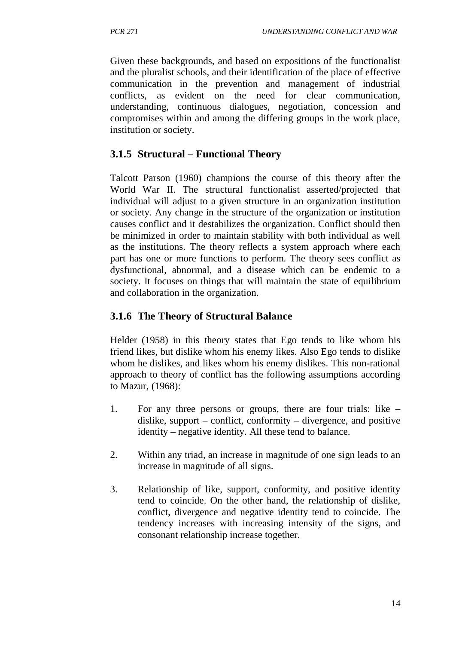Given these backgrounds, and based on expositions of the functionalist and the pluralist schools, and their identification of the place of effective communication in the prevention and management of industrial conflicts, as evident on the need for clear communication, understanding, continuous dialogues, negotiation, concession and compromises within and among the differing groups in the work place, institution or society.

## **3.1.5 Structural – Functional Theory**

Talcott Parson (1960) champions the course of this theory after the World War II. The structural functionalist asserted/projected that individual will adjust to a given structure in an organization institution or society. Any change in the structure of the organization or institution causes conflict and it destabilizes the organization. Conflict should then be minimized in order to maintain stability with both individual as well as the institutions. The theory reflects a system approach where each part has one or more functions to perform. The theory sees conflict as dysfunctional, abnormal, and a disease which can be endemic to a society. It focuses on things that will maintain the state of equilibrium and collaboration in the organization.

## **3.1.6 The Theory of Structural Balance**

Helder (1958) in this theory states that Ego tends to like whom his friend likes, but dislike whom his enemy likes. Also Ego tends to dislike whom he dislikes, and likes whom his enemy dislikes. This non-rational approach to theory of conflict has the following assumptions according to Mazur, (1968):

- 1. For any three persons or groups, there are four trials: like dislike, support – conflict, conformity – divergence, and positive identity – negative identity. All these tend to balance.
- 2. Within any triad, an increase in magnitude of one sign leads to an increase in magnitude of all signs.
- 3. Relationship of like, support, conformity, and positive identity tend to coincide. On the other hand, the relationship of dislike, conflict, divergence and negative identity tend to coincide. The tendency increases with increasing intensity of the signs, and consonant relationship increase together.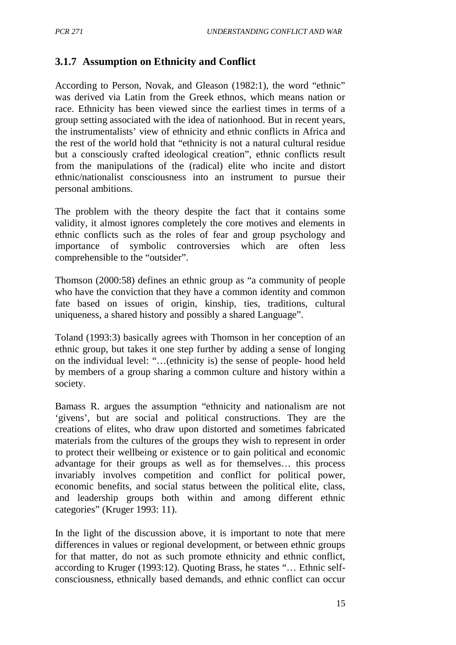## **3.1.7 Assumption on Ethnicity and Conflict**

According to Person, Novak, and Gleason (1982:1), the word "ethnic" was derived via Latin from the Greek ethnos, which means nation or race. Ethnicity has been viewed since the earliest times in terms of a group setting associated with the idea of nationhood. But in recent years, the instrumentalists' view of ethnicity and ethnic conflicts in Africa and the rest of the world hold that "ethnicity is not a natural cultural residue but a consciously crafted ideological creation", ethnic conflicts result from the manipulations of the (radical) elite who incite and distort ethnic/nationalist consciousness into an instrument to pursue their personal ambitions.

The problem with the theory despite the fact that it contains some validity, it almost ignores completely the core motives and elements in ethnic conflicts such as the roles of fear and group psychology and importance of symbolic controversies which are often less comprehensible to the "outsider".

Thomson (2000:58) defines an ethnic group as "a community of people who have the conviction that they have a common identity and common fate based on issues of origin, kinship, ties, traditions, cultural uniqueness, a shared history and possibly a shared Language".

Toland (1993:3) basically agrees with Thomson in her conception of an ethnic group, but takes it one step further by adding a sense of longing on the individual level: "…(ethnicity is) the sense of people- hood held by members of a group sharing a common culture and history within a society.

Bamass R. argues the assumption "ethnicity and nationalism are not 'givens', but are social and political constructions. They are the creations of elites, who draw upon distorted and sometimes fabricated materials from the cultures of the groups they wish to represent in order to protect their wellbeing or existence or to gain political and economic advantage for their groups as well as for themselves… this process invariably involves competition and conflict for political power, economic benefits, and social status between the political elite, class, and leadership groups both within and among different ethnic categories" (Kruger 1993: 11).

In the light of the discussion above, it is important to note that mere differences in values or regional development, or between ethnic groups for that matter, do not as such promote ethnicity and ethnic conflict, according to Kruger (1993:12). Quoting Brass, he states "… Ethnic selfconsciousness, ethnically based demands, and ethnic conflict can occur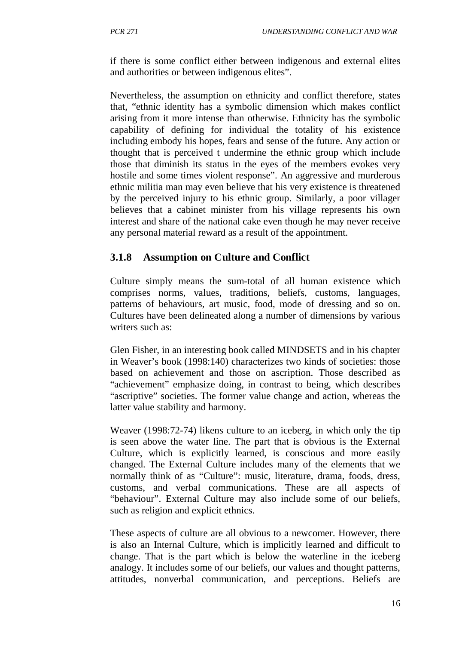if there is some conflict either between indigenous and external elites and authorities or between indigenous elites".

Nevertheless, the assumption on ethnicity and conflict therefore, states that, "ethnic identity has a symbolic dimension which makes conflict arising from it more intense than otherwise. Ethnicity has the symbolic capability of defining for individual the totality of his existence including embody his hopes, fears and sense of the future. Any action or thought that is perceived t undermine the ethnic group which include those that diminish its status in the eyes of the members evokes very hostile and some times violent response". An aggressive and murderous ethnic militia man may even believe that his very existence is threatened by the perceived injury to his ethnic group. Similarly, a poor villager believes that a cabinet minister from his village represents his own interest and share of the national cake even though he may never receive any personal material reward as a result of the appointment.

## **3.1.8 Assumption on Culture and Conflict**

Culture simply means the sum-total of all human existence which comprises norms, values, traditions, beliefs, customs, languages, patterns of behaviours, art music, food, mode of dressing and so on. Cultures have been delineated along a number of dimensions by various writers such as:

Glen Fisher, in an interesting book called MINDSETS and in his chapter in Weaver's book (1998:140) characterizes two kinds of societies: those based on achievement and those on ascription. Those described as "achievement" emphasize doing, in contrast to being, which describes "ascriptive" societies. The former value change and action, whereas the latter value stability and harmony.

Weaver (1998:72-74) likens culture to an iceberg, in which only the tip is seen above the water line. The part that is obvious is the External Culture, which is explicitly learned, is conscious and more easily changed. The External Culture includes many of the elements that we normally think of as "Culture": music, literature, drama, foods, dress, customs, and verbal communications. These are all aspects of "behaviour". External Culture may also include some of our beliefs, such as religion and explicit ethnics.

These aspects of culture are all obvious to a newcomer. However, there is also an Internal Culture, which is implicitly learned and difficult to change. That is the part which is below the waterline in the iceberg analogy. It includes some of our beliefs, our values and thought patterns, attitudes, nonverbal communication, and perceptions. Beliefs are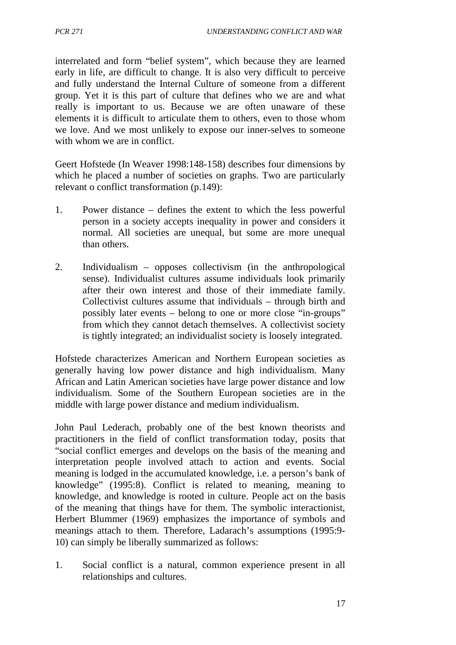interrelated and form "belief system", which because they are learned early in life, are difficult to change. It is also very difficult to perceive and fully understand the Internal Culture of someone from a different group. Yet it is this part of culture that defines who we are and what really is important to us. Because we are often unaware of these elements it is difficult to articulate them to others, even to those whom we love. And we most unlikely to expose our inner-selves to someone with whom we are in conflict.

Geert Hofstede (In Weaver 1998:148-158) describes four dimensions by which he placed a number of societies on graphs. Two are particularly relevant o conflict transformation (p.149):

- 1. Power distance defines the extent to which the less powerful person in a society accepts inequality in power and considers it normal. All societies are unequal, but some are more unequal than others.
- 2. Individualism opposes collectivism (in the anthropological sense). Individualist cultures assume individuals look primarily after their own interest and those of their immediate family. Collectivist cultures assume that individuals – through birth and possibly later events – belong to one or more close "in-groups" from which they cannot detach themselves. A collectivist society is tightly integrated; an individualist society is loosely integrated.

Hofstede characterizes American and Northern European societies as generally having low power distance and high individualism. Many African and Latin American societies have large power distance and low individualism. Some of the Southern European societies are in the middle with large power distance and medium individualism.

John Paul Lederach, probably one of the best known theorists and practitioners in the field of conflict transformation today, posits that "social conflict emerges and develops on the basis of the meaning and interpretation people involved attach to action and events. Social meaning is lodged in the accumulated knowledge, i.e. a person's bank of knowledge" (1995:8). Conflict is related to meaning, meaning to knowledge, and knowledge is rooted in culture. People act on the basis of the meaning that things have for them. The symbolic interactionist, Herbert Blummer (1969) emphasizes the importance of symbols and meanings attach to them. Therefore, Ladarach's assumptions (1995:9- 10) can simply be liberally summarized as follows:

1. Social conflict is a natural, common experience present in all relationships and cultures.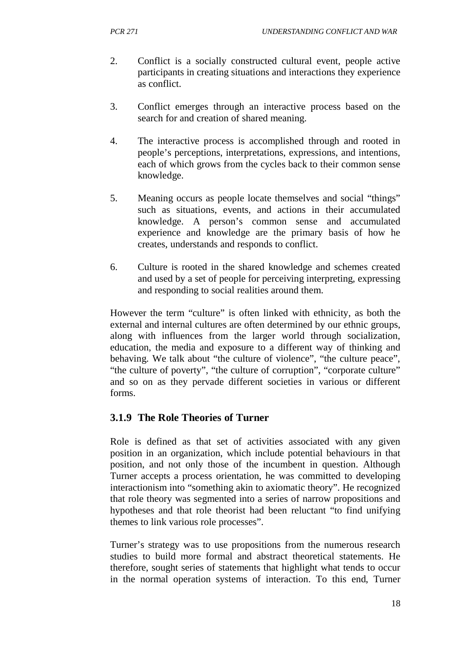- 2. Conflict is a socially constructed cultural event, people active participants in creating situations and interactions they experience as conflict.
- 3. Conflict emerges through an interactive process based on the search for and creation of shared meaning.
- 4. The interactive process is accomplished through and rooted in people's perceptions, interpretations, expressions, and intentions, each of which grows from the cycles back to their common sense knowledge.
- 5. Meaning occurs as people locate themselves and social "things" such as situations, events, and actions in their accumulated knowledge. A person's common sense and accumulated experience and knowledge are the primary basis of how he creates, understands and responds to conflict.
- 6. Culture is rooted in the shared knowledge and schemes created and used by a set of people for perceiving interpreting, expressing and responding to social realities around them.

However the term "culture" is often linked with ethnicity, as both the external and internal cultures are often determined by our ethnic groups, along with influences from the larger world through socialization, education, the media and exposure to a different way of thinking and behaving. We talk about "the culture of violence", "the culture peace", "the culture of poverty", "the culture of corruption", "corporate culture" and so on as they pervade different societies in various or different forms.

## **3.1.9 The Role Theories of Turner**

Role is defined as that set of activities associated with any given position in an organization, which include potential behaviours in that position, and not only those of the incumbent in question. Although Turner accepts a process orientation, he was committed to developing interactionism into "something akin to axiomatic theory". He recognized that role theory was segmented into a series of narrow propositions and hypotheses and that role theorist had been reluctant "to find unifying themes to link various role processes".

Turner's strategy was to use propositions from the numerous research studies to build more formal and abstract theoretical statements. He therefore, sought series of statements that highlight what tends to occur in the normal operation systems of interaction. To this end, Turner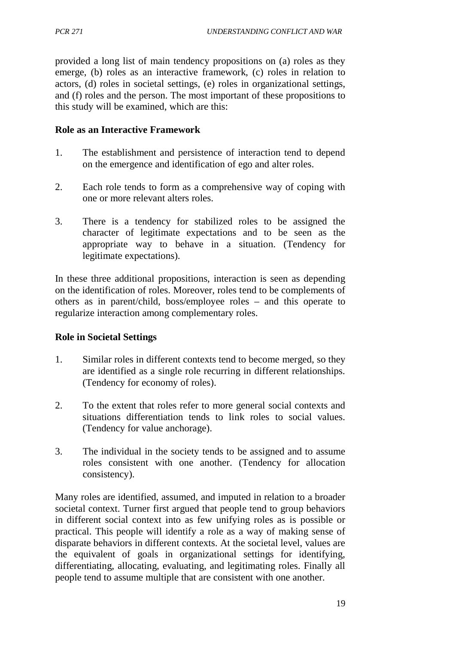provided a long list of main tendency propositions on (a) roles as they emerge, (b) roles as an interactive framework, (c) roles in relation to actors, (d) roles in societal settings, (e) roles in organizational settings, and (f) roles and the person. The most important of these propositions to this study will be examined, which are this:

### **Role as an Interactive Framework**

- 1. The establishment and persistence of interaction tend to depend on the emergence and identification of ego and alter roles.
- 2. Each role tends to form as a comprehensive way of coping with one or more relevant alters roles.
- 3. There is a tendency for stabilized roles to be assigned the character of legitimate expectations and to be seen as the appropriate way to behave in a situation. (Tendency for legitimate expectations).

In these three additional propositions, interaction is seen as depending on the identification of roles. Moreover, roles tend to be complements of others as in parent/child, boss/employee roles – and this operate to regularize interaction among complementary roles.

#### **Role in Societal Settings**

- 1. Similar roles in different contexts tend to become merged, so they are identified as a single role recurring in different relationships. (Tendency for economy of roles).
- 2. To the extent that roles refer to more general social contexts and situations differentiation tends to link roles to social values. (Tendency for value anchorage).
- 3. The individual in the society tends to be assigned and to assume roles consistent with one another. (Tendency for allocation consistency).

Many roles are identified, assumed, and imputed in relation to a broader societal context. Turner first argued that people tend to group behaviors in different social context into as few unifying roles as is possible or practical. This people will identify a role as a way of making sense of disparate behaviors in different contexts. At the societal level, values are the equivalent of goals in organizational settings for identifying, differentiating, allocating, evaluating, and legitimating roles. Finally all people tend to assume multiple that are consistent with one another.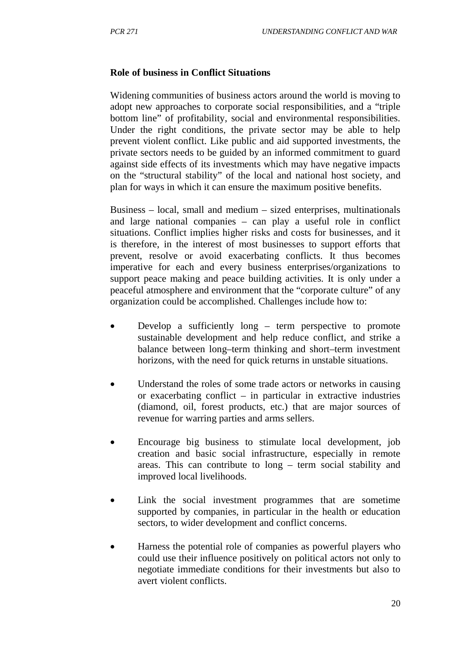#### **Role of business in Conflict Situations**

Widening communities of business actors around the world is moving to adopt new approaches to corporate social responsibilities, and a "triple bottom line" of profitability, social and environmental responsibilities. Under the right conditions, the private sector may be able to help prevent violent conflict. Like public and aid supported investments, the private sectors needs to be guided by an informed commitment to guard against side effects of its investments which may have negative impacts on the "structural stability" of the local and national host society, and plan for ways in which it can ensure the maximum positive benefits.

Business – local, small and medium – sized enterprises, multinationals and large national companies – can play a useful role in conflict situations. Conflict implies higher risks and costs for businesses, and it is therefore, in the interest of most businesses to support efforts that prevent, resolve or avoid exacerbating conflicts. It thus becomes imperative for each and every business enterprises/organizations to support peace making and peace building activities. It is only under a peaceful atmosphere and environment that the "corporate culture" of any organization could be accomplished. Challenges include how to:

- Develop a sufficiently long term perspective to promote sustainable development and help reduce conflict, and strike a balance between long–term thinking and short–term investment horizons, with the need for quick returns in unstable situations.
- Understand the roles of some trade actors or networks in causing or exacerbating conflict – in particular in extractive industries (diamond, oil, forest products, etc.) that are major sources of revenue for warring parties and arms sellers.
- Encourage big business to stimulate local development, job creation and basic social infrastructure, especially in remote areas. This can contribute to long – term social stability and improved local livelihoods.
- Link the social investment programmes that are sometime supported by companies, in particular in the health or education sectors, to wider development and conflict concerns.
- Harness the potential role of companies as powerful players who could use their influence positively on political actors not only to negotiate immediate conditions for their investments but also to avert violent conflicts.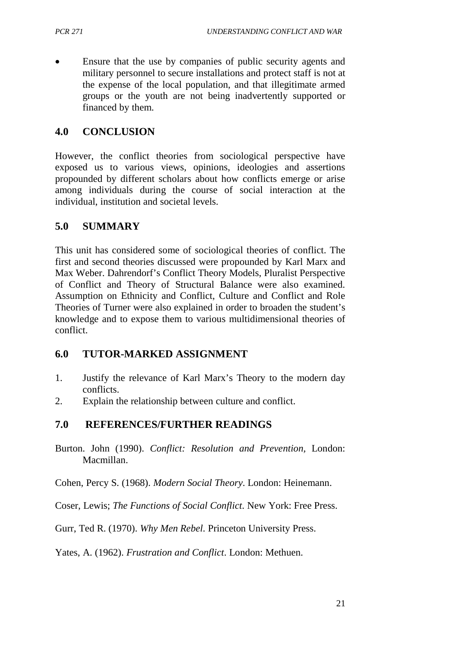• Ensure that the use by companies of public security agents and military personnel to secure installations and protect staff is not at the expense of the local population, and that illegitimate armed groups or the youth are not being inadvertently supported or financed by them.

## **4.0 CONCLUSION**

However, the conflict theories from sociological perspective have exposed us to various views, opinions, ideologies and assertions propounded by different scholars about how conflicts emerge or arise among individuals during the course of social interaction at the individual, institution and societal levels.

## **5.0 SUMMARY**

This unit has considered some of sociological theories of conflict. The first and second theories discussed were propounded by Karl Marx and Max Weber. Dahrendorf's Conflict Theory Models, Pluralist Perspective of Conflict and Theory of Structural Balance were also examined. Assumption on Ethnicity and Conflict, Culture and Conflict and Role Theories of Turner were also explained in order to broaden the student's knowledge and to expose them to various multidimensional theories of conflict.

## **6.0 TUTOR-MARKED ASSIGNMENT**

- 1. Justify the relevance of Karl Marx's Theory to the modern day conflicts.
- 2. Explain the relationship between culture and conflict.

## **7.0 REFERENCES/FURTHER READINGS**

Burton. John (1990). *Conflict: Resolution and Prevention,* London: Macmillan.

Cohen, Percy S. (1968). *Modern Social Theory*. London: Heinemann.

Coser, Lewis; *The Functions of Social Conflict*. New York: Free Press.

Gurr, Ted R. (1970). *Why Men Rebel*. Princeton University Press.

Yates, A. (1962). *Frustration and Conflict*. London: Methuen.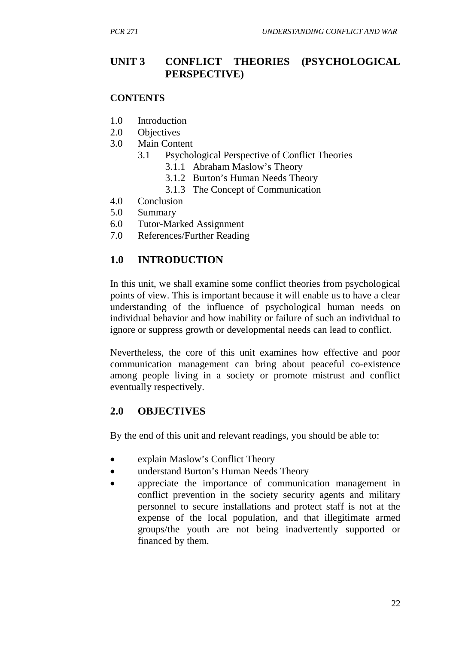# **UNIT 3 CONFLICT THEORIES (PSYCHOLOGICAL PERSPECTIVE)**

### **CONTENTS**

- 1.0 Introduction
- 2.0 Objectives
- 3.0 Main Content
	- 3.1 Psychological Perspective of Conflict Theories
		- 3.1.1 Abraham Maslow's Theory
		- 3.1.2 Burton's Human Needs Theory
		- 3.1.3 The Concept of Communication
- 4.0 Conclusion
- 5.0 Summary
- 6.0 Tutor-Marked Assignment
- 7.0 References/Further Reading

# **1.0 INTRODUCTION**

In this unit, we shall examine some conflict theories from psychological points of view. This is important because it will enable us to have a clear understanding of the influence of psychological human needs on individual behavior and how inability or failure of such an individual to ignore or suppress growth or developmental needs can lead to conflict.

Nevertheless, the core of this unit examines how effective and poor communication management can bring about peaceful co-existence among people living in a society or promote mistrust and conflict eventually respectively.

## **2.0 OBJECTIVES**

By the end of this unit and relevant readings, you should be able to:

- explain Maslow's Conflict Theory
- understand Burton's Human Needs Theory
- appreciate the importance of communication management in conflict prevention in the society security agents and military personnel to secure installations and protect staff is not at the expense of the local population, and that illegitimate armed groups/the youth are not being inadvertently supported or financed by them.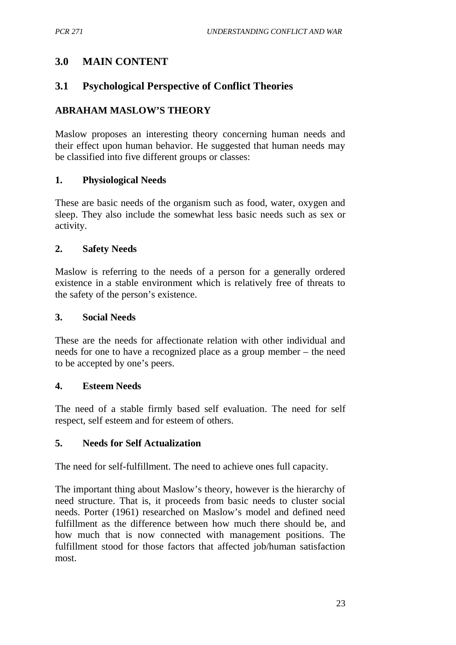# **3.0 MAIN CONTENT**

# **3.1 Psychological Perspective of Conflict Theories**

# **ABRAHAM MASLOW'S THEORY**

Maslow proposes an interesting theory concerning human needs and their effect upon human behavior. He suggested that human needs may be classified into five different groups or classes:

## **1. Physiological Needs**

These are basic needs of the organism such as food, water, oxygen and sleep. They also include the somewhat less basic needs such as sex or activity.

## **2. Safety Needs**

Maslow is referring to the needs of a person for a generally ordered existence in a stable environment which is relatively free of threats to the safety of the person's existence.

## **3. Social Needs**

These are the needs for affectionate relation with other individual and needs for one to have a recognized place as a group member – the need to be accepted by one's peers.

### **4. Esteem Needs**

The need of a stable firmly based self evaluation. The need for self respect, self esteem and for esteem of others.

## **5. Needs for Self Actualization**

The need for self-fulfillment. The need to achieve ones full capacity.

The important thing about Maslow's theory, however is the hierarchy of need structure. That is, it proceeds from basic needs to cluster social needs. Porter (1961) researched on Maslow's model and defined need fulfillment as the difference between how much there should be, and how much that is now connected with management positions. The fulfillment stood for those factors that affected job/human satisfaction most.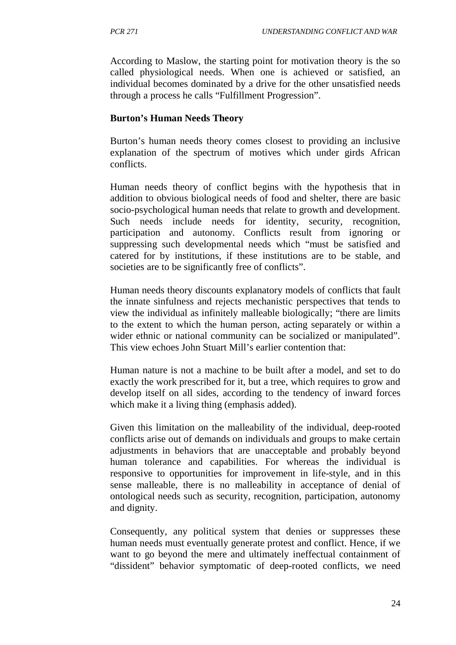According to Maslow, the starting point for motivation theory is the so called physiological needs. When one is achieved or satisfied, an individual becomes dominated by a drive for the other unsatisfied needs through a process he calls "Fulfillment Progression".

## **Burton's Human Needs Theory**

Burton's human needs theory comes closest to providing an inclusive explanation of the spectrum of motives which under girds African conflicts.

Human needs theory of conflict begins with the hypothesis that in addition to obvious biological needs of food and shelter, there are basic socio-psychological human needs that relate to growth and development. Such needs include needs for identity, security, recognition, participation and autonomy. Conflicts result from ignoring or suppressing such developmental needs which "must be satisfied and catered for by institutions, if these institutions are to be stable, and societies are to be significantly free of conflicts".

Human needs theory discounts explanatory models of conflicts that fault the innate sinfulness and rejects mechanistic perspectives that tends to view the individual as infinitely malleable biologically; "there are limits to the extent to which the human person, acting separately or within a wider ethnic or national community can be socialized or manipulated". This view echoes John Stuart Mill's earlier contention that:

Human nature is not a machine to be built after a model, and set to do exactly the work prescribed for it, but a tree, which requires to grow and develop itself on all sides, according to the tendency of inward forces which make it a living thing (emphasis added).

Given this limitation on the malleability of the individual, deep-rooted conflicts arise out of demands on individuals and groups to make certain adjustments in behaviors that are unacceptable and probably beyond human tolerance and capabilities. For whereas the individual is responsive to opportunities for improvement in life-style, and in this sense malleable, there is no malleability in acceptance of denial of ontological needs such as security, recognition, participation, autonomy and dignity.

Consequently, any political system that denies or suppresses these human needs must eventually generate protest and conflict. Hence, if we want to go beyond the mere and ultimately ineffectual containment of "dissident" behavior symptomatic of deep-rooted conflicts, we need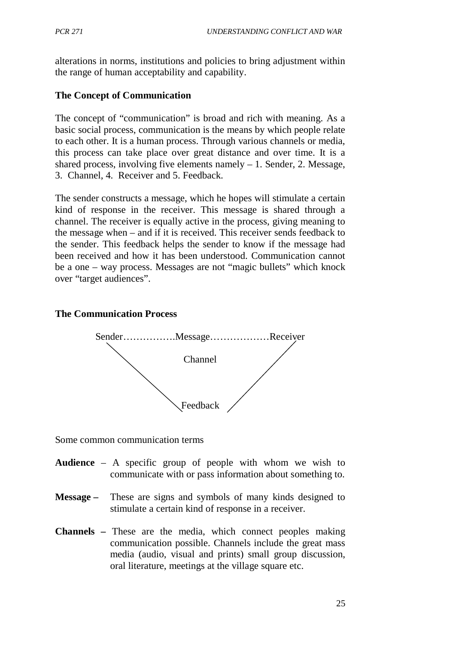alterations in norms, institutions and policies to bring adjustment within the range of human acceptability and capability.

# **The Concept of Communication**

The concept of "communication" is broad and rich with meaning. As a basic social process, communication is the means by which people relate to each other. It is a human process. Through various channels or media, this process can take place over great distance and over time. It is a shared process, involving five elements namely  $-1$ . Sender, 2. Message, 3. Channel, 4. Receiver and 5. Feedback.

The sender constructs a message, which he hopes will stimulate a certain kind of response in the receiver. This message is shared through a channel. The receiver is equally active in the process, giving meaning to the message when – and if it is received. This receiver sends feedback to the sender. This feedback helps the sender to know if the message had been received and how it has been understood. Communication cannot be a one – way process. Messages are not "magic bullets" which knock over "target audiences".

### **The Communication Process**



Some common communication terms

- **Audience** A specific group of people with whom we wish to communicate with or pass information about something to.
- **Message –** These are signs and symbols of many kinds designed to stimulate a certain kind of response in a receiver.
- **Channels –** These are the media, which connect peoples making communication possible. Channels include the great mass media (audio, visual and prints) small group discussion, oral literature, meetings at the village square etc.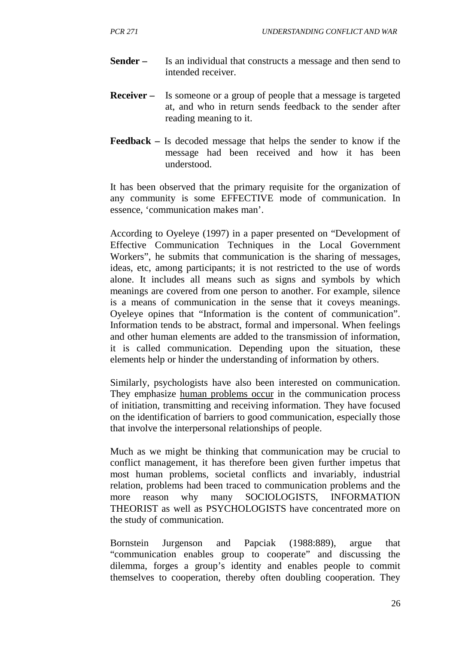- **Sender –** Is an individual that constructs a message and then send to intended receiver.
- **Receiver –** Is someone or a group of people that a message is targeted at, and who in return sends feedback to the sender after reading meaning to it.
- **Feedback –** Is decoded message that helps the sender to know if the message had been received and how it has been understood.

It has been observed that the primary requisite for the organization of any community is some EFFECTIVE mode of communication. In essence, 'communication makes man'.

According to Oyeleye (1997) in a paper presented on "Development of Effective Communication Techniques in the Local Government Workers", he submits that communication is the sharing of messages, ideas, etc, among participants; it is not restricted to the use of words alone. It includes all means such as signs and symbols by which meanings are covered from one person to another. For example, silence is a means of communication in the sense that it coveys meanings. Oyeleye opines that "Information is the content of communication". Information tends to be abstract, formal and impersonal. When feelings and other human elements are added to the transmission of information, it is called communication. Depending upon the situation, these elements help or hinder the understanding of information by others.

Similarly, psychologists have also been interested on communication. They emphasize human problems occur in the communication process of initiation, transmitting and receiving information. They have focused on the identification of barriers to good communication, especially those that involve the interpersonal relationships of people.

Much as we might be thinking that communication may be crucial to conflict management, it has therefore been given further impetus that most human problems, societal conflicts and invariably, industrial relation, problems had been traced to communication problems and the more reason why many SOCIOLOGISTS, INFORMATION THEORIST as well as PSYCHOLOGISTS have concentrated more on the study of communication.

Bornstein Jurgenson and Papciak (1988:889), argue that "communication enables group to cooperate" and discussing the dilemma, forges a group's identity and enables people to commit themselves to cooperation, thereby often doubling cooperation. They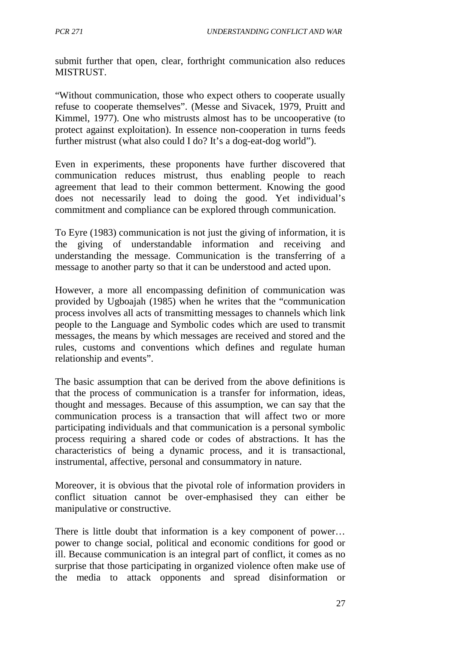submit further that open, clear, forthright communication also reduces MISTRUST.

"Without communication, those who expect others to cooperate usually refuse to cooperate themselves". (Messe and Sivacek, 1979, Pruitt and Kimmel, 1977). One who mistrusts almost has to be uncooperative (to protect against exploitation). In essence non-cooperation in turns feeds further mistrust (what also could I do? It's a dog-eat-dog world").

Even in experiments, these proponents have further discovered that communication reduces mistrust, thus enabling people to reach agreement that lead to their common betterment. Knowing the good does not necessarily lead to doing the good. Yet individual's commitment and compliance can be explored through communication.

To Eyre (1983) communication is not just the giving of information, it is the giving of understandable information and receiving and understanding the message. Communication is the transferring of a message to another party so that it can be understood and acted upon.

However, a more all encompassing definition of communication was provided by Ugboajah (1985) when he writes that the "communication process involves all acts of transmitting messages to channels which link people to the Language and Symbolic codes which are used to transmit messages, the means by which messages are received and stored and the rules, customs and conventions which defines and regulate human relationship and events".

The basic assumption that can be derived from the above definitions is that the process of communication is a transfer for information, ideas, thought and messages. Because of this assumption, we can say that the communication process is a transaction that will affect two or more participating individuals and that communication is a personal symbolic process requiring a shared code or codes of abstractions. It has the characteristics of being a dynamic process, and it is transactional, instrumental, affective, personal and consummatory in nature.

Moreover, it is obvious that the pivotal role of information providers in conflict situation cannot be over-emphasised they can either be manipulative or constructive.

There is little doubt that information is a key component of power… power to change social, political and economic conditions for good or ill. Because communication is an integral part of conflict, it comes as no surprise that those participating in organized violence often make use of the media to attack opponents and spread disinformation or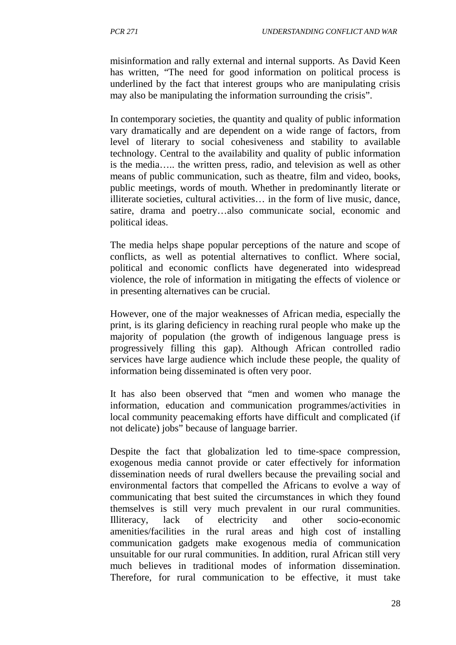misinformation and rally external and internal supports. As David Keen has written, "The need for good information on political process is underlined by the fact that interest groups who are manipulating crisis may also be manipulating the information surrounding the crisis".

In contemporary societies, the quantity and quality of public information vary dramatically and are dependent on a wide range of factors, from level of literary to social cohesiveness and stability to available technology. Central to the availability and quality of public information is the media….. the written press, radio, and television as well as other means of public communication, such as theatre, film and video, books, public meetings, words of mouth. Whether in predominantly literate or illiterate societies, cultural activities… in the form of live music, dance, satire, drama and poetry…also communicate social, economic and political ideas.

The media helps shape popular perceptions of the nature and scope of conflicts, as well as potential alternatives to conflict. Where social, political and economic conflicts have degenerated into widespread violence, the role of information in mitigating the effects of violence or in presenting alternatives can be crucial.

However, one of the major weaknesses of African media, especially the print, is its glaring deficiency in reaching rural people who make up the majority of population (the growth of indigenous language press is progressively filling this gap). Although African controlled radio services have large audience which include these people, the quality of information being disseminated is often very poor.

It has also been observed that "men and women who manage the information, education and communication programmes/activities in local community peacemaking efforts have difficult and complicated (if not delicate) jobs" because of language barrier.

Despite the fact that globalization led to time-space compression, exogenous media cannot provide or cater effectively for information dissemination needs of rural dwellers because the prevailing social and environmental factors that compelled the Africans to evolve a way of communicating that best suited the circumstances in which they found themselves is still very much prevalent in our rural communities. Illiteracy, lack of electricity and other socio-economic amenities/facilities in the rural areas and high cost of installing communication gadgets make exogenous media of communication unsuitable for our rural communities. In addition, rural African still very much believes in traditional modes of information dissemination. Therefore, for rural communication to be effective, it must take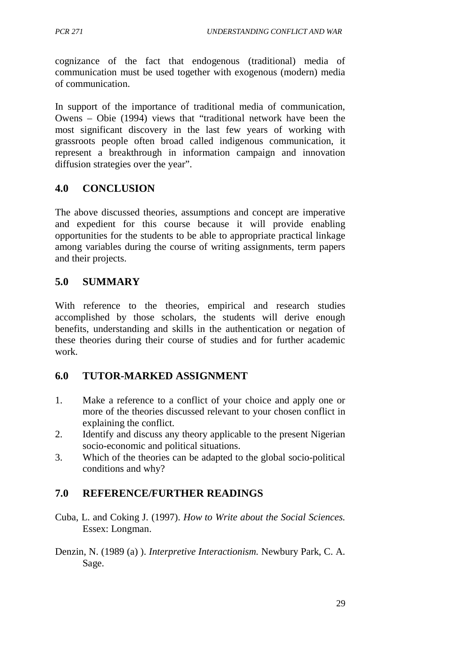cognizance of the fact that endogenous (traditional) media of communication must be used together with exogenous (modern) media of communication.

In support of the importance of traditional media of communication, Owens – Obie (1994) views that "traditional network have been the most significant discovery in the last few years of working with grassroots people often broad called indigenous communication, it represent a breakthrough in information campaign and innovation diffusion strategies over the year".

# **4.0 CONCLUSION**

The above discussed theories, assumptions and concept are imperative and expedient for this course because it will provide enabling opportunities for the students to be able to appropriate practical linkage among variables during the course of writing assignments, term papers and their projects.

# **5.0 SUMMARY**

With reference to the theories, empirical and research studies accomplished by those scholars, the students will derive enough benefits, understanding and skills in the authentication or negation of these theories during their course of studies and for further academic work.

## **6.0 TUTOR-MARKED ASSIGNMENT**

- 1. Make a reference to a conflict of your choice and apply one or more of the theories discussed relevant to your chosen conflict in explaining the conflict.
- 2. Identify and discuss any theory applicable to the present Nigerian socio-economic and political situations.
- 3. Which of the theories can be adapted to the global socio-political conditions and why?

# **7.0 REFERENCE/FURTHER READINGS**

- Cuba, L. and Coking J. (1997). *How to Write about the Social Sciences.* Essex: Longman.
- Denzin, N. (1989 (a) ). *Interpretive Interactionism.* Newbury Park, C. A. Sage.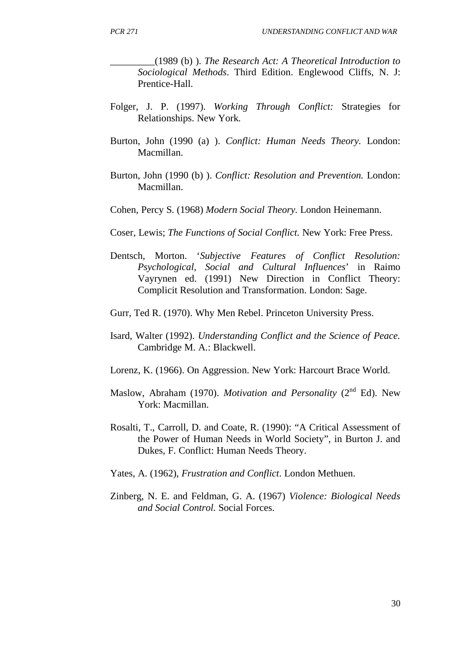\_\_\_\_\_\_\_\_\_(1989 (b) ). *The Research Act: A Theoretical Introduction to Sociological Methods*. Third Edition. Englewood Cliffs, N. J: Prentice-Hall.

- Folger, J. P. (1997). *Working Through Conflict:* Strategies for Relationships. New York.
- Burton, John (1990 (a) ). *Conflict: Human Needs Theory.* London: Macmillan.
- Burton, John (1990 (b) ). *Conflict: Resolution and Prevention.* London: Macmillan.
- Cohen, Percy S. (1968) *Modern Social Theory.* London Heinemann.
- Coser, Lewis; *The Functions of Social Conflict.* New York: Free Press.
- Dentsch, Morton. '*Subjective Features of Conflict Resolution: Psychological, Social and Cultural Influences*' in Raimo Vayrynen ed. (1991) New Direction in Conflict Theory: Complicit Resolution and Transformation. London: Sage.
- Gurr, Ted R. (1970). Why Men Rebel. Princeton University Press.
- Isard, Walter (1992). *Understanding Conflict and the Science of Peace.* Cambridge M. A.: Blackwell.
- Lorenz, K. (1966). On Aggression. New York: Harcourt Brace World.
- Maslow, Abraham (1970). *Motivation and Personality* (2<sup>nd</sup> Ed). New York: Macmillan.
- Rosalti, T., Carroll, D. and Coate, R. (1990): "A Critical Assessment of the Power of Human Needs in World Society", in Burton J. and Dukes, F. Conflict: Human Needs Theory.
- Yates, A. (1962), *Frustration and Conflict*. London Methuen.
- Zinberg, N. E. and Feldman, G. A. (1967) *Violence: Biological Needs and Social Control.* Social Forces.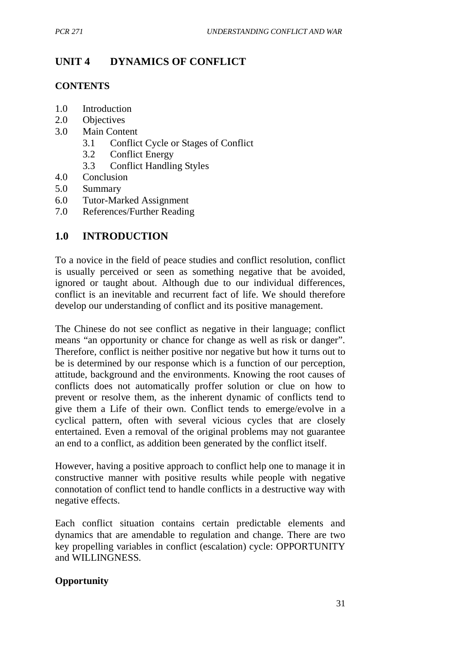# **UNIT 4 DYNAMICS OF CONFLICT**

### **CONTENTS**

- 1.0 Introduction
- 2.0 Objectives
- 3.0 Main Content
	- 3.1 Conflict Cycle or Stages of Conflict
	- 3.2 Conflict Energy
	- 3.3 Conflict Handling Styles
- 4.0 Conclusion
- 5.0 Summary
- 6.0 Tutor-Marked Assignment
- 7.0 References/Further Reading

# **1.0 INTRODUCTION**

To a novice in the field of peace studies and conflict resolution, conflict is usually perceived or seen as something negative that be avoided, ignored or taught about. Although due to our individual differences, conflict is an inevitable and recurrent fact of life. We should therefore develop our understanding of conflict and its positive management.

The Chinese do not see conflict as negative in their language; conflict means "an opportunity or chance for change as well as risk or danger". Therefore, conflict is neither positive nor negative but how it turns out to be is determined by our response which is a function of our perception, attitude, background and the environments. Knowing the root causes of conflicts does not automatically proffer solution or clue on how to prevent or resolve them, as the inherent dynamic of conflicts tend to give them a Life of their own. Conflict tends to emerge/evolve in a cyclical pattern, often with several vicious cycles that are closely entertained. Even a removal of the original problems may not guarantee an end to a conflict, as addition been generated by the conflict itself.

However, having a positive approach to conflict help one to manage it in constructive manner with positive results while people with negative connotation of conflict tend to handle conflicts in a destructive way with negative effects.

Each conflict situation contains certain predictable elements and dynamics that are amendable to regulation and change. There are two key propelling variables in conflict (escalation) cycle: OPPORTUNITY and WILLINGNESS.

## **Opportunity**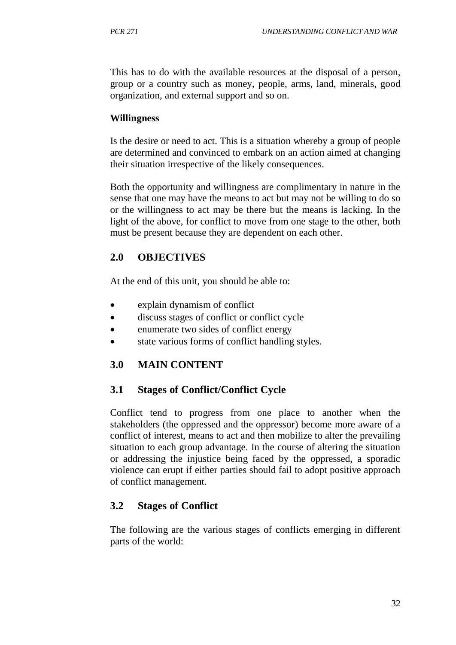This has to do with the available resources at the disposal of a person, group or a country such as money, people, arms, land, minerals, good organization, and external support and so on.

#### **Willingness**

Is the desire or need to act. This is a situation whereby a group of people are determined and convinced to embark on an action aimed at changing their situation irrespective of the likely consequences.

Both the opportunity and willingness are complimentary in nature in the sense that one may have the means to act but may not be willing to do so or the willingness to act may be there but the means is lacking. In the light of the above, for conflict to move from one stage to the other, both must be present because they are dependent on each other.

## **2.0 OBJECTIVES**

At the end of this unit, you should be able to:

- explain dynamism of conflict
- discuss stages of conflict or conflict cycle
- enumerate two sides of conflict energy
- state various forms of conflict handling styles.

## **3.0 MAIN CONTENT**

## **3.1 Stages of Conflict/Conflict Cycle**

Conflict tend to progress from one place to another when the stakeholders (the oppressed and the oppressor) become more aware of a conflict of interest, means to act and then mobilize to alter the prevailing situation to each group advantage. In the course of altering the situation or addressing the injustice being faced by the oppressed, a sporadic violence can erupt if either parties should fail to adopt positive approach of conflict management.

## **3.2 Stages of Conflict**

The following are the various stages of conflicts emerging in different parts of the world: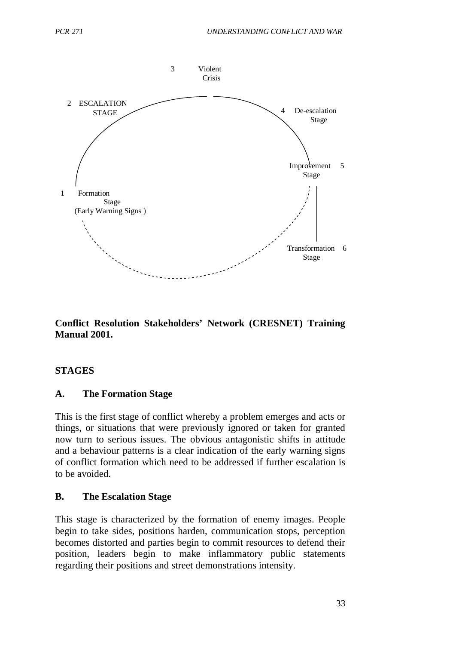

**Conflict Resolution Stakeholders' Network (CRESNET) Training Manual 2001.**

#### **STAGES**

#### **A. The Formation Stage**

This is the first stage of conflict whereby a problem emerges and acts or things, or situations that were previously ignored or taken for granted now turn to serious issues. The obvious antagonistic shifts in attitude and a behaviour patterns is a clear indication of the early warning signs of conflict formation which need to be addressed if further escalation is to be avoided.

#### **B. The Escalation Stage**

This stage is characterized by the formation of enemy images. People begin to take sides, positions harden, communication stops, perception becomes distorted and parties begin to commit resources to defend their position, leaders begin to make inflammatory public statements regarding their positions and street demonstrations intensity.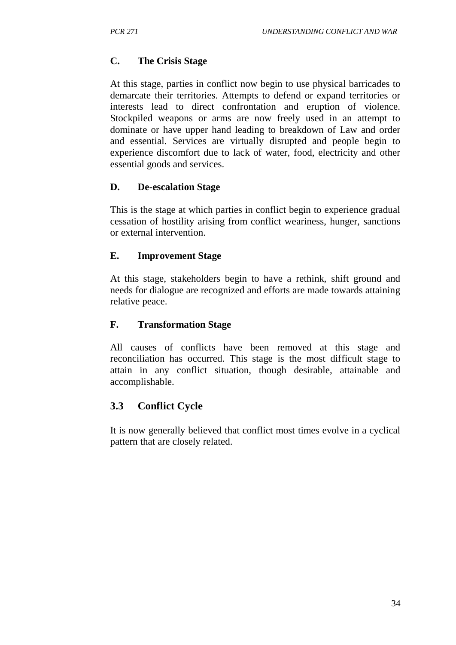# **C. The Crisis Stage**

At this stage, parties in conflict now begin to use physical barricades to demarcate their territories. Attempts to defend or expand territories or interests lead to direct confrontation and eruption of violence. Stockpiled weapons or arms are now freely used in an attempt to dominate or have upper hand leading to breakdown of Law and order and essential. Services are virtually disrupted and people begin to experience discomfort due to lack of water, food, electricity and other essential goods and services.

# **D. De-escalation Stage**

This is the stage at which parties in conflict begin to experience gradual cessation of hostility arising from conflict weariness, hunger, sanctions or external intervention.

## **E. Improvement Stage**

At this stage, stakeholders begin to have a rethink, shift ground and needs for dialogue are recognized and efforts are made towards attaining relative peace.

## **F. Transformation Stage**

All causes of conflicts have been removed at this stage and reconciliation has occurred. This stage is the most difficult stage to attain in any conflict situation, though desirable, attainable and accomplishable.

# **3.3 Conflict Cycle**

It is now generally believed that conflict most times evolve in a cyclical pattern that are closely related.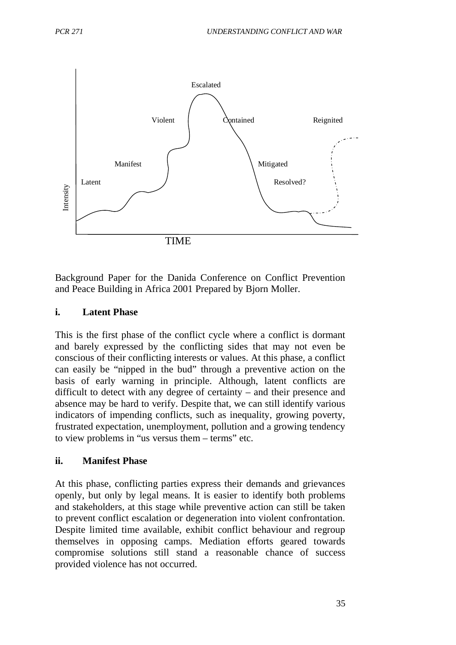

Background Paper for the Danida Conference on Conflict Prevention and Peace Building in Africa 2001 Prepared by Bjorn Moller.

#### **i. Latent Phase**

This is the first phase of the conflict cycle where a conflict is dormant and barely expressed by the conflicting sides that may not even be conscious of their conflicting interests or values. At this phase, a conflict can easily be "nipped in the bud" through a preventive action on the basis of early warning in principle. Although, latent conflicts are difficult to detect with any degree of certainty – and their presence and absence may be hard to verify. Despite that, we can still identify various indicators of impending conflicts, such as inequality, growing poverty, frustrated expectation, unemployment, pollution and a growing tendency to view problems in "us versus them – terms" etc.

#### **ii. Manifest Phase**

At this phase, conflicting parties express their demands and grievances openly, but only by legal means. It is easier to identify both problems and stakeholders, at this stage while preventive action can still be taken to prevent conflict escalation or degeneration into violent confrontation. Despite limited time available, exhibit conflict behaviour and regroup themselves in opposing camps. Mediation efforts geared towards compromise solutions still stand a reasonable chance of success provided violence has not occurred.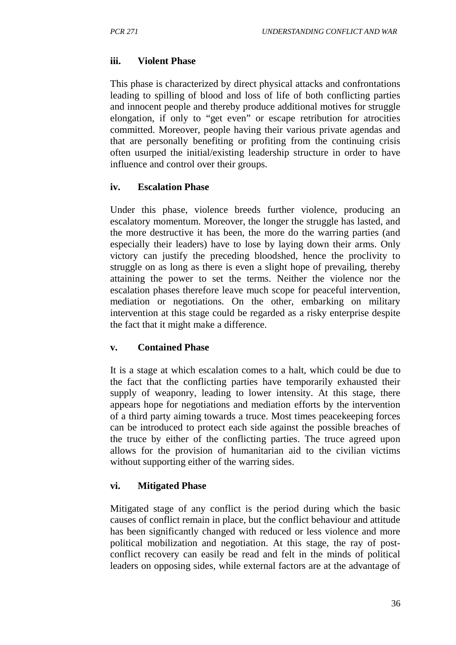#### **iii. Violent Phase**

This phase is characterized by direct physical attacks and confrontations leading to spilling of blood and loss of life of both conflicting parties and innocent people and thereby produce additional motives for struggle elongation, if only to "get even" or escape retribution for atrocities committed. Moreover, people having their various private agendas and that are personally benefiting or profiting from the continuing crisis often usurped the initial/existing leadership structure in order to have influence and control over their groups.

### **iv. Escalation Phase**

Under this phase, violence breeds further violence, producing an escalatory momentum. Moreover, the longer the struggle has lasted, and the more destructive it has been, the more do the warring parties (and especially their leaders) have to lose by laying down their arms. Only victory can justify the preceding bloodshed, hence the proclivity to struggle on as long as there is even a slight hope of prevailing, thereby attaining the power to set the terms. Neither the violence nor the escalation phases therefore leave much scope for peaceful intervention, mediation or negotiations. On the other, embarking on military intervention at this stage could be regarded as a risky enterprise despite the fact that it might make a difference.

### **v. Contained Phase**

It is a stage at which escalation comes to a halt, which could be due to the fact that the conflicting parties have temporarily exhausted their supply of weaponry, leading to lower intensity. At this stage, there appears hope for negotiations and mediation efforts by the intervention of a third party aiming towards a truce. Most times peacekeeping forces can be introduced to protect each side against the possible breaches of the truce by either of the conflicting parties. The truce agreed upon allows for the provision of humanitarian aid to the civilian victims without supporting either of the warring sides.

### **vi. Mitigated Phase**

Mitigated stage of any conflict is the period during which the basic causes of conflict remain in place, but the conflict behaviour and attitude has been significantly changed with reduced or less violence and more political mobilization and negotiation. At this stage, the ray of postconflict recovery can easily be read and felt in the minds of political leaders on opposing sides, while external factors are at the advantage of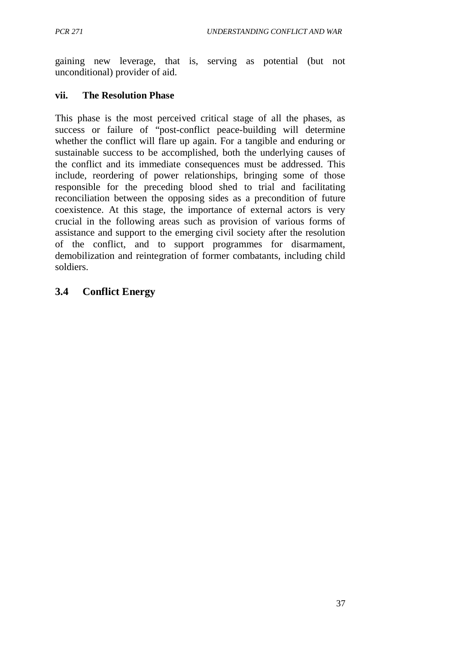gaining new leverage, that is, serving as potential (but not unconditional) provider of aid.

## **vii. The Resolution Phase**

This phase is the most perceived critical stage of all the phases, as success or failure of "post-conflict peace-building will determine whether the conflict will flare up again. For a tangible and enduring or sustainable success to be accomplished, both the underlying causes of the conflict and its immediate consequences must be addressed. This include, reordering of power relationships, bringing some of those responsible for the preceding blood shed to trial and facilitating reconciliation between the opposing sides as a precondition of future coexistence. At this stage, the importance of external actors is very crucial in the following areas such as provision of various forms of assistance and support to the emerging civil society after the resolution of the conflict, and to support programmes for disarmament, demobilization and reintegration of former combatants, including child soldiers.

# **3.4 Conflict Energy**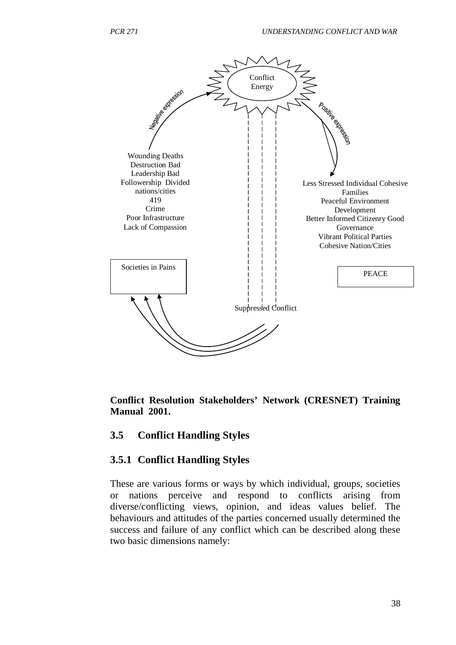

**Conflict Resolution Stakeholders' Network (CRESNET) Training Manual 2001.**

#### **3.5 Conflict Handling Styles**

### **3.5.1 Conflict Handling Styles**

These are various forms or ways by which individual, groups, societies or nations perceive and respond to conflicts arising from diverse/conflicting views, opinion, and ideas values belief. The behaviours and attitudes of the parties concerned usually determined the success and failure of any conflict which can be described along these two basic dimensions namely: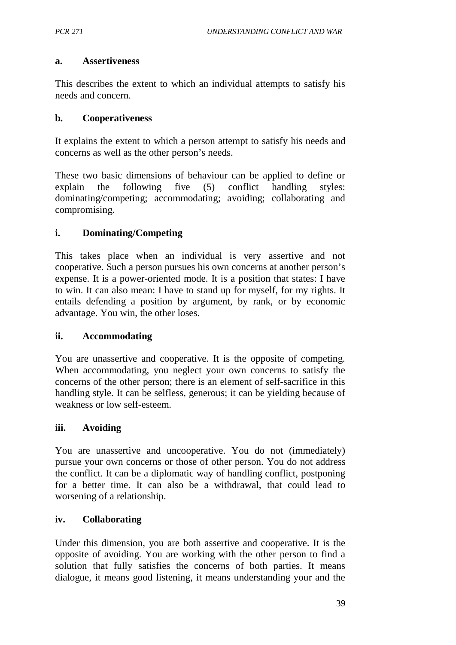#### **a. Assertiveness**

This describes the extent to which an individual attempts to satisfy his needs and concern.

### **b. Cooperativeness**

It explains the extent to which a person attempt to satisfy his needs and concerns as well as the other person's needs.

These two basic dimensions of behaviour can be applied to define or explain the following five (5) conflict handling styles: dominating/competing; accommodating; avoiding; collaborating and compromising.

### **i. Dominating/Competing**

This takes place when an individual is very assertive and not cooperative. Such a person pursues his own concerns at another person's expense. It is a power-oriented mode. It is a position that states: I have to win. It can also mean: I have to stand up for myself, for my rights. It entails defending a position by argument, by rank, or by economic advantage. You win, the other loses.

### **ii. Accommodating**

You are unassertive and cooperative. It is the opposite of competing. When accommodating, you neglect your own concerns to satisfy the concerns of the other person; there is an element of self-sacrifice in this handling style. It can be selfless, generous; it can be yielding because of weakness or low self-esteem.

### **iii. Avoiding**

You are unassertive and uncooperative. You do not (immediately) pursue your own concerns or those of other person. You do not address the conflict. It can be a diplomatic way of handling conflict, postponing for a better time. It can also be a withdrawal, that could lead to worsening of a relationship.

### **iv. Collaborating**

Under this dimension, you are both assertive and cooperative. It is the opposite of avoiding. You are working with the other person to find a solution that fully satisfies the concerns of both parties. It means dialogue, it means good listening, it means understanding your and the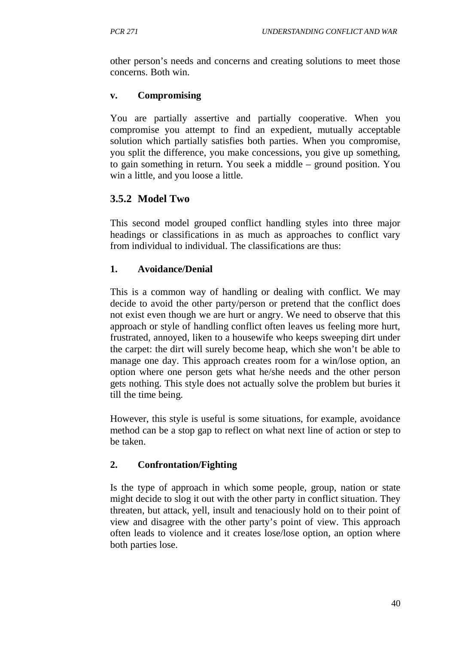other person's needs and concerns and creating solutions to meet those concerns. Both win.

## **v. Compromising**

You are partially assertive and partially cooperative. When you compromise you attempt to find an expedient, mutually acceptable solution which partially satisfies both parties. When you compromise, you split the difference, you make concessions, you give up something, to gain something in return. You seek a middle – ground position. You win a little, and you loose a little.

# **3.5.2 Model Two**

This second model grouped conflict handling styles into three major headings or classifications in as much as approaches to conflict vary from individual to individual. The classifications are thus:

## **1. Avoidance/Denial**

This is a common way of handling or dealing with conflict. We may decide to avoid the other party/person or pretend that the conflict does not exist even though we are hurt or angry. We need to observe that this approach or style of handling conflict often leaves us feeling more hurt, frustrated, annoyed, liken to a housewife who keeps sweeping dirt under the carpet: the dirt will surely become heap, which she won't be able to manage one day. This approach creates room for a win/lose option, an option where one person gets what he/she needs and the other person gets nothing. This style does not actually solve the problem but buries it till the time being.

However, this style is useful is some situations, for example, avoidance method can be a stop gap to reflect on what next line of action or step to be taken.

## **2. Confrontation/Fighting**

Is the type of approach in which some people, group, nation or state might decide to slog it out with the other party in conflict situation. They threaten, but attack, yell, insult and tenaciously hold on to their point of view and disagree with the other party's point of view. This approach often leads to violence and it creates lose/lose option, an option where both parties lose.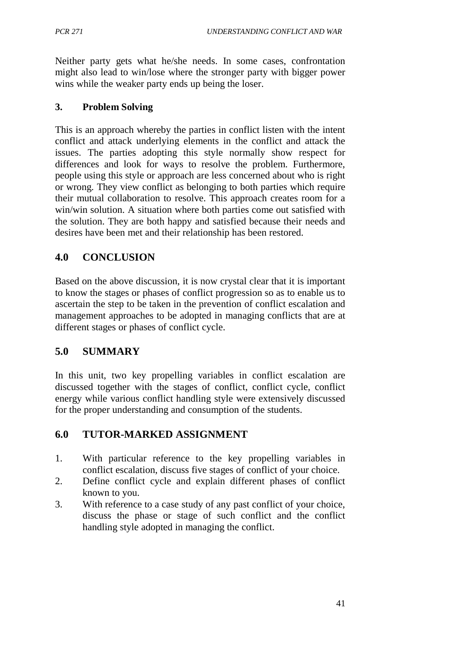Neither party gets what he/she needs. In some cases, confrontation might also lead to win/lose where the stronger party with bigger power wins while the weaker party ends up being the loser.

### **3. Problem Solving**

This is an approach whereby the parties in conflict listen with the intent conflict and attack underlying elements in the conflict and attack the issues. The parties adopting this style normally show respect for differences and look for ways to resolve the problem. Furthermore, people using this style or approach are less concerned about who is right or wrong. They view conflict as belonging to both parties which require their mutual collaboration to resolve. This approach creates room for a win/win solution. A situation where both parties come out satisfied with the solution. They are both happy and satisfied because their needs and desires have been met and their relationship has been restored.

# **4.0 CONCLUSION**

Based on the above discussion, it is now crystal clear that it is important to know the stages or phases of conflict progression so as to enable us to ascertain the step to be taken in the prevention of conflict escalation and management approaches to be adopted in managing conflicts that are at different stages or phases of conflict cycle.

# **5.0 SUMMARY**

In this unit, two key propelling variables in conflict escalation are discussed together with the stages of conflict, conflict cycle, conflict energy while various conflict handling style were extensively discussed for the proper understanding and consumption of the students.

## **6.0 TUTOR-MARKED ASSIGNMENT**

- 1. With particular reference to the key propelling variables in conflict escalation, discuss five stages of conflict of your choice.
- 2. Define conflict cycle and explain different phases of conflict known to you.
- 3. With reference to a case study of any past conflict of your choice, discuss the phase or stage of such conflict and the conflict handling style adopted in managing the conflict.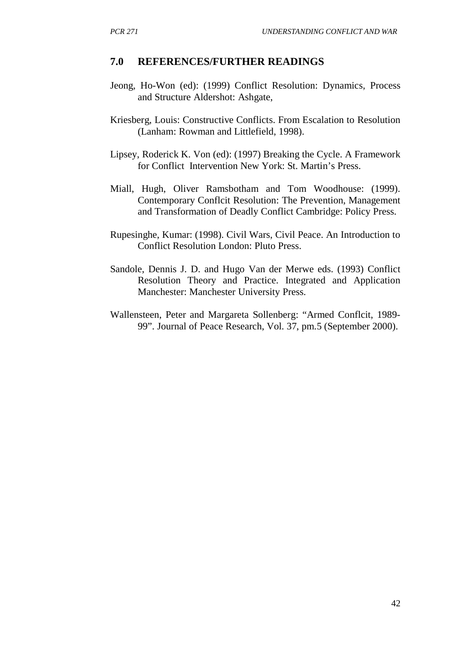#### **7.0 REFERENCES/FURTHER READINGS**

- Jeong, Ho-Won (ed): (1999) Conflict Resolution: Dynamics, Process and Structure Aldershot: Ashgate,
- Kriesberg, Louis: Constructive Conflicts. From Escalation to Resolution (Lanham: Rowman and Littlefield, 1998).
- Lipsey, Roderick K. Von (ed): (1997) Breaking the Cycle. A Framework for Conflict Intervention New York: St. Martin's Press.
- Miall, Hugh, Oliver Ramsbotham and Tom Woodhouse: (1999). Contemporary Conflcit Resolution: The Prevention, Management and Transformation of Deadly Conflict Cambridge: Policy Press.
- Rupesinghe, Kumar: (1998). Civil Wars, Civil Peace. An Introduction to Conflict Resolution London: Pluto Press.
- Sandole, Dennis J. D. and Hugo Van der Merwe eds. (1993) Conflict Resolution Theory and Practice. Integrated and Application Manchester: Manchester University Press.
- Wallensteen, Peter and Margareta Sollenberg: "Armed Conflcit, 1989- 99". Journal of Peace Research, Vol. 37, pm.5 (September 2000).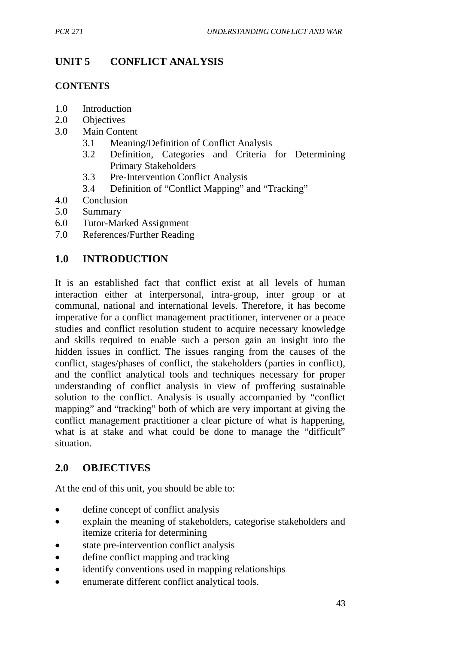# **UNIT 5 CONFLICT ANALYSIS**

## **CONTENTS**

- 1.0 Introduction
- 2.0 Objectives
- 3.0 Main Content
	- 3.1 Meaning/Definition of Conflict Analysis
	- 3.2 Definition, Categories and Criteria for Determining Primary Stakeholders
	- 3.3 Pre-Intervention Conflict Analysis
	- 3.4 Definition of "Conflict Mapping" and "Tracking"
- 4.0 Conclusion
- 5.0 Summary
- 6.0 Tutor-Marked Assignment
- 7.0 References/Further Reading

## **1.0 INTRODUCTION**

It is an established fact that conflict exist at all levels of human interaction either at interpersonal, intra-group, inter group or at communal, national and international levels. Therefore, it has become imperative for a conflict management practitioner, intervener or a peace studies and conflict resolution student to acquire necessary knowledge and skills required to enable such a person gain an insight into the hidden issues in conflict. The issues ranging from the causes of the conflict, stages/phases of conflict, the stakeholders (parties in conflict), and the conflict analytical tools and techniques necessary for proper understanding of conflict analysis in view of proffering sustainable solution to the conflict. Analysis is usually accompanied by "conflict mapping" and "tracking" both of which are very important at giving the conflict management practitioner a clear picture of what is happening, what is at stake and what could be done to manage the "difficult" situation.

# **2.0 OBJECTIVES**

At the end of this unit, you should be able to:

- define concept of conflict analysis
- explain the meaning of stakeholders, categorise stakeholders and itemize criteria for determining
- state pre-intervention conflict analysis
- define conflict mapping and tracking
- identify conventions used in mapping relationships
- enumerate different conflict analytical tools.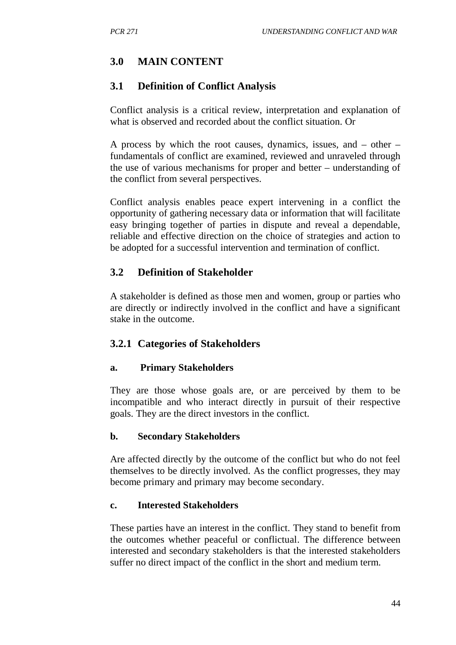# **3.0 MAIN CONTENT**

### **3.1 Definition of Conflict Analysis**

Conflict analysis is a critical review, interpretation and explanation of what is observed and recorded about the conflict situation. Or

A process by which the root causes, dynamics, issues, and – other – fundamentals of conflict are examined, reviewed and unraveled through the use of various mechanisms for proper and better – understanding of the conflict from several perspectives.

Conflict analysis enables peace expert intervening in a conflict the opportunity of gathering necessary data or information that will facilitate easy bringing together of parties in dispute and reveal a dependable, reliable and effective direction on the choice of strategies and action to be adopted for a successful intervention and termination of conflict.

## **3.2 Definition of Stakeholder**

A stakeholder is defined as those men and women, group or parties who are directly or indirectly involved in the conflict and have a significant stake in the outcome.

### **3.2.1 Categories of Stakeholders**

#### **a. Primary Stakeholders**

They are those whose goals are, or are perceived by them to be incompatible and who interact directly in pursuit of their respective goals. They are the direct investors in the conflict.

#### **b. Secondary Stakeholders**

Are affected directly by the outcome of the conflict but who do not feel themselves to be directly involved. As the conflict progresses, they may become primary and primary may become secondary.

#### **c. Interested Stakeholders**

These parties have an interest in the conflict. They stand to benefit from the outcomes whether peaceful or conflictual. The difference between interested and secondary stakeholders is that the interested stakeholders suffer no direct impact of the conflict in the short and medium term.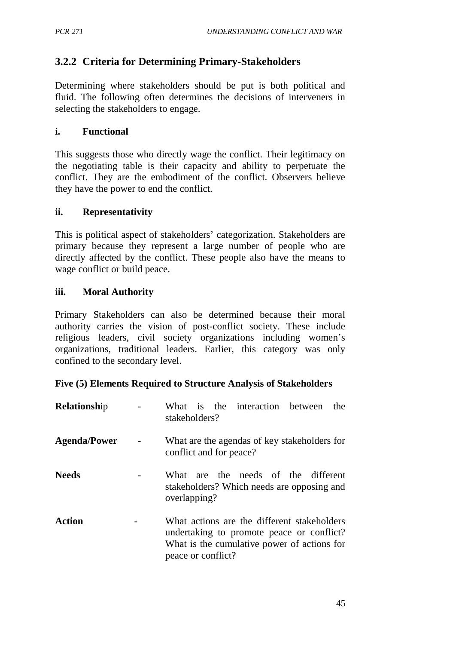# **3.2.2 Criteria for Determining Primary-Stakeholders**

Determining where stakeholders should be put is both political and fluid. The following often determines the decisions of interveners in selecting the stakeholders to engage.

#### **i. Functional**

This suggests those who directly wage the conflict. Their legitimacy on the negotiating table is their capacity and ability to perpetuate the conflict. They are the embodiment of the conflict. Observers believe they have the power to end the conflict.

#### **ii. Representativity**

This is political aspect of stakeholders' categorization. Stakeholders are primary because they represent a large number of people who are directly affected by the conflict. These people also have the means to wage conflict or build peace.

#### **iii. Moral Authority**

Primary Stakeholders can also be determined because their moral authority carries the vision of post-conflict society. These include religious leaders, civil society organizations including women's organizations, traditional leaders. Earlier, this category was only confined to the secondary level.

#### **Five (5) Elements Required to Structure Analysis of Stakeholders**

| Relationship        | What is the interaction between<br>the<br>stakeholders?                                                                                                       |
|---------------------|---------------------------------------------------------------------------------------------------------------------------------------------------------------|
| <b>Agenda/Power</b> | What are the agendas of key stakeholders for<br>conflict and for peace?                                                                                       |
| <b>Needs</b>        | What are the needs of the different<br>stakeholders? Which needs are opposing and<br>overlapping?                                                             |
| <b>Action</b>       | What actions are the different stakeholders<br>undertaking to promote peace or conflict?<br>What is the cumulative power of actions for<br>peace or conflict? |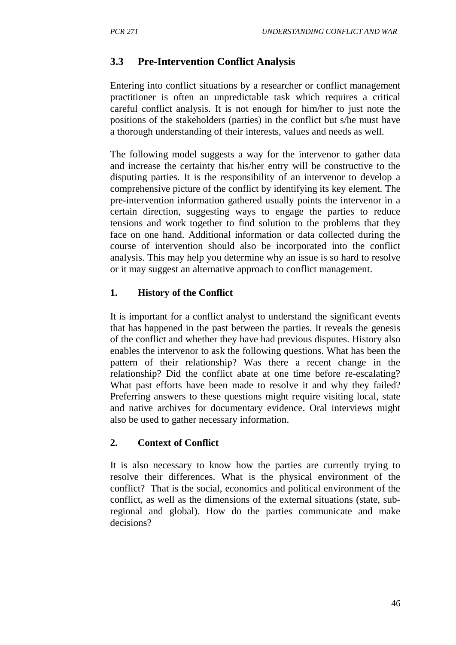# **3.3 Pre-Intervention Conflict Analysis**

Entering into conflict situations by a researcher or conflict management practitioner is often an unpredictable task which requires a critical careful conflict analysis. It is not enough for him/her to just note the positions of the stakeholders (parties) in the conflict but s/he must have a thorough understanding of their interests, values and needs as well.

The following model suggests a way for the intervenor to gather data and increase the certainty that his/her entry will be constructive to the disputing parties. It is the responsibility of an intervenor to develop a comprehensive picture of the conflict by identifying its key element. The pre-intervention information gathered usually points the intervenor in a certain direction, suggesting ways to engage the parties to reduce tensions and work together to find solution to the problems that they face on one hand. Additional information or data collected during the course of intervention should also be incorporated into the conflict analysis. This may help you determine why an issue is so hard to resolve or it may suggest an alternative approach to conflict management.

## **1. History of the Conflict**

It is important for a conflict analyst to understand the significant events that has happened in the past between the parties. It reveals the genesis of the conflict and whether they have had previous disputes. History also enables the intervenor to ask the following questions. What has been the pattern of their relationship? Was there a recent change in the relationship? Did the conflict abate at one time before re-escalating? What past efforts have been made to resolve it and why they failed? Preferring answers to these questions might require visiting local, state and native archives for documentary evidence. Oral interviews might also be used to gather necessary information.

### **2. Context of Conflict**

It is also necessary to know how the parties are currently trying to resolve their differences. What is the physical environment of the conflict? That is the social, economics and political environment of the conflict, as well as the dimensions of the external situations (state, subregional and global). How do the parties communicate and make decisions?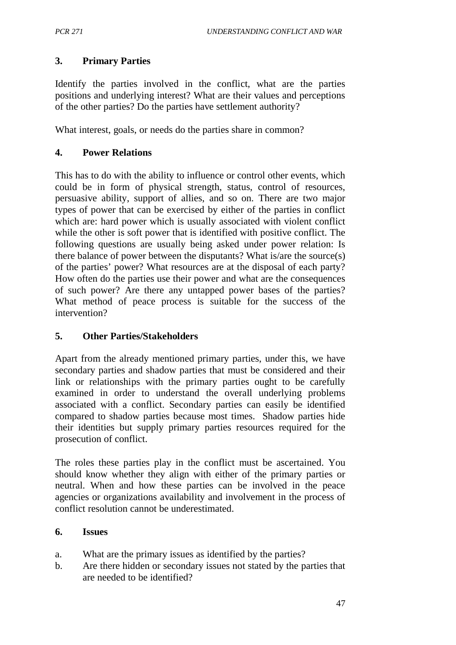## **3. Primary Parties**

Identify the parties involved in the conflict, what are the parties positions and underlying interest? What are their values and perceptions of the other parties? Do the parties have settlement authority?

What interest, goals, or needs do the parties share in common?

## **4. Power Relations**

This has to do with the ability to influence or control other events, which could be in form of physical strength, status, control of resources, persuasive ability, support of allies, and so on. There are two major types of power that can be exercised by either of the parties in conflict which are: hard power which is usually associated with violent conflict while the other is soft power that is identified with positive conflict. The following questions are usually being asked under power relation: Is there balance of power between the disputants? What is/are the source(s) of the parties' power? What resources are at the disposal of each party? How often do the parties use their power and what are the consequences of such power? Are there any untapped power bases of the parties? What method of peace process is suitable for the success of the intervention?

### **5. Other Parties/Stakeholders**

Apart from the already mentioned primary parties, under this, we have secondary parties and shadow parties that must be considered and their link or relationships with the primary parties ought to be carefully examined in order to understand the overall underlying problems associated with a conflict. Secondary parties can easily be identified compared to shadow parties because most times. Shadow parties hide their identities but supply primary parties resources required for the prosecution of conflict.

The roles these parties play in the conflict must be ascertained. You should know whether they align with either of the primary parties or neutral. When and how these parties can be involved in the peace agencies or organizations availability and involvement in the process of conflict resolution cannot be underestimated.

### **6. Issues**

- a. What are the primary issues as identified by the parties?
- b. Are there hidden or secondary issues not stated by the parties that are needed to be identified?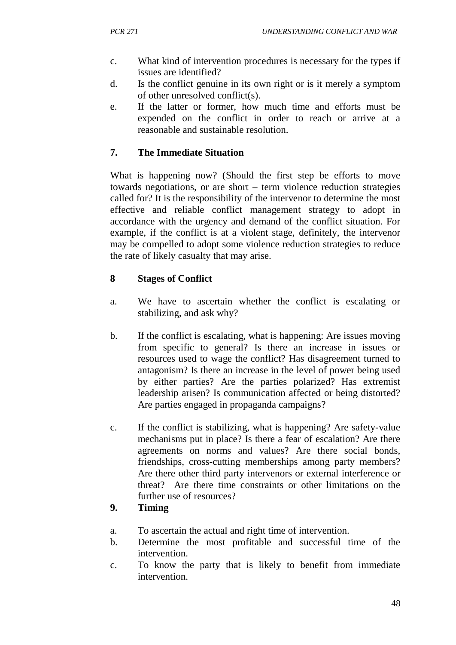- c. What kind of intervention procedures is necessary for the types if issues are identified?
- d. Is the conflict genuine in its own right or is it merely a symptom of other unresolved conflict(s).
- e. If the latter or former, how much time and efforts must be expended on the conflict in order to reach or arrive at a reasonable and sustainable resolution.

# **7. The Immediate Situation**

What is happening now? (Should the first step be efforts to move towards negotiations, or are short – term violence reduction strategies called for? It is the responsibility of the intervenor to determine the most effective and reliable conflict management strategy to adopt in accordance with the urgency and demand of the conflict situation. For example, if the conflict is at a violent stage, definitely, the intervenor may be compelled to adopt some violence reduction strategies to reduce the rate of likely casualty that may arise.

# **8 Stages of Conflict**

- a. We have to ascertain whether the conflict is escalating or stabilizing, and ask why?
- b. If the conflict is escalating, what is happening: Are issues moving from specific to general? Is there an increase in issues or resources used to wage the conflict? Has disagreement turned to antagonism? Is there an increase in the level of power being used by either parties? Are the parties polarized? Has extremist leadership arisen? Is communication affected or being distorted? Are parties engaged in propaganda campaigns?
- c. If the conflict is stabilizing, what is happening? Are safety-value mechanisms put in place? Is there a fear of escalation? Are there agreements on norms and values? Are there social bonds, friendships, cross-cutting memberships among party members? Are there other third party intervenors or external interference or threat? Are there time constraints or other limitations on the further use of resources?

# **9. Timing**

- a. To ascertain the actual and right time of intervention.
- b. Determine the most profitable and successful time of the intervention.
- c. To know the party that is likely to benefit from immediate intervention.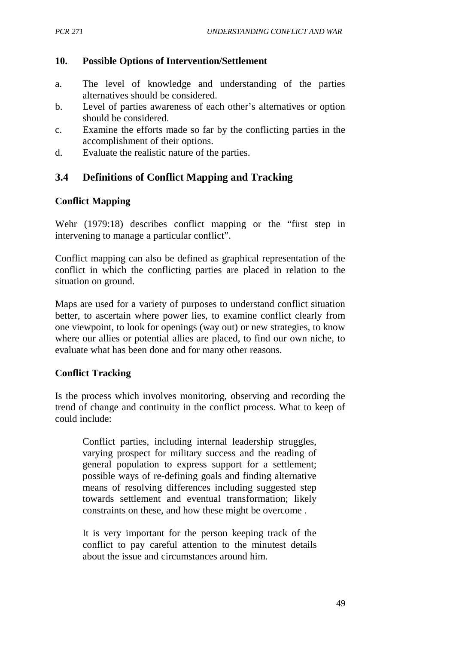### **10. Possible Options of Intervention/Settlement**

- a. The level of knowledge and understanding of the parties alternatives should be considered.
- b. Level of parties awareness of each other's alternatives or option should be considered.
- c. Examine the efforts made so far by the conflicting parties in the accomplishment of their options.
- d. Evaluate the realistic nature of the parties.

# **3.4 Definitions of Conflict Mapping and Tracking**

## **Conflict Mapping**

Wehr (1979:18) describes conflict mapping or the "first step in intervening to manage a particular conflict".

Conflict mapping can also be defined as graphical representation of the conflict in which the conflicting parties are placed in relation to the situation on ground.

Maps are used for a variety of purposes to understand conflict situation better, to ascertain where power lies, to examine conflict clearly from one viewpoint, to look for openings (way out) or new strategies, to know where our allies or potential allies are placed, to find our own niche, to evaluate what has been done and for many other reasons.

### **Conflict Tracking**

Is the process which involves monitoring, observing and recording the trend of change and continuity in the conflict process. What to keep of could include:

Conflict parties, including internal leadership struggles, varying prospect for military success and the reading of general population to express support for a settlement; possible ways of re-defining goals and finding alternative means of resolving differences including suggested step towards settlement and eventual transformation; likely constraints on these, and how these might be overcome .

It is very important for the person keeping track of the conflict to pay careful attention to the minutest details about the issue and circumstances around him.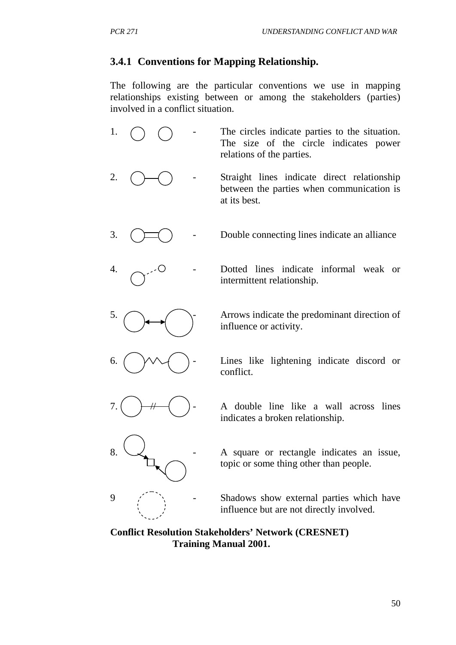# **3.4.1 Conventions for Mapping Relationship.**

The following are the particular conventions we use in mapping relationships existing between or among the stakeholders (parties) involved in a conflict situation.

1.  $\bigcap$  - The circles indicate parties to the situation. The size of the circle indicates power relations of the parties. 2.  $\left(\begin{array}{ccc}\end{array}\right)$  - Straight lines indicate direct relationship between the parties when communication is at its best. 3.  $\left(\begin{array}{c}\n\diagup\n\end{array}\right)$  - Double connecting lines indicate an alliance 4. - Dotted lines indicate informal weak or intermittent relationship.  $5. \bigcap$   $\bigcap$  Arrows indicate the predominant direction of influence or activity. 6.  $\left(\begin{array}{c}\sqrt{1-\frac{1}{\sqrt{1-\frac{1}{\sqrt{1-\frac{1}{\sqrt{1-\frac{1}{\sqrt{1-\frac{1}{\sqrt{1-\frac{1}{\sqrt{1-\frac{1}{\sqrt{1-\frac{1}{\sqrt{1-\frac{1}{\sqrt{1-\frac{1}{\sqrt{1-\frac{1}{\sqrt{1-\frac{1}{\sqrt{1-\frac{1}{\sqrt{1-\frac{1}{\sqrt{1-\frac{1}{\sqrt{1-\frac{1}{\sqrt{1-\frac{1}{\sqrt{1-\frac{1}{\sqrt{1-\frac{1}{\sqrt{1-\frac{1}{\sqrt{1-\frac{1}{\sqrt{1-\frac{1}{\sqrt{1-\frac{1}{\sqrt$ conflict. 7.  $\left(\begin{array}{c}\n\end{array}\right)$  - A double line like a wall across lines indicates a broken relationship. A square or rectangle indicates an issue, topic or some thing other than people.  $9 \quad \check{\phantom{a}}$   $\check{\phantom{a}}$  - Shadows show external parties which have influence but are not directly involved.

### **Conflict Resolution Stakeholders' Network (CRESNET) Training Manual 2001.**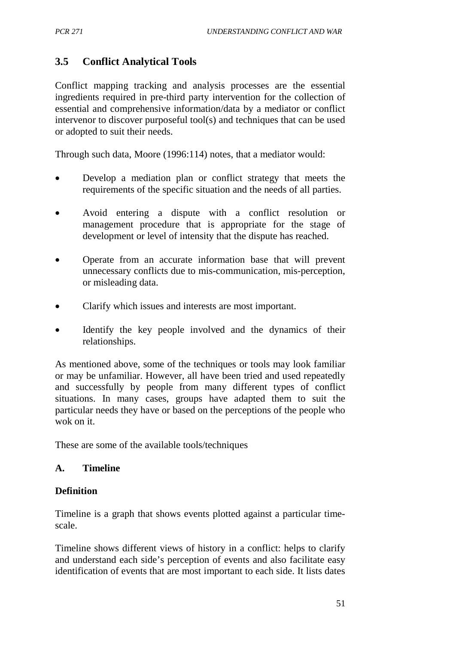# **3.5 Conflict Analytical Tools**

Conflict mapping tracking and analysis processes are the essential ingredients required in pre-third party intervention for the collection of essential and comprehensive information/data by a mediator or conflict intervenor to discover purposeful tool(s) and techniques that can be used or adopted to suit their needs.

Through such data, Moore (1996:114) notes, that a mediator would:

- Develop a mediation plan or conflict strategy that meets the requirements of the specific situation and the needs of all parties.
- Avoid entering a dispute with a conflict resolution or management procedure that is appropriate for the stage of development or level of intensity that the dispute has reached.
- Operate from an accurate information base that will prevent unnecessary conflicts due to mis-communication, mis-perception, or misleading data.
- Clarify which issues and interests are most important.
- Identify the key people involved and the dynamics of their relationships.

As mentioned above, some of the techniques or tools may look familiar or may be unfamiliar. However, all have been tried and used repeatedly and successfully by people from many different types of conflict situations. In many cases, groups have adapted them to suit the particular needs they have or based on the perceptions of the people who wok on it.

These are some of the available tools/techniques

### **A. Timeline**

### **Definition**

Timeline is a graph that shows events plotted against a particular timescale.

Timeline shows different views of history in a conflict: helps to clarify and understand each side's perception of events and also facilitate easy identification of events that are most important to each side. It lists dates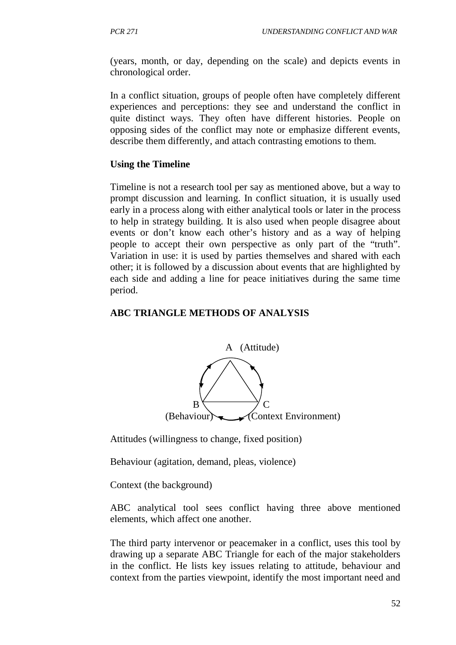(years, month, or day, depending on the scale) and depicts events in chronological order.

In a conflict situation, groups of people often have completely different experiences and perceptions: they see and understand the conflict in quite distinct ways. They often have different histories. People on opposing sides of the conflict may note or emphasize different events, describe them differently, and attach contrasting emotions to them.

#### **Using the Timeline**

Timeline is not a research tool per say as mentioned above, but a way to prompt discussion and learning. In conflict situation, it is usually used early in a process along with either analytical tools or later in the process to help in strategy building. It is also used when people disagree about events or don't know each other's history and as a way of helping people to accept their own perspective as only part of the "truth". Variation in use: it is used by parties themselves and shared with each other; it is followed by a discussion about events that are highlighted by each side and adding a line for peace initiatives during the same time period.

#### **ABC TRIANGLE METHODS OF ANALYSIS**



Attitudes (willingness to change, fixed position)

Behaviour (agitation, demand, pleas, violence)

Context (the background)

ABC analytical tool sees conflict having three above mentioned elements, which affect one another.

The third party intervenor or peacemaker in a conflict, uses this tool by drawing up a separate ABC Triangle for each of the major stakeholders in the conflict. He lists key issues relating to attitude, behaviour and context from the parties viewpoint, identify the most important need and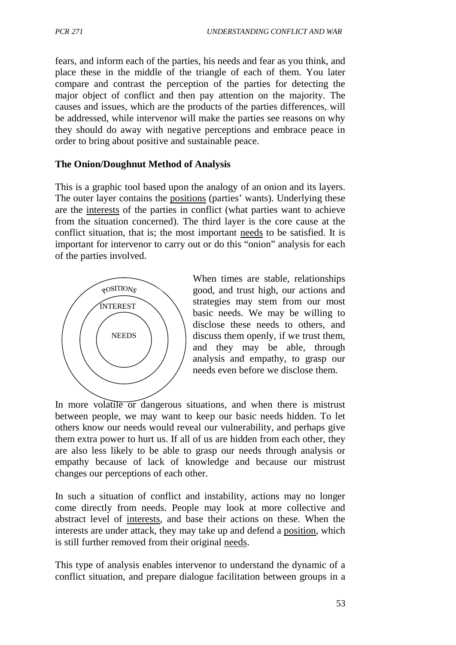fears, and inform each of the parties, his needs and fear as you think, and place these in the middle of the triangle of each of them. You later compare and contrast the perception of the parties for detecting the major object of conflict and then pay attention on the majority. The causes and issues, which are the products of the parties differences, will be addressed, while intervenor will make the parties see reasons on why they should do away with negative perceptions and embrace peace in order to bring about positive and sustainable peace.

## **The Onion/Doughnut Method of Analysis**

This is a graphic tool based upon the analogy of an onion and its layers. The outer layer contains the positions (parties' wants). Underlying these are the interests of the parties in conflict (what parties want to achieve from the situation concerned). The third layer is the core cause at the conflict situation, that is; the most important needs to be satisfied. It is important for intervenor to carry out or do this "onion" analysis for each of the parties involved.



When times are stable, relationships good, and trust high, our actions and strategies may stem from our most basic needs. We may be willing to disclose these needs to others, and discuss them openly, if we trust them, and they may be able, through analysis and empathy, to grasp our needs even before we disclose them.

In more volatile or dangerous situations, and when there is mistrust between people, we may want to keep our basic needs hidden. To let others know our needs would reveal our vulnerability, and perhaps give them extra power to hurt us. If all of us are hidden from each other, they are also less likely to be able to grasp our needs through analysis or empathy because of lack of knowledge and because our mistrust changes our perceptions of each other.

In such a situation of conflict and instability, actions may no longer come directly from needs. People may look at more collective and abstract level of interests, and base their actions on these. When the interests are under attack, they may take up and defend a position, which is still further removed from their original needs.

This type of analysis enables intervenor to understand the dynamic of a conflict situation, and prepare dialogue facilitation between groups in a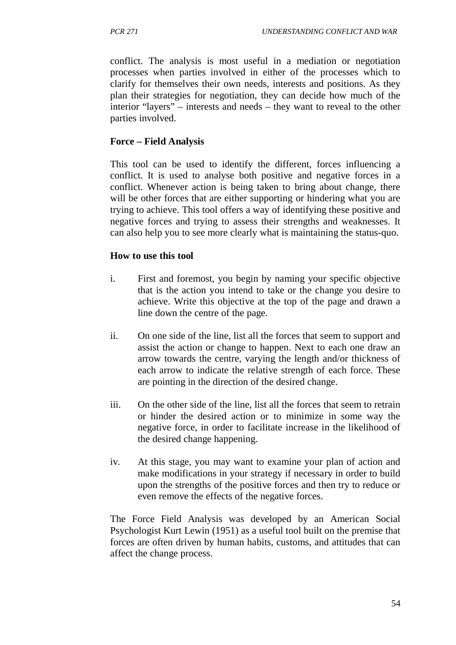conflict. The analysis is most useful in a mediation or negotiation processes when parties involved in either of the processes which to clarify for themselves their own needs, interests and positions. As they plan their strategies for negotiation, they can decide how much of the interior "layers" – interests and needs – they want to reveal to the other parties involved.

## **Force – Field Analysis**

This tool can be used to identify the different, forces influencing a conflict. It is used to analyse both positive and negative forces in a conflict. Whenever action is being taken to bring about change, there will be other forces that are either supporting or hindering what you are trying to achieve. This tool offers a way of identifying these positive and negative forces and trying to assess their strengths and weaknesses. It can also help you to see more clearly what is maintaining the status-quo.

## **How to use this tool**

- i. First and foremost, you begin by naming your specific objective that is the action you intend to take or the change you desire to achieve. Write this objective at the top of the page and drawn a line down the centre of the page.
- ii. On one side of the line, list all the forces that seem to support and assist the action or change to happen. Next to each one draw an arrow towards the centre, varying the length and/or thickness of each arrow to indicate the relative strength of each force. These are pointing in the direction of the desired change.
- iii. On the other side of the line, list all the forces that seem to retrain or hinder the desired action or to minimize in some way the negative force, in order to facilitate increase in the likelihood of the desired change happening.
- iv. At this stage, you may want to examine your plan of action and make modifications in your strategy if necessary in order to build upon the strengths of the positive forces and then try to reduce or even remove the effects of the negative forces.

The Force Field Analysis was developed by an American Social Psychologist Kurt Lewin (1951) as a useful tool built on the premise that forces are often driven by human habits, customs, and attitudes that can affect the change process.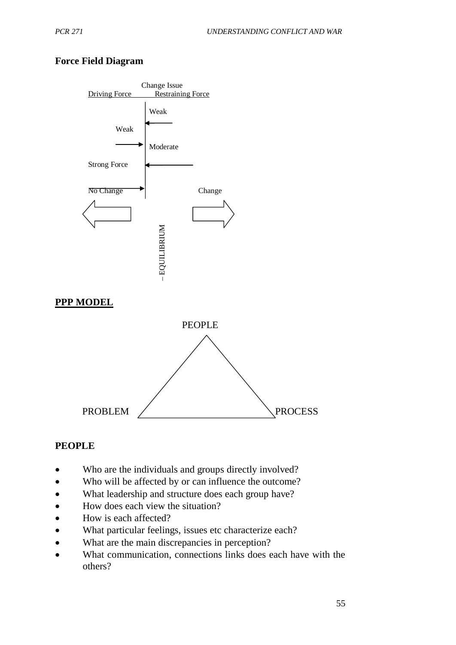## **Force Field Diagram**



### **PEOPLE**

- Who are the individuals and groups directly involved?
- Who will be affected by or can influence the outcome?
- What leadership and structure does each group have?
- How does each view the situation?
- How is each affected?
- What particular feelings, issues etc characterize each?
- What are the main discrepancies in perception?
- What communication, connections links does each have with the others?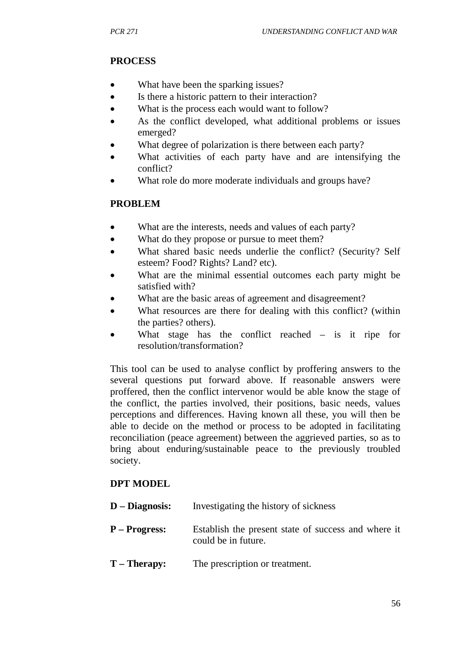# **PROCESS**

- What have been the sparking issues?
- Is there a historic pattern to their interaction?
- What is the process each would want to follow?
- As the conflict developed, what additional problems or issues emerged?
- What degree of polarization is there between each party?
- What activities of each party have and are intensifying the conflict?
- What role do more moderate individuals and groups have?

## **PROBLEM**

- What are the interests, needs and values of each party?
- What do they propose or pursue to meet them?
- What shared basic needs underlie the conflict? (Security? Self esteem? Food? Rights? Land? etc).
- What are the minimal essential outcomes each party might be satisfied with?
- What are the basic areas of agreement and disagreement?
- What resources are there for dealing with this conflict? (within the parties? others).
- What stage has the conflict reached  $-$  is it ripe for resolution/transformation?

This tool can be used to analyse conflict by proffering answers to the several questions put forward above. If reasonable answers were proffered, then the conflict intervenor would be able know the stage of the conflict, the parties involved, their positions, basic needs, values perceptions and differences. Having known all these, you will then be able to decide on the method or process to be adopted in facilitating reconciliation (peace agreement) between the aggrieved parties, so as to bring about enduring/sustainable peace to the previously troubled society.

## **DPT MODEL**

**D – Diagnosis:** Investigating the history of sickness **P – Progress:** Establish the present state of success and where it could be in future. **T – Therapy:** The prescription or treatment.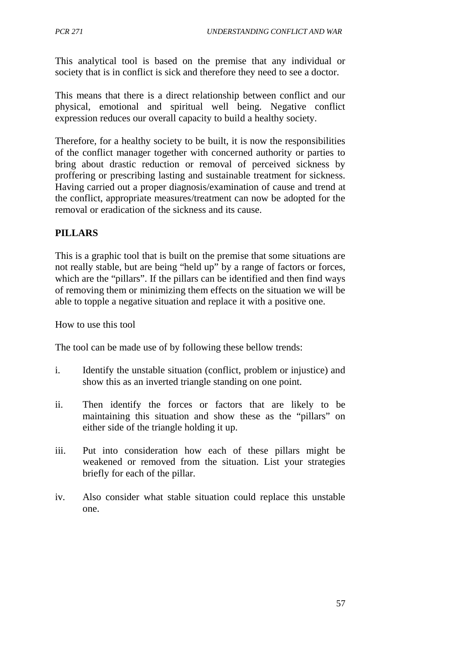This analytical tool is based on the premise that any individual or society that is in conflict is sick and therefore they need to see a doctor.

This means that there is a direct relationship between conflict and our physical, emotional and spiritual well being. Negative conflict expression reduces our overall capacity to build a healthy society.

Therefore, for a healthy society to be built, it is now the responsibilities of the conflict manager together with concerned authority or parties to bring about drastic reduction or removal of perceived sickness by proffering or prescribing lasting and sustainable treatment for sickness. Having carried out a proper diagnosis/examination of cause and trend at the conflict, appropriate measures/treatment can now be adopted for the removal or eradication of the sickness and its cause.

## **PILLARS**

This is a graphic tool that is built on the premise that some situations are not really stable, but are being "held up" by a range of factors or forces, which are the "pillars". If the pillars can be identified and then find ways of removing them or minimizing them effects on the situation we will be able to topple a negative situation and replace it with a positive one.

How to use this tool

The tool can be made use of by following these bellow trends:

- i. Identify the unstable situation (conflict, problem or injustice) and show this as an inverted triangle standing on one point.
- ii. Then identify the forces or factors that are likely to be maintaining this situation and show these as the "pillars" on either side of the triangle holding it up.
- iii. Put into consideration how each of these pillars might be weakened or removed from the situation. List your strategies briefly for each of the pillar.
- iv. Also consider what stable situation could replace this unstable one.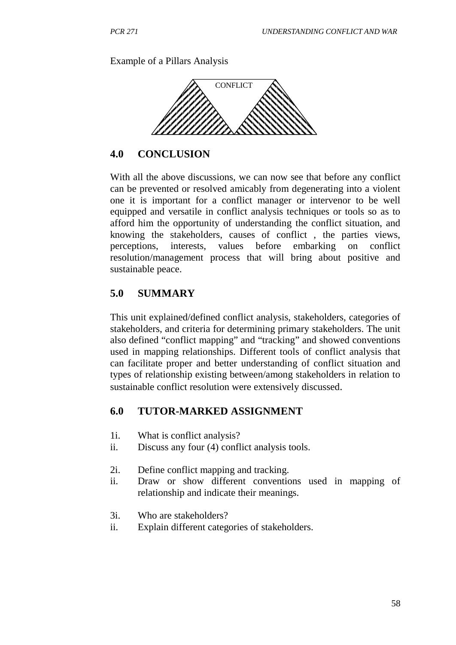Example of a Pillars Analysis



#### **4.0 CONCLUSION**

With all the above discussions, we can now see that before any conflict can be prevented or resolved amicably from degenerating into a violent one it is important for a conflict manager or intervenor to be well equipped and versatile in conflict analysis techniques or tools so as to afford him the opportunity of understanding the conflict situation, and knowing the stakeholders, causes of conflict , the parties views, perceptions, interests, values before embarking on conflict resolution/management process that will bring about positive and sustainable peace.

### **5.0 SUMMARY**

This unit explained/defined conflict analysis, stakeholders, categories of stakeholders, and criteria for determining primary stakeholders. The unit also defined "conflict mapping" and "tracking" and showed conventions used in mapping relationships. Different tools of conflict analysis that can facilitate proper and better understanding of conflict situation and types of relationship existing between/among stakeholders in relation to sustainable conflict resolution were extensively discussed.

#### **6.0 TUTOR-MARKED ASSIGNMENT**

- 1i. What is conflict analysis?
- ii. Discuss any four (4) conflict analysis tools.
- 2i. Define conflict mapping and tracking.
- ii. Draw or show different conventions used in mapping of relationship and indicate their meanings.
- 3i. Who are stakeholders?
- ii. Explain different categories of stakeholders.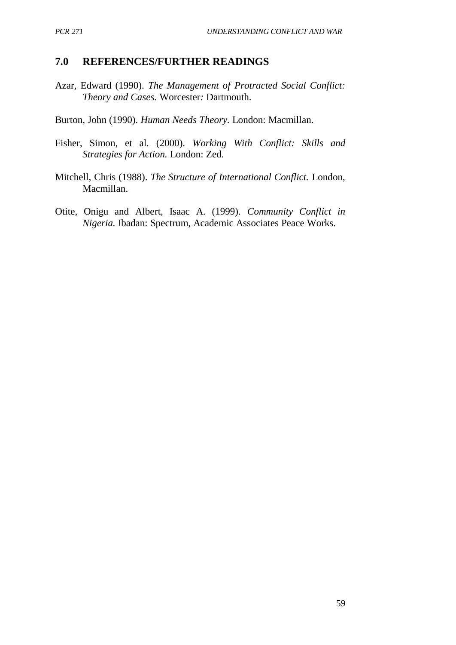### **7.0 REFERENCES/FURTHER READINGS**

Azar, Edward (1990). *The Management of Protracted Social Conflict: Theory and Cases.* Worcester*:* Dartmouth.

Burton, John (1990). *Human Needs Theory.* London: Macmillan.

- Fisher, Simon, et al. (2000). *Working With Conflict: Skills and Strategies for Action.* London: Zed.
- Mitchell, Chris (1988). *The Structure of International Conflict.* London, Macmillan.
- Otite, Onigu and Albert, Isaac A. (1999). *Community Conflict in Nigeria.* Ibadan: Spectrum, Academic Associates Peace Works.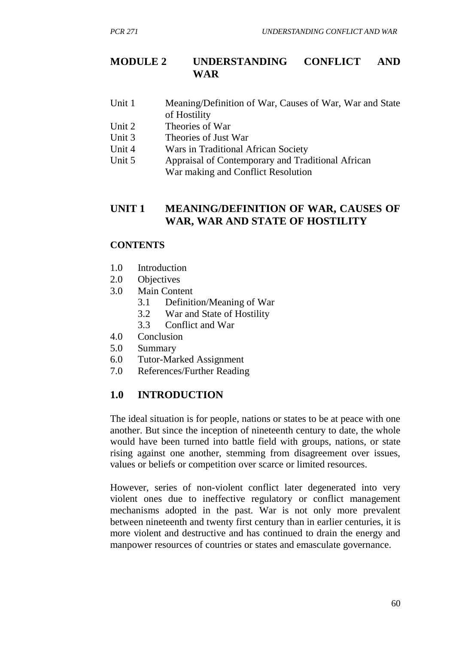## **MODULE 2 UNDERSTANDING CONFLICT AND WAR**

- Unit 1 Meaning/Definition of War, Causes of War, War and State of Hostility
- Unit 2 Theories of War
- Unit 3 Theories of Just War
- Unit 4 Wars in Traditional African Society
- Unit 5 Appraisal of Contemporary and Traditional African War making and Conflict Resolution

## **UNIT 1 MEANING/DEFINITION OF WAR, CAUSES OF WAR, WAR AND STATE OF HOSTILITY**

#### **CONTENTS**

- 1.0 Introduction
- 2.0 Objectives
- 3.0 Main Content
	- 3.1 Definition/Meaning of War
	- 3.2 War and State of Hostility
	- 3.3 Conflict and War
- 4.0 Conclusion
- 5.0 Summary
- 6.0 Tutor-Marked Assignment
- 7.0 References/Further Reading

## **1.0 INTRODUCTION**

The ideal situation is for people, nations or states to be at peace with one another. But since the inception of nineteenth century to date, the whole would have been turned into battle field with groups, nations, or state rising against one another, stemming from disagreement over issues, values or beliefs or competition over scarce or limited resources.

However, series of non-violent conflict later degenerated into very violent ones due to ineffective regulatory or conflict management mechanisms adopted in the past. War is not only more prevalent between nineteenth and twenty first century than in earlier centuries, it is more violent and destructive and has continued to drain the energy and manpower resources of countries or states and emasculate governance.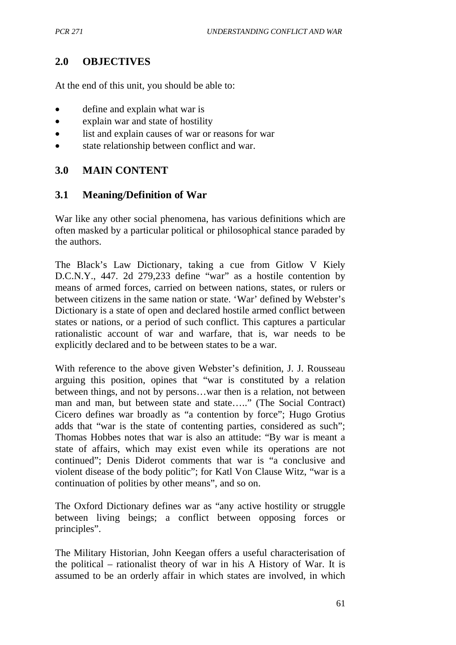# **2.0 OBJECTIVES**

At the end of this unit, you should be able to:

- define and explain what war is
- explain war and state of hostility
- list and explain causes of war or reasons for war
- state relationship between conflict and war.

# **3.0 MAIN CONTENT**

# **3.1 Meaning/Definition of War**

War like any other social phenomena, has various definitions which are often masked by a particular political or philosophical stance paraded by the authors.

The Black's Law Dictionary, taking a cue from Gitlow V Kiely D.C.N.Y., 447. 2d 279,233 define "war" as a hostile contention by means of armed forces, carried on between nations, states, or rulers or between citizens in the same nation or state. 'War' defined by Webster's Dictionary is a state of open and declared hostile armed conflict between states or nations, or a period of such conflict. This captures a particular rationalistic account of war and warfare, that is, war needs to be explicitly declared and to be between states to be a war.

With reference to the above given Webster's definition, J. J. Rousseau arguing this position, opines that "war is constituted by a relation between things, and not by persons…war then is a relation, not between man and man, but between state and state….." (The Social Contract) Cicero defines war broadly as "a contention by force"; Hugo Grotius adds that "war is the state of contenting parties, considered as such"; Thomas Hobbes notes that war is also an attitude: "By war is meant a state of affairs, which may exist even while its operations are not continued"; Denis Diderot comments that war is "a conclusive and violent disease of the body politic"; for Katl Von Clause Witz, "war is a continuation of polities by other means", and so on.

The Oxford Dictionary defines war as "any active hostility or struggle between living beings; a conflict between opposing forces or principles".

The Military Historian, John Keegan offers a useful characterisation of the political – rationalist theory of war in his A History of War. It is assumed to be an orderly affair in which states are involved, in which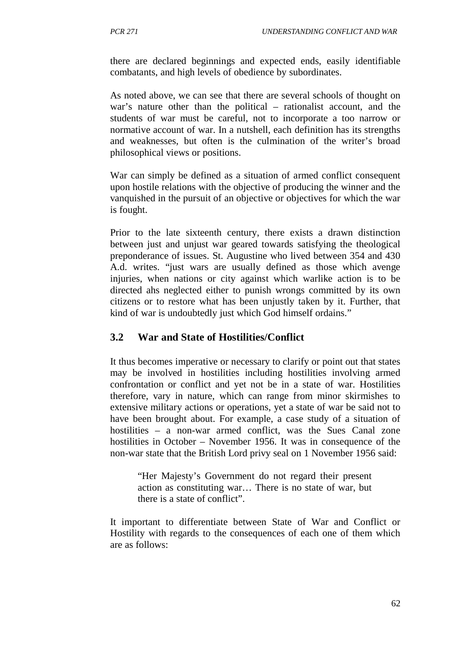there are declared beginnings and expected ends, easily identifiable combatants, and high levels of obedience by subordinates.

As noted above, we can see that there are several schools of thought on war's nature other than the political – rationalist account, and the students of war must be careful, not to incorporate a too narrow or normative account of war. In a nutshell, each definition has its strengths and weaknesses, but often is the culmination of the writer's broad philosophical views or positions.

War can simply be defined as a situation of armed conflict consequent upon hostile relations with the objective of producing the winner and the vanquished in the pursuit of an objective or objectives for which the war is fought.

Prior to the late sixteenth century, there exists a drawn distinction between just and unjust war geared towards satisfying the theological preponderance of issues. St. Augustine who lived between 354 and 430 A.d. writes. "just wars are usually defined as those which avenge injuries, when nations or city against which warlike action is to be directed ahs neglected either to punish wrongs committed by its own citizens or to restore what has been unjustly taken by it. Further, that kind of war is undoubtedly just which God himself ordains."

## **3.2 War and State of Hostilities/Conflict**

It thus becomes imperative or necessary to clarify or point out that states may be involved in hostilities including hostilities involving armed confrontation or conflict and yet not be in a state of war. Hostilities therefore, vary in nature, which can range from minor skirmishes to extensive military actions or operations, yet a state of war be said not to have been brought about. For example, a case study of a situation of hostilities – a non-war armed conflict, was the Sues Canal zone hostilities in October – November 1956. It was in consequence of the non-war state that the British Lord privy seal on 1 November 1956 said:

"Her Majesty's Government do not regard their present action as constituting war… There is no state of war, but there is a state of conflict".

It important to differentiate between State of War and Conflict or Hostility with regards to the consequences of each one of them which are as follows: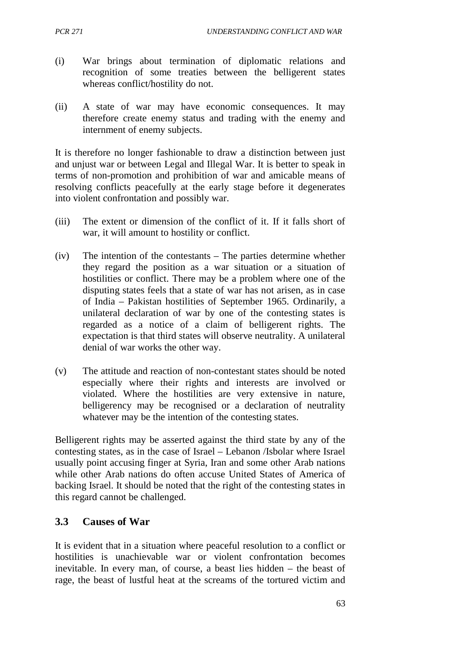- (i) War brings about termination of diplomatic relations and recognition of some treaties between the belligerent states whereas conflict/hostility do not.
- (ii) A state of war may have economic consequences. It may therefore create enemy status and trading with the enemy and internment of enemy subjects.

It is therefore no longer fashionable to draw a distinction between just and unjust war or between Legal and Illegal War. It is better to speak in terms of non-promotion and prohibition of war and amicable means of resolving conflicts peacefully at the early stage before it degenerates into violent confrontation and possibly war.

- (iii) The extent or dimension of the conflict of it. If it falls short of war, it will amount to hostility or conflict.
- (iv) The intention of the contestants The parties determine whether they regard the position as a war situation or a situation of hostilities or conflict. There may be a problem where one of the disputing states feels that a state of war has not arisen, as in case of India – Pakistan hostilities of September 1965. Ordinarily, a unilateral declaration of war by one of the contesting states is regarded as a notice of a claim of belligerent rights. The expectation is that third states will observe neutrality. A unilateral denial of war works the other way.
- (v) The attitude and reaction of non-contestant states should be noted especially where their rights and interests are involved or violated. Where the hostilities are very extensive in nature, belligerency may be recognised or a declaration of neutrality whatever may be the intention of the contesting states.

Belligerent rights may be asserted against the third state by any of the contesting states, as in the case of Israel – Lebanon /Isbolar where Israel usually point accusing finger at Syria, Iran and some other Arab nations while other Arab nations do often accuse United States of America of backing Israel. It should be noted that the right of the contesting states in this regard cannot be challenged.

## **3.3 Causes of War**

It is evident that in a situation where peaceful resolution to a conflict or hostilities is unachievable war or violent confrontation becomes inevitable. In every man, of course, a beast lies hidden – the beast of rage, the beast of lustful heat at the screams of the tortured victim and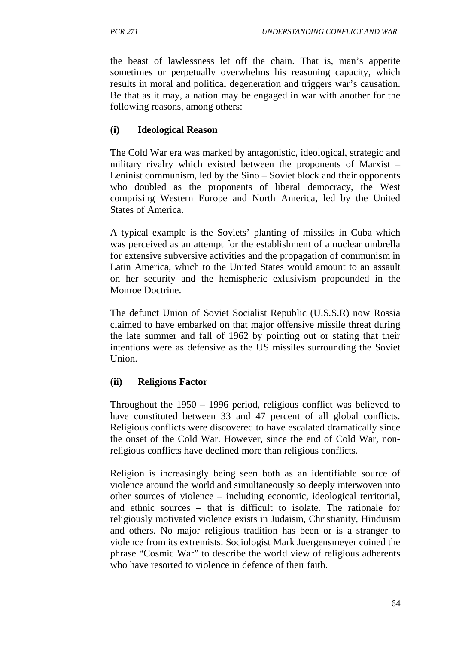the beast of lawlessness let off the chain. That is, man's appetite sometimes or perpetually overwhelms his reasoning capacity, which results in moral and political degeneration and triggers war's causation. Be that as it may, a nation may be engaged in war with another for the following reasons, among others:

## **(i) Ideological Reason**

The Cold War era was marked by antagonistic, ideological, strategic and military rivalry which existed between the proponents of Marxist – Leninist communism, led by the Sino – Soviet block and their opponents who doubled as the proponents of liberal democracy, the West comprising Western Europe and North America, led by the United States of America.

A typical example is the Soviets' planting of missiles in Cuba which was perceived as an attempt for the establishment of a nuclear umbrella for extensive subversive activities and the propagation of communism in Latin America, which to the United States would amount to an assault on her security and the hemispheric exlusivism propounded in the Monroe Doctrine.

The defunct Union of Soviet Socialist Republic (U.S.S.R) now Rossia claimed to have embarked on that major offensive missile threat during the late summer and fall of 1962 by pointing out or stating that their intentions were as defensive as the US missiles surrounding the Soviet Union.

## **(ii) Religious Factor**

Throughout the 1950 – 1996 period, religious conflict was believed to have constituted between 33 and 47 percent of all global conflicts. Religious conflicts were discovered to have escalated dramatically since the onset of the Cold War. However, since the end of Cold War, nonreligious conflicts have declined more than religious conflicts.

Religion is increasingly being seen both as an identifiable source of violence around the world and simultaneously so deeply interwoven into other sources of violence – including economic, ideological territorial, and ethnic sources – that is difficult to isolate. The rationale for religiously motivated violence exists in Judaism, Christianity, Hinduism and others. No major religious tradition has been or is a stranger to violence from its extremists. Sociologist Mark Juergensmeyer coined the phrase "Cosmic War" to describe the world view of religious adherents who have resorted to violence in defence of their faith.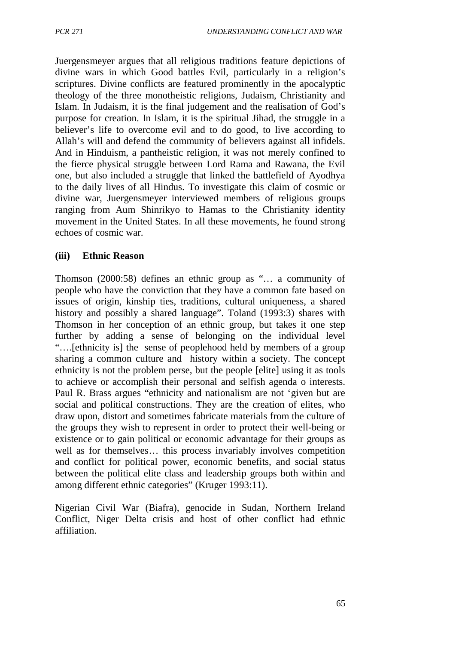Juergensmeyer argues that all religious traditions feature depictions of divine wars in which Good battles Evil, particularly in a religion's scriptures. Divine conflicts are featured prominently in the apocalyptic theology of the three monotheistic religions, Judaism, Christianity and Islam. In Judaism, it is the final judgement and the realisation of God's purpose for creation. In Islam, it is the spiritual Jihad, the struggle in a believer's life to overcome evil and to do good, to live according to Allah's will and defend the community of believers against all infidels. And in Hinduism, a pantheistic religion, it was not merely confined to the fierce physical struggle between Lord Rama and Rawana, the Evil one, but also included a struggle that linked the battlefield of Ayodhya to the daily lives of all Hindus. To investigate this claim of cosmic or divine war, Juergensmeyer interviewed members of religious groups ranging from Aum Shinrikyo to Hamas to the Christianity identity movement in the United States. In all these movements, he found strong echoes of cosmic war.

### **(iii) Ethnic Reason**

Thomson (2000:58) defines an ethnic group as "… a community of people who have the conviction that they have a common fate based on issues of origin, kinship ties, traditions, cultural uniqueness, a shared history and possibly a shared language". Toland (1993:3) shares with Thomson in her conception of an ethnic group, but takes it one step further by adding a sense of belonging on the individual level "….[ethnicity is] the sense of peoplehood held by members of a group sharing a common culture and history within a society. The concept ethnicity is not the problem perse, but the people [elite] using it as tools to achieve or accomplish their personal and selfish agenda o interests. Paul R. Brass argues "ethnicity and nationalism are not 'given but are social and political constructions. They are the creation of elites, who draw upon, distort and sometimes fabricate materials from the culture of the groups they wish to represent in order to protect their well-being or existence or to gain political or economic advantage for their groups as well as for themselves… this process invariably involves competition and conflict for political power, economic benefits, and social status between the political elite class and leadership groups both within and among different ethnic categories" (Kruger 1993:11).

Nigerian Civil War (Biafra), genocide in Sudan, Northern Ireland Conflict, Niger Delta crisis and host of other conflict had ethnic affiliation.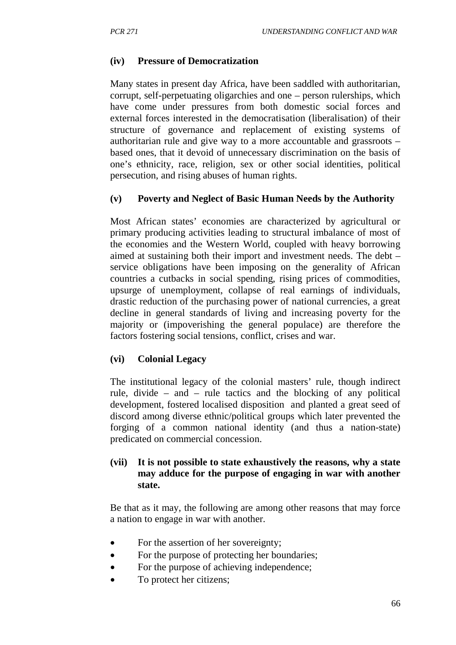## **(iv) Pressure of Democratization**

Many states in present day Africa, have been saddled with authoritarian, corrupt, self-perpetuating oligarchies and one – person rulerships, which have come under pressures from both domestic social forces and external forces interested in the democratisation (liberalisation) of their structure of governance and replacement of existing systems of authoritarian rule and give way to a more accountable and grassroots – based ones, that it devoid of unnecessary discrimination on the basis of one's ethnicity, race, religion, sex or other social identities, political persecution, and rising abuses of human rights.

## **(v) Poverty and Neglect of Basic Human Needs by the Authority**

Most African states' economies are characterized by agricultural or primary producing activities leading to structural imbalance of most of the economies and the Western World, coupled with heavy borrowing aimed at sustaining both their import and investment needs. The debt – service obligations have been imposing on the generality of African countries a cutbacks in social spending, rising prices of commodities, upsurge of unemployment, collapse of real earnings of individuals, drastic reduction of the purchasing power of national currencies, a great decline in general standards of living and increasing poverty for the majority or (impoverishing the general populace) are therefore the factors fostering social tensions, conflict, crises and war.

## **(vi) Colonial Legacy**

The institutional legacy of the colonial masters' rule, though indirect rule, divide – and – rule tactics and the blocking of any political development, fostered localised disposition and planted a great seed of discord among diverse ethnic/political groups which later prevented the forging of a common national identity (and thus a nation-state) predicated on commercial concession.

## **(vii) It is not possible to state exhaustively the reasons, why a state may adduce for the purpose of engaging in war with another state.**

Be that as it may, the following are among other reasons that may force a nation to engage in war with another.

- For the assertion of her sovereignty;
- For the purpose of protecting her boundaries;
- For the purpose of achieving independence;
- To protect her citizens;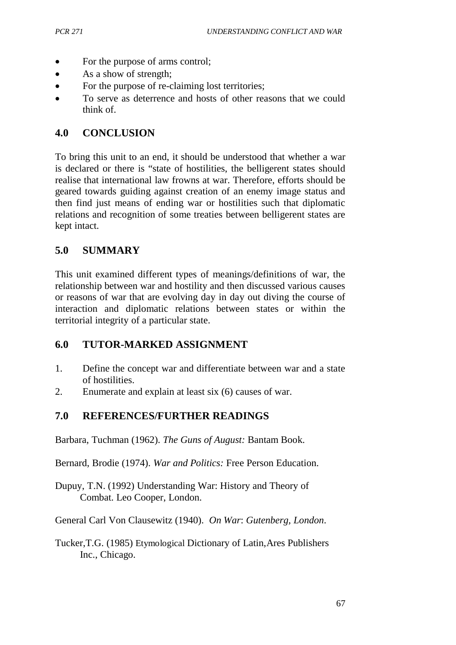- For the purpose of arms control;
- As a show of strength;
- For the purpose of re-claiming lost territories;
- To serve as deterrence and hosts of other reasons that we could think of.

## **4.0 CONCLUSION**

To bring this unit to an end, it should be understood that whether a war is declared or there is "state of hostilities, the belligerent states should realise that international law frowns at war. Therefore, efforts should be geared towards guiding against creation of an enemy image status and then find just means of ending war or hostilities such that diplomatic relations and recognition of some treaties between belligerent states are kept intact.

# **5.0 SUMMARY**

This unit examined different types of meanings/definitions of war, the relationship between war and hostility and then discussed various causes or reasons of war that are evolving day in day out diving the course of interaction and diplomatic relations between states or within the territorial integrity of a particular state.

# **6.0 TUTOR-MARKED ASSIGNMENT**

- 1. Define the concept war and differentiate between war and a state of hostilities.
- 2. Enumerate and explain at least six (6) causes of war.

# **7.0 REFERENCES/FURTHER READINGS**

Barbara, Tuchman (1962). *The Guns of August:* Bantam Book.

Bernard, Brodie (1974). *War and Politics:* Free Person Education.

Dupuy, T.N. (1992) Understanding War: History and Theory of Combat. Leo Cooper, London.

General Carl Von Clausewitz (1940). *On War*: *Gutenberg, London*.

Tucker,T.G. (1985) Etymological Dictionary of Latin,Ares Publishers Inc., Chicago.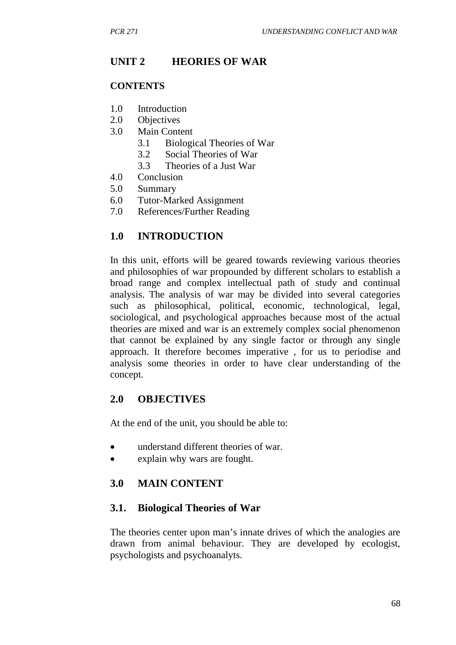## **UNIT 2 HEORIES OF WAR**

#### **CONTENTS**

- 1.0 Introduction
- 2.0 Objectives
- 3.0 Main Content
	- 3.1 Biological Theories of War
	- 3.2 Social Theories of War
	- 3.3 Theories of a Just War
- 4.0 Conclusion
- 5.0 Summary
- 6.0 Tutor-Marked Assignment
- 7.0 References/Further Reading

#### **1.0 INTRODUCTION**

In this unit, efforts will be geared towards reviewing various theories and philosophies of war propounded by different scholars to establish a broad range and complex intellectual path of study and continual analysis. The analysis of war may be divided into several categories such as philosophical, political, economic, technological, legal, sociological, and psychological approaches because most of the actual theories are mixed and war is an extremely complex social phenomenon that cannot be explained by any single factor or through any single approach. It therefore becomes imperative , for us to periodise and analysis some theories in order to have clear understanding of the concept.

#### **2.0 OBJECTIVES**

At the end of the unit, you should be able to:

- understand different theories of war.
- explain why wars are fought.

#### **3.0 MAIN CONTENT**

#### **3.1. Biological Theories of War**

The theories center upon man's innate drives of which the analogies are drawn from animal behaviour. They are developed by ecologist, psychologists and psychoanalyts.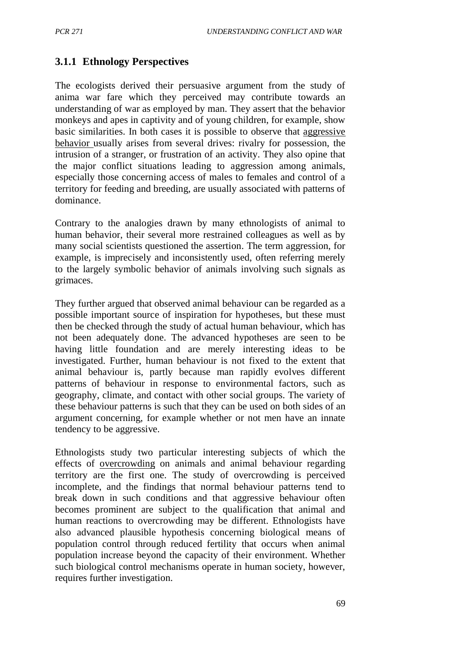## **3.1.1 Ethnology Perspectives**

The ecologists derived their persuasive argument from the study of anima war fare which they perceived may contribute towards an understanding of war as employed by man. They assert that the behavior monkeys and apes in captivity and of young children, for example, show basic similarities. In both cases it is possible to observe that aggressive behavior usually arises from several drives: rivalry for possession, the intrusion of a stranger, or frustration of an activity. They also opine that the major conflict situations leading to aggression among animals, especially those concerning access of males to females and control of a territory for feeding and breeding, are usually associated with patterns of dominance.

Contrary to the analogies drawn by many ethnologists of animal to human behavior, their several more restrained colleagues as well as by many social scientists questioned the assertion. The term aggression, for example, is imprecisely and inconsistently used, often referring merely to the largely symbolic behavior of animals involving such signals as grimaces.

They further argued that observed animal behaviour can be regarded as a possible important source of inspiration for hypotheses, but these must then be checked through the study of actual human behaviour, which has not been adequately done. The advanced hypotheses are seen to be having little foundation and are merely interesting ideas to be investigated. Further, human behaviour is not fixed to the extent that animal behaviour is, partly because man rapidly evolves different patterns of behaviour in response to environmental factors, such as geography, climate, and contact with other social groups. The variety of these behaviour patterns is such that they can be used on both sides of an argument concerning, for example whether or not men have an innate tendency to be aggressive.

Ethnologists study two particular interesting subjects of which the effects of overcrowding on animals and animal behaviour regarding territory are the first one. The study of overcrowding is perceived incomplete, and the findings that normal behaviour patterns tend to break down in such conditions and that aggressive behaviour often becomes prominent are subject to the qualification that animal and human reactions to overcrowding may be different. Ethnologists have also advanced plausible hypothesis concerning biological means of population control through reduced fertility that occurs when animal population increase beyond the capacity of their environment. Whether such biological control mechanisms operate in human society, however, requires further investigation.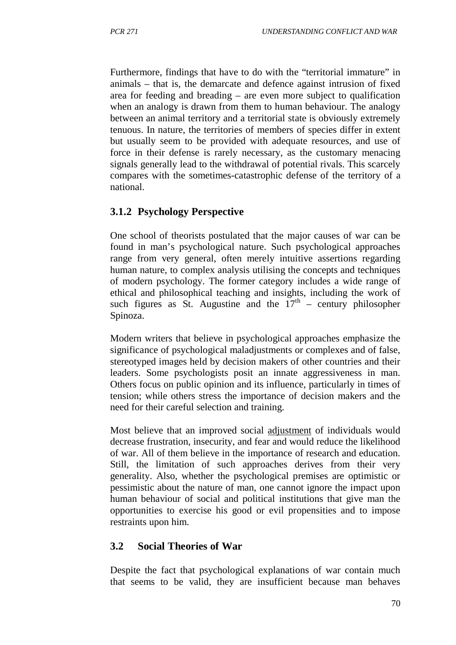Furthermore, findings that have to do with the "territorial immature" in animals – that is, the demarcate and defence against intrusion of fixed area for feeding and breading – are even more subject to qualification when an analogy is drawn from them to human behaviour. The analogy between an animal territory and a territorial state is obviously extremely tenuous. In nature, the territories of members of species differ in extent but usually seem to be provided with adequate resources, and use of force in their defense is rarely necessary, as the customary menacing signals generally lead to the withdrawal of potential rivals. This scarcely compares with the sometimes-catastrophic defense of the territory of a national.

### **3.1.2 Psychology Perspective**

One school of theorists postulated that the major causes of war can be found in man's psychological nature. Such psychological approaches range from very general, often merely intuitive assertions regarding human nature, to complex analysis utilising the concepts and techniques of modern psychology. The former category includes a wide range of ethical and philosophical teaching and insights, including the work of such figures as St. Augustine and the  $17<sup>th</sup>$  – century philosopher Spinoza.

Modern writers that believe in psychological approaches emphasize the significance of psychological maladjustments or complexes and of false, stereotyped images held by decision makers of other countries and their leaders. Some psychologists posit an innate aggressiveness in man. Others focus on public opinion and its influence, particularly in times of tension; while others stress the importance of decision makers and the need for their careful selection and training.

Most believe that an improved social adjustment of individuals would decrease frustration, insecurity, and fear and would reduce the likelihood of war. All of them believe in the importance of research and education. Still, the limitation of such approaches derives from their very generality. Also, whether the psychological premises are optimistic or pessimistic about the nature of man, one cannot ignore the impact upon human behaviour of social and political institutions that give man the opportunities to exercise his good or evil propensities and to impose restraints upon him.

### **3.2 Social Theories of War**

Despite the fact that psychological explanations of war contain much that seems to be valid, they are insufficient because man behaves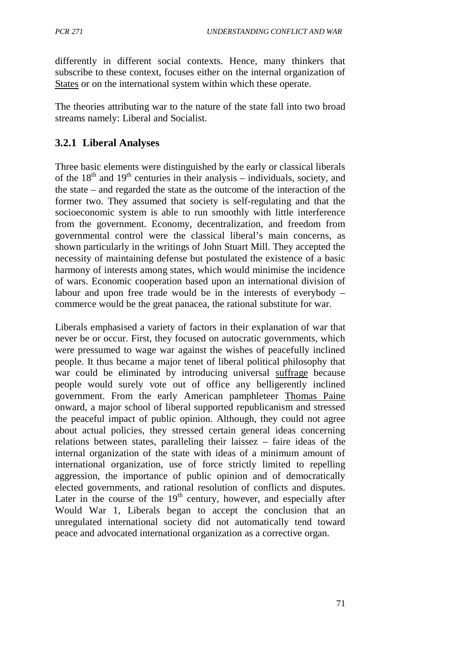differently in different social contexts. Hence, many thinkers that subscribe to these context, focuses either on the internal organization of States or on the international system within which these operate.

The theories attributing war to the nature of the state fall into two broad streams namely: Liberal and Socialist.

# **3.2.1 Liberal Analyses**

Three basic elements were distinguished by the early or classical liberals of the  $18<sup>th</sup>$  and  $19<sup>th</sup>$  centuries in their analysis – individuals, society, and the state – and regarded the state as the outcome of the interaction of the former two. They assumed that society is self-regulating and that the socioeconomic system is able to run smoothly with little interference from the government. Economy, decentralization, and freedom from governmental control were the classical liberal's main concerns, as shown particularly in the writings of John Stuart Mill. They accepted the necessity of maintaining defense but postulated the existence of a basic harmony of interests among states, which would minimise the incidence of wars. Economic cooperation based upon an international division of labour and upon free trade would be in the interests of everybody – commerce would be the great panacea, the rational substitute for war.

Liberals emphasised a variety of factors in their explanation of war that never be or occur. First, they focused on autocratic governments, which were pressumed to wage war against the wishes of peacefully inclined people. It thus became a major tenet of liberal political philosophy that war could be eliminated by introducing universal suffrage because people would surely vote out of office any belligerently inclined government. From the early American pamphleteer Thomas Paine onward, a major school of liberal supported republicanism and stressed the peaceful impact of public opinion. Although, they could not agree about actual policies, they stressed certain general ideas concerning relations between states, paralleling their laissez – faire ideas of the internal organization of the state with ideas of a minimum amount of international organization, use of force strictly limited to repelling aggression, the importance of public opinion and of democratically elected governments, and rational resolution of conflicts and disputes. Later in the course of the  $19<sup>th</sup>$  century, however, and especially after Would War 1, Liberals began to accept the conclusion that an unregulated international society did not automatically tend toward peace and advocated international organization as a corrective organ.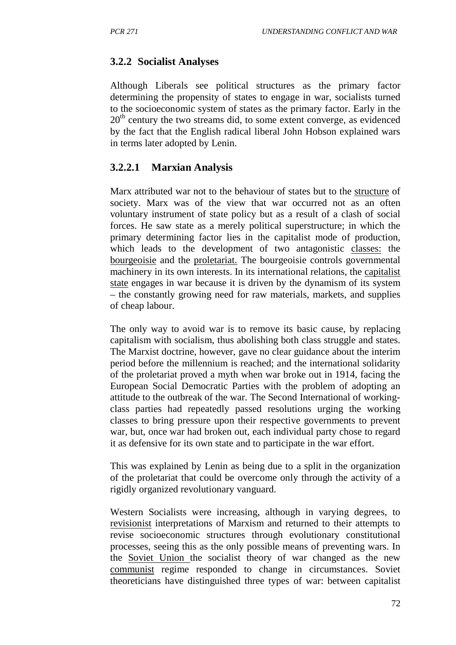## **3.2.2 Socialist Analyses**

Although Liberals see political structures as the primary factor determining the propensity of states to engage in war, socialists turned to the socioeconomic system of states as the primary factor. Early in the  $20<sup>th</sup>$  century the two streams did, to some extent converge, as evidenced by the fact that the English radical liberal John Hobson explained wars in terms later adopted by Lenin.

### **3.2.2.1 Marxian Analysis**

Marx attributed war not to the behaviour of states but to the structure of society. Marx was of the view that war occurred not as an often voluntary instrument of state policy but as a result of a clash of social forces. He saw state as a merely political superstructure; in which the primary determining factor lies in the capitalist mode of production, which leads to the development of two antagonistic classes: the bourgeoisie and the proletariat. The bourgeoisie controls governmental machinery in its own interests. In its international relations, the capitalist state engages in war because it is driven by the dynamism of its system – the constantly growing need for raw materials, markets, and supplies of cheap labour.

The only way to avoid war is to remove its basic cause, by replacing capitalism with socialism, thus abolishing both class struggle and states. The Marxist doctrine, however, gave no clear guidance about the interim period before the millennium is reached; and the international solidarity of the proletariat proved a myth when war broke out in 1914, facing the European Social Democratic Parties with the problem of adopting an attitude to the outbreak of the war. The Second International of workingclass parties had repeatedly passed resolutions urging the working classes to bring pressure upon their respective governments to prevent war, but, once war had broken out, each individual party chose to regard it as defensive for its own state and to participate in the war effort.

This was explained by Lenin as being due to a split in the organization of the proletariat that could be overcome only through the activity of a rigidly organized revolutionary vanguard.

Western Socialists were increasing, although in varying degrees, to revisionist interpretations of Marxism and returned to their attempts to revise socioeconomic structures through evolutionary constitutional processes, seeing this as the only possible means of preventing wars. In the Soviet Union the socialist theory of war changed as the new communist regime responded to change in circumstances. Soviet theoreticians have distinguished three types of war: between capitalist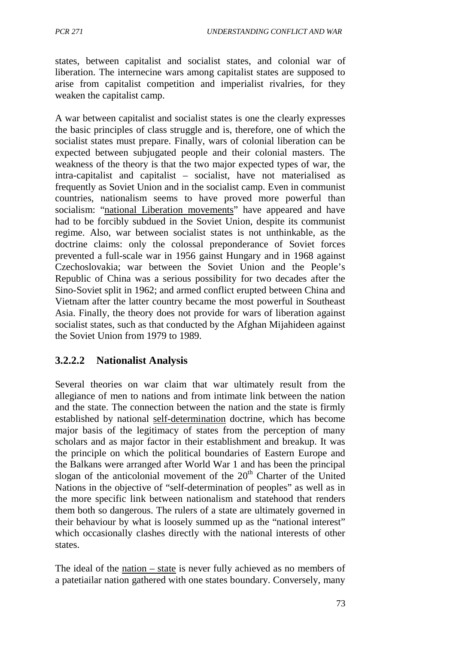states, between capitalist and socialist states, and colonial war of liberation. The internecine wars among capitalist states are supposed to arise from capitalist competition and imperialist rivalries, for they weaken the capitalist camp.

A war between capitalist and socialist states is one the clearly expresses the basic principles of class struggle and is, therefore, one of which the socialist states must prepare. Finally, wars of colonial liberation can be expected between subjugated people and their colonial masters. The weakness of the theory is that the two major expected types of war, the intra-capitalist and capitalist – socialist, have not materialised as frequently as Soviet Union and in the socialist camp. Even in communist countries, nationalism seems to have proved more powerful than socialism: "national Liberation movements" have appeared and have had to be forcibly subdued in the Soviet Union, despite its communist regime. Also, war between socialist states is not unthinkable, as the doctrine claims: only the colossal preponderance of Soviet forces prevented a full-scale war in 1956 gainst Hungary and in 1968 against Czechoslovakia; war between the Soviet Union and the People's Republic of China was a serious possibility for two decades after the Sino-Soviet split in 1962; and armed conflict erupted between China and Vietnam after the latter country became the most powerful in Southeast Asia. Finally, the theory does not provide for wars of liberation against socialist states, such as that conducted by the Afghan Mijahideen against the Soviet Union from 1979 to 1989.

## **3.2.2.2 Nationalist Analysis**

Several theories on war claim that war ultimately result from the allegiance of men to nations and from intimate link between the nation and the state. The connection between the nation and the state is firmly established by national self-determination doctrine, which has become major basis of the legitimacy of states from the perception of many scholars and as major factor in their establishment and breakup. It was the principle on which the political boundaries of Eastern Europe and the Balkans were arranged after World War 1 and has been the principal slogan of the anticolonial movement of the  $20<sup>th</sup>$  Charter of the United Nations in the objective of "self-determination of peoples" as well as in the more specific link between nationalism and statehood that renders them both so dangerous. The rulers of a state are ultimately governed in their behaviour by what is loosely summed up as the "national interest" which occasionally clashes directly with the national interests of other states.

The ideal of the nation – state is never fully achieved as no members of a patetiailar nation gathered with one states boundary. Conversely, many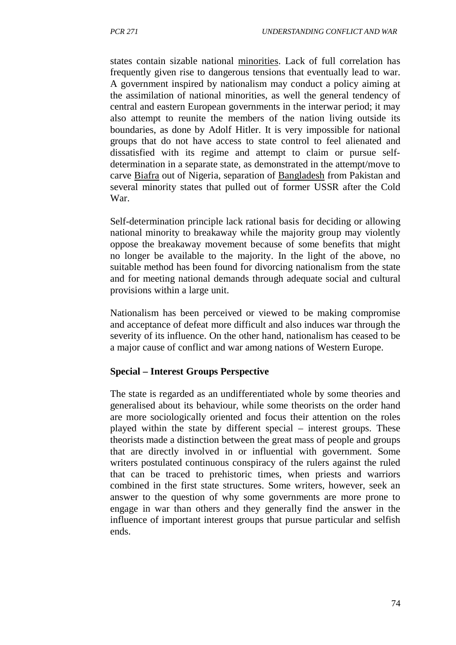states contain sizable national minorities. Lack of full correlation has frequently given rise to dangerous tensions that eventually lead to war. A government inspired by nationalism may conduct a policy aiming at the assimilation of national minorities, as well the general tendency of central and eastern European governments in the interwar period; it may also attempt to reunite the members of the nation living outside its boundaries, as done by Adolf Hitler. It is very impossible for national groups that do not have access to state control to feel alienated and dissatisfied with its regime and attempt to claim or pursue selfdetermination in a separate state, as demonstrated in the attempt/move to carve Biafra out of Nigeria, separation of Bangladesh from Pakistan and several minority states that pulled out of former USSR after the Cold War.

Self-determination principle lack rational basis for deciding or allowing national minority to breakaway while the majority group may violently oppose the breakaway movement because of some benefits that might no longer be available to the majority. In the light of the above, no suitable method has been found for divorcing nationalism from the state and for meeting national demands through adequate social and cultural provisions within a large unit.

Nationalism has been perceived or viewed to be making compromise and acceptance of defeat more difficult and also induces war through the severity of its influence. On the other hand, nationalism has ceased to be a major cause of conflict and war among nations of Western Europe.

#### **Special – Interest Groups Perspective**

The state is regarded as an undifferentiated whole by some theories and generalised about its behaviour, while some theorists on the order hand are more sociologically oriented and focus their attention on the roles played within the state by different special – interest groups. These theorists made a distinction between the great mass of people and groups that are directly involved in or influential with government. Some writers postulated continuous conspiracy of the rulers against the ruled that can be traced to prehistoric times, when priests and warriors combined in the first state structures. Some writers, however, seek an answer to the question of why some governments are more prone to engage in war than others and they generally find the answer in the influence of important interest groups that pursue particular and selfish ends.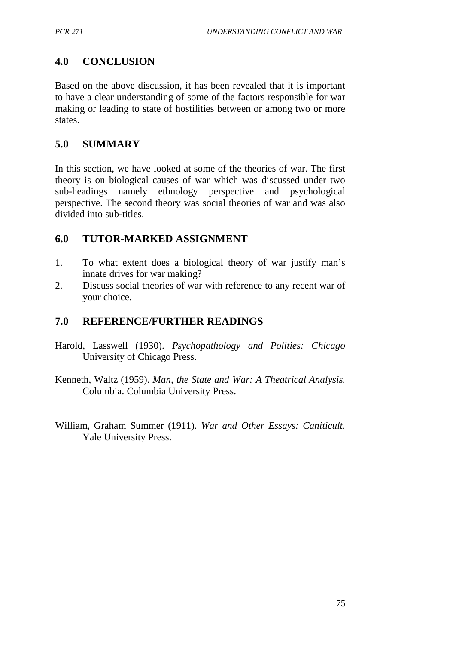# **4.0 CONCLUSION**

Based on the above discussion, it has been revealed that it is important to have a clear understanding of some of the factors responsible for war making or leading to state of hostilities between or among two or more states.

## **5.0 SUMMARY**

In this section, we have looked at some of the theories of war. The first theory is on biological causes of war which was discussed under two sub-headings namely ethnology perspective and psychological perspective. The second theory was social theories of war and was also divided into sub-titles.

## **6.0 TUTOR-MARKED ASSIGNMENT**

- 1. To what extent does a biological theory of war justify man's innate drives for war making?
- 2. Discuss social theories of war with reference to any recent war of your choice.

### **7.0 REFERENCE/FURTHER READINGS**

- Harold, Lasswell (1930). *Psychopathology and Polities: Chicago* University of Chicago Press.
- Kenneth, Waltz (1959). *Man, the State and War: A Theatrical Analysis.* Columbia. Columbia University Press.
- William, Graham Summer (1911). *War and Other Essays: Caniticult.* Yale University Press.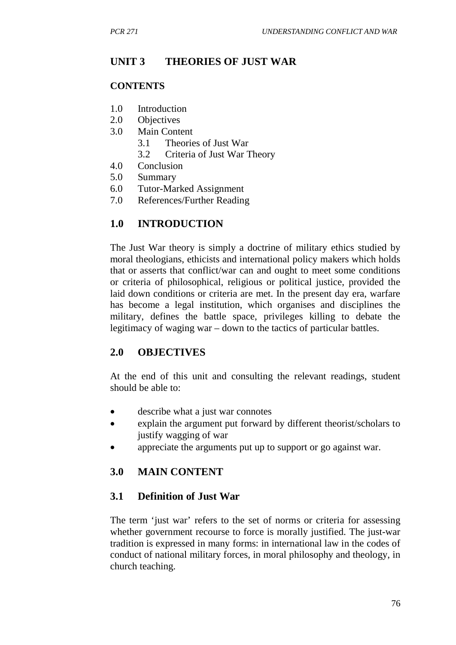## **UNIT 3 THEORIES OF JUST WAR**

#### **CONTENTS**

- 1.0 Introduction
- 2.0 Objectives
- 3.0 Main Content
	- 3.1 Theories of Just War
	- 3.2 Criteria of Just War Theory
- 4.0 Conclusion
- 5.0 Summary
- 6.0 Tutor-Marked Assignment
- 7.0 References/Further Reading

## **1.0 INTRODUCTION**

The Just War theory is simply a doctrine of military ethics studied by moral theologians, ethicists and international policy makers which holds that or asserts that conflict/war can and ought to meet some conditions or criteria of philosophical, religious or political justice, provided the laid down conditions or criteria are met. In the present day era, warfare has become a legal institution, which organises and disciplines the military, defines the battle space, privileges killing to debate the legitimacy of waging war – down to the tactics of particular battles.

### **2.0 OBJECTIVES**

At the end of this unit and consulting the relevant readings, student should be able to:

- describe what a just war connotes
- explain the argument put forward by different theorist/scholars to justify wagging of war
- appreciate the arguments put up to support or go against war.

## **3.0 MAIN CONTENT**

### **3.1 Definition of Just War**

The term 'just war' refers to the set of norms or criteria for assessing whether government recourse to force is morally justified. The just-war tradition is expressed in many forms: in international law in the codes of conduct of national military forces, in moral philosophy and theology, in church teaching.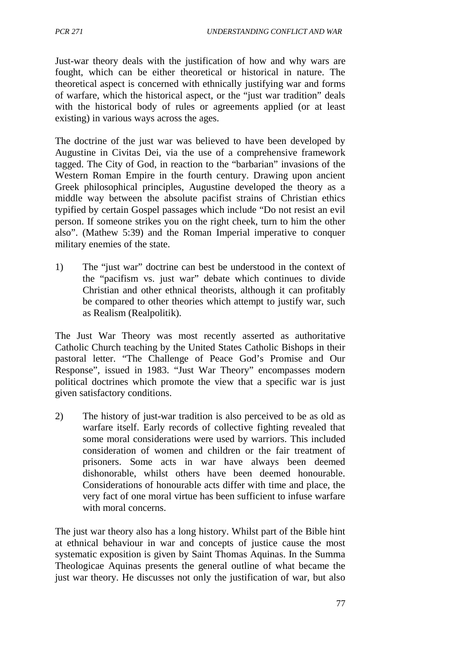Just-war theory deals with the justification of how and why wars are fought, which can be either theoretical or historical in nature. The theoretical aspect is concerned with ethnically justifying war and forms of warfare, which the historical aspect, or the "just war tradition" deals with the historical body of rules or agreements applied (or at least existing) in various ways across the ages.

The doctrine of the just war was believed to have been developed by Augustine in Civitas Dei, via the use of a comprehensive framework tagged. The City of God, in reaction to the "barbarian" invasions of the Western Roman Empire in the fourth century. Drawing upon ancient Greek philosophical principles, Augustine developed the theory as a middle way between the absolute pacifist strains of Christian ethics typified by certain Gospel passages which include "Do not resist an evil person. If someone strikes you on the right cheek, turn to him the other also". (Mathew 5:39) and the Roman Imperial imperative to conquer military enemies of the state.

1) The "just war" doctrine can best be understood in the context of the "pacifism vs. just war" debate which continues to divide Christian and other ethnical theorists, although it can profitably be compared to other theories which attempt to justify war, such as Realism (Realpolitik).

The Just War Theory was most recently asserted as authoritative Catholic Church teaching by the United States Catholic Bishops in their pastoral letter. "The Challenge of Peace God's Promise and Our Response", issued in 1983. "Just War Theory" encompasses modern political doctrines which promote the view that a specific war is just given satisfactory conditions.

2) The history of just-war tradition is also perceived to be as old as warfare itself. Early records of collective fighting revealed that some moral considerations were used by warriors. This included consideration of women and children or the fair treatment of prisoners. Some acts in war have always been deemed dishonorable, whilst others have been deemed honourable. Considerations of honourable acts differ with time and place, the very fact of one moral virtue has been sufficient to infuse warfare with moral concerns.

The just war theory also has a long history. Whilst part of the Bible hint at ethnical behaviour in war and concepts of justice cause the most systematic exposition is given by Saint Thomas Aquinas. In the Summa Theologicae Aquinas presents the general outline of what became the just war theory. He discusses not only the justification of war, but also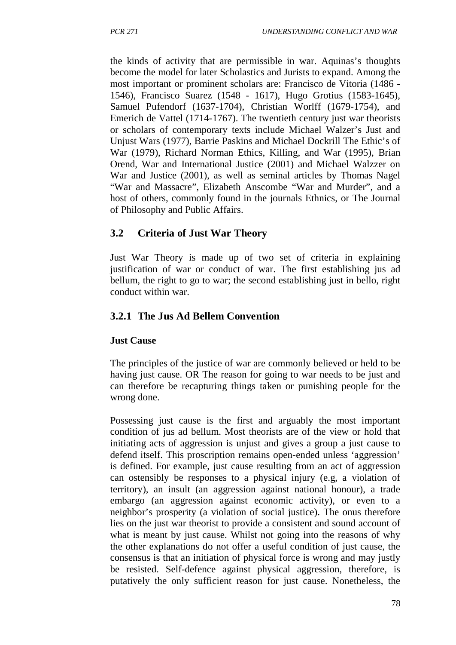the kinds of activity that are permissible in war. Aquinas's thoughts become the model for later Scholastics and Jurists to expand. Among the most important or prominent scholars are: Francisco de Vitoria (1486 - 1546), Francisco Suarez (1548 - 1617), Hugo Grotius (1583-1645), Samuel Pufendorf (1637-1704), Christian Worlff (1679-1754), and Emerich de Vattel (1714-1767). The twentieth century just war theorists or scholars of contemporary texts include Michael Walzer's Just and Unjust Wars (1977), Barrie Paskins and Michael Dockrill The Ethic's of War (1979), Richard Norman Ethics, Killing, and War (1995), Brian Orend, War and International Justice (2001) and Michael Walzzer on War and Justice (2001), as well as seminal articles by Thomas Nagel "War and Massacre", Elizabeth Anscombe "War and Murder", and a host of others, commonly found in the journals Ethnics, or The Journal of Philosophy and Public Affairs.

# **3.2 Criteria of Just War Theory**

Just War Theory is made up of two set of criteria in explaining justification of war or conduct of war. The first establishing jus ad bellum, the right to go to war; the second establishing just in bello, right conduct within war.

# **3.2.1 The Jus Ad Bellem Convention**

### **Just Cause**

The principles of the justice of war are commonly believed or held to be having just cause. OR The reason for going to war needs to be just and can therefore be recapturing things taken or punishing people for the wrong done.

Possessing just cause is the first and arguably the most important condition of jus ad bellum. Most theorists are of the view or hold that initiating acts of aggression is unjust and gives a group a just cause to defend itself. This proscription remains open-ended unless 'aggression' is defined. For example, just cause resulting from an act of aggression can ostensibly be responses to a physical injury (e.g, a violation of territory), an insult (an aggression against national honour), a trade embargo (an aggression against economic activity), or even to a neighbor's prosperity (a violation of social justice). The onus therefore lies on the just war theorist to provide a consistent and sound account of what is meant by just cause. Whilst not going into the reasons of why the other explanations do not offer a useful condition of just cause, the consensus is that an initiation of physical force is wrong and may justly be resisted. Self-defence against physical aggression, therefore, is putatively the only sufficient reason for just cause. Nonetheless, the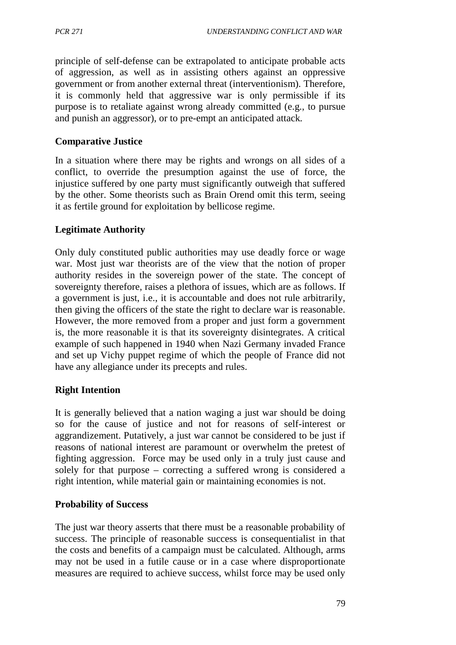principle of self-defense can be extrapolated to anticipate probable acts of aggression, as well as in assisting others against an oppressive government or from another external threat (interventionism). Therefore, it is commonly held that aggressive war is only permissible if its purpose is to retaliate against wrong already committed (e.g., to pursue and punish an aggressor), or to pre-empt an anticipated attack.

### **Comparative Justice**

In a situation where there may be rights and wrongs on all sides of a conflict, to override the presumption against the use of force, the injustice suffered by one party must significantly outweigh that suffered by the other. Some theorists such as Brain Orend omit this term, seeing it as fertile ground for exploitation by bellicose regime.

### **Legitimate Authority**

Only duly constituted public authorities may use deadly force or wage war. Most just war theorists are of the view that the notion of proper authority resides in the sovereign power of the state. The concept of sovereignty therefore, raises a plethora of issues, which are as follows. If a government is just, i.e., it is accountable and does not rule arbitrarily, then giving the officers of the state the right to declare war is reasonable. However, the more removed from a proper and just form a government is, the more reasonable it is that its sovereignty disintegrates. A critical example of such happened in 1940 when Nazi Germany invaded France and set up Vichy puppet regime of which the people of France did not have any allegiance under its precepts and rules.

### **Right Intention**

It is generally believed that a nation waging a just war should be doing so for the cause of justice and not for reasons of self-interest or aggrandizement. Putatively, a just war cannot be considered to be just if reasons of national interest are paramount or overwhelm the pretest of fighting aggression. Force may be used only in a truly just cause and solely for that purpose – correcting a suffered wrong is considered a right intention, while material gain or maintaining economies is not.

#### **Probability of Success**

The just war theory asserts that there must be a reasonable probability of success. The principle of reasonable success is consequentialist in that the costs and benefits of a campaign must be calculated. Although, arms may not be used in a futile cause or in a case where disproportionate measures are required to achieve success, whilst force may be used only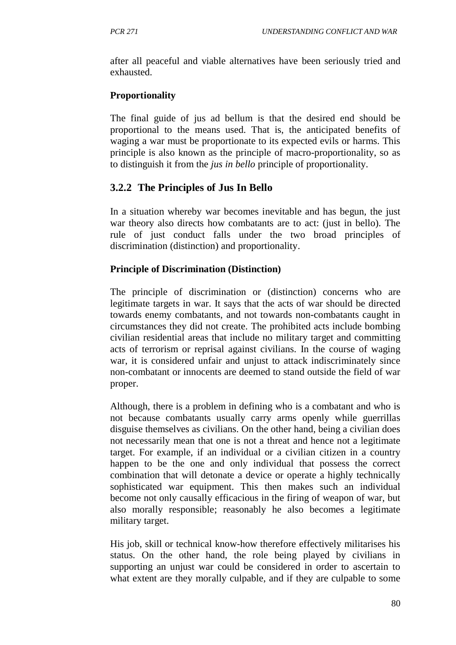after all peaceful and viable alternatives have been seriously tried and exhausted.

## **Proportionality**

The final guide of jus ad bellum is that the desired end should be proportional to the means used. That is, the anticipated benefits of waging a war must be proportionate to its expected evils or harms. This principle is also known as the principle of macro-proportionality, so as to distinguish it from the *jus in bello* principle of proportionality.

# **3.2.2 The Principles of Jus In Bello**

In a situation whereby war becomes inevitable and has begun, the just war theory also directs how combatants are to act: (just in bello). The rule of just conduct falls under the two broad principles of discrimination (distinction) and proportionality.

## **Principle of Discrimination (Distinction)**

The principle of discrimination or (distinction) concerns who are legitimate targets in war. It says that the acts of war should be directed towards enemy combatants, and not towards non-combatants caught in circumstances they did not create. The prohibited acts include bombing civilian residential areas that include no military target and committing acts of terrorism or reprisal against civilians. In the course of waging war, it is considered unfair and unjust to attack indiscriminately since non-combatant or innocents are deemed to stand outside the field of war proper.

Although, there is a problem in defining who is a combatant and who is not because combatants usually carry arms openly while guerrillas disguise themselves as civilians. On the other hand, being a civilian does not necessarily mean that one is not a threat and hence not a legitimate target. For example, if an individual or a civilian citizen in a country happen to be the one and only individual that possess the correct combination that will detonate a device or operate a highly technically sophisticated war equipment. This then makes such an individual become not only causally efficacious in the firing of weapon of war, but also morally responsible; reasonably he also becomes a legitimate military target.

His job, skill or technical know-how therefore effectively militarises his status. On the other hand, the role being played by civilians in supporting an unjust war could be considered in order to ascertain to what extent are they morally culpable, and if they are culpable to some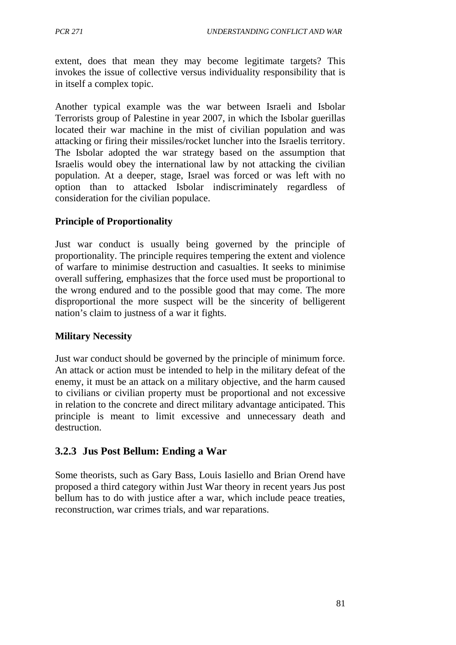extent, does that mean they may become legitimate targets? This invokes the issue of collective versus individuality responsibility that is in itself a complex topic.

Another typical example was the war between Israeli and Isbolar Terrorists group of Palestine in year 2007, in which the Isbolar guerillas located their war machine in the mist of civilian population and was attacking or firing their missiles/rocket luncher into the Israelis territory. The Isbolar adopted the war strategy based on the assumption that Israelis would obey the international law by not attacking the civilian population. At a deeper, stage, Israel was forced or was left with no option than to attacked Isbolar indiscriminately regardless of consideration for the civilian populace.

## **Principle of Proportionality**

Just war conduct is usually being governed by the principle of proportionality. The principle requires tempering the extent and violence of warfare to minimise destruction and casualties. It seeks to minimise overall suffering, emphasizes that the force used must be proportional to the wrong endured and to the possible good that may come. The more disproportional the more suspect will be the sincerity of belligerent nation's claim to justness of a war it fights.

### **Military Necessity**

Just war conduct should be governed by the principle of minimum force. An attack or action must be intended to help in the military defeat of the enemy, it must be an attack on a military objective, and the harm caused to civilians or civilian property must be proportional and not excessive in relation to the concrete and direct military advantage anticipated. This principle is meant to limit excessive and unnecessary death and destruction.

## **3.2.3 Jus Post Bellum: Ending a War**

Some theorists, such as Gary Bass, Louis Iasiello and Brian Orend have proposed a third category within Just War theory in recent years Jus post bellum has to do with justice after a war, which include peace treaties, reconstruction, war crimes trials, and war reparations.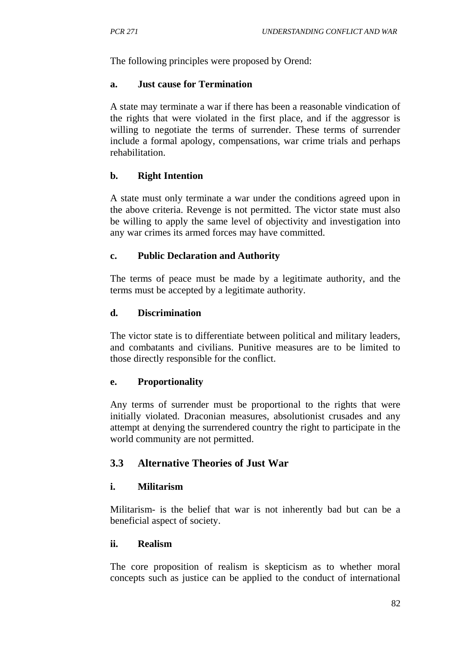The following principles were proposed by Orend:

#### **a. Just cause for Termination**

A state may terminate a war if there has been a reasonable vindication of the rights that were violated in the first place, and if the aggressor is willing to negotiate the terms of surrender. These terms of surrender include a formal apology, compensations, war crime trials and perhaps rehabilitation.

## **b. Right Intention**

A state must only terminate a war under the conditions agreed upon in the above criteria. Revenge is not permitted. The victor state must also be willing to apply the same level of objectivity and investigation into any war crimes its armed forces may have committed.

## **c. Public Declaration and Authority**

The terms of peace must be made by a legitimate authority, and the terms must be accepted by a legitimate authority.

### **d. Discrimination**

The victor state is to differentiate between political and military leaders, and combatants and civilians. Punitive measures are to be limited to those directly responsible for the conflict.

### **e. Proportionality**

Any terms of surrender must be proportional to the rights that were initially violated. Draconian measures, absolutionist crusades and any attempt at denying the surrendered country the right to participate in the world community are not permitted.

## **3.3 Alternative Theories of Just War**

## **i. Militarism**

Militarism- is the belief that war is not inherently bad but can be a beneficial aspect of society.

### **ii. Realism**

The core proposition of realism is skepticism as to whether moral concepts such as justice can be applied to the conduct of international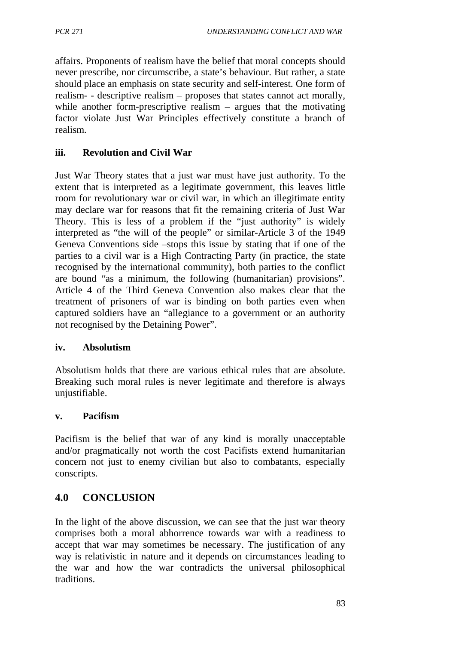affairs. Proponents of realism have the belief that moral concepts should never prescribe, nor circumscribe, a state's behaviour. But rather, a state should place an emphasis on state security and self-interest. One form of realism- - descriptive realism – proposes that states cannot act morally, while another form-prescriptive realism – argues that the motivating factor violate Just War Principles effectively constitute a branch of realism.

### **iii. Revolution and Civil War**

Just War Theory states that a just war must have just authority. To the extent that is interpreted as a legitimate government, this leaves little room for revolutionary war or civil war, in which an illegitimate entity may declare war for reasons that fit the remaining criteria of Just War Theory. This is less of a problem if the "just authority" is widely interpreted as "the will of the people" or similar-Article 3 of the 1949 Geneva Conventions side –stops this issue by stating that if one of the parties to a civil war is a High Contracting Party (in practice, the state recognised by the international community), both parties to the conflict are bound "as a minimum, the following (humanitarian) provisions". Article 4 of the Third Geneva Convention also makes clear that the treatment of prisoners of war is binding on both parties even when captured soldiers have an "allegiance to a government or an authority not recognised by the Detaining Power".

#### **iv. Absolutism**

Absolutism holds that there are various ethical rules that are absolute. Breaking such moral rules is never legitimate and therefore is always unjustifiable.

#### **v. Pacifism**

Pacifism is the belief that war of any kind is morally unacceptable and/or pragmatically not worth the cost Pacifists extend humanitarian concern not just to enemy civilian but also to combatants, especially conscripts.

### **4.0 CONCLUSION**

In the light of the above discussion, we can see that the just war theory comprises both a moral abhorrence towards war with a readiness to accept that war may sometimes be necessary. The justification of any way is relativistic in nature and it depends on circumstances leading to the war and how the war contradicts the universal philosophical traditions.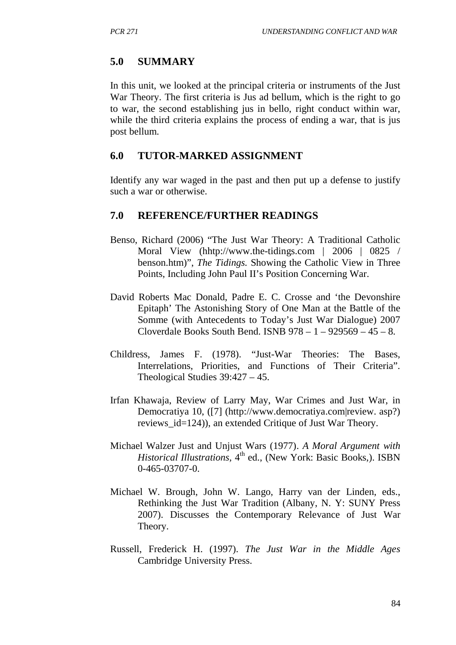## **5.0 SUMMARY**

In this unit, we looked at the principal criteria or instruments of the Just War Theory. The first criteria is Jus ad bellum, which is the right to go to war, the second establishing jus in bello, right conduct within war, while the third criteria explains the process of ending a war, that is jus post bellum.

### **6.0 TUTOR-MARKED ASSIGNMENT**

Identify any war waged in the past and then put up a defense to justify such a war or otherwise.

### **7.0 REFERENCE/FURTHER READINGS**

- Benso, Richard (2006) "The Just War Theory: A Traditional Catholic Moral View (hhtp://www.the-tidings.com | 2006 | 0825 / benson.htm)", *The Tidings.* Showing the Catholic View in Three Points, Including John Paul II's Position Concerning War.
- David Roberts Mac Donald, Padre E. C. Crosse and 'the Devonshire Epitaph' The Astonishing Story of One Man at the Battle of the Somme (with Antecedents to Today's Just War Dialogue) 2007 Cloverdale Books South Bend. ISNB  $978 - 1 - 929569 - 45 - 8$ .
- Childress, James F. (1978). "Just-War Theories: The Bases, Interrelations, Priorities, and Functions of Their Criteria". Theological Studies 39:427 – 45.
- Irfan Khawaja, Review of Larry May, War Crimes and Just War, in Democratiya 10, ([7] (http://www.democratiya.com|review. asp?) reviews  $id=124$ ), an extended Critique of Just War Theory.
- Michael Walzer Just and Unjust Wars (1977). *A Moral Argument with Historical Illustrations,* 4<sup>th</sup> ed., (New York: Basic Books,), ISBN 0-465-03707-0.
- Michael W. Brough, John W. Lango, Harry van der Linden, eds., Rethinking the Just War Tradition (Albany, N. Y: SUNY Press 2007). Discusses the Contemporary Relevance of Just War Theory.
- Russell, Frederick H. (1997). *The Just War in the Middle Ages* Cambridge University Press.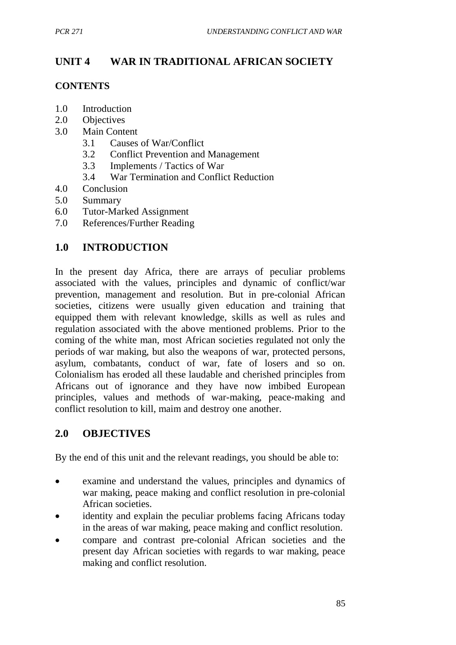# **UNIT 4 WAR IN TRADITIONAL AFRICAN SOCIETY**

## **CONTENTS**

- 1.0 Introduction
- 2.0 Objectives
- 3.0 Main Content
	- 3.1 Causes of War/Conflict
	- 3.2 Conflict Prevention and Management
	- 3.3 Implements / Tactics of War
	- 3.4 War Termination and Conflict Reduction
- 4.0 Conclusion
- 5.0 Summary
- 6.0 Tutor-Marked Assignment
- 7.0 References/Further Reading

# **1.0 INTRODUCTION**

In the present day Africa, there are arrays of peculiar problems associated with the values, principles and dynamic of conflict/war prevention, management and resolution. But in pre-colonial African societies, citizens were usually given education and training that equipped them with relevant knowledge, skills as well as rules and regulation associated with the above mentioned problems. Prior to the coming of the white man, most African societies regulated not only the periods of war making, but also the weapons of war, protected persons, asylum, combatants, conduct of war, fate of losers and so on. Colonialism has eroded all these laudable and cherished principles from Africans out of ignorance and they have now imbibed European principles, values and methods of war-making, peace-making and conflict resolution to kill, maim and destroy one another.

# **2.0 OBJECTIVES**

By the end of this unit and the relevant readings, you should be able to:

- examine and understand the values, principles and dynamics of war making, peace making and conflict resolution in pre-colonial African societies.
- identity and explain the peculiar problems facing Africans today in the areas of war making, peace making and conflict resolution.
- compare and contrast pre-colonial African societies and the present day African societies with regards to war making, peace making and conflict resolution.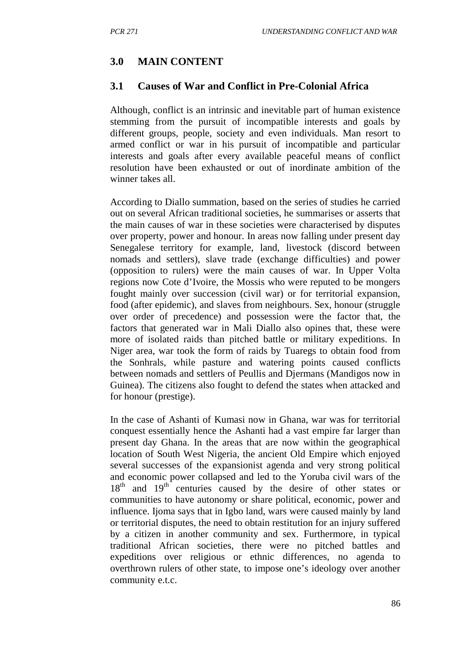# **3.0 MAIN CONTENT**

## **3.1 Causes of War and Conflict in Pre-Colonial Africa**

Although, conflict is an intrinsic and inevitable part of human existence stemming from the pursuit of incompatible interests and goals by different groups, people, society and even individuals. Man resort to armed conflict or war in his pursuit of incompatible and particular interests and goals after every available peaceful means of conflict resolution have been exhausted or out of inordinate ambition of the winner takes all.

According to Diallo summation, based on the series of studies he carried out on several African traditional societies, he summarises or asserts that the main causes of war in these societies were characterised by disputes over property, power and honour. In areas now falling under present day Senegalese territory for example, land, livestock (discord between nomads and settlers), slave trade (exchange difficulties) and power (opposition to rulers) were the main causes of war. In Upper Volta regions now Cote d'Ivoire, the Mossis who were reputed to be mongers fought mainly over succession (civil war) or for territorial expansion, food (after epidemic), and slaves from neighbours. Sex, honour (struggle over order of precedence) and possession were the factor that, the factors that generated war in Mali Diallo also opines that, these were more of isolated raids than pitched battle or military expeditions. In Niger area, war took the form of raids by Tuaregs to obtain food from the Sonhrals, while pasture and watering points caused conflicts between nomads and settlers of Peullis and Djermans (Mandigos now in Guinea). The citizens also fought to defend the states when attacked and for honour (prestige).

In the case of Ashanti of Kumasi now in Ghana, war was for territorial conquest essentially hence the Ashanti had a vast empire far larger than present day Ghana. In the areas that are now within the geographical location of South West Nigeria, the ancient Old Empire which enjoyed several successes of the expansionist agenda and very strong political and economic power collapsed and led to the Yoruba civil wars of the  $18<sup>th</sup>$  and  $19<sup>th</sup>$  centuries caused by the desire of other states or communities to have autonomy or share political, economic, power and influence. Ijoma says that in Igbo land, wars were caused mainly by land or territorial disputes, the need to obtain restitution for an injury suffered by a citizen in another community and sex. Furthermore, in typical traditional African societies, there were no pitched battles and expeditions over religious or ethnic differences, no agenda to overthrown rulers of other state, to impose one's ideology over another community e.t.c.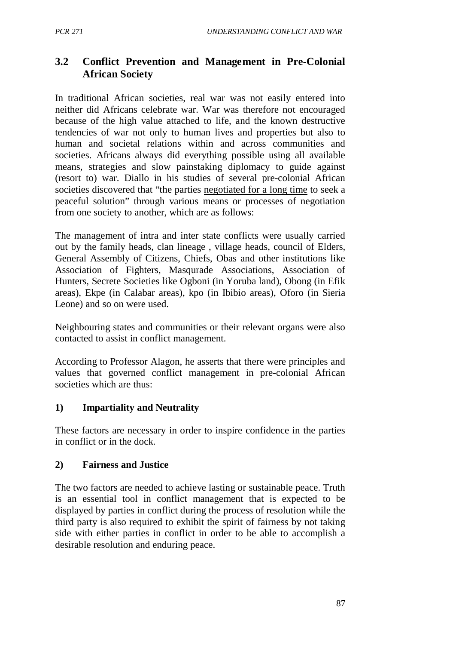# **3.2 Conflict Prevention and Management in Pre-Colonial African Society**

In traditional African societies, real war was not easily entered into neither did Africans celebrate war. War was therefore not encouraged because of the high value attached to life, and the known destructive tendencies of war not only to human lives and properties but also to human and societal relations within and across communities and societies. Africans always did everything possible using all available means, strategies and slow painstaking diplomacy to guide against (resort to) war. Diallo in his studies of several pre-colonial African societies discovered that "the parties negotiated for a long time to seek a peaceful solution" through various means or processes of negotiation from one society to another, which are as follows:

The management of intra and inter state conflicts were usually carried out by the family heads, clan lineage , village heads, council of Elders, General Assembly of Citizens, Chiefs, Obas and other institutions like Association of Fighters, Masqurade Associations, Association of Hunters, Secrete Societies like Ogboni (in Yoruba land), Obong (in Efik areas), Ekpe (in Calabar areas), kpo (in Ibibio areas), Oforo (in Sieria Leone) and so on were used.

Neighbouring states and communities or their relevant organs were also contacted to assist in conflict management.

According to Professor Alagon, he asserts that there were principles and values that governed conflict management in pre-colonial African societies which are thus:

### **1) Impartiality and Neutrality**

These factors are necessary in order to inspire confidence in the parties in conflict or in the dock.

### **2) Fairness and Justice**

The two factors are needed to achieve lasting or sustainable peace. Truth is an essential tool in conflict management that is expected to be displayed by parties in conflict during the process of resolution while the third party is also required to exhibit the spirit of fairness by not taking side with either parties in conflict in order to be able to accomplish a desirable resolution and enduring peace.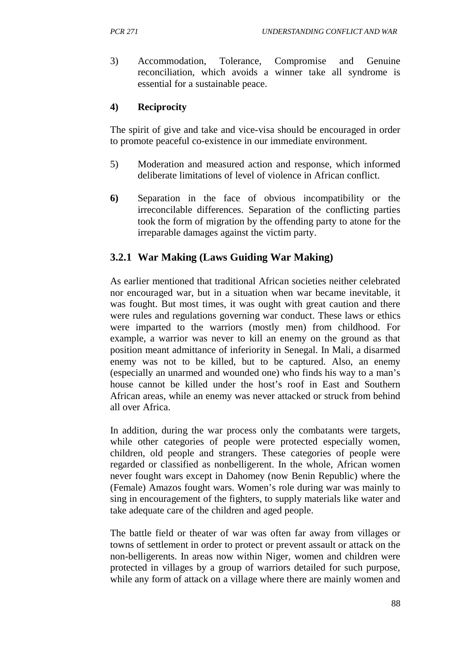3) Accommodation, Tolerance, Compromise and Genuine reconciliation, which avoids a winner take all syndrome is essential for a sustainable peace.

## **4) Reciprocity**

The spirit of give and take and vice-visa should be encouraged in order to promote peaceful co-existence in our immediate environment.

- 5) Moderation and measured action and response, which informed deliberate limitations of level of violence in African conflict.
- **6)** Separation in the face of obvious incompatibility or the irreconcilable differences. Separation of the conflicting parties took the form of migration by the offending party to atone for the irreparable damages against the victim party.

# **3.2.1 War Making (Laws Guiding War Making)**

As earlier mentioned that traditional African societies neither celebrated nor encouraged war, but in a situation when war became inevitable, it was fought. But most times, it was ought with great caution and there were rules and regulations governing war conduct. These laws or ethics were imparted to the warriors (mostly men) from childhood. For example, a warrior was never to kill an enemy on the ground as that position meant admittance of inferiority in Senegal. In Mali, a disarmed enemy was not to be killed, but to be captured. Also, an enemy (especially an unarmed and wounded one) who finds his way to a man's house cannot be killed under the host's roof in East and Southern African areas, while an enemy was never attacked or struck from behind all over Africa.

In addition, during the war process only the combatants were targets, while other categories of people were protected especially women, children, old people and strangers. These categories of people were regarded or classified as nonbelligerent. In the whole, African women never fought wars except in Dahomey (now Benin Republic) where the (Female) Amazos fought wars. Women's role during war was mainly to sing in encouragement of the fighters, to supply materials like water and take adequate care of the children and aged people.

The battle field or theater of war was often far away from villages or towns of settlement in order to protect or prevent assault or attack on the non-belligerents. In areas now within Niger, women and children were protected in villages by a group of warriors detailed for such purpose, while any form of attack on a village where there are mainly women and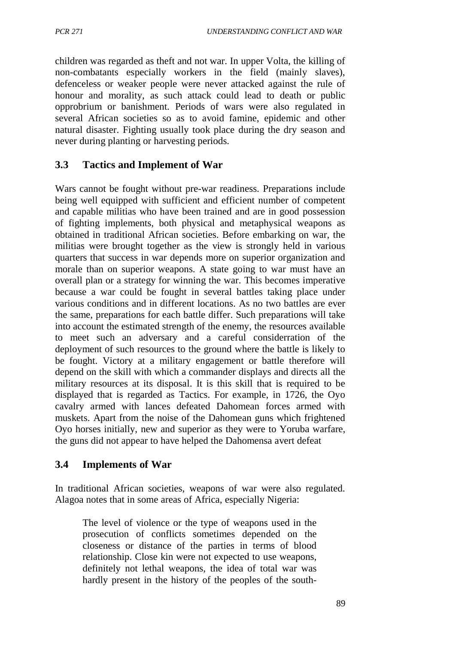children was regarded as theft and not war. In upper Volta, the killing of non-combatants especially workers in the field (mainly slaves), defenceless or weaker people were never attacked against the rule of honour and morality, as such attack could lead to death or public opprobrium or banishment. Periods of wars were also regulated in several African societies so as to avoid famine, epidemic and other natural disaster. Fighting usually took place during the dry season and never during planting or harvesting periods.

## **3.3 Tactics and Implement of War**

Wars cannot be fought without pre-war readiness. Preparations include being well equipped with sufficient and efficient number of competent and capable militias who have been trained and are in good possession of fighting implements, both physical and metaphysical weapons as obtained in traditional African societies. Before embarking on war, the militias were brought together as the view is strongly held in various quarters that success in war depends more on superior organization and morale than on superior weapons. A state going to war must have an overall plan or a strategy for winning the war. This becomes imperative because a war could be fought in several battles taking place under various conditions and in different locations. As no two battles are ever the same, preparations for each battle differ. Such preparations will take into account the estimated strength of the enemy, the resources available to meet such an adversary and a careful considerration of the deployment of such resources to the ground where the battle is likely to be fought. Victory at a military engagement or battle therefore will depend on the skill with which a commander displays and directs all the military resources at its disposal. It is this skill that is required to be displayed that is regarded as Tactics. For example, in 1726, the Oyo cavalry armed with lances defeated Dahomean forces armed with muskets. Apart from the noise of the Dahomean guns which frightened Oyo horses initially, new and superior as they were to Yoruba warfare, the guns did not appear to have helped the Dahomensa avert defeat

### **3.4 Implements of War**

In traditional African societies, weapons of war were also regulated. Alagoa notes that in some areas of Africa, especially Nigeria:

The level of violence or the type of weapons used in the prosecution of conflicts sometimes depended on the closeness or distance of the parties in terms of blood relationship. Close kin were not expected to use weapons, definitely not lethal weapons, the idea of total war was hardly present in the history of the peoples of the south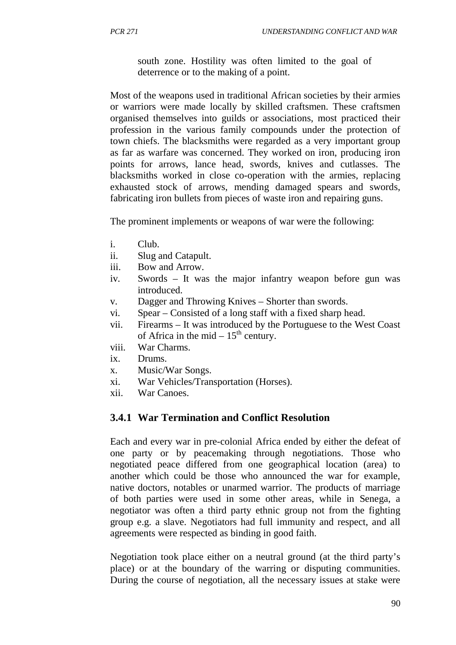south zone. Hostility was often limited to the goal of deterrence or to the making of a point.

Most of the weapons used in traditional African societies by their armies or warriors were made locally by skilled craftsmen. These craftsmen organised themselves into guilds or associations, most practiced their profession in the various family compounds under the protection of town chiefs. The blacksmiths were regarded as a very important group as far as warfare was concerned. They worked on iron, producing iron points for arrows, lance head, swords, knives and cutlasses. The blacksmiths worked in close co-operation with the armies, replacing exhausted stock of arrows, mending damaged spears and swords, fabricating iron bullets from pieces of waste iron and repairing guns.

The prominent implements or weapons of war were the following:

- i. Club.
- ii. Slug and Catapult.
- iii. Bow and Arrow.
- iv. Swords It was the major infantry weapon before gun was introduced.
- v. Dagger and Throwing Knives Shorter than swords.
- vi. Spear Consisted of a long staff with a fixed sharp head.
- vii. Firearms It was introduced by the Portuguese to the West Coast of Africa in the mid  $-15^{th}$  century.
- viii. War Charms.
- ix. Drums.
- x. Music/War Songs.
- xi. War Vehicles/Transportation (Horses).
- xii. War Canoes.

## **3.4.1 War Termination and Conflict Resolution**

Each and every war in pre-colonial Africa ended by either the defeat of one party or by peacemaking through negotiations. Those who negotiated peace differed from one geographical location (area) to another which could be those who announced the war for example, native doctors, notables or unarmed warrior. The products of marriage of both parties were used in some other areas, while in Senega, a negotiator was often a third party ethnic group not from the fighting group e.g. a slave. Negotiators had full immunity and respect, and all agreements were respected as binding in good faith.

Negotiation took place either on a neutral ground (at the third party's place) or at the boundary of the warring or disputing communities. During the course of negotiation, all the necessary issues at stake were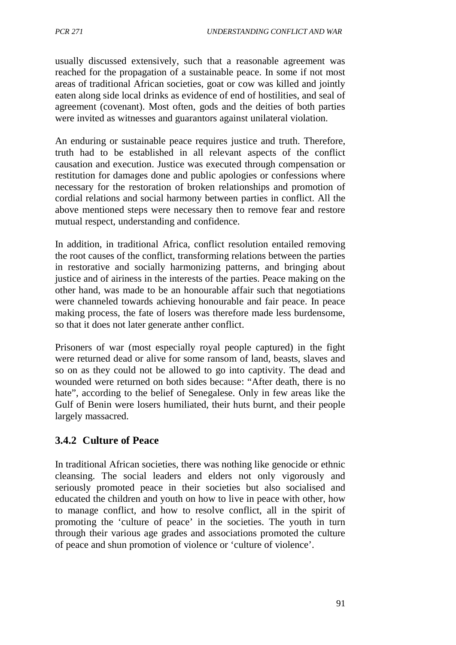usually discussed extensively, such that a reasonable agreement was reached for the propagation of a sustainable peace. In some if not most areas of traditional African societies, goat or cow was killed and jointly eaten along side local drinks as evidence of end of hostilities, and seal of agreement (covenant). Most often, gods and the deities of both parties were invited as witnesses and guarantors against unilateral violation.

An enduring or sustainable peace requires justice and truth. Therefore, truth had to be established in all relevant aspects of the conflict causation and execution. Justice was executed through compensation or restitution for damages done and public apologies or confessions where necessary for the restoration of broken relationships and promotion of cordial relations and social harmony between parties in conflict. All the above mentioned steps were necessary then to remove fear and restore mutual respect, understanding and confidence.

In addition, in traditional Africa, conflict resolution entailed removing the root causes of the conflict, transforming relations between the parties in restorative and socially harmonizing patterns, and bringing about justice and of airiness in the interests of the parties. Peace making on the other hand, was made to be an honourable affair such that negotiations were channeled towards achieving honourable and fair peace. In peace making process, the fate of losers was therefore made less burdensome, so that it does not later generate anther conflict.

Prisoners of war (most especially royal people captured) in the fight were returned dead or alive for some ransom of land, beasts, slaves and so on as they could not be allowed to go into captivity. The dead and wounded were returned on both sides because: "After death, there is no hate", according to the belief of Senegalese. Only in few areas like the Gulf of Benin were losers humiliated, their huts burnt, and their people largely massacred.

## **3.4.2 Culture of Peace**

In traditional African societies, there was nothing like genocide or ethnic cleansing. The social leaders and elders not only vigorously and seriously promoted peace in their societies but also socialised and educated the children and youth on how to live in peace with other, how to manage conflict, and how to resolve conflict, all in the spirit of promoting the 'culture of peace' in the societies. The youth in turn through their various age grades and associations promoted the culture of peace and shun promotion of violence or 'culture of violence'.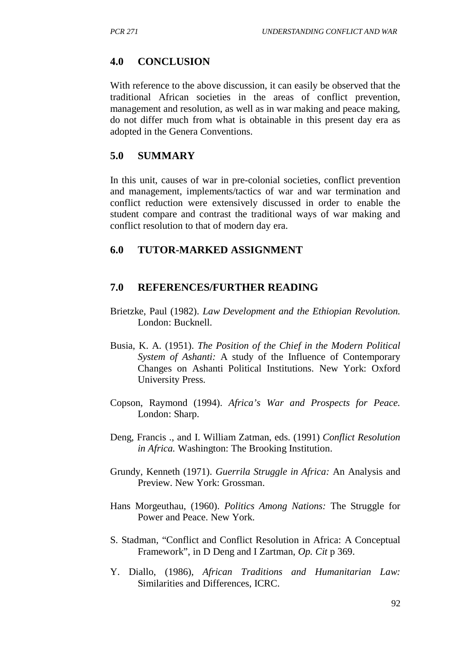### **4.0 CONCLUSION**

With reference to the above discussion, it can easily be observed that the traditional African societies in the areas of conflict prevention, management and resolution, as well as in war making and peace making, do not differ much from what is obtainable in this present day era as adopted in the Genera Conventions.

### **5.0 SUMMARY**

In this unit, causes of war in pre-colonial societies, conflict prevention and management, implements/tactics of war and war termination and conflict reduction were extensively discussed in order to enable the student compare and contrast the traditional ways of war making and conflict resolution to that of modern day era.

### **6.0 TUTOR-MARKED ASSIGNMENT**

### **7.0 REFERENCES/FURTHER READING**

- Brietzke, Paul (1982). *Law Development and the Ethiopian Revolution.* London: Bucknell.
- Busia, K. A. (1951). *The Position of the Chief in the Modern Political System of Ashanti:* A study of the Influence of Contemporary Changes on Ashanti Political Institutions. New York: Oxford University Press.
- Copson, Raymond (1994). *Africa's War and Prospects for Peace.* London: Sharp.
- Deng, Francis ., and I. William Zatman, eds. (1991) *Conflict Resolution in Africa.* Washington: The Brooking Institution.
- Grundy, Kenneth (1971). *Guerrila Struggle in Africa:* An Analysis and Preview. New York: Grossman.
- Hans Morgeuthau, (1960). *Politics Among Nations:* The Struggle for Power and Peace. New York.
- S. Stadman, "Conflict and Conflict Resolution in Africa: A Conceptual Framework", in D Deng and I Zartman, *Op. Cit* p 369.
- Y. Diallo, (1986), *African Traditions and Humanitarian Law:* Similarities and Differences, ICRC.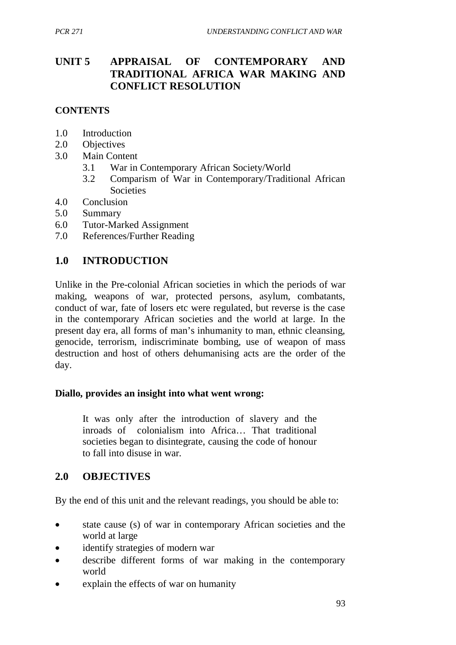## **UNIT 5 APPRAISAL OF CONTEMPORARY AND TRADITIONAL AFRICA WAR MAKING AND CONFLICT RESOLUTION**

## **CONTENTS**

- 1.0 Introduction
- 2.0 Objectives
- 3.0 Main Content
	- 3.1 War in Contemporary African Society/World
	- 3.2 Comparism of War in Contemporary/Traditional African **Societies**
- 4.0 Conclusion
- 5.0 Summary
- 6.0 Tutor-Marked Assignment
- 7.0 References/Further Reading

### **1.0 INTRODUCTION**

Unlike in the Pre-colonial African societies in which the periods of war making, weapons of war, protected persons, asylum, combatants, conduct of war, fate of losers etc were regulated, but reverse is the case in the contemporary African societies and the world at large. In the present day era, all forms of man's inhumanity to man, ethnic cleansing, genocide, terrorism, indiscriminate bombing, use of weapon of mass destruction and host of others dehumanising acts are the order of the day.

#### **Diallo, provides an insight into what went wrong:**

It was only after the introduction of slavery and the inroads of colonialism into Africa… That traditional societies began to disintegrate, causing the code of honour to fall into disuse in war.

## **2.0 OBJECTIVES**

By the end of this unit and the relevant readings, you should be able to:

- state cause (s) of war in contemporary African societies and the world at large
- identify strategies of modern war
- describe different forms of war making in the contemporary world
- explain the effects of war on humanity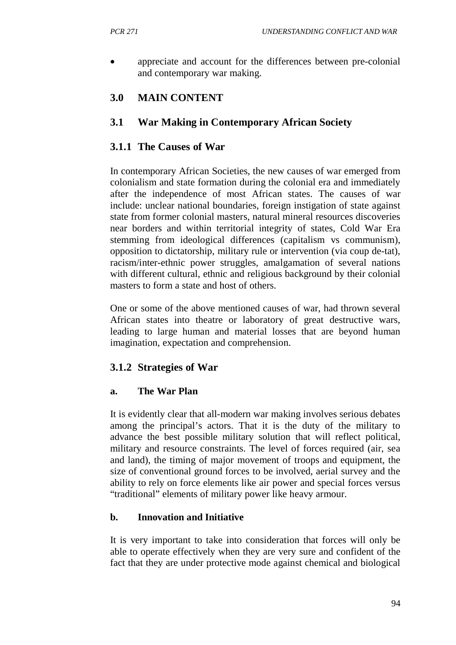• appreciate and account for the differences between pre-colonial and contemporary war making.

# **3.0 MAIN CONTENT**

## **3.1 War Making in Contemporary African Society**

## **3.1.1 The Causes of War**

In contemporary African Societies, the new causes of war emerged from colonialism and state formation during the colonial era and immediately after the independence of most African states. The causes of war include: unclear national boundaries, foreign instigation of state against state from former colonial masters, natural mineral resources discoveries near borders and within territorial integrity of states, Cold War Era stemming from ideological differences (capitalism vs communism), opposition to dictatorship, military rule or intervention (via coup de-tat), racism/inter-ethnic power struggles, amalgamation of several nations with different cultural, ethnic and religious background by their colonial masters to form a state and host of others.

One or some of the above mentioned causes of war, had thrown several African states into theatre or laboratory of great destructive wars, leading to large human and material losses that are beyond human imagination, expectation and comprehension.

## **3.1.2 Strategies of War**

## **a. The War Plan**

It is evidently clear that all-modern war making involves serious debates among the principal's actors. That it is the duty of the military to advance the best possible military solution that will reflect political, military and resource constraints. The level of forces required (air, sea and land), the timing of major movement of troops and equipment, the size of conventional ground forces to be involved, aerial survey and the ability to rely on force elements like air power and special forces versus "traditional" elements of military power like heavy armour.

## **b. Innovation and Initiative**

It is very important to take into consideration that forces will only be able to operate effectively when they are very sure and confident of the fact that they are under protective mode against chemical and biological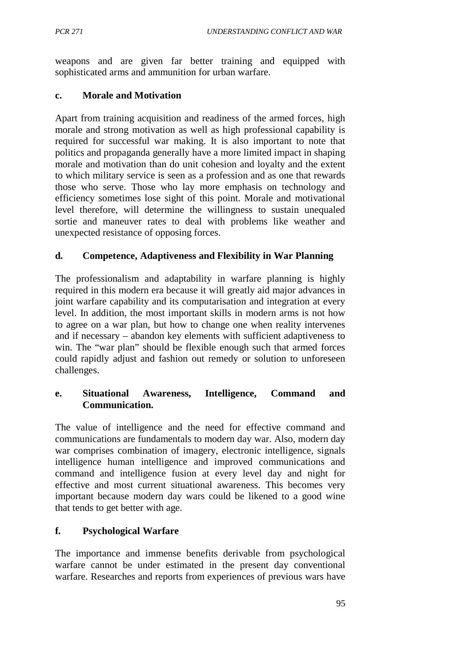weapons and are given far better training and equipped with sophisticated arms and ammunition for urban warfare.

### **c. Morale and Motivation**

Apart from training acquisition and readiness of the armed forces, high morale and strong motivation as well as high professional capability is required for successful war making. It is also important to note that politics and propaganda generally have a more limited impact in shaping morale and motivation than do unit cohesion and loyalty and the extent to which military service is seen as a profession and as one that rewards those who serve. Those who lay more emphasis on technology and efficiency sometimes lose sight of this point. Morale and motivational level therefore, will determine the willingness to sustain unequaled sortie and maneuver rates to deal with problems like weather and unexpected resistance of opposing forces.

### **d. Competence, Adaptiveness and Flexibility in War Planning**

The professionalism and adaptability in warfare planning is highly required in this modern era because it will greatly aid major advances in joint warfare capability and its computarisation and integration at every level. In addition, the most important skills in modern arms is not how to agree on a war plan, but how to change one when reality intervenes and if necessary – abandon key elements with sufficient adaptiveness to win. The "war plan" should be flexible enough such that armed forces could rapidly adjust and fashion out remedy or solution to unforeseen challenges.

### **e. Situational Awareness, Intelligence, Command and Communication.**

The value of intelligence and the need for effective command and communications are fundamentals to modern day war. Also, modern day war comprises combination of imagery, electronic intelligence, signals intelligence human intelligence and improved communications and command and intelligence fusion at every level day and night for effective and most current situational awareness. This becomes very important because modern day wars could be likened to a good wine that tends to get better with age.

### **f. Psychological Warfare**

The importance and immense benefits derivable from psychological warfare cannot be under estimated in the present day conventional warfare. Researches and reports from experiences of previous wars have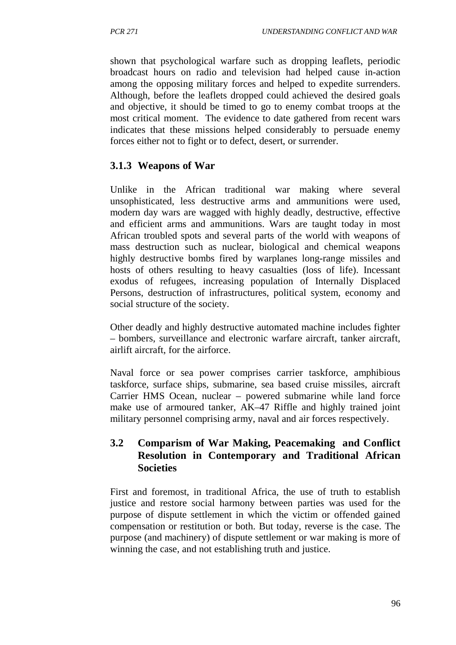shown that psychological warfare such as dropping leaflets, periodic broadcast hours on radio and television had helped cause in-action among the opposing military forces and helped to expedite surrenders. Although, before the leaflets dropped could achieved the desired goals and objective, it should be timed to go to enemy combat troops at the most critical moment. The evidence to date gathered from recent wars indicates that these missions helped considerably to persuade enemy forces either not to fight or to defect, desert, or surrender.

## **3.1.3 Weapons of War**

Unlike in the African traditional war making where several unsophisticated, less destructive arms and ammunitions were used, modern day wars are wagged with highly deadly, destructive, effective and efficient arms and ammunitions. Wars are taught today in most African troubled spots and several parts of the world with weapons of mass destruction such as nuclear, biological and chemical weapons highly destructive bombs fired by warplanes long-range missiles and hosts of others resulting to heavy casualties (loss of life). Incessant exodus of refugees, increasing population of Internally Displaced Persons, destruction of infrastructures, political system, economy and social structure of the society.

Other deadly and highly destructive automated machine includes fighter – bombers, surveillance and electronic warfare aircraft, tanker aircraft, airlift aircraft, for the airforce.

Naval force or sea power comprises carrier taskforce, amphibious taskforce, surface ships, submarine, sea based cruise missiles, aircraft Carrier HMS Ocean, nuclear – powered submarine while land force make use of armoured tanker, AK–47 Riffle and highly trained joint military personnel comprising army, naval and air forces respectively.

## **3.2 Comparism of War Making, Peacemaking and Conflict Resolution in Contemporary and Traditional African Societies**

First and foremost, in traditional Africa, the use of truth to establish justice and restore social harmony between parties was used for the purpose of dispute settlement in which the victim or offended gained compensation or restitution or both. But today, reverse is the case. The purpose (and machinery) of dispute settlement or war making is more of winning the case, and not establishing truth and justice.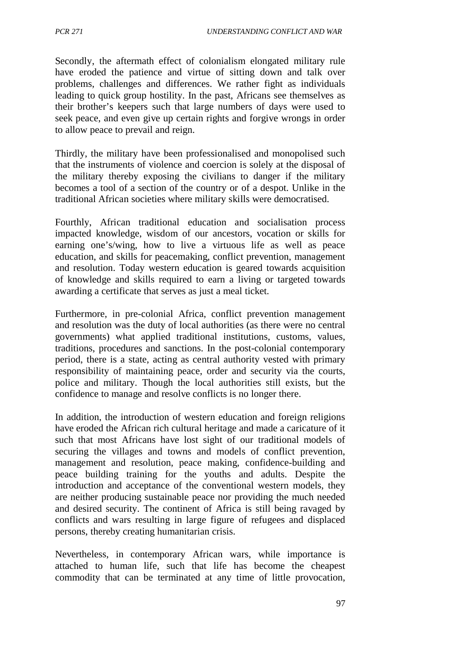Secondly, the aftermath effect of colonialism elongated military rule have eroded the patience and virtue of sitting down and talk over problems, challenges and differences. We rather fight as individuals leading to quick group hostility. In the past, Africans see themselves as their brother's keepers such that large numbers of days were used to seek peace, and even give up certain rights and forgive wrongs in order to allow peace to prevail and reign.

Thirdly, the military have been professionalised and monopolised such that the instruments of violence and coercion is solely at the disposal of the military thereby exposing the civilians to danger if the military becomes a tool of a section of the country or of a despot. Unlike in the traditional African societies where military skills were democratised.

Fourthly, African traditional education and socialisation process impacted knowledge, wisdom of our ancestors, vocation or skills for earning one's/wing, how to live a virtuous life as well as peace education, and skills for peacemaking, conflict prevention, management and resolution. Today western education is geared towards acquisition of knowledge and skills required to earn a living or targeted towards awarding a certificate that serves as just a meal ticket.

Furthermore, in pre-colonial Africa, conflict prevention management and resolution was the duty of local authorities (as there were no central governments) what applied traditional institutions, customs, values, traditions, procedures and sanctions. In the post-colonial contemporary period, there is a state, acting as central authority vested with primary responsibility of maintaining peace, order and security via the courts, police and military. Though the local authorities still exists, but the confidence to manage and resolve conflicts is no longer there.

In addition, the introduction of western education and foreign religions have eroded the African rich cultural heritage and made a caricature of it such that most Africans have lost sight of our traditional models of securing the villages and towns and models of conflict prevention, management and resolution, peace making, confidence-building and peace building training for the youths and adults. Despite the introduction and acceptance of the conventional western models, they are neither producing sustainable peace nor providing the much needed and desired security. The continent of Africa is still being ravaged by conflicts and wars resulting in large figure of refugees and displaced persons, thereby creating humanitarian crisis.

Nevertheless, in contemporary African wars, while importance is attached to human life, such that life has become the cheapest commodity that can be terminated at any time of little provocation,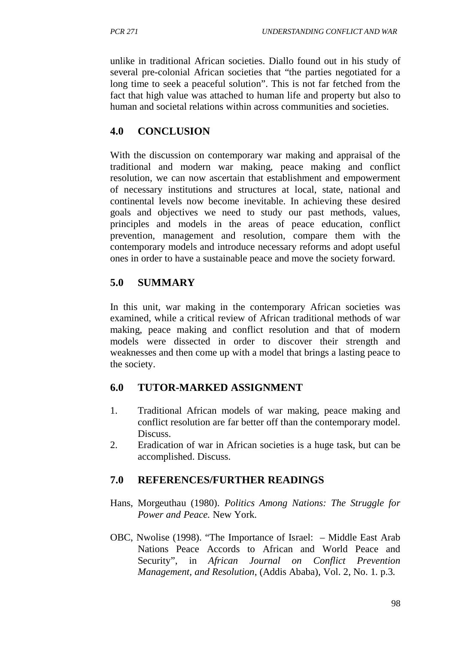unlike in traditional African societies. Diallo found out in his study of several pre-colonial African societies that "the parties negotiated for a long time to seek a peaceful solution". This is not far fetched from the fact that high value was attached to human life and property but also to human and societal relations within across communities and societies.

## **4.0 CONCLUSION**

With the discussion on contemporary war making and appraisal of the traditional and modern war making, peace making and conflict resolution, we can now ascertain that establishment and empowerment of necessary institutions and structures at local, state, national and continental levels now become inevitable. In achieving these desired goals and objectives we need to study our past methods, values, principles and models in the areas of peace education, conflict prevention, management and resolution, compare them with the contemporary models and introduce necessary reforms and adopt useful ones in order to have a sustainable peace and move the society forward.

## **5.0 SUMMARY**

In this unit, war making in the contemporary African societies was examined, while a critical review of African traditional methods of war making, peace making and conflict resolution and that of modern models were dissected in order to discover their strength and weaknesses and then come up with a model that brings a lasting peace to the society.

## **6.0 TUTOR-MARKED ASSIGNMENT**

- 1. Traditional African models of war making, peace making and conflict resolution are far better off than the contemporary model. Discuss.
- 2. Eradication of war in African societies is a huge task, but can be accomplished. Discuss.

## **7.0 REFERENCES/FURTHER READINGS**

- Hans, Morgeuthau (1980). *Politics Among Nations: The Struggle for Power and Peace.* New York.
- OBC, Nwolise (1998). "The Importance of Israel: Middle East Arab Nations Peace Accords to African and World Peace and Security", in *African Journal on Conflict Prevention Management, and Resolution*, (Addis Ababa), Vol. 2, No. 1. p.3.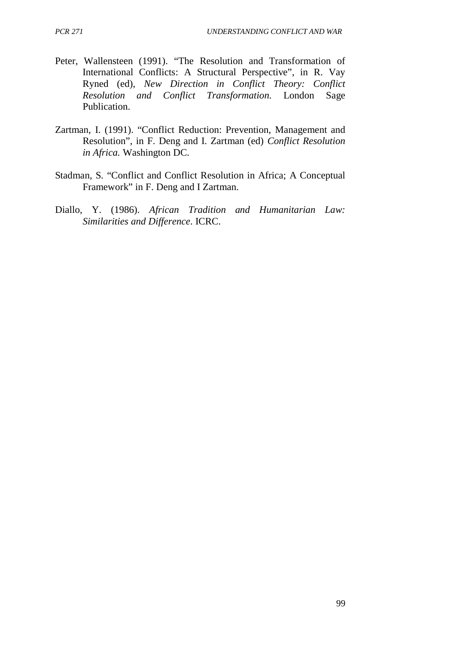- Peter, Wallensteen (1991). "The Resolution and Transformation of International Conflicts: A Structural Perspective", in R. Vay Ryned (ed), *New Direction in Conflict Theory: Conflict Resolution and Conflict Transformation.* London Sage Publication.
- Zartman, I. (1991). "Conflict Reduction: Prevention, Management and Resolution", in F. Deng and I. Zartman (ed) *Conflict Resolution in Africa.* Washington DC.
- Stadman, S. "Conflict and Conflict Resolution in Africa; A Conceptual Framework" in F. Deng and I Zartman.
- Diallo, Y. (1986). *African Tradition and Humanitarian Law: Similarities and Difference*. ICRC.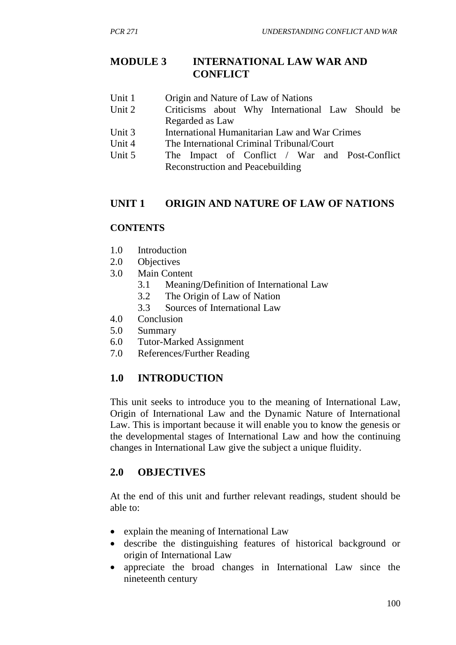## **MODULE 3 INTERNATIONAL LAW WAR AND CONFLICT**

- Unit 1 Origin and Nature of Law of Nations
- Unit 2 Criticisms about Why International Law Should be Regarded as Law
- Unit 3 International Humanitarian Law and War Crimes
- Unit 4 The International Criminal Tribunal/Court
- Unit 5 The Impact of Conflict / War and Post-Conflict Reconstruction and Peacebuilding

## **UNIT 1 ORIGIN AND NATURE OF LAW OF NATIONS**

## **CONTENTS**

- 1.0 Introduction
- 2.0 Objectives
- 3.0 Main Content
	- 3.1 Meaning/Definition of International Law
	- 3.2 The Origin of Law of Nation
	- 3.3 Sources of International Law
- 4.0 Conclusion
- 5.0 Summary
- 6.0 Tutor-Marked Assignment
- 7.0 References/Further Reading

## **1.0 INTRODUCTION**

This unit seeks to introduce you to the meaning of International Law, Origin of International Law and the Dynamic Nature of International Law. This is important because it will enable you to know the genesis or the developmental stages of International Law and how the continuing changes in International Law give the subject a unique fluidity.

## **2.0 OBJECTIVES**

At the end of this unit and further relevant readings, student should be able to:

- explain the meaning of International Law
- describe the distinguishing features of historical background or origin of International Law
- appreciate the broad changes in International Law since the nineteenth century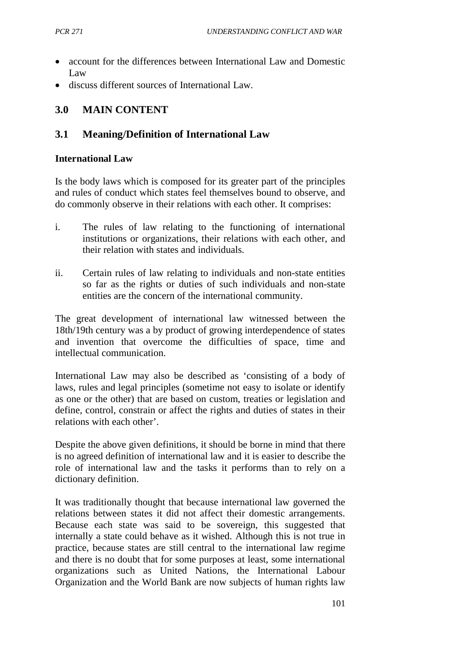- account for the differences between International Law and Domestic Law
- discuss different sources of International Law.

## **3.0 MAIN CONTENT**

## **3.1 Meaning/Definition of International Law**

#### **International Law**

Is the body laws which is composed for its greater part of the principles and rules of conduct which states feel themselves bound to observe, and do commonly observe in their relations with each other. It comprises:

- i. The rules of law relating to the functioning of international institutions or organizations, their relations with each other, and their relation with states and individuals.
- ii. Certain rules of law relating to individuals and non-state entities so far as the rights or duties of such individuals and non-state entities are the concern of the international community.

The great development of international law witnessed between the 18th/19th century was a by product of growing interdependence of states and invention that overcome the difficulties of space, time and intellectual communication.

International Law may also be described as 'consisting of a body of laws, rules and legal principles (sometime not easy to isolate or identify as one or the other) that are based on custom, treaties or legislation and define, control, constrain or affect the rights and duties of states in their relations with each other'.

Despite the above given definitions, it should be borne in mind that there is no agreed definition of international law and it is easier to describe the role of international law and the tasks it performs than to rely on a dictionary definition.

It was traditionally thought that because international law governed the relations between states it did not affect their domestic arrangements. Because each state was said to be sovereign, this suggested that internally a state could behave as it wished. Although this is not true in practice, because states are still central to the international law regime and there is no doubt that for some purposes at least, some international organizations such as United Nations, the International Labour Organization and the World Bank are now subjects of human rights law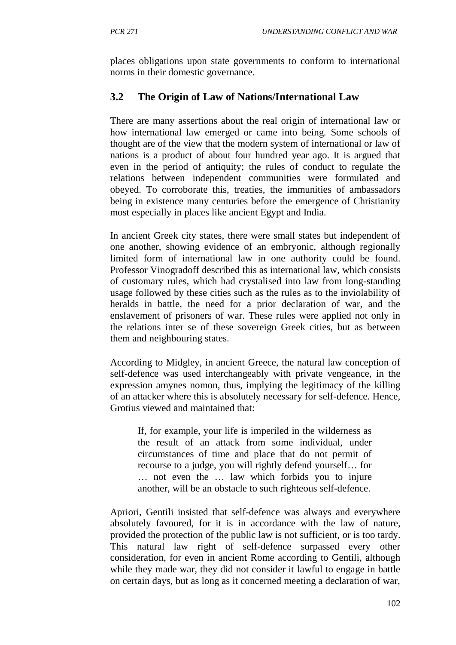places obligations upon state governments to conform to international norms in their domestic governance.

# **3.2 The Origin of Law of Nations/International Law**

There are many assertions about the real origin of international law or how international law emerged or came into being. Some schools of thought are of the view that the modern system of international or law of nations is a product of about four hundred year ago. It is argued that even in the period of antiquity; the rules of conduct to regulate the relations between independent communities were formulated and obeyed. To corroborate this, treaties, the immunities of ambassadors being in existence many centuries before the emergence of Christianity most especially in places like ancient Egypt and India.

In ancient Greek city states, there were small states but independent of one another, showing evidence of an embryonic, although regionally limited form of international law in one authority could be found. Professor Vinogradoff described this as international law, which consists of customary rules, which had crystalised into law from long-standing usage followed by these cities such as the rules as to the inviolability of heralds in battle, the need for a prior declaration of war, and the enslavement of prisoners of war. These rules were applied not only in the relations inter se of these sovereign Greek cities, but as between them and neighbouring states.

According to Midgley, in ancient Greece, the natural law conception of self-defence was used interchangeably with private vengeance, in the expression amynes nomon, thus, implying the legitimacy of the killing of an attacker where this is absolutely necessary for self-defence. Hence, Grotius viewed and maintained that:

If, for example, your life is imperiled in the wilderness as the result of an attack from some individual, under circumstances of time and place that do not permit of recourse to a judge, you will rightly defend yourself… for … not even the … law which forbids you to injure another, will be an obstacle to such righteous self-defence.

Apriori, Gentili insisted that self-defence was always and everywhere absolutely favoured, for it is in accordance with the law of nature, provided the protection of the public law is not sufficient, or is too tardy. This natural law right of self-defence surpassed every other consideration, for even in ancient Rome according to Gentili, although while they made war, they did not consider it lawful to engage in battle on certain days, but as long as it concerned meeting a declaration of war,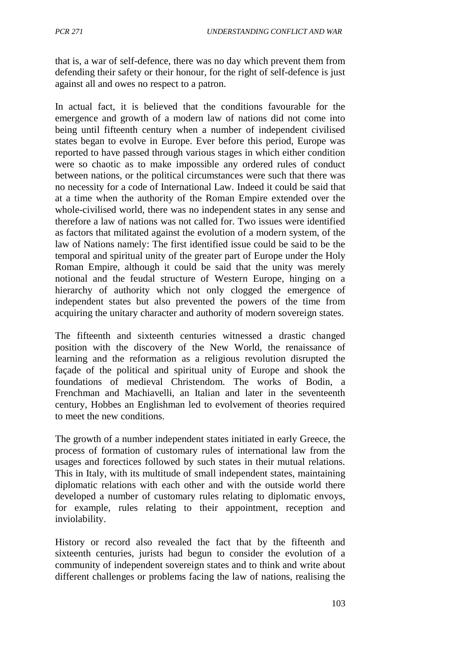that is, a war of self-defence, there was no day which prevent them from defending their safety or their honour, for the right of self-defence is just against all and owes no respect to a patron.

In actual fact, it is believed that the conditions favourable for the emergence and growth of a modern law of nations did not come into being until fifteenth century when a number of independent civilised states began to evolve in Europe. Ever before this period, Europe was reported to have passed through various stages in which either condition were so chaotic as to make impossible any ordered rules of conduct between nations, or the political circumstances were such that there was no necessity for a code of International Law. Indeed it could be said that at a time when the authority of the Roman Empire extended over the whole-civilised world, there was no independent states in any sense and therefore a law of nations was not called for. Two issues were identified as factors that militated against the evolution of a modern system, of the law of Nations namely: The first identified issue could be said to be the temporal and spiritual unity of the greater part of Europe under the Holy Roman Empire, although it could be said that the unity was merely notional and the feudal structure of Western Europe, hinging on a hierarchy of authority which not only clogged the emergence of independent states but also prevented the powers of the time from acquiring the unitary character and authority of modern sovereign states.

The fifteenth and sixteenth centuries witnessed a drastic changed position with the discovery of the New World, the renaissance of learning and the reformation as a religious revolution disrupted the façade of the political and spiritual unity of Europe and shook the foundations of medieval Christendom. The works of Bodin, a Frenchman and Machiavelli, an Italian and later in the seventeenth century, Hobbes an Englishman led to evolvement of theories required to meet the new conditions.

The growth of a number independent states initiated in early Greece, the process of formation of customary rules of international law from the usages and forectices followed by such states in their mutual relations. This in Italy, with its multitude of small independent states, maintaining diplomatic relations with each other and with the outside world there developed a number of customary rules relating to diplomatic envoys, for example, rules relating to their appointment, reception and inviolability.

History or record also revealed the fact that by the fifteenth and sixteenth centuries, jurists had begun to consider the evolution of a community of independent sovereign states and to think and write about different challenges or problems facing the law of nations, realising the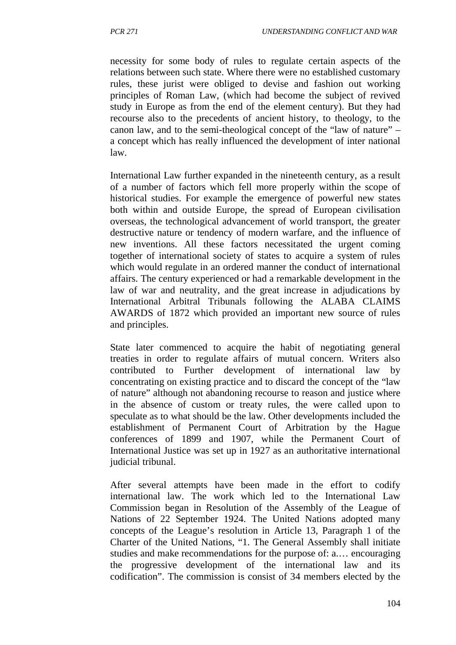necessity for some body of rules to regulate certain aspects of the relations between such state. Where there were no established customary rules, these jurist were obliged to devise and fashion out working principles of Roman Law, (which had become the subject of revived study in Europe as from the end of the element century). But they had recourse also to the precedents of ancient history, to theology, to the canon law, and to the semi-theological concept of the "law of nature" – a concept which has really influenced the development of inter national law.

International Law further expanded in the nineteenth century, as a result of a number of factors which fell more properly within the scope of historical studies. For example the emergence of powerful new states both within and outside Europe, the spread of European civilisation overseas, the technological advancement of world transport, the greater destructive nature or tendency of modern warfare, and the influence of new inventions. All these factors necessitated the urgent coming together of international society of states to acquire a system of rules which would regulate in an ordered manner the conduct of international affairs. The century experienced or had a remarkable development in the law of war and neutrality, and the great increase in adjudications by International Arbitral Tribunals following the ALABA CLAIMS AWARDS of 1872 which provided an important new source of rules and principles.

State later commenced to acquire the habit of negotiating general treaties in order to regulate affairs of mutual concern. Writers also contributed to Further development of international law by concentrating on existing practice and to discard the concept of the "law of nature" although not abandoning recourse to reason and justice where in the absence of custom or treaty rules, the were called upon to speculate as to what should be the law. Other developments included the establishment of Permanent Court of Arbitration by the Hague conferences of 1899 and 1907, while the Permanent Court of International Justice was set up in 1927 as an authoritative international judicial tribunal.

After several attempts have been made in the effort to codify international law. The work which led to the International Law Commission began in Resolution of the Assembly of the League of Nations of 22 September 1924. The United Nations adopted many concepts of the League's resolution in Article 13, Paragraph 1 of the Charter of the United Nations, "1. The General Assembly shall initiate studies and make recommendations for the purpose of: a.… encouraging the progressive development of the international law and its codification". The commission is consist of 34 members elected by the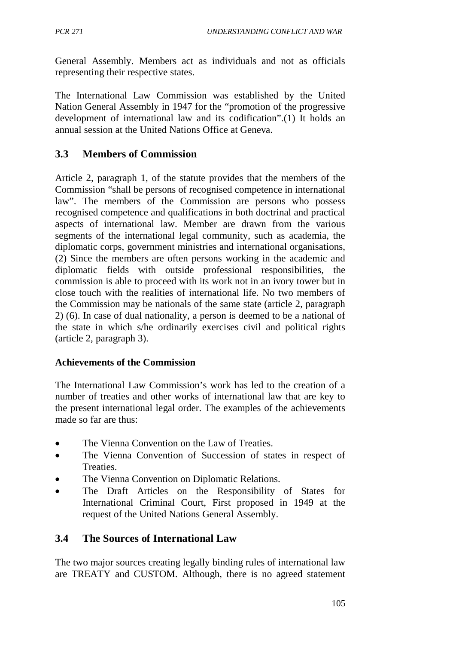General Assembly. Members act as individuals and not as officials representing their respective states.

The International Law Commission was established by the United Nation General Assembly in 1947 for the "promotion of the progressive development of international law and its codification".(1) It holds an annual session at the United Nations Office at Geneva.

## **3.3 Members of Commission**

Article 2, paragraph 1, of the statute provides that the members of the Commission "shall be persons of recognised competence in international law". The members of the Commission are persons who possess recognised competence and qualifications in both doctrinal and practical aspects of international law. Member are drawn from the various segments of the international legal community, such as academia, the diplomatic corps, government ministries and international organisations, (2) Since the members are often persons working in the academic and diplomatic fields with outside professional responsibilities, the commission is able to proceed with its work not in an ivory tower but in close touch with the realities of international life. No two members of the Commission may be nationals of the same state (article 2, paragraph 2) (6). In case of dual nationality, a person is deemed to be a national of the state in which s/he ordinarily exercises civil and political rights (article 2, paragraph 3).

### **Achievements of the Commission**

The International Law Commission's work has led to the creation of a number of treaties and other works of international law that are key to the present international legal order. The examples of the achievements made so far are thus:

- The Vienna Convention on the Law of Treaties.
- The Vienna Convention of Succession of states in respect of Treaties.
- The Vienna Convention on Diplomatic Relations.
- The Draft Articles on the Responsibility of States for International Criminal Court, First proposed in 1949 at the request of the United Nations General Assembly.

## **3.4 The Sources of International Law**

The two major sources creating legally binding rules of international law are TREATY and CUSTOM. Although, there is no agreed statement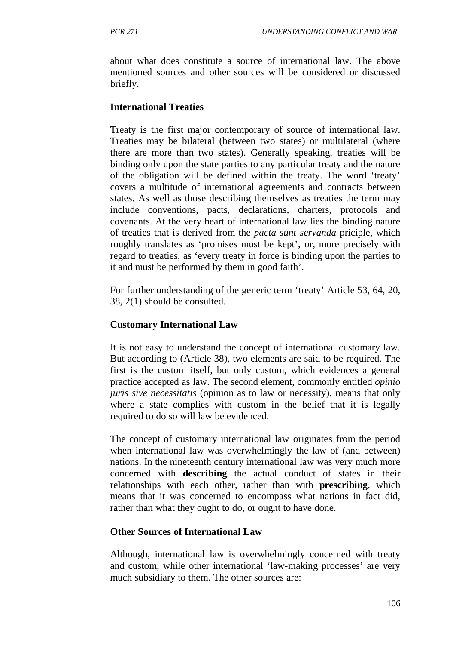about what does constitute a source of international law. The above mentioned sources and other sources will be considered or discussed briefly.

#### **International Treaties**

Treaty is the first major contemporary of source of international law. Treaties may be bilateral (between two states) or multilateral (where there are more than two states). Generally speaking, treaties will be binding only upon the state parties to any particular treaty and the nature of the obligation will be defined within the treaty. The word 'treaty' covers a multitude of international agreements and contracts between states. As well as those describing themselves as treaties the term may include conventions, pacts, declarations, charters, protocols and covenants. At the very heart of international law lies the binding nature of treaties that is derived from the *pacta sunt servanda* priciple, which roughly translates as 'promises must be kept', or, more precisely with regard to treaties, as 'every treaty in force is binding upon the parties to it and must be performed by them in good faith'.

For further understanding of the generic term 'treaty' Article 53, 64, 20, 38, 2(1) should be consulted.

### **Customary International Law**

It is not easy to understand the concept of international customary law. But according to (Article 38), two elements are said to be required. The first is the custom itself, but only custom, which evidences a general practice accepted as law. The second element, commonly entitled *opinio juris sive necessitatis* (opinion as to law or necessity), means that only where a state complies with custom in the belief that it is legally required to do so will law be evidenced.

The concept of customary international law originates from the period when international law was overwhelmingly the law of (and between) nations. In the nineteenth century international law was very much more concerned with **describing** the actual conduct of states in their relationships with each other, rather than with **prescribing**, which means that it was concerned to encompass what nations in fact did, rather than what they ought to do, or ought to have done.

### **Other Sources of International Law**

Although, international law is overwhelmingly concerned with treaty and custom, while other international 'law-making processes' are very much subsidiary to them. The other sources are: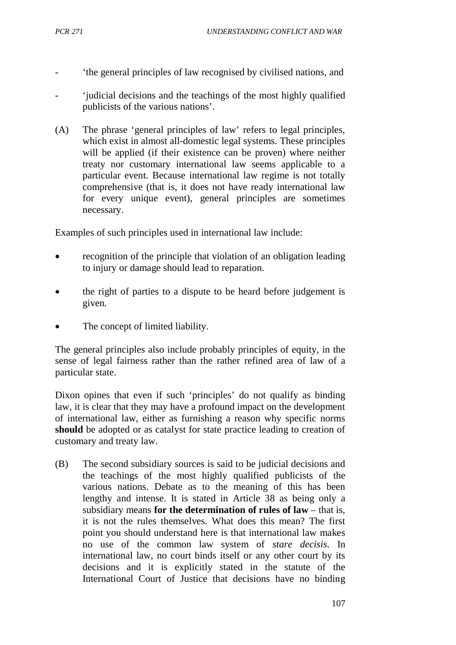- 'the general principles of law recognised by civilised nations, and
- 'judicial decisions and the teachings of the most highly qualified publicists of the various nations'.
- (A) The phrase 'general principles of law' refers to legal principles, which exist in almost all-domestic legal systems. These principles will be applied (if their existence can be proven) where neither treaty nor customary international law seems applicable to a particular event. Because international law regime is not totally comprehensive (that is, it does not have ready international law for every unique event), general principles are sometimes necessary.

Examples of such principles used in international law include:

- recognition of the principle that violation of an obligation leading to injury or damage should lead to reparation.
- the right of parties to a dispute to be heard before judgement is given.
- The concept of limited liability.

The general principles also include probably principles of equity, in the sense of legal fairness rather than the rather refined area of law of a particular state.

Dixon opines that even if such 'principles' do not qualify as binding law, it is clear that they may have a profound impact on the development of international law, either as furnishing a reason why specific norms **should** be adopted or as catalyst for state practice leading to creation of customary and treaty law.

(B) The second subsidiary sources is said to be judicial decisions and the teachings of the most highly qualified publicists of the various nations. Debate as to the meaning of this has been lengthy and intense. It is stated in Article 38 as being only a subsidiary means **for the determination of rules of law** – that is, it is not the rules themselves. What does this mean? The first point you should understand here is that international law makes no use of the common law system of *stare decisis*. In international law, no court binds itself or any other court by its decisions and it is explicitly stated in the statute of the International Court of Justice that decisions have no binding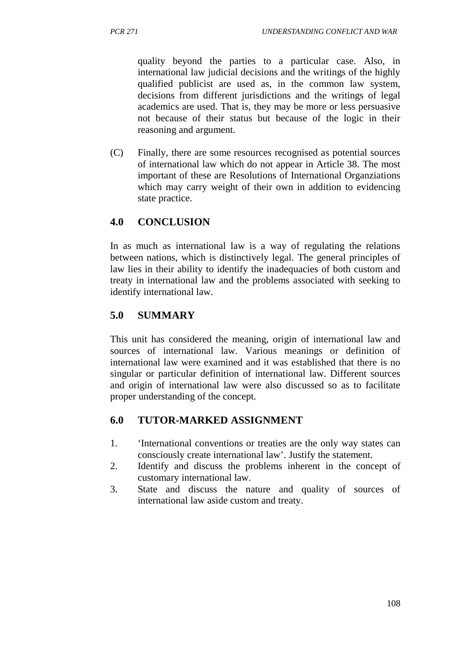quality beyond the parties to a particular case. Also, in international law judicial decisions and the writings of the highly qualified publicist are used as, in the common law system, decisions from different jurisdictions and the writings of legal academics are used. That is, they may be more or less persuasive not because of their status but because of the logic in their reasoning and argument.

(C) Finally, there are some resources recognised as potential sources of international law which do not appear in Article 38. The most important of these are Resolutions of International Organziations which may carry weight of their own in addition to evidencing state practice.

## **4.0 CONCLUSION**

In as much as international law is a way of regulating the relations between nations, which is distinctively legal. The general principles of law lies in their ability to identify the inadequacies of both custom and treaty in international law and the problems associated with seeking to identify international law.

## **5.0 SUMMARY**

This unit has considered the meaning, origin of international law and sources of international law. Various meanings or definition of international law were examined and it was established that there is no singular or particular definition of international law. Different sources and origin of international law were also discussed so as to facilitate proper understanding of the concept.

## **6.0 TUTOR-MARKED ASSIGNMENT**

- 1. 'International conventions or treaties are the only way states can consciously create international law'. Justify the statement.
- 2. Identify and discuss the problems inherent in the concept of customary international law.
- 3. State and discuss the nature and quality of sources of international law aside custom and treaty.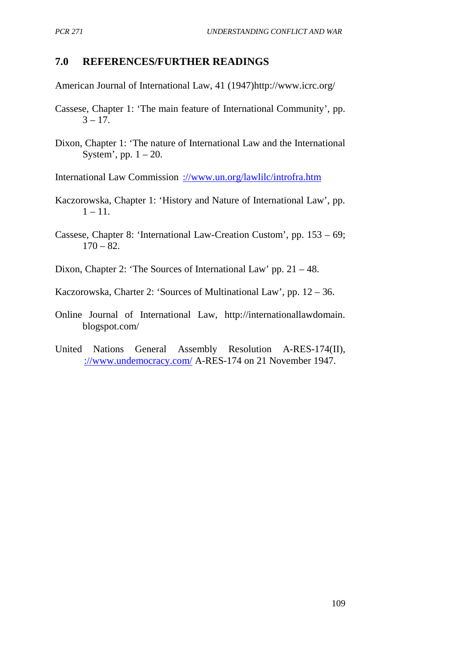### **7.0 REFERENCES/FURTHER READINGS**

American Journal of International Law, 41 (1947)http://www.icrc.org/

- Cassese, Chapter 1: 'The main feature of International Community', pp.  $3 - 17$ .
- Dixon, Chapter 1: 'The nature of International Law and the International System', pp.  $1 - 20$ .
- International Law Commission [://www.un.org/lawlilc/introfra.htm](http://www.un.org/lawlilc/introfra.htm)
- Kaczorowska, Chapter 1: 'History and Nature of International Law', pp.  $1 - 11$ .
- Cassese, Chapter 8: 'International Law-Creation Custom', pp. 153 69;  $170 - 82.$
- Dixon, Chapter 2: 'The Sources of International Law' pp. 21 48.
- Kaczorowska, Charter 2: 'Sources of Multinational Law', pp. 12 36.
- Online Journal of International Law, http://internationallawdomain. blogspot.com/
- United Nations General Assembly Resolution A-RES-174(II), [://www.undemocracy.com/](http://www.undemocracy.com/) A-RES-174 on 21 November 1947.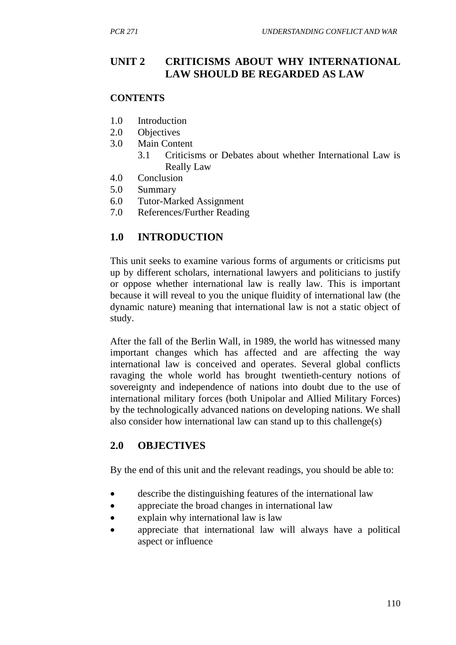## **UNIT 2 CRITICISMS ABOUT WHY INTERNATIONAL LAW SHOULD BE REGARDED AS LAW**

### **CONTENTS**

- 1.0 Introduction
- 2.0 Objectives
- 3.0 Main Content
	- 3.1 Criticisms or Debates about whether International Law is Really Law
- 4.0 Conclusion
- 5.0 Summary
- 6.0 Tutor-Marked Assignment
- 7.0 References/Further Reading

## **1.0 INTRODUCTION**

This unit seeks to examine various forms of arguments or criticisms put up by different scholars, international lawyers and politicians to justify or oppose whether international law is really law. This is important because it will reveal to you the unique fluidity of international law (the dynamic nature) meaning that international law is not a static object of study.

After the fall of the Berlin Wall, in 1989, the world has witnessed many important changes which has affected and are affecting the way international law is conceived and operates. Several global conflicts ravaging the whole world has brought twentieth-century notions of sovereignty and independence of nations into doubt due to the use of international military forces (both Unipolar and Allied Military Forces) by the technologically advanced nations on developing nations. We shall also consider how international law can stand up to this challenge(s)

## **2.0 OBJECTIVES**

By the end of this unit and the relevant readings, you should be able to:

- describe the distinguishing features of the international law
- appreciate the broad changes in international law
- explain why international law is law
- appreciate that international law will always have a political aspect or influence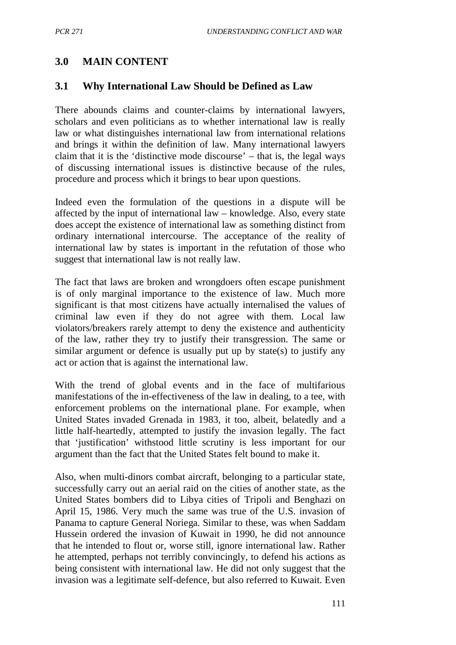## **3.0 MAIN CONTENT**

### **3.1 Why International Law Should be Defined as Law**

There abounds claims and counter-claims by international lawyers, scholars and even politicians as to whether international law is really law or what distinguishes international law from international relations and brings it within the definition of law. Many international lawyers claim that it is the 'distinctive mode discourse' – that is, the legal ways of discussing international issues is distinctive because of the rules, procedure and process which it brings to bear upon questions.

Indeed even the formulation of the questions in a dispute will be affected by the input of international law – knowledge. Also, every state does accept the existence of international law as something distinct from ordinary international intercourse. The acceptance of the reality of international law by states is important in the refutation of those who suggest that international law is not really law.

The fact that laws are broken and wrongdoers often escape punishment is of only marginal importance to the existence of law. Much more significant is that most citizens have actually internalised the values of criminal law even if they do not agree with them. Local law violators/breakers rarely attempt to deny the existence and authenticity of the law, rather they try to justify their transgression. The same or similar argument or defence is usually put up by state(s) to justify any act or action that is against the international law.

With the trend of global events and in the face of multifarious manifestations of the in-effectiveness of the law in dealing, to a tee, with enforcement problems on the international plane. For example, when United States invaded Grenada in 1983, it too, albeit, belatedly and a little half-heartedly, attempted to justify the invasion legally. The fact that 'justification' withstood little scrutiny is less important for our argument than the fact that the United States felt bound to make it.

Also, when multi-dinors combat aircraft, belonging to a particular state, successfully carry out an aerial raid on the cities of another state, as the United States bombers did to Libya cities of Tripoli and Benghazi on April 15, 1986. Very much the same was true of the U.S. invasion of Panama to capture General Noriega. Similar to these, was when Saddam Hussein ordered the invasion of Kuwait in 1990, he did not announce that he intended to flout or, worse still, ignore international law. Rather he attempted, perhaps not terribly convincingly, to defend his actions as being consistent with international law. He did not only suggest that the invasion was a legitimate self-defence, but also referred to Kuwait. Even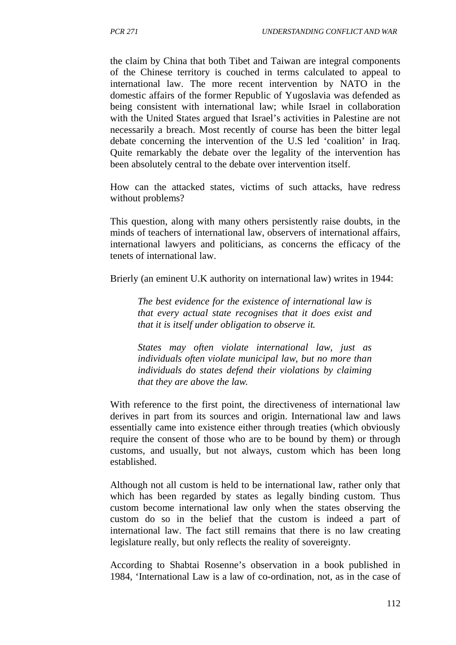the claim by China that both Tibet and Taiwan are integral components of the Chinese territory is couched in terms calculated to appeal to international law. The more recent intervention by NATO in the domestic affairs of the former Republic of Yugoslavia was defended as being consistent with international law; while Israel in collaboration with the United States argued that Israel's activities in Palestine are not necessarily a breach. Most recently of course has been the bitter legal debate concerning the intervention of the U.S led 'coalition' in Iraq. Quite remarkably the debate over the legality of the intervention has been absolutely central to the debate over intervention itself.

How can the attacked states, victims of such attacks, have redress without problems?

This question, along with many others persistently raise doubts, in the minds of teachers of international law, observers of international affairs, international lawyers and politicians, as concerns the efficacy of the tenets of international law.

Brierly (an eminent U.K authority on international law) writes in 1944:

*The best evidence for the existence of international law is that every actual state recognises that it does exist and that it is itself under obligation to observe it.*

*States may often violate international law, just as individuals often violate municipal law, but no more than individuals do states defend their violations by claiming that they are above the law.*

With reference to the first point, the directiveness of international law derives in part from its sources and origin. International law and laws essentially came into existence either through treaties (which obviously require the consent of those who are to be bound by them) or through customs, and usually, but not always, custom which has been long established.

Although not all custom is held to be international law, rather only that which has been regarded by states as legally binding custom. Thus custom become international law only when the states observing the custom do so in the belief that the custom is indeed a part of international law. The fact still remains that there is no law creating legislature really, but only reflects the reality of sovereignty.

According to Shabtai Rosenne's observation in a book published in 1984, 'International Law is a law of co-ordination, not, as in the case of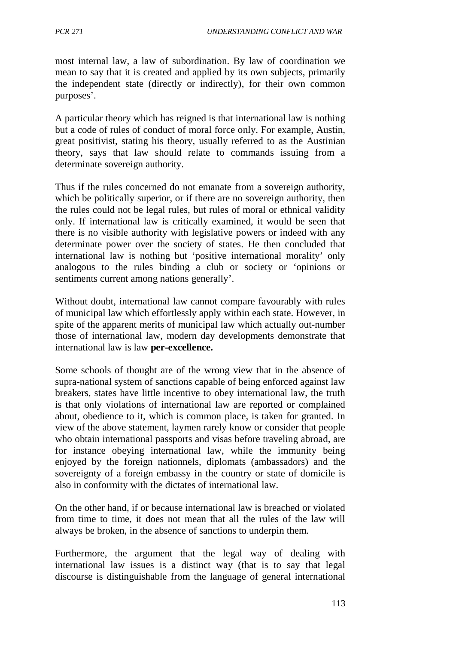most internal law, a law of subordination. By law of coordination we mean to say that it is created and applied by its own subjects, primarily the independent state (directly or indirectly), for their own common purposes'.

A particular theory which has reigned is that international law is nothing but a code of rules of conduct of moral force only. For example, Austin, great positivist, stating his theory, usually referred to as the Austinian theory, says that law should relate to commands issuing from a determinate sovereign authority.

Thus if the rules concerned do not emanate from a sovereign authority, which be politically superior, or if there are no sovereign authority, then the rules could not be legal rules, but rules of moral or ethnical validity only. If international law is critically examined, it would be seen that there is no visible authority with legislative powers or indeed with any determinate power over the society of states. He then concluded that international law is nothing but 'positive international morality' only analogous to the rules binding a club or society or 'opinions or sentiments current among nations generally'.

Without doubt, international law cannot compare favourably with rules of municipal law which effortlessly apply within each state. However, in spite of the apparent merits of municipal law which actually out-number those of international law, modern day developments demonstrate that international law is law **per-excellence.**

Some schools of thought are of the wrong view that in the absence of supra-national system of sanctions capable of being enforced against law breakers, states have little incentive to obey international law, the truth is that only violations of international law are reported or complained about, obedience to it, which is common place, is taken for granted. In view of the above statement, laymen rarely know or consider that people who obtain international passports and visas before traveling abroad, are for instance obeying international law, while the immunity being enjoyed by the foreign nationnels, diplomats (ambassadors) and the sovereignty of a foreign embassy in the country or state of domicile is also in conformity with the dictates of international law.

On the other hand, if or because international law is breached or violated from time to time, it does not mean that all the rules of the law will always be broken, in the absence of sanctions to underpin them.

Furthermore, the argument that the legal way of dealing with international law issues is a distinct way (that is to say that legal discourse is distinguishable from the language of general international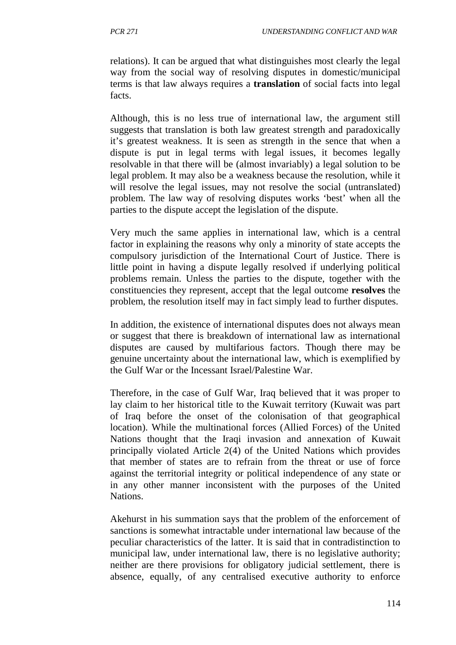relations). It can be argued that what distinguishes most clearly the legal way from the social way of resolving disputes in domestic/municipal terms is that law always requires a **translation** of social facts into legal facts.

Although, this is no less true of international law, the argument still suggests that translation is both law greatest strength and paradoxically it's greatest weakness. It is seen as strength in the sence that when a dispute is put in legal terms with legal issues, it becomes legally resolvable in that there will be (almost invariably) a legal solution to be legal problem. It may also be a weakness because the resolution, while it will resolve the legal issues, may not resolve the social (untranslated) problem. The law way of resolving disputes works 'best' when all the parties to the dispute accept the legislation of the dispute.

Very much the same applies in international law, which is a central factor in explaining the reasons why only a minority of state accepts the compulsory jurisdiction of the International Court of Justice. There is little point in having a dispute legally resolved if underlying political problems remain. Unless the parties to the dispute, together with the constituencies they represent, accept that the legal outcome **resolves** the problem, the resolution itself may in fact simply lead to further disputes.

In addition, the existence of international disputes does not always mean or suggest that there is breakdown of international law as international disputes are caused by multifarious factors. Though there may be genuine uncertainty about the international law, which is exemplified by the Gulf War or the Incessant Israel/Palestine War.

Therefore, in the case of Gulf War, Iraq believed that it was proper to lay claim to her historical title to the Kuwait territory (Kuwait was part of Iraq before the onset of the colonisation of that geographical location). While the multinational forces (Allied Forces) of the United Nations thought that the Iraqi invasion and annexation of Kuwait principally violated Article 2(4) of the United Nations which provides that member of states are to refrain from the threat or use of force against the territorial integrity or political independence of any state or in any other manner inconsistent with the purposes of the United Nations.

Akehurst in his summation says that the problem of the enforcement of sanctions is somewhat intractable under international law because of the peculiar characteristics of the latter. It is said that in contradistinction to municipal law, under international law, there is no legislative authority; neither are there provisions for obligatory judicial settlement, there is absence, equally, of any centralised executive authority to enforce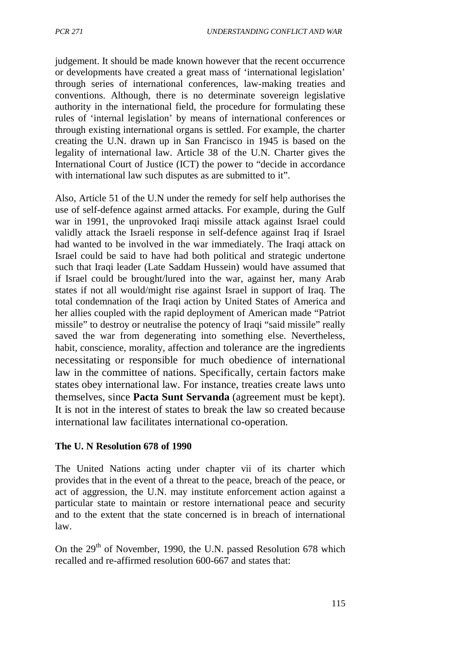judgement. It should be made known however that the recent occurrence or developments have created a great mass of 'international legislation' through series of international conferences, law-making treaties and conventions. Although, there is no determinate sovereign legislative authority in the international field, the procedure for formulating these rules of 'internal legislation' by means of international conferences or through existing international organs is settled. For example, the charter creating the U.N. drawn up in San Francisco in 1945 is based on the legality of international law. Article 38 of the U.N. Charter gives the International Court of Justice (ICT) the power to "decide in accordance with international law such disputes as are submitted to it".

Also, Article 51 of the U.N under the remedy for self help authorises the use of self-defence against armed attacks. For example, during the Gulf war in 1991, the unprovoked Iraqi missile attack against Israel could validly attack the Israeli response in self-defence against Iraq if Israel had wanted to be involved in the war immediately. The Iraqi attack on Israel could be said to have had both political and strategic undertone such that Iraqi leader (Late Saddam Hussein) would have assumed that if Israel could be brought/lured into the war, against her, many Arab states if not all would/might rise against Israel in support of Iraq. The total condemnation of the Iraqi action by United States of America and her allies coupled with the rapid deployment of American made "Patriot missile" to destroy or neutralise the potency of Iraqi "said missile" really saved the war from degenerating into something else. Nevertheless, habit, conscience, morality, affection and tolerance are the ingredients necessitating or responsible for much obedience of international law in the committee of nations. Specifically, certain factors make states obey international law. For instance, treaties create laws unto themselves, since **Pacta Sunt Servanda** (agreement must be kept). It is not in the interest of states to break the law so created because international law facilitates international co-operation.

### **The U. N Resolution 678 of 1990**

The United Nations acting under chapter vii of its charter which provides that in the event of a threat to the peace, breach of the peace, or act of aggression, the U.N. may institute enforcement action against a particular state to maintain or restore international peace and security and to the extent that the state concerned is in breach of international law.

On the  $29<sup>th</sup>$  of November, 1990, the U.N. passed Resolution 678 which recalled and re-affirmed resolution 600-667 and states that: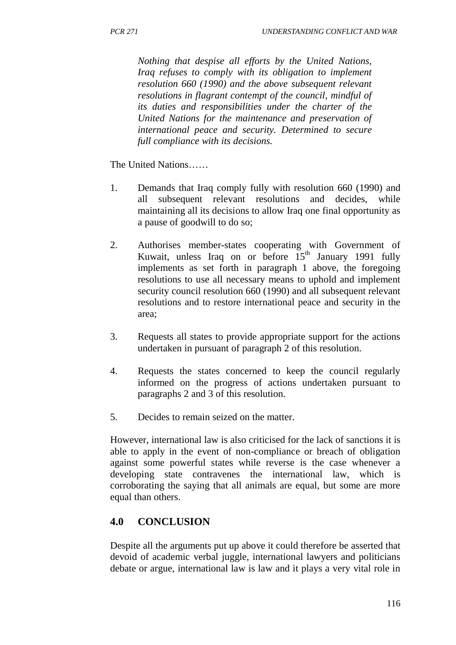*Nothing that despise all efforts by the United Nations, Iraq refuses to comply with its obligation to implement resolution 660 (1990) and the above subsequent relevant resolutions in flagrant contempt of the council, mindful of its duties and responsibilities under the charter of the United Nations for the maintenance and preservation of international peace and security. Determined to secure full compliance with its decisions.*

The United Nations……

- 1. Demands that Iraq comply fully with resolution 660 (1990) and all subsequent relevant resolutions and decides, while maintaining all its decisions to allow Iraq one final opportunity as a pause of goodwill to do so;
- 2. Authorises member-states cooperating with Government of Kuwait, unless Iraq on or before  $15<sup>th</sup>$  January 1991 fully implements as set forth in paragraph 1 above, the foregoing resolutions to use all necessary means to uphold and implement security council resolution 660 (1990) and all subsequent relevant resolutions and to restore international peace and security in the area;
- 3. Requests all states to provide appropriate support for the actions undertaken in pursuant of paragraph 2 of this resolution.
- 4. Requests the states concerned to keep the council regularly informed on the progress of actions undertaken pursuant to paragraphs 2 and 3 of this resolution.
- 5. Decides to remain seized on the matter.

However, international law is also criticised for the lack of sanctions it is able to apply in the event of non-compliance or breach of obligation against some powerful states while reverse is the case whenever a developing state contravenes the international law, which is corroborating the saying that all animals are equal, but some are more equal than others.

## **4.0 CONCLUSION**

Despite all the arguments put up above it could therefore be asserted that devoid of academic verbal juggle, international lawyers and politicians debate or argue, international law is law and it plays a very vital role in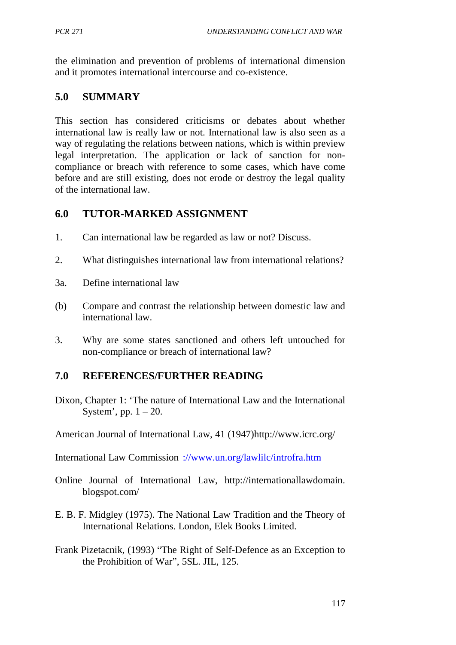the elimination and prevention of problems of international dimension and it promotes international intercourse and co-existence.

## **5.0 SUMMARY**

This section has considered criticisms or debates about whether international law is really law or not. International law is also seen as a way of regulating the relations between nations, which is within preview legal interpretation. The application or lack of sanction for noncompliance or breach with reference to some cases, which have come before and are still existing, does not erode or destroy the legal quality of the international law.

## **6.0 TUTOR-MARKED ASSIGNMENT**

- 1. Can international law be regarded as law or not? Discuss.
- 2. What distinguishes international law from international relations?
- 3a. Define international law
- (b) Compare and contrast the relationship between domestic law and international law.
- 3. Why are some states sanctioned and others left untouched for non-compliance or breach of international law?

## **7.0 REFERENCES/FURTHER READING**

Dixon, Chapter 1: 'The nature of International Law and the International System', pp.  $1 - 20$ .

American Journal of International Law, 41 (1947)http://www.icrc.org/

International Law Commission [://www.un.org/lawlilc/introfra.htm](http://www.un.org/lawlilc/introfra.htm)

- Online Journal of International Law, http://internationallawdomain. blogspot.com/
- E. B. F. Midgley (1975). The National Law Tradition and the Theory of International Relations. London, Elek Books Limited.
- Frank Pizetacnik, (1993) "The Right of Self-Defence as an Exception to the Prohibition of War", 5SL. JIL, 125.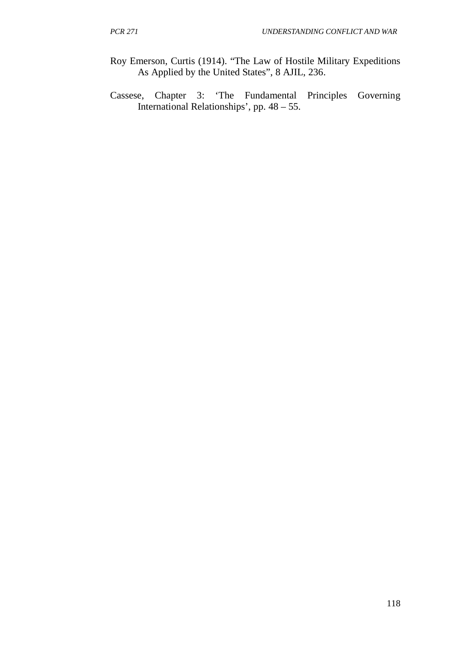- Roy Emerson, Curtis (1914). "The Law of Hostile Military Expeditions As Applied by the United States", 8 AJIL, 236.
- Cassese, Chapter 3: 'The Fundamental Principles Governing International Relationships', pp. 48 – 55.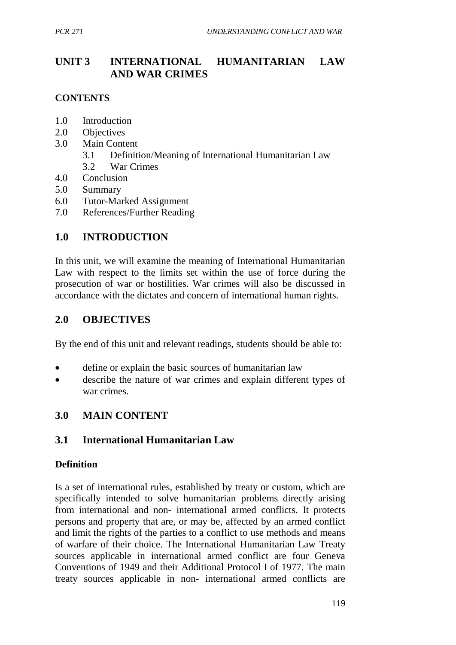# **UNIT 3 INTERNATIONAL HUMANITARIAN LAW AND WAR CRIMES**

### **CONTENTS**

- 1.0 Introduction
- 2.0 Objectives
- 3.0 Main Content
	- 3.1 Definition/Meaning of International Humanitarian Law
	- 3.2 War Crimes
- 4.0 Conclusion
- 5.0 Summary
- 6.0 Tutor-Marked Assignment
- 7.0 References/Further Reading

## **1.0 INTRODUCTION**

In this unit, we will examine the meaning of International Humanitarian Law with respect to the limits set within the use of force during the prosecution of war or hostilities. War crimes will also be discussed in accordance with the dictates and concern of international human rights.

## **2.0 OBJECTIVES**

By the end of this unit and relevant readings, students should be able to:

- define or explain the basic sources of humanitarian law
- describe the nature of war crimes and explain different types of war crimes.

## **3.0 MAIN CONTENT**

## **3.1 International Humanitarian Law**

## **Definition**

Is a set of international rules, established by treaty or custom, which are specifically intended to solve humanitarian problems directly arising from international and non- international armed conflicts. It protects persons and property that are, or may be, affected by an armed conflict and limit the rights of the parties to a conflict to use methods and means of warfare of their choice. The International Humanitarian Law Treaty sources applicable in international armed conflict are four Geneva Conventions of 1949 and their Additional Protocol I of 1977. The main treaty sources applicable in non- international armed conflicts are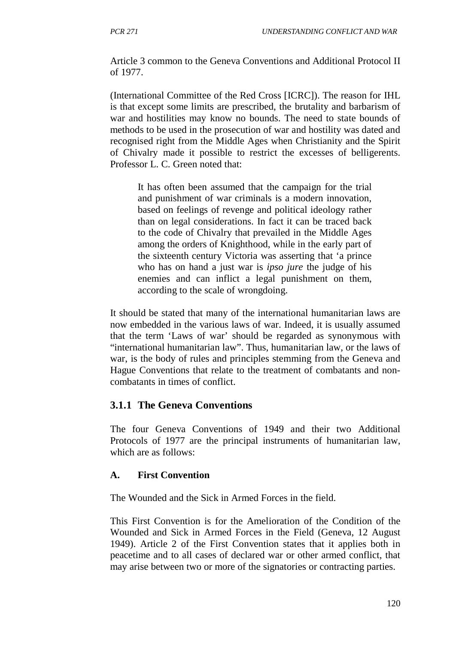Article 3 common to the Geneva Conventions and Additional Protocol II of 1977.

(International Committee of the Red Cross [ICRC]). The reason for IHL is that except some limits are prescribed, the brutality and barbarism of war and hostilities may know no bounds. The need to state bounds of methods to be used in the prosecution of war and hostility was dated and recognised right from the Middle Ages when Christianity and the Spirit of Chivalry made it possible to restrict the excesses of belligerents. Professor L. C. Green noted that:

It has often been assumed that the campaign for the trial and punishment of war criminals is a modern innovation, based on feelings of revenge and political ideology rather than on legal considerations. In fact it can be traced back to the code of Chivalry that prevailed in the Middle Ages among the orders of Knighthood, while in the early part of the sixteenth century Victoria was asserting that 'a prince who has on hand a just war is *ipso jure* the judge of his enemies and can inflict a legal punishment on them, according to the scale of wrongdoing.

It should be stated that many of the international humanitarian laws are now embedded in the various laws of war. Indeed, it is usually assumed that the term 'Laws of war' should be regarded as synonymous with "international humanitarian law". Thus, humanitarian law, or the laws of war, is the body of rules and principles stemming from the Geneva and Hague Conventions that relate to the treatment of combatants and noncombatants in times of conflict.

## **3.1.1 The Geneva Conventions**

The four Geneva Conventions of 1949 and their two Additional Protocols of 1977 are the principal instruments of humanitarian law, which are as follows:

## **A. First Convention**

The Wounded and the Sick in Armed Forces in the field.

This First Convention is for the Amelioration of the Condition of the Wounded and Sick in Armed Forces in the Field (Geneva, 12 August 1949). Article 2 of the First Convention states that it applies both in peacetime and to all cases of declared war or other armed conflict, that may arise between two or more of the signatories or contracting parties.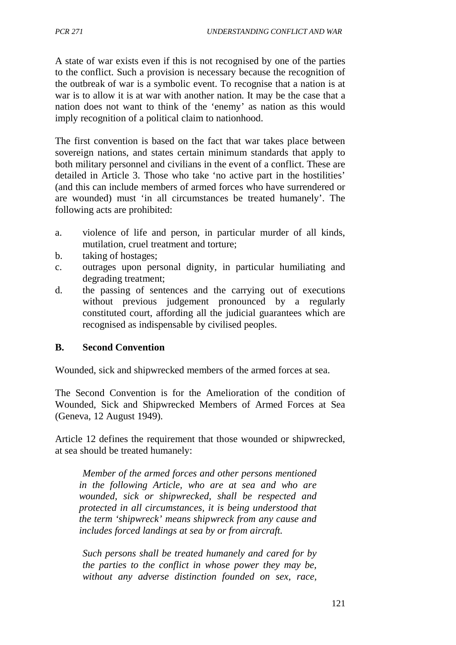A state of war exists even if this is not recognised by one of the parties to the conflict. Such a provision is necessary because the recognition of the outbreak of war is a symbolic event. To recognise that a nation is at war is to allow it is at war with another nation. It may be the case that a nation does not want to think of the 'enemy' as nation as this would imply recognition of a political claim to nationhood.

The first convention is based on the fact that war takes place between sovereign nations, and states certain minimum standards that apply to both military personnel and civilians in the event of a conflict. These are detailed in Article 3. Those who take 'no active part in the hostilities' (and this can include members of armed forces who have surrendered or are wounded) must 'in all circumstances be treated humanely'. The following acts are prohibited:

- a. violence of life and person, in particular murder of all kinds, mutilation, cruel treatment and torture;
- b. taking of hostages;
- c. outrages upon personal dignity, in particular humiliating and degrading treatment;
- d. the passing of sentences and the carrying out of executions without previous judgement pronounced by a regularly constituted court, affording all the judicial guarantees which are recognised as indispensable by civilised peoples.

### **B. Second Convention**

Wounded, sick and shipwrecked members of the armed forces at sea.

The Second Convention is for the Amelioration of the condition of Wounded, Sick and Shipwrecked Members of Armed Forces at Sea (Geneva, 12 August 1949).

Article 12 defines the requirement that those wounded or shipwrecked, at sea should be treated humanely:

*Member of the armed forces and other persons mentioned in the following Article, who are at sea and who are wounded, sick or shipwrecked, shall be respected and protected in all circumstances, it is being understood that the term 'shipwreck' means shipwreck from any cause and includes forced landings at sea by or from aircraft.*

*Such persons shall be treated humanely and cared for by the parties to the conflict in whose power they may be, without any adverse distinction founded on sex, race,*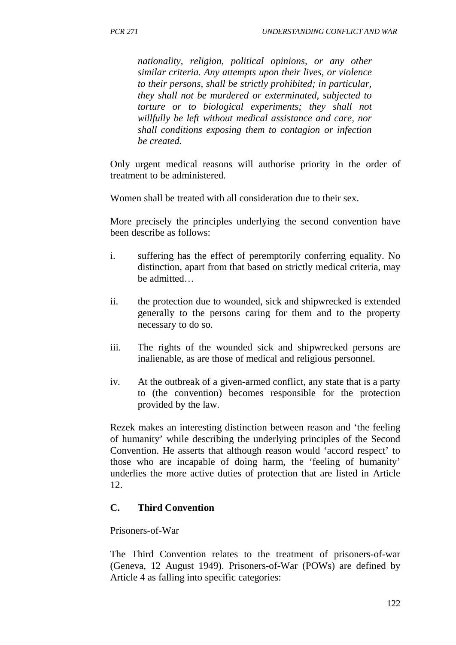*nationality, religion, political opinions, or any other similar criteria. Any attempts upon their lives, or violence to their persons, shall be strictly prohibited; in particular, they shall not be murdered or exterminated, subjected to torture or to biological experiments; they shall not willfully be left without medical assistance and care, nor shall conditions exposing them to contagion or infection be created.* 

Only urgent medical reasons will authorise priority in the order of treatment to be administered.

Women shall be treated with all consideration due to their sex.

More precisely the principles underlying the second convention have been describe as follows:

- i. suffering has the effect of peremptorily conferring equality. No distinction, apart from that based on strictly medical criteria, may be admitted…
- ii. the protection due to wounded, sick and shipwrecked is extended generally to the persons caring for them and to the property necessary to do so.
- iii. The rights of the wounded sick and shipwrecked persons are inalienable, as are those of medical and religious personnel.
- iv. At the outbreak of a given-armed conflict, any state that is a party to (the convention) becomes responsible for the protection provided by the law.

Rezek makes an interesting distinction between reason and 'the feeling of humanity' while describing the underlying principles of the Second Convention. He asserts that although reason would 'accord respect' to those who are incapable of doing harm, the 'feeling of humanity' underlies the more active duties of protection that are listed in Article 12.

### **C. Third Convention**

#### Prisoners-of-War

The Third Convention relates to the treatment of prisoners-of-war (Geneva, 12 August 1949). Prisoners-of-War (POWs) are defined by Article 4 as falling into specific categories: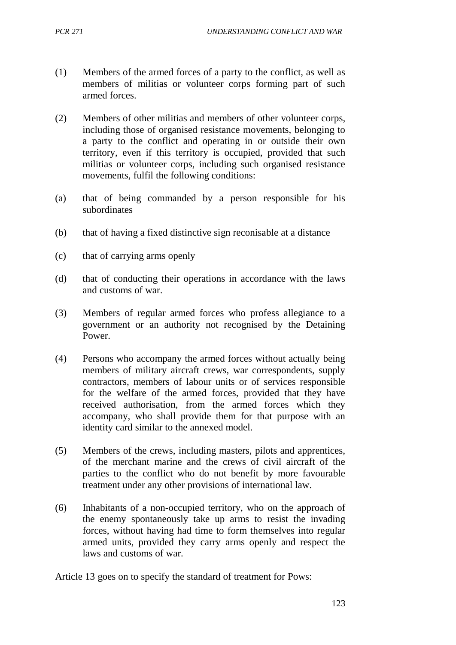- (1) Members of the armed forces of a party to the conflict, as well as members of militias or volunteer corps forming part of such armed forces.
- (2) Members of other militias and members of other volunteer corps, including those of organised resistance movements, belonging to a party to the conflict and operating in or outside their own territory, even if this territory is occupied, provided that such militias or volunteer corps, including such organised resistance movements, fulfil the following conditions:
- (a) that of being commanded by a person responsible for his subordinates
- (b) that of having a fixed distinctive sign reconisable at a distance
- (c) that of carrying arms openly
- (d) that of conducting their operations in accordance with the laws and customs of war.
- (3) Members of regular armed forces who profess allegiance to a government or an authority not recognised by the Detaining Power.
- (4) Persons who accompany the armed forces without actually being members of military aircraft crews, war correspondents, supply contractors, members of labour units or of services responsible for the welfare of the armed forces, provided that they have received authorisation, from the armed forces which they accompany, who shall provide them for that purpose with an identity card similar to the annexed model.
- (5) Members of the crews, including masters, pilots and apprentices, of the merchant marine and the crews of civil aircraft of the parties to the conflict who do not benefit by more favourable treatment under any other provisions of international law.
- (6) Inhabitants of a non-occupied territory, who on the approach of the enemy spontaneously take up arms to resist the invading forces, without having had time to form themselves into regular armed units, provided they carry arms openly and respect the laws and customs of war.

Article 13 goes on to specify the standard of treatment for Pows: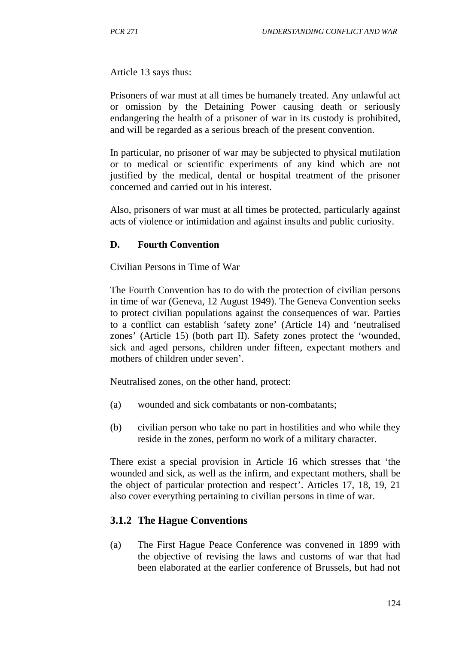Article 13 says thus:

Prisoners of war must at all times be humanely treated. Any unlawful act or omission by the Detaining Power causing death or seriously endangering the health of a prisoner of war in its custody is prohibited, and will be regarded as a serious breach of the present convention.

In particular, no prisoner of war may be subjected to physical mutilation or to medical or scientific experiments of any kind which are not justified by the medical, dental or hospital treatment of the prisoner concerned and carried out in his interest.

Also, prisoners of war must at all times be protected, particularly against acts of violence or intimidation and against insults and public curiosity.

#### **D. Fourth Convention**

Civilian Persons in Time of War

The Fourth Convention has to do with the protection of civilian persons in time of war (Geneva, 12 August 1949). The Geneva Convention seeks to protect civilian populations against the consequences of war. Parties to a conflict can establish 'safety zone' (Article 14) and 'neutralised zones' (Article 15) (both part II). Safety zones protect the 'wounded, sick and aged persons, children under fifteen, expectant mothers and mothers of children under seven'.

Neutralised zones, on the other hand, protect:

- (a) wounded and sick combatants or non-combatants;
- (b) civilian person who take no part in hostilities and who while they reside in the zones, perform no work of a military character.

There exist a special provision in Article 16 which stresses that 'the wounded and sick, as well as the infirm, and expectant mothers, shall be the object of particular protection and respect'. Articles 17, 18, 19, 21 also cover everything pertaining to civilian persons in time of war.

### **3.1.2 The Hague Conventions**

(a) The First Hague Peace Conference was convened in 1899 with the objective of revising the laws and customs of war that had been elaborated at the earlier conference of Brussels, but had not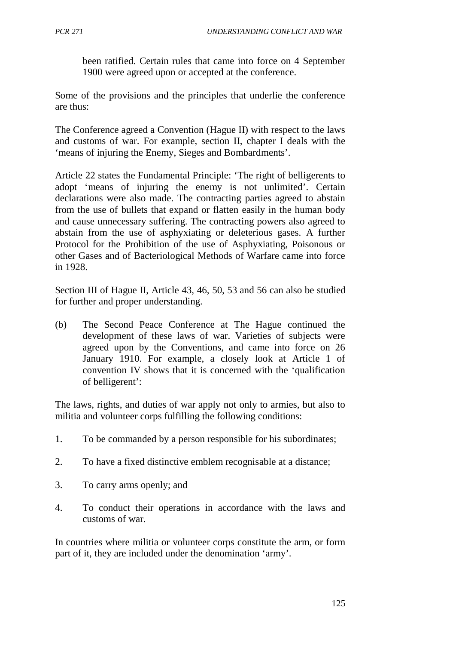been ratified. Certain rules that came into force on 4 September 1900 were agreed upon or accepted at the conference.

Some of the provisions and the principles that underlie the conference are thus:

The Conference agreed a Convention (Hague II) with respect to the laws and customs of war. For example, section II, chapter I deals with the 'means of injuring the Enemy, Sieges and Bombardments'.

Article 22 states the Fundamental Principle: 'The right of belligerents to adopt 'means of injuring the enemy is not unlimited'. Certain declarations were also made. The contracting parties agreed to abstain from the use of bullets that expand or flatten easily in the human body and cause unnecessary suffering. The contracting powers also agreed to abstain from the use of asphyxiating or deleterious gases. A further Protocol for the Prohibition of the use of Asphyxiating, Poisonous or other Gases and of Bacteriological Methods of Warfare came into force in 1928.

Section III of Hague II, Article 43, 46, 50, 53 and 56 can also be studied for further and proper understanding.

(b) The Second Peace Conference at The Hague continued the development of these laws of war. Varieties of subjects were agreed upon by the Conventions, and came into force on 26 January 1910. For example, a closely look at Article 1 of convention IV shows that it is concerned with the 'qualification of belligerent':

The laws, rights, and duties of war apply not only to armies, but also to militia and volunteer corps fulfilling the following conditions:

- 1. To be commanded by a person responsible for his subordinates;
- 2. To have a fixed distinctive emblem recognisable at a distance;
- 3. To carry arms openly; and
- 4. To conduct their operations in accordance with the laws and customs of war.

In countries where militia or volunteer corps constitute the arm, or form part of it, they are included under the denomination 'army'.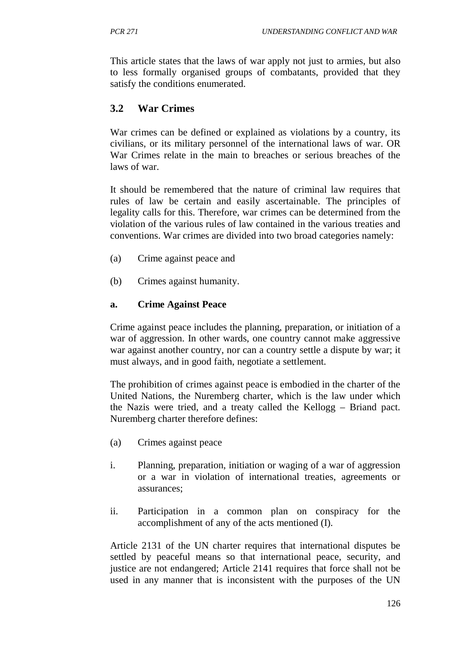This article states that the laws of war apply not just to armies, but also to less formally organised groups of combatants, provided that they satisfy the conditions enumerated.

## **3.2 War Crimes**

War crimes can be defined or explained as violations by a country, its civilians, or its military personnel of the international laws of war. OR War Crimes relate in the main to breaches or serious breaches of the laws of war.

It should be remembered that the nature of criminal law requires that rules of law be certain and easily ascertainable. The principles of legality calls for this. Therefore, war crimes can be determined from the violation of the various rules of law contained in the various treaties and conventions. War crimes are divided into two broad categories namely:

- (a) Crime against peace and
- (b) Crimes against humanity.

### **a. Crime Against Peace**

Crime against peace includes the planning, preparation, or initiation of a war of aggression. In other wards, one country cannot make aggressive war against another country, nor can a country settle a dispute by war; it must always, and in good faith, negotiate a settlement.

The prohibition of crimes against peace is embodied in the charter of the United Nations, the Nuremberg charter, which is the law under which the Nazis were tried, and a treaty called the Kellogg – Briand pact. Nuremberg charter therefore defines:

- (a) Crimes against peace
- i. Planning, preparation, initiation or waging of a war of aggression or a war in violation of international treaties, agreements or assurances;
- ii. Participation in a common plan on conspiracy for the accomplishment of any of the acts mentioned (I).

Article 2131 of the UN charter requires that international disputes be settled by peaceful means so that international peace, security, and justice are not endangered; Article 2141 requires that force shall not be used in any manner that is inconsistent with the purposes of the UN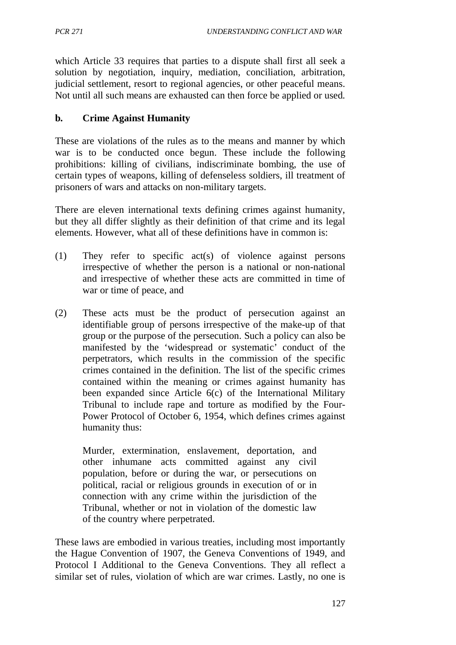which Article 33 requires that parties to a dispute shall first all seek a solution by negotiation, inquiry, mediation, conciliation, arbitration, judicial settlement, resort to regional agencies, or other peaceful means. Not until all such means are exhausted can then force be applied or used.

### **b. Crime Against Humanity**

These are violations of the rules as to the means and manner by which war is to be conducted once begun. These include the following prohibitions: killing of civilians, indiscriminate bombing, the use of certain types of weapons, killing of defenseless soldiers, ill treatment of prisoners of wars and attacks on non-military targets.

There are eleven international texts defining crimes against humanity, but they all differ slightly as their definition of that crime and its legal elements. However, what all of these definitions have in common is:

- (1) They refer to specific act(s) of violence against persons irrespective of whether the person is a national or non-national and irrespective of whether these acts are committed in time of war or time of peace, and
- (2) These acts must be the product of persecution against an identifiable group of persons irrespective of the make-up of that group or the purpose of the persecution. Such a policy can also be manifested by the 'widespread or systematic' conduct of the perpetrators, which results in the commission of the specific crimes contained in the definition. The list of the specific crimes contained within the meaning or crimes against humanity has been expanded since Article 6(c) of the International Military Tribunal to include rape and torture as modified by the Four-Power Protocol of October 6, 1954, which defines crimes against humanity thus:

Murder, extermination, enslavement, deportation, and other inhumane acts committed against any civil population, before or during the war, or persecutions on political, racial or religious grounds in execution of or in connection with any crime within the jurisdiction of the Tribunal, whether or not in violation of the domestic law of the country where perpetrated.

These laws are embodied in various treaties, including most importantly the Hague Convention of 1907, the Geneva Conventions of 1949, and Protocol I Additional to the Geneva Conventions. They all reflect a similar set of rules, violation of which are war crimes. Lastly, no one is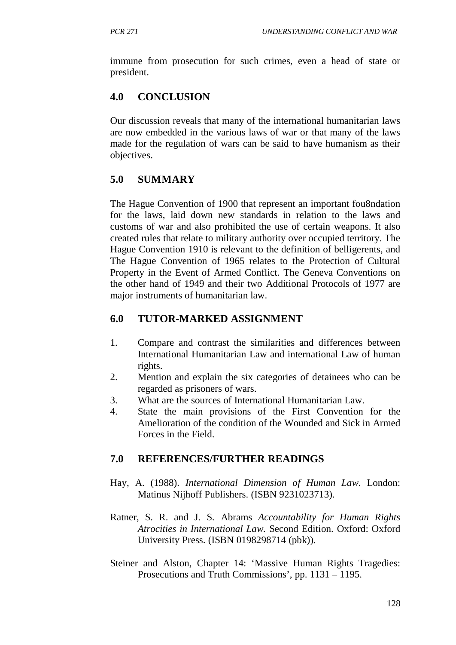immune from prosecution for such crimes, even a head of state or president.

# **4.0 CONCLUSION**

Our discussion reveals that many of the international humanitarian laws are now embedded in the various laws of war or that many of the laws made for the regulation of wars can be said to have humanism as their objectives.

# **5.0 SUMMARY**

The Hague Convention of 1900 that represent an important fou8ndation for the laws, laid down new standards in relation to the laws and customs of war and also prohibited the use of certain weapons. It also created rules that relate to military authority over occupied territory. The Hague Convention 1910 is relevant to the definition of belligerents, and The Hague Convention of 1965 relates to the Protection of Cultural Property in the Event of Armed Conflict. The Geneva Conventions on the other hand of 1949 and their two Additional Protocols of 1977 are major instruments of humanitarian law.

# **6.0 TUTOR-MARKED ASSIGNMENT**

- 1. Compare and contrast the similarities and differences between International Humanitarian Law and international Law of human rights.
- 2. Mention and explain the six categories of detainees who can be regarded as prisoners of wars.
- 3. What are the sources of International Humanitarian Law.
- 4. State the main provisions of the First Convention for the Amelioration of the condition of the Wounded and Sick in Armed Forces in the Field.

# **7.0 REFERENCES/FURTHER READINGS**

- Hay, A. (1988). *International Dimension of Human Law*. London: Matinus Nijhoff Publishers. (ISBN 9231023713).
- Ratner, S. R. and J. S. Abrams *Accountability for Human Rights Atrocities in International Law.* Second Edition. Oxford: Oxford University Press. (ISBN 0198298714 (pbk)).
- Steiner and Alston, Chapter 14: 'Massive Human Rights Tragedies: Prosecutions and Truth Commissions', pp. 1131 – 1195.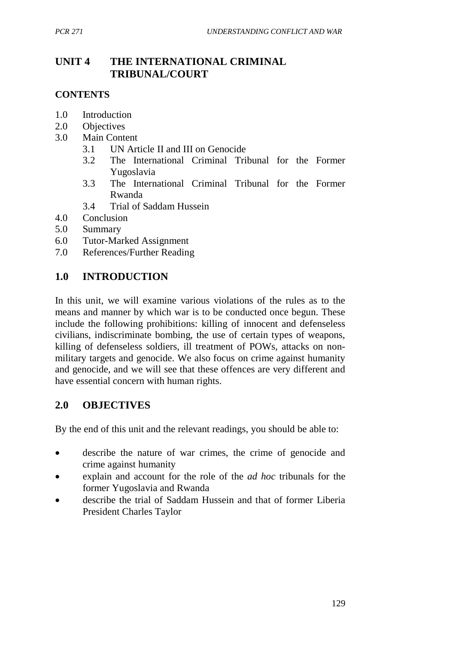# **UNIT 4 THE INTERNATIONAL CRIMINAL TRIBUNAL/COURT**

### **CONTENTS**

- 1.0 Introduction
- 2.0 Objectives
- 3.0 Main Content
	- 3.1 UN Article II and III on Genocide
	- 3.2 The International Criminal Tribunal for the Former Yugoslavia
	- 3.3 The International Criminal Tribunal for the Former Rwanda
	- 3.4 Trial of Saddam Hussein
- 4.0 Conclusion
- 5.0 Summary
- 6.0 Tutor-Marked Assignment
- 7.0 References/Further Reading

## **1.0 INTRODUCTION**

In this unit, we will examine various violations of the rules as to the means and manner by which war is to be conducted once begun. These include the following prohibitions: killing of innocent and defenseless civilians, indiscriminate bombing, the use of certain types of weapons, killing of defenseless soldiers, ill treatment of POWs, attacks on nonmilitary targets and genocide. We also focus on crime against humanity and genocide, and we will see that these offences are very different and have essential concern with human rights.

## **2.0 OBJECTIVES**

By the end of this unit and the relevant readings, you should be able to:

- describe the nature of war crimes, the crime of genocide and crime against humanity
- explain and account for the role of the *ad hoc* tribunals for the former Yugoslavia and Rwanda
- describe the trial of Saddam Hussein and that of former Liberia President Charles Taylor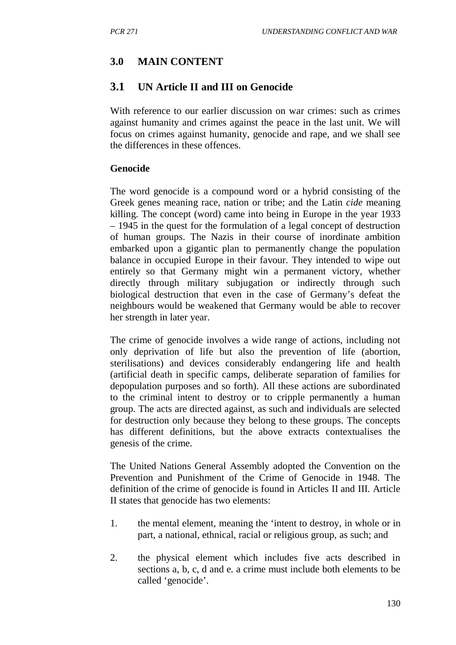## **3.0 MAIN CONTENT**

## **3.1 UN Article II and III on Genocide**

With reference to our earlier discussion on war crimes: such as crimes against humanity and crimes against the peace in the last unit. We will focus on crimes against humanity, genocide and rape, and we shall see the differences in these offences.

#### **Genocide**

The word genocide is a compound word or a hybrid consisting of the Greek genes meaning race, nation or tribe; and the Latin *cide* meaning killing. The concept (word) came into being in Europe in the year 1933 – 1945 in the quest for the formulation of a legal concept of destruction of human groups. The Nazis in their course of inordinate ambition embarked upon a gigantic plan to permanently change the population balance in occupied Europe in their favour. They intended to wipe out entirely so that Germany might win a permanent victory, whether directly through military subjugation or indirectly through such biological destruction that even in the case of Germany's defeat the neighbours would be weakened that Germany would be able to recover her strength in later year.

The crime of genocide involves a wide range of actions, including not only deprivation of life but also the prevention of life (abortion, sterilisations) and devices considerably endangering life and health (artificial death in specific camps, deliberate separation of families for depopulation purposes and so forth). All these actions are subordinated to the criminal intent to destroy or to cripple permanently a human group. The acts are directed against, as such and individuals are selected for destruction only because they belong to these groups. The concepts has different definitions, but the above extracts contextualises the genesis of the crime.

The United Nations General Assembly adopted the Convention on the Prevention and Punishment of the Crime of Genocide in 1948. The definition of the crime of genocide is found in Articles II and III. Article II states that genocide has two elements:

- 1. the mental element, meaning the 'intent to destroy, in whole or in part, a national, ethnical, racial or religious group, as such; and
- 2. the physical element which includes five acts described in sections a, b, c, d and e. a crime must include both elements to be called 'genocide'.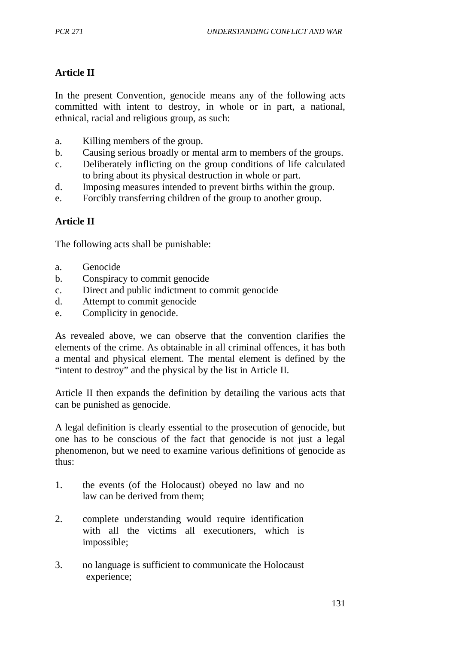## **Article II**

In the present Convention, genocide means any of the following acts committed with intent to destroy, in whole or in part, a national, ethnical, racial and religious group, as such:

- a. Killing members of the group.
- b. Causing serious broadly or mental arm to members of the groups.
- c. Deliberately inflicting on the group conditions of life calculated to bring about its physical destruction in whole or part.
- d. Imposing measures intended to prevent births within the group.
- e. Forcibly transferring children of the group to another group.

### **Article II**

The following acts shall be punishable:

- a. Genocide
- b. Conspiracy to commit genocide
- c. Direct and public indictment to commit genocide
- d. Attempt to commit genocide
- e. Complicity in genocide.

As revealed above, we can observe that the convention clarifies the elements of the crime. As obtainable in all criminal offences, it has both a mental and physical element. The mental element is defined by the "intent to destroy" and the physical by the list in Article II.

Article II then expands the definition by detailing the various acts that can be punished as genocide.

A legal definition is clearly essential to the prosecution of genocide, but one has to be conscious of the fact that genocide is not just a legal phenomenon, but we need to examine various definitions of genocide as thus:

- 1. the events (of the Holocaust) obeyed no law and no law can be derived from them;
- 2. complete understanding would require identification with all the victims all executioners, which is impossible;
- 3. no language is sufficient to communicate the Holocaust experience;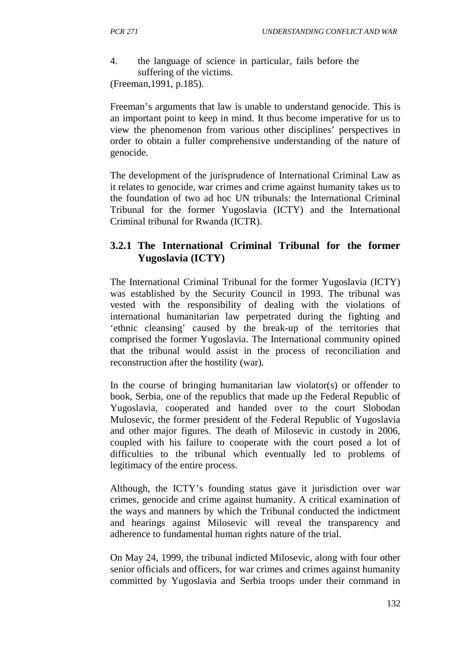4. the language of science in particular, fails before the suffering of the victims. (Freeman,1991, p.185).

Freeman's arguments that law is unable to understand genocide. This is an important point to keep in mind. It thus become imperative for us to view the phenomenon from various other disciplines' perspectives in order to obtain a fuller comprehensive understanding of the nature of genocide.

The development of the jurisprudence of International Criminal Law as it relates to genocide, war crimes and crime against humanity takes us to the foundation of two ad hoc UN tribunals: the International Criminal Tribunal for the former Yugoslavia (ICTY) and the International Criminal tribunal for Rwanda (ICTR).

# **3.2.1 The International Criminal Tribunal for the former Yugoslavia (ICTY)**

The International Criminal Tribunal for the former Yugoslavia (ICTY) was established by the Security Council in 1993. The tribunal was vested with the responsibility of dealing with the violations of international humanitarian law perpetrated during the fighting and 'ethnic cleansing' caused by the break-up of the territories that comprised the former Yugoslavia. The International community opined that the tribunal would assist in the process of reconciliation and reconstruction after the hostility (war).

In the course of bringing humanitarian law violator(s) or offender to book, Serbia, one of the republics that made up the Federal Republic of Yugoslavia, cooperated and handed over to the court Slobodan Mulosevic, the former president of the Federal Republic of Yugoslavia and other major figures. The death of Milosevic in custody in 2006, coupled with his failure to cooperate with the court posed a lot of difficulties to the tribunal which eventually led to problems of legitimacy of the entire process.

Although, the ICTY's founding status gave it jurisdiction over war crimes, genocide and crime against humanity. A critical examination of the ways and manners by which the Tribunal conducted the indictment and hearings against Milosevic will reveal the transparency and adherence to fundamental human rights nature of the trial.

On May 24, 1999, the tribunal indicted Milosevic, along with four other senior officials and officers, for war crimes and crimes against humanity committed by Yugoslavia and Serbia troops under their command in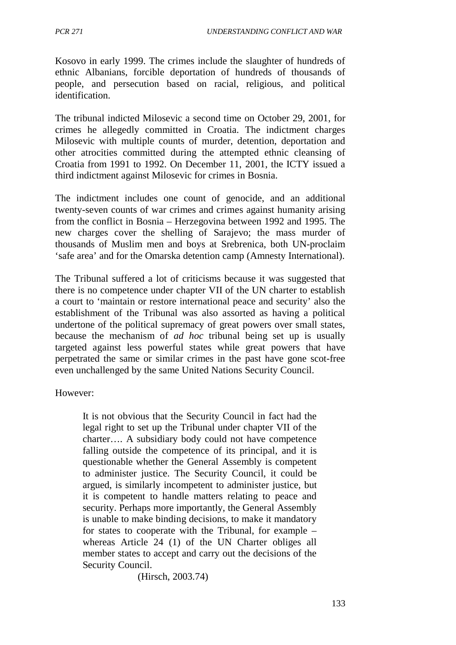Kosovo in early 1999. The crimes include the slaughter of hundreds of ethnic Albanians, forcible deportation of hundreds of thousands of people, and persecution based on racial, religious, and political identification.

The tribunal indicted Milosevic a second time on October 29, 2001, for crimes he allegedly committed in Croatia. The indictment charges Milosevic with multiple counts of murder, detention, deportation and other atrocities committed during the attempted ethnic cleansing of Croatia from 1991 to 1992. On December 11, 2001, the ICTY issued a third indictment against Milosevic for crimes in Bosnia.

The indictment includes one count of genocide, and an additional twenty-seven counts of war crimes and crimes against humanity arising from the conflict in Bosnia – Herzegovina between 1992 and 1995. The new charges cover the shelling of Sarajevo; the mass murder of thousands of Muslim men and boys at Srebrenica, both UN-proclaim 'safe area' and for the Omarska detention camp (Amnesty International).

The Tribunal suffered a lot of criticisms because it was suggested that there is no competence under chapter VII of the UN charter to establish a court to 'maintain or restore international peace and security' also the establishment of the Tribunal was also assorted as having a political undertone of the political supremacy of great powers over small states, because the mechanism of *ad hoc* tribunal being set up is usually targeted against less powerful states while great powers that have perpetrated the same or similar crimes in the past have gone scot-free even unchallenged by the same United Nations Security Council.

However:

It is not obvious that the Security Council in fact had the legal right to set up the Tribunal under chapter VII of the charter…. A subsidiary body could not have competence falling outside the competence of its principal, and it is questionable whether the General Assembly is competent to administer justice. The Security Council, it could be argued, is similarly incompetent to administer justice, but it is competent to handle matters relating to peace and security. Perhaps more importantly, the General Assembly is unable to make binding decisions, to make it mandatory for states to cooperate with the Tribunal, for example – whereas Article 24 (1) of the UN Charter obliges all member states to accept and carry out the decisions of the Security Council.

(Hirsch, 2003.74)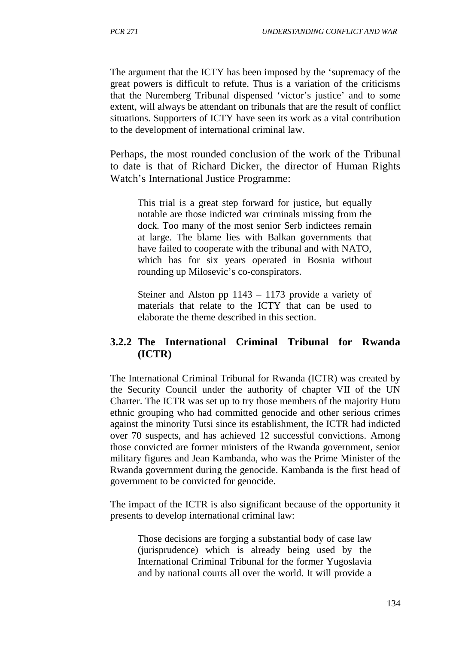The argument that the ICTY has been imposed by the 'supremacy of the great powers is difficult to refute. Thus is a variation of the criticisms that the Nuremberg Tribunal dispensed 'victor's justice' and to some extent, will always be attendant on tribunals that are the result of conflict situations. Supporters of ICTY have seen its work as a vital contribution to the development of international criminal law.

Perhaps, the most rounded conclusion of the work of the Tribunal to date is that of Richard Dicker, the director of Human Rights Watch's International Justice Programme:

This trial is a great step forward for justice, but equally notable are those indicted war criminals missing from the dock. Too many of the most senior Serb indictees remain at large. The blame lies with Balkan governments that have failed to cooperate with the tribunal and with NATO, which has for six years operated in Bosnia without rounding up Milosevic's co-conspirators.

Steiner and Alston pp 1143 – 1173 provide a variety of materials that relate to the ICTY that can be used to elaborate the theme described in this section.

## **3.2.2 The International Criminal Tribunal for Rwanda (ICTR)**

The International Criminal Tribunal for Rwanda (ICTR) was created by the Security Council under the authority of chapter VII of the UN Charter. The ICTR was set up to try those members of the majority Hutu ethnic grouping who had committed genocide and other serious crimes against the minority Tutsi since its establishment, the ICTR had indicted over 70 suspects, and has achieved 12 successful convictions. Among those convicted are former ministers of the Rwanda government, senior military figures and Jean Kambanda, who was the Prime Minister of the Rwanda government during the genocide. Kambanda is the first head of government to be convicted for genocide.

The impact of the ICTR is also significant because of the opportunity it presents to develop international criminal law:

Those decisions are forging a substantial body of case law (jurisprudence) which is already being used by the International Criminal Tribunal for the former Yugoslavia and by national courts all over the world. It will provide a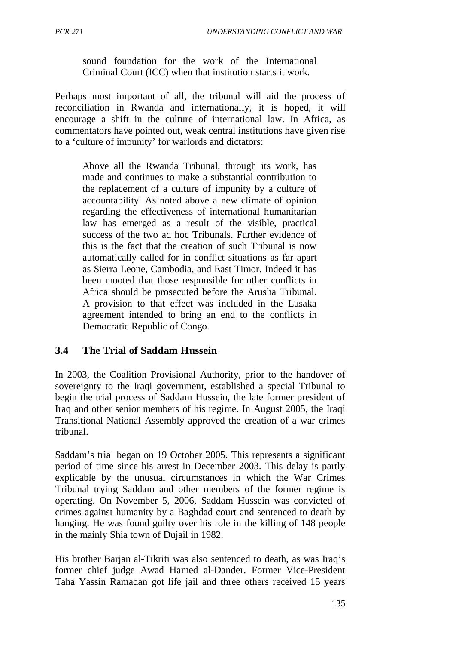sound foundation for the work of the International Criminal Court (ICC) when that institution starts it work.

Perhaps most important of all, the tribunal will aid the process of reconciliation in Rwanda and internationally, it is hoped, it will encourage a shift in the culture of international law. In Africa, as commentators have pointed out, weak central institutions have given rise to a 'culture of impunity' for warlords and dictators:

Above all the Rwanda Tribunal, through its work, has made and continues to make a substantial contribution to the replacement of a culture of impunity by a culture of accountability. As noted above a new climate of opinion regarding the effectiveness of international humanitarian law has emerged as a result of the visible, practical success of the two ad hoc Tribunals. Further evidence of this is the fact that the creation of such Tribunal is now automatically called for in conflict situations as far apart as Sierra Leone, Cambodia, and East Timor. Indeed it has been mooted that those responsible for other conflicts in Africa should be prosecuted before the Arusha Tribunal. A provision to that effect was included in the Lusaka agreement intended to bring an end to the conflicts in Democratic Republic of Congo.

# **3.4 The Trial of Saddam Hussein**

In 2003, the Coalition Provisional Authority, prior to the handover of sovereignty to the Iraqi government, established a special Tribunal to begin the trial process of Saddam Hussein, the late former president of Iraq and other senior members of his regime. In August 2005, the Iraqi Transitional National Assembly approved the creation of a war crimes tribunal.

Saddam's trial began on 19 October 2005. This represents a significant period of time since his arrest in December 2003. This delay is partly explicable by the unusual circumstances in which the War Crimes Tribunal trying Saddam and other members of the former regime is operating. On November 5, 2006, Saddam Hussein was convicted of crimes against humanity by a Baghdad court and sentenced to death by hanging. He was found guilty over his role in the killing of 148 people in the mainly Shia town of Dujail in 1982.

His brother Barjan al-Tikriti was also sentenced to death, as was Iraq's former chief judge Awad Hamed al-Dander. Former Vice-President Taha Yassin Ramadan got life jail and three others received 15 years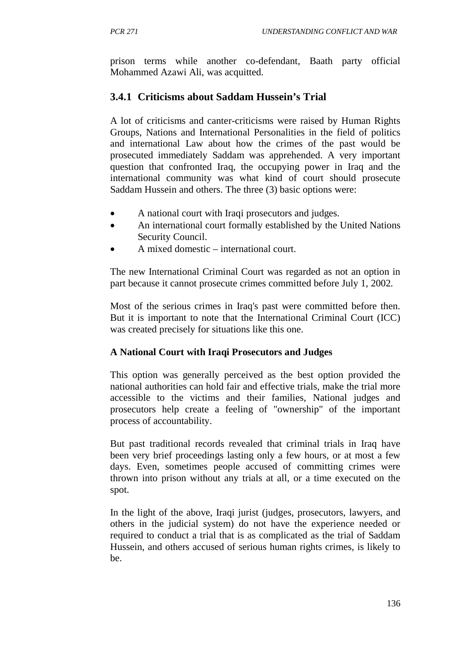prison terms while another co-defendant, Baath party official Mohammed Azawi Ali, was acquitted.

# **3.4.1 Criticisms about Saddam Hussein's Trial**

A lot of criticisms and canter-criticisms were raised by Human Rights Groups, Nations and International Personalities in the field of politics and international Law about how the crimes of the past would be prosecuted immediately Saddam was apprehended. A very important question that confronted Iraq, the occupying power in Iraq and the international community was what kind of court should prosecute Saddam Hussein and others. The three (3) basic options were:

- A national court with Iraqi prosecutors and judges.
- An international court formally established by the United Nations Security Council.
- A mixed domestic international court.

The new International Criminal Court was regarded as not an option in part because it cannot prosecute crimes committed before July 1, 2002.

Most of the serious crimes in Iraq's past were committed before then. But it is important to note that the International Criminal Court (ICC) was created precisely for situations like this one.

## **A National Court with Iraqi Prosecutors and Judges**

This option was generally perceived as the best option provided the national authorities can hold fair and effective trials, make the trial more accessible to the victims and their families, National judges and prosecutors help create a feeling of "ownership" of the important process of accountability.

But past traditional records revealed that criminal trials in Iraq have been very brief proceedings lasting only a few hours, or at most a few days. Even, sometimes people accused of committing crimes were thrown into prison without any trials at all, or a time executed on the spot.

In the light of the above, Iraqi jurist (judges, prosecutors, lawyers, and others in the judicial system) do not have the experience needed or required to conduct a trial that is as complicated as the trial of Saddam Hussein, and others accused of serious human rights crimes, is likely to be.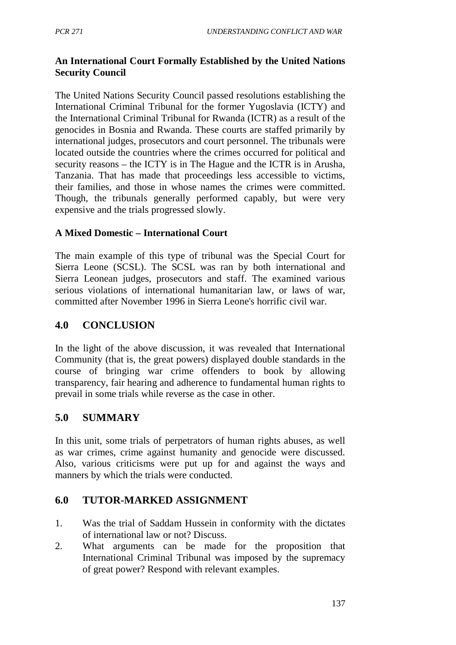## **An International Court Formally Established by the United Nations Security Council**

The United Nations Security Council passed resolutions establishing the International Criminal Tribunal for the former Yugoslavia (ICTY) and the International Criminal Tribunal for Rwanda (ICTR) as a result of the genocides in Bosnia and Rwanda. These courts are staffed primarily by international judges, prosecutors and court personnel. The tribunals were located outside the countries where the crimes occurred for political and security reasons – the ICTY is in The Hague and the ICTR is in Arusha, Tanzania. That has made that proceedings less accessible to victims, their families, and those in whose names the crimes were committed. Though, the tribunals generally performed capably, but were very expensive and the trials progressed slowly.

## **A Mixed Domestic – International Court**

The main example of this type of tribunal was the Special Court for Sierra Leone (SCSL). The SCSL was ran by both international and Sierra Leonean judges, prosecutors and staff. The examined various serious violations of international humanitarian law, or laws of war, committed after November 1996 in Sierra Leone's horrific civil war.

## **4.0 CONCLUSION**

In the light of the above discussion, it was revealed that International Community (that is, the great powers) displayed double standards in the course of bringing war crime offenders to book by allowing transparency, fair hearing and adherence to fundamental human rights to prevail in some trials while reverse as the case in other.

## **5.0 SUMMARY**

In this unit, some trials of perpetrators of human rights abuses, as well as war crimes, crime against humanity and genocide were discussed. Also, various criticisms were put up for and against the ways and manners by which the trials were conducted.

## **6.0 TUTOR-MARKED ASSIGNMENT**

- 1. Was the trial of Saddam Hussein in conformity with the dictates of international law or not? Discuss.
- 2. What arguments can be made for the proposition that International Criminal Tribunal was imposed by the supremacy of great power? Respond with relevant examples.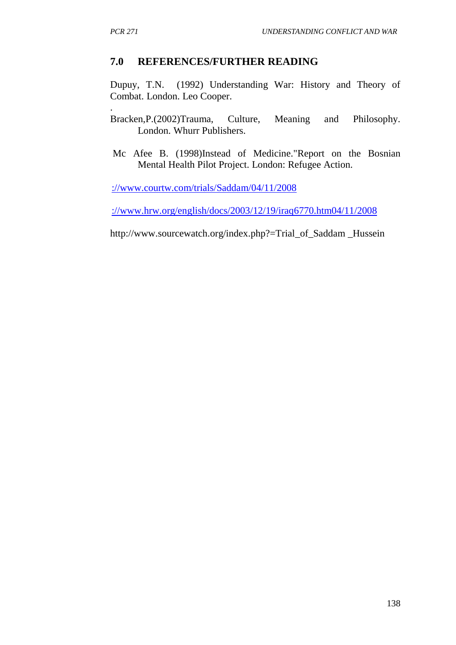## **7.0 REFERENCES/FURTHER READING**

Dupuy, T.N. (1992) Understanding War: History and Theory of Combat. London. Leo Cooper.

. Bracken,P.(2002)Trauma, Culture, Meaning and Philosophy. London. Whurr Publishers.

Mc Afee B. (1998)Instead of Medicine."Report on the Bosnian Mental Health Pilot Project. London: Refugee Action.

[://www.courtw.com/trials/Saddam/04/11/2008](http://www.courtw.com/trials/Saddam/04/11/2008)

[://www.hrw.org/english/docs/2003/12/19/iraq6770.htm04/11/2008](http://www.hrw.org/english/docs/2003/12/19/iraq6770.htm04/11/2008)

http://www.sourcewatch.org/index.php?=Trial\_of\_Saddam \_Hussein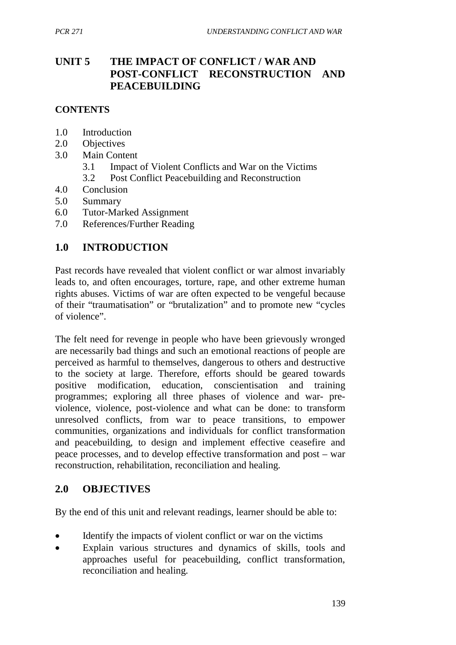# **UNIT 5 THE IMPACT OF CONFLICT / WAR AND POST-CONFLICT RECONSTRUCTION AND PEACEBUILDING**

### **CONTENTS**

- 1.0 Introduction
- 2.0 Objectives
- 3.0 Main Content
	- 3.1 Impact of Violent Conflicts and War on the Victims
	- 3.2 Post Conflict Peacebuilding and Reconstruction
- 4.0 Conclusion
- 5.0 Summary
- 6.0 Tutor-Marked Assignment
- 7.0 References/Further Reading

### **1.0 INTRODUCTION**

Past records have revealed that violent conflict or war almost invariably leads to, and often encourages, torture, rape, and other extreme human rights abuses. Victims of war are often expected to be vengeful because of their "traumatisation" or "brutalization" and to promote new "cycles of violence".

The felt need for revenge in people who have been grievously wronged are necessarily bad things and such an emotional reactions of people are perceived as harmful to themselves, dangerous to others and destructive to the society at large. Therefore, efforts should be geared towards positive modification, education, conscientisation and training programmes; exploring all three phases of violence and war- previolence, violence, post-violence and what can be done: to transform unresolved conflicts, from war to peace transitions, to empower communities, organizations and individuals for conflict transformation and peacebuilding, to design and implement effective ceasefire and peace processes, and to develop effective transformation and post – war reconstruction, rehabilitation, reconciliation and healing.

## **2.0 OBJECTIVES**

By the end of this unit and relevant readings, learner should be able to:

- Identify the impacts of violent conflict or war on the victims
- Explain various structures and dynamics of skills, tools and approaches useful for peacebuilding, conflict transformation, reconciliation and healing.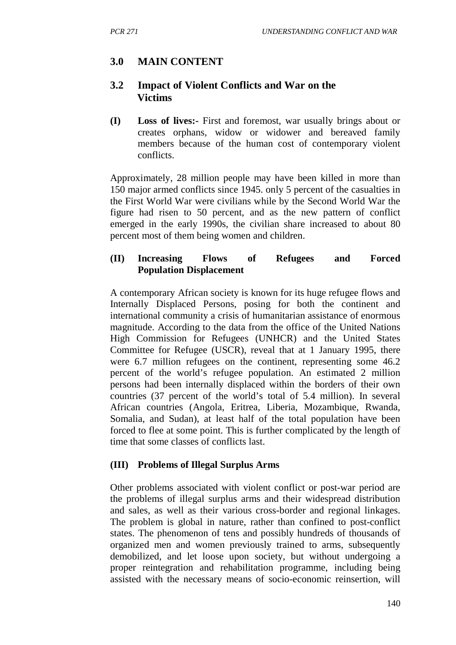# **3.0 MAIN CONTENT**

### **3.2 Impact of Violent Conflicts and War on the Victims**

**(I) Loss of lives:-** First and foremost, war usually brings about or creates orphans, widow or widower and bereaved family members because of the human cost of contemporary violent conflicts.

Approximately, 28 million people may have been killed in more than 150 major armed conflicts since 1945. only 5 percent of the casualties in the First World War were civilians while by the Second World War the figure had risen to 50 percent, and as the new pattern of conflict emerged in the early 1990s, the civilian share increased to about 80 percent most of them being women and children.

### **(II) Increasing Flows of Refugees and Forced Population Displacement**

A contemporary African society is known for its huge refugee flows and Internally Displaced Persons, posing for both the continent and international community a crisis of humanitarian assistance of enormous magnitude. According to the data from the office of the United Nations High Commission for Refugees (UNHCR) and the United States Committee for Refugee (USCR), reveal that at 1 January 1995, there were 6.7 million refugees on the continent, representing some 46.2 percent of the world's refugee population. An estimated 2 million persons had been internally displaced within the borders of their own countries (37 percent of the world's total of 5.4 million). In several African countries (Angola, Eritrea, Liberia, Mozambique, Rwanda, Somalia, and Sudan), at least half of the total population have been forced to flee at some point. This is further complicated by the length of time that some classes of conflicts last.

### **(III) Problems of Illegal Surplus Arms**

Other problems associated with violent conflict or post-war period are the problems of illegal surplus arms and their widespread distribution and sales, as well as their various cross-border and regional linkages. The problem is global in nature, rather than confined to post-conflict states. The phenomenon of tens and possibly hundreds of thousands of organized men and women previously trained to arms, subsequently demobilized, and let loose upon society, but without undergoing a proper reintegration and rehabilitation programme, including being assisted with the necessary means of socio-economic reinsertion, will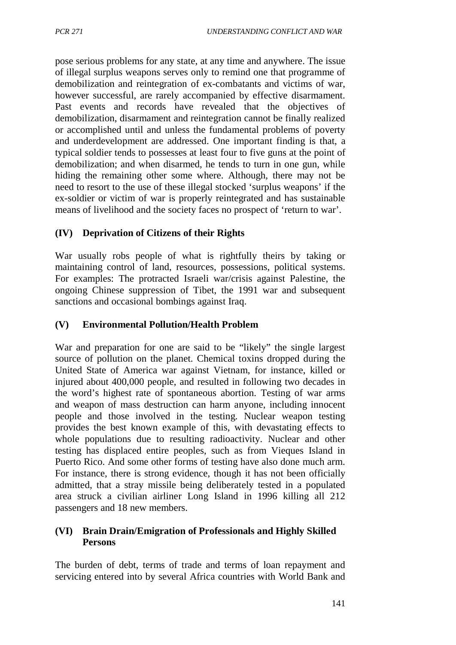pose serious problems for any state, at any time and anywhere. The issue of illegal surplus weapons serves only to remind one that programme of demobilization and reintegration of ex-combatants and victims of war, however successful, are rarely accompanied by effective disarmament. Past events and records have revealed that the objectives of demobilization, disarmament and reintegration cannot be finally realized or accomplished until and unless the fundamental problems of poverty and underdevelopment are addressed. One important finding is that, a typical soldier tends to possesses at least four to five guns at the point of demobilization; and when disarmed, he tends to turn in one gun, while hiding the remaining other some where. Although, there may not be need to resort to the use of these illegal stocked 'surplus weapons' if the ex-soldier or victim of war is properly reintegrated and has sustainable means of livelihood and the society faces no prospect of 'return to war'.

### **(IV) Deprivation of Citizens of their Rights**

War usually robs people of what is rightfully theirs by taking or maintaining control of land, resources, possessions, political systems. For examples: The protracted Israeli war/crisis against Palestine, the ongoing Chinese suppression of Tibet, the 1991 war and subsequent sanctions and occasional bombings against Iraq.

### **(V) Environmental Pollution/Health Problem**

War and preparation for one are said to be "likely" the single largest source of pollution on the planet. Chemical toxins dropped during the United State of America war against Vietnam, for instance, killed or injured about 400,000 people, and resulted in following two decades in the word's highest rate of spontaneous abortion. Testing of war arms and weapon of mass destruction can harm anyone, including innocent people and those involved in the testing. Nuclear weapon testing provides the best known example of this, with devastating effects to whole populations due to resulting radioactivity. Nuclear and other testing has displaced entire peoples, such as from Vieques Island in Puerto Rico. And some other forms of testing have also done much arm. For instance, there is strong evidence, though it has not been officially admitted, that a stray missile being deliberately tested in a populated area struck a civilian airliner Long Island in 1996 killing all 212 passengers and 18 new members.

### **(VI) Brain Drain/Emigration of Professionals and Highly Skilled Persons**

The burden of debt, terms of trade and terms of loan repayment and servicing entered into by several Africa countries with World Bank and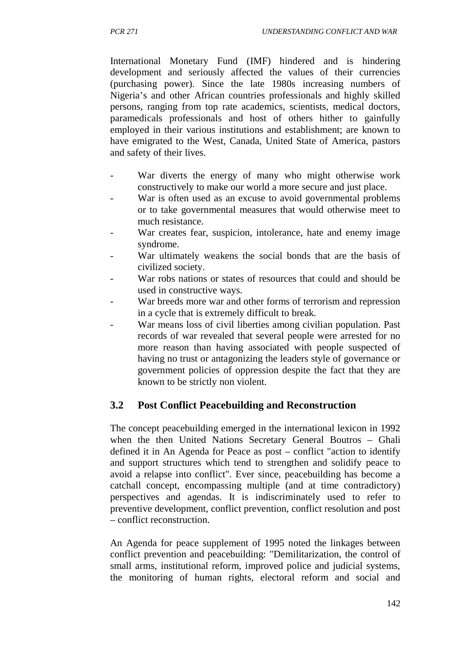International Monetary Fund (IMF) hindered and is hindering development and seriously affected the values of their currencies (purchasing power). Since the late 1980s increasing numbers of Nigeria's and other African countries professionals and highly skilled persons, ranging from top rate academics, scientists, medical doctors, paramedicals professionals and host of others hither to gainfully employed in their various institutions and establishment; are known to have emigrated to the West, Canada, United State of America, pastors and safety of their lives.

- War diverts the energy of many who might otherwise work constructively to make our world a more secure and just place.
- War is often used as an excuse to avoid governmental problems or to take governmental measures that would otherwise meet to much resistance.
- War creates fear, suspicion, intolerance, hate and enemy image syndrome.
- War ultimately weakens the social bonds that are the basis of civilized society.
- War robs nations or states of resources that could and should be used in constructive ways.
- War breeds more war and other forms of terrorism and repression in a cycle that is extremely difficult to break.
- War means loss of civil liberties among civilian population. Past records of war revealed that several people were arrested for no more reason than having associated with people suspected of having no trust or antagonizing the leaders style of governance or government policies of oppression despite the fact that they are known to be strictly non violent.

# **3.2 Post Conflict Peacebuilding and Reconstruction**

The concept peacebuilding emerged in the international lexicon in 1992 when the then United Nations Secretary General Boutros – Ghali defined it in An Agenda for Peace as post – conflict "action to identify and support structures which tend to strengthen and solidify peace to avoid a relapse into conflict". Ever since, peacebuilding has become a catchall concept, encompassing multiple (and at time contradictory) perspectives and agendas. It is indiscriminately used to refer to preventive development, conflict prevention, conflict resolution and post – conflict reconstruction.

An Agenda for peace supplement of 1995 noted the linkages between conflict prevention and peacebuilding: "Demilitarization, the control of small arms, institutional reform, improved police and judicial systems, the monitoring of human rights, electoral reform and social and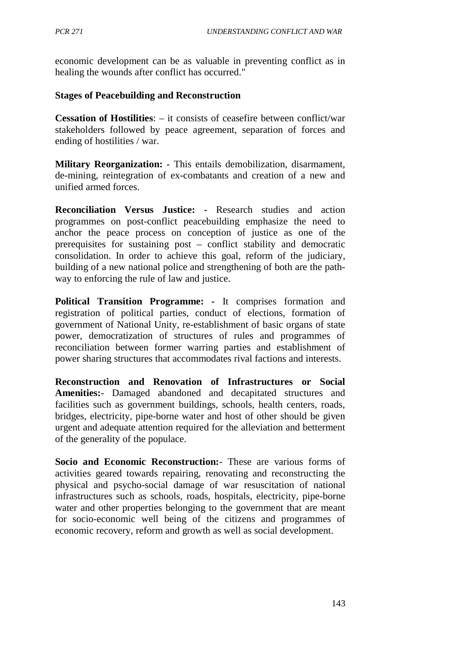economic development can be as valuable in preventing conflict as in healing the wounds after conflict has occurred."

### **Stages of Peacebuilding and Reconstruction**

**Cessation of Hostilities**: – it consists of ceasefire between conflict/war stakeholders followed by peace agreement, separation of forces and ending of hostilities / war.

**Military Reorganization:** - This entails demobilization, disarmament, de-mining, reintegration of ex-combatants and creation of a new and unified armed forces.

**Reconciliation Versus Justice: -** Research studies and action programmes on post-conflict peacebuilding emphasize the need to anchor the peace process on conception of justice as one of the prerequisites for sustaining post – conflict stability and democratic consolidation. In order to achieve this goal, reform of the judiciary, building of a new national police and strengthening of both are the pathway to enforcing the rule of law and justice.

**Political Transition Programme: -** It comprises formation and registration of political parties, conduct of elections, formation of government of National Unity, re-establishment of basic organs of state power, democratization of structures of rules and programmes of reconciliation between former warring parties and establishment of power sharing structures that accommodates rival factions and interests.

**Reconstruction and Renovation of Infrastructures or Social Amenities:**- Damaged abandoned and decapitated structures and facilities such as government buildings, schools, health centers, roads, bridges, electricity, pipe-borne water and host of other should be given urgent and adequate attention required for the alleviation and betterment of the generality of the populace.

**Socio and Economic Reconstruction:**- These are various forms of activities geared towards repairing, renovating and reconstructing the physical and psycho-social damage of war resuscitation of national infrastructures such as schools, roads, hospitals, electricity, pipe-borne water and other properties belonging to the government that are meant for socio-economic well being of the citizens and programmes of economic recovery, reform and growth as well as social development.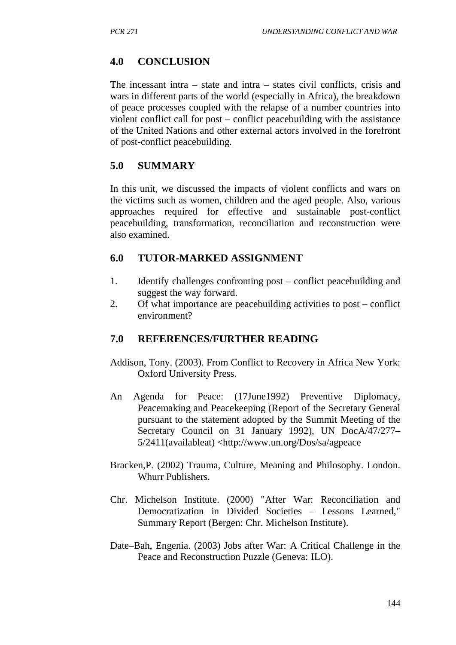## **4.0 CONCLUSION**

The incessant intra – state and intra – states civil conflicts, crisis and wars in different parts of the world (especially in Africa), the breakdown of peace processes coupled with the relapse of a number countries into violent conflict call for post – conflict peacebuilding with the assistance of the United Nations and other external actors involved in the forefront of post-conflict peacebuilding.

## **5.0 SUMMARY**

In this unit, we discussed the impacts of violent conflicts and wars on the victims such as women, children and the aged people. Also, various approaches required for effective and sustainable post-conflict peacebuilding, transformation, reconciliation and reconstruction were also examined.

### **6.0 TUTOR-MARKED ASSIGNMENT**

- 1. Identify challenges confronting post conflict peacebuilding and suggest the way forward.
- 2. Of what importance are peacebuilding activities to post conflict environment?

## **7.0 REFERENCES/FURTHER READING**

- Addison, Tony. (2003). From Conflict to Recovery in Africa New York: Oxford University Press.
- An Agenda for Peace: (17June1992) Preventive Diplomacy, Peacemaking and Peacekeeping (Report of the Secretary General pursuant to the statement adopted by the Summit Meeting of the Secretary Council on 31 January 1992), UN DocA/47/277– 5/2411(availableat) <http://www.un.org/Dos/sa/agpeace
- Bracken,P. (2002) Trauma, Culture, Meaning and Philosophy. London. Whurr Publishers.
- Chr. Michelson Institute. (2000) "After War: Reconciliation and Democratization in Divided Societies – Lessons Learned," Summary Report (Bergen: Chr. Michelson Institute).
- Date–Bah, Engenia. (2003) Jobs after War: A Critical Challenge in the Peace and Reconstruction Puzzle (Geneva: ILO).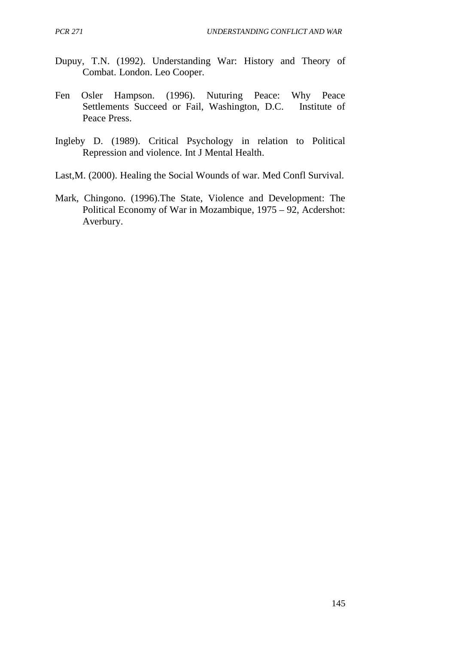- Dupuy, T.N. (1992). Understanding War: History and Theory of Combat. London. Leo Cooper.
- Fen Osler Hampson. (1996). Nuturing Peace: Why Peace<br>Settlements Succeed or Fail. Washington. D.C. Institute of Settlements Succeed or Fail, Washington, D.C. Peace Press.
- Ingleby D. (1989). Critical Psychology in relation to Political Repression and violence. Int J Mental Health.
- Last,M. (2000). Healing the Social Wounds of war. Med Confl Survival.
- Mark, Chingono. (1996).The State, Violence and Development: The Political Economy of War in Mozambique, 1975 – 92, Acdershot: Averbury.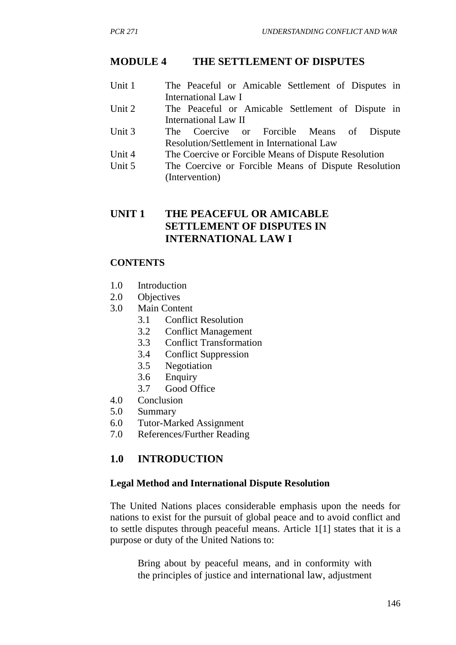### **MODULE 4 THE SETTLEMENT OF DISPUTES**

- Unit 1 The Peaceful or Amicable Settlement of Disputes in International Law I
- Unit 2 The Peaceful or Amicable Settlement of Dispute in International Law II<br>The Coercive
- Unit 3 The Coercive or Forcible Means of Dispute Resolution/Settlement in International Law
- Unit 4 The Coercive or Forcible Means of Dispute Resolution
- Unit 5 The Coercive or Forcible Means of Dispute Resolution (Intervention)

## **UNIT 1 THE PEACEFUL OR AMICABLE SETTLEMENT OF DISPUTES IN INTERNATIONAL LAW I**

### **CONTENTS**

- 1.0 Introduction
- 2.0 Objectives
- 3.0 Main Content
	- 3.1 Conflict Resolution
	- 3.2 Conflict Management
	- 3.3 Conflict Transformation
	- 3.4 Conflict Suppression
	- 3.5 Negotiation
	- 3.6 Enquiry
	- 3.7 Good Office
- 4.0 Conclusion
- 5.0 Summary
- 6.0 Tutor-Marked Assignment
- 7.0 References/Further Reading

## **1.0 INTRODUCTION**

#### **Legal Method and International Dispute Resolution**

The United Nations places considerable emphasis upon the needs for nations to exist for the pursuit of global peace and to avoid conflict and to settle disputes through peaceful means. Article 1[1] states that it is a purpose or duty of the United Nations to:

Bring about by peaceful means, and in conformity with the principles of justice and international law, adjustment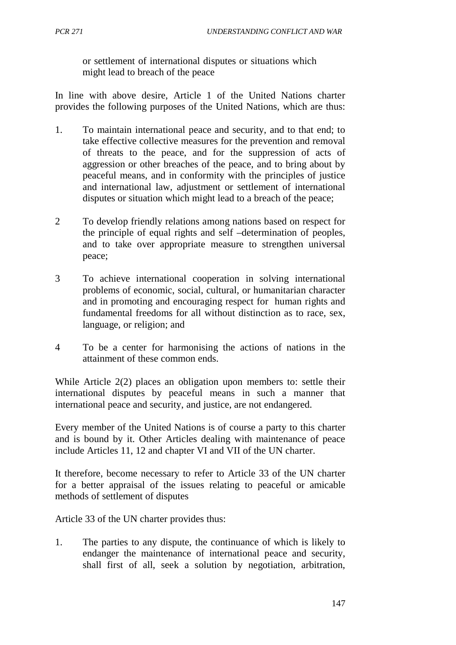or settlement of international disputes or situations which might lead to breach of the peace

In line with above desire, Article 1 of the United Nations charter provides the following purposes of the United Nations, which are thus:

- 1. To maintain international peace and security, and to that end; to take effective collective measures for the prevention and removal of threats to the peace, and for the suppression of acts of aggression or other breaches of the peace, and to bring about by peaceful means, and in conformity with the principles of justice and international law, adjustment or settlement of international disputes or situation which might lead to a breach of the peace;
- 2 To develop friendly relations among nations based on respect for the principle of equal rights and self –determination of peoples, and to take over appropriate measure to strengthen universal peace;
- 3 To achieve international cooperation in solving international problems of economic, social, cultural, or humanitarian character and in promoting and encouraging respect for human rights and fundamental freedoms for all without distinction as to race, sex, language, or religion; and
- 4 To be a center for harmonising the actions of nations in the attainment of these common ends.

While Article 2(2) places an obligation upon members to: settle their international disputes by peaceful means in such a manner that international peace and security, and justice, are not endangered.

Every member of the United Nations is of course a party to this charter and is bound by it. Other Articles dealing with maintenance of peace include Articles 11, 12 and chapter VI and VII of the UN charter.

It therefore, become necessary to refer to Article 33 of the UN charter for a better appraisal of the issues relating to peaceful or amicable methods of settlement of disputes

Article 33 of the UN charter provides thus:

1. The parties to any dispute, the continuance of which is likely to endanger the maintenance of international peace and security, shall first of all, seek a solution by negotiation, arbitration,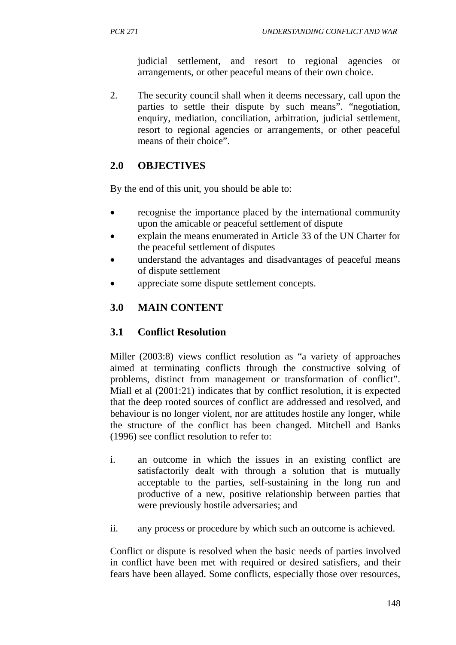judicial settlement, and resort to regional agencies or arrangements, or other peaceful means of their own choice.

2. The security council shall when it deems necessary, call upon the parties to settle their dispute by such means". "negotiation, enquiry, mediation, conciliation, arbitration, judicial settlement, resort to regional agencies or arrangements, or other peaceful means of their choice".

# **2.0 OBJECTIVES**

By the end of this unit, you should be able to:

- recognise the importance placed by the international community upon the amicable or peaceful settlement of dispute
- explain the means enumerated in Article 33 of the UN Charter for the peaceful settlement of disputes
- understand the advantages and disadvantages of peaceful means of dispute settlement
- appreciate some dispute settlement concepts.

# **3.0 MAIN CONTENT**

## **3.1 Conflict Resolution**

Miller (2003:8) views conflict resolution as "a variety of approaches aimed at terminating conflicts through the constructive solving of problems, distinct from management or transformation of conflict". Miall et al (2001:21) indicates that by conflict resolution, it is expected that the deep rooted sources of conflict are addressed and resolved, and behaviour is no longer violent, nor are attitudes hostile any longer, while the structure of the conflict has been changed. Mitchell and Banks (1996) see conflict resolution to refer to:

- i. an outcome in which the issues in an existing conflict are satisfactorily dealt with through a solution that is mutually acceptable to the parties, self-sustaining in the long run and productive of a new, positive relationship between parties that were previously hostile adversaries; and
- ii. any process or procedure by which such an outcome is achieved.

Conflict or dispute is resolved when the basic needs of parties involved in conflict have been met with required or desired satisfiers, and their fears have been allayed. Some conflicts, especially those over resources,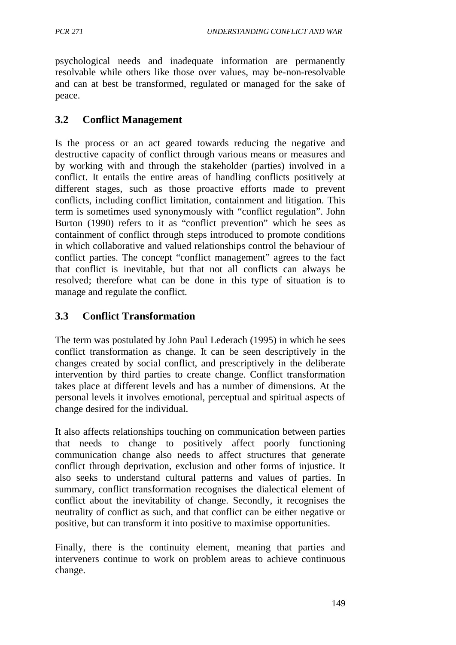psychological needs and inadequate information are permanently resolvable while others like those over values, may be-non-resolvable and can at best be transformed, regulated or managed for the sake of peace.

## **3.2 Conflict Management**

Is the process or an act geared towards reducing the negative and destructive capacity of conflict through various means or measures and by working with and through the stakeholder (parties) involved in a conflict. It entails the entire areas of handling conflicts positively at different stages, such as those proactive efforts made to prevent conflicts, including conflict limitation, containment and litigation. This term is sometimes used synonymously with "conflict regulation". John Burton (1990) refers to it as "conflict prevention" which he sees as containment of conflict through steps introduced to promote conditions in which collaborative and valued relationships control the behaviour of conflict parties. The concept "conflict management" agrees to the fact that conflict is inevitable, but that not all conflicts can always be resolved; therefore what can be done in this type of situation is to manage and regulate the conflict.

## **3.3 Conflict Transformation**

The term was postulated by John Paul Lederach (1995) in which he sees conflict transformation as change. It can be seen descriptively in the changes created by social conflict, and prescriptively in the deliberate intervention by third parties to create change. Conflict transformation takes place at different levels and has a number of dimensions. At the personal levels it involves emotional, perceptual and spiritual aspects of change desired for the individual.

It also affects relationships touching on communication between parties that needs to change to positively affect poorly functioning communication change also needs to affect structures that generate conflict through deprivation, exclusion and other forms of injustice. It also seeks to understand cultural patterns and values of parties. In summary, conflict transformation recognises the dialectical element of conflict about the inevitability of change. Secondly, it recognises the neutrality of conflict as such, and that conflict can be either negative or positive, but can transform it into positive to maximise opportunities.

Finally, there is the continuity element, meaning that parties and interveners continue to work on problem areas to achieve continuous change.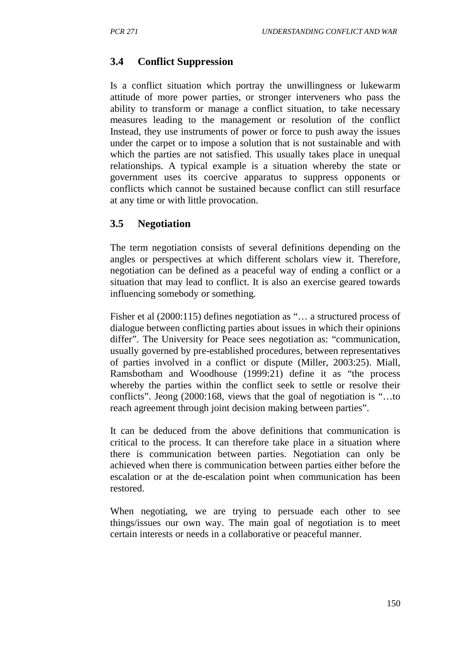### **3.4 Conflict Suppression**

Is a conflict situation which portray the unwillingness or lukewarm attitude of more power parties, or stronger interveners who pass the ability to transform or manage a conflict situation, to take necessary measures leading to the management or resolution of the conflict Instead, they use instruments of power or force to push away the issues under the carpet or to impose a solution that is not sustainable and with which the parties are not satisfied. This usually takes place in unequal relationships. A typical example is a situation whereby the state or government uses its coercive apparatus to suppress opponents or conflicts which cannot be sustained because conflict can still resurface at any time or with little provocation.

#### **3.5 Negotiation**

The term negotiation consists of several definitions depending on the angles or perspectives at which different scholars view it. Therefore, negotiation can be defined as a peaceful way of ending a conflict or a situation that may lead to conflict. It is also an exercise geared towards influencing somebody or something.

Fisher et al (2000:115) defines negotiation as "… a structured process of dialogue between conflicting parties about issues in which their opinions differ". The University for Peace sees negotiation as: "communication, usually governed by pre-established procedures, between representatives of parties involved in a conflict or dispute (Miller, 2003:25). Miall, Ramsbotham and Woodhouse (1999:21) define it as "the process whereby the parties within the conflict seek to settle or resolve their conflicts". Jeong (2000:168, views that the goal of negotiation is "…to reach agreement through joint decision making between parties".

It can be deduced from the above definitions that communication is critical to the process. It can therefore take place in a situation where there is communication between parties. Negotiation can only be achieved when there is communication between parties either before the escalation or at the de-escalation point when communication has been restored.

When negotiating, we are trying to persuade each other to see things/issues our own way. The main goal of negotiation is to meet certain interests or needs in a collaborative or peaceful manner.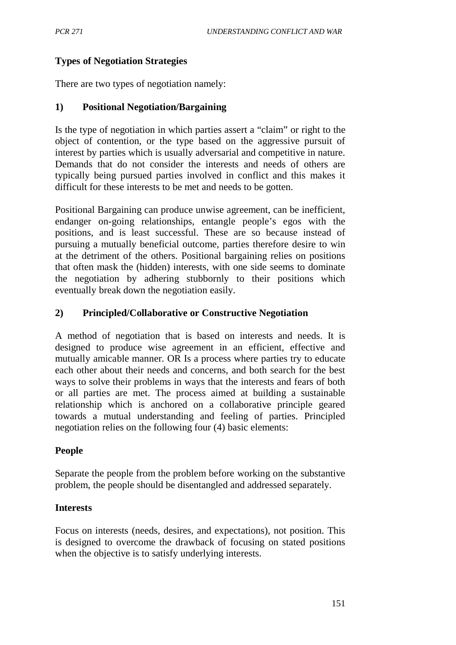## **Types of Negotiation Strategies**

There are two types of negotiation namely:

### **1) Positional Negotiation/Bargaining**

Is the type of negotiation in which parties assert a "claim" or right to the object of contention, or the type based on the aggressive pursuit of interest by parties which is usually adversarial and competitive in nature. Demands that do not consider the interests and needs of others are typically being pursued parties involved in conflict and this makes it difficult for these interests to be met and needs to be gotten.

Positional Bargaining can produce unwise agreement, can be inefficient, endanger on-going relationships, entangle people's egos with the positions, and is least successful. These are so because instead of pursuing a mutually beneficial outcome, parties therefore desire to win at the detriment of the others. Positional bargaining relies on positions that often mask the (hidden) interests, with one side seems to dominate the negotiation by adhering stubbornly to their positions which eventually break down the negotiation easily.

### **2) Principled/Collaborative or Constructive Negotiation**

A method of negotiation that is based on interests and needs. It is designed to produce wise agreement in an efficient, effective and mutually amicable manner. OR Is a process where parties try to educate each other about their needs and concerns, and both search for the best ways to solve their problems in ways that the interests and fears of both or all parties are met. The process aimed at building a sustainable relationship which is anchored on a collaborative principle geared towards a mutual understanding and feeling of parties. Principled negotiation relies on the following four (4) basic elements:

### **People**

Separate the people from the problem before working on the substantive problem, the people should be disentangled and addressed separately.

### **Interests**

Focus on interests (needs, desires, and expectations), not position. This is designed to overcome the drawback of focusing on stated positions when the objective is to satisfy underlying interests.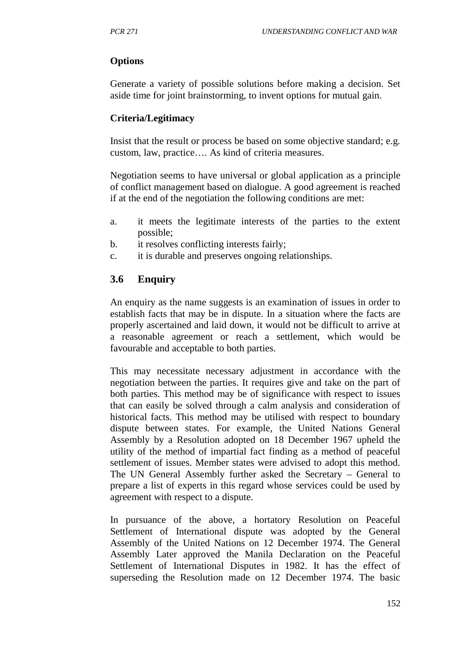### **Options**

Generate a variety of possible solutions before making a decision. Set aside time for joint brainstorming, to invent options for mutual gain.

### **Criteria/Legitimacy**

Insist that the result or process be based on some objective standard; e.g. custom, law, practice…. As kind of criteria measures.

Negotiation seems to have universal or global application as a principle of conflict management based on dialogue. A good agreement is reached if at the end of the negotiation the following conditions are met:

- a. it meets the legitimate interests of the parties to the extent possible;
- b. it resolves conflicting interests fairly;
- c. it is durable and preserves ongoing relationships.

# **3.6 Enquiry**

An enquiry as the name suggests is an examination of issues in order to establish facts that may be in dispute. In a situation where the facts are properly ascertained and laid down, it would not be difficult to arrive at a reasonable agreement or reach a settlement, which would be favourable and acceptable to both parties.

This may necessitate necessary adjustment in accordance with the negotiation between the parties. It requires give and take on the part of both parties. This method may be of significance with respect to issues that can easily be solved through a calm analysis and consideration of historical facts. This method may be utilised with respect to boundary dispute between states. For example, the United Nations General Assembly by a Resolution adopted on 18 December 1967 upheld the utility of the method of impartial fact finding as a method of peaceful settlement of issues. Member states were advised to adopt this method. The UN General Assembly further asked the Secretary – General to prepare a list of experts in this regard whose services could be used by agreement with respect to a dispute.

In pursuance of the above, a hortatory Resolution on Peaceful Settlement of International dispute was adopted by the General Assembly of the United Nations on 12 December 1974. The General Assembly Later approved the Manila Declaration on the Peaceful Settlement of International Disputes in 1982. It has the effect of superseding the Resolution made on 12 December 1974. The basic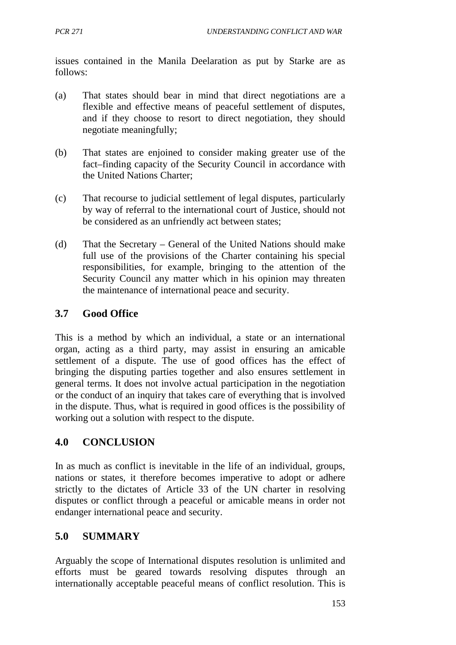issues contained in the Manila Deelaration as put by Starke are as follows:

- (a) That states should bear in mind that direct negotiations are a flexible and effective means of peaceful settlement of disputes, and if they choose to resort to direct negotiation, they should negotiate meaningfully;
- (b) That states are enjoined to consider making greater use of the fact–finding capacity of the Security Council in accordance with the United Nations Charter;
- (c) That recourse to judicial settlement of legal disputes, particularly by way of referral to the international court of Justice, should not be considered as an unfriendly act between states;
- (d) That the Secretary General of the United Nations should make full use of the provisions of the Charter containing his special responsibilities, for example, bringing to the attention of the Security Council any matter which in his opinion may threaten the maintenance of international peace and security.

# **3.7 Good Office**

This is a method by which an individual, a state or an international organ, acting as a third party, may assist in ensuring an amicable settlement of a dispute. The use of good offices has the effect of bringing the disputing parties together and also ensures settlement in general terms. It does not involve actual participation in the negotiation or the conduct of an inquiry that takes care of everything that is involved in the dispute. Thus, what is required in good offices is the possibility of working out a solution with respect to the dispute.

## **4.0 CONCLUSION**

In as much as conflict is inevitable in the life of an individual, groups, nations or states, it therefore becomes imperative to adopt or adhere strictly to the dictates of Article 33 of the UN charter in resolving disputes or conflict through a peaceful or amicable means in order not endanger international peace and security.

# **5.0 SUMMARY**

Arguably the scope of International disputes resolution is unlimited and efforts must be geared towards resolving disputes through an internationally acceptable peaceful means of conflict resolution. This is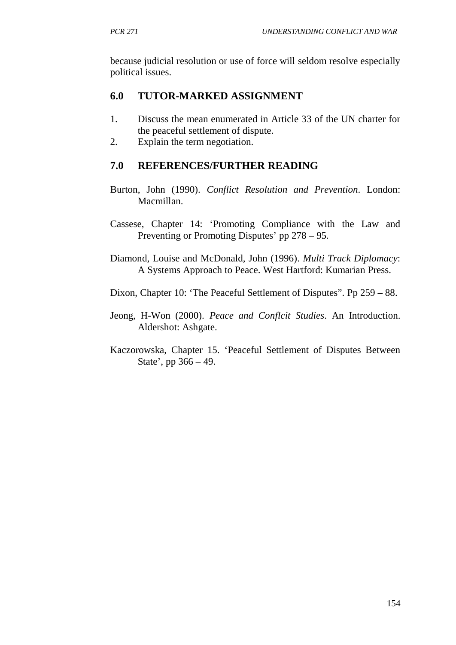because judicial resolution or use of force will seldom resolve especially political issues.

# **6.0 TUTOR-MARKED ASSIGNMENT**

- 1. Discuss the mean enumerated in Article 33 of the UN charter for the peaceful settlement of dispute.
- 2. Explain the term negotiation.

# **7.0 REFERENCES/FURTHER READING**

- Burton, John (1990). *Conflict Resolution and Prevention*. London: Macmillan.
- Cassese, Chapter 14: 'Promoting Compliance with the Law and Preventing or Promoting Disputes' pp 278 – 95.
- Diamond, Louise and McDonald, John (1996). *Multi Track Diplomacy*: A Systems Approach to Peace. West Hartford: Kumarian Press.
- Dixon, Chapter 10: 'The Peaceful Settlement of Disputes". Pp 259 88.
- Jeong, H-Won (2000). *Peace and Conflcit Studies*. An Introduction. Aldershot: Ashgate.
- Kaczorowska, Chapter 15. 'Peaceful Settlement of Disputes Between State', pp 366 – 49.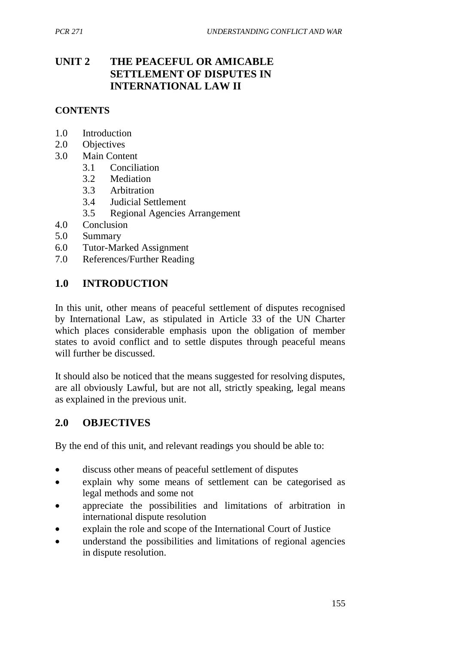# **UNIT 2 THE PEACEFUL OR AMICABLE SETTLEMENT OF DISPUTES IN INTERNATIONAL LAW II**

### **CONTENTS**

- 1.0 Introduction
- 2.0 Objectives
- 3.0 Main Content
	- 3.1 Conciliation
	- 3.2 Mediation
	- 3.3 Arbitration
	- 3.4 Judicial Settlement
	- 3.5 Regional Agencies Arrangement
- 4.0 Conclusion
- 5.0 Summary
- 6.0 Tutor-Marked Assignment
- 7.0 References/Further Reading

## **1.0 INTRODUCTION**

In this unit, other means of peaceful settlement of disputes recognised by International Law, as stipulated in Article 33 of the UN Charter which places considerable emphasis upon the obligation of member states to avoid conflict and to settle disputes through peaceful means will further be discussed.

It should also be noticed that the means suggested for resolving disputes, are all obviously Lawful, but are not all, strictly speaking, legal means as explained in the previous unit.

## **2.0 OBJECTIVES**

By the end of this unit, and relevant readings you should be able to:

- discuss other means of peaceful settlement of disputes
- explain why some means of settlement can be categorised as legal methods and some not
- appreciate the possibilities and limitations of arbitration in international dispute resolution
- explain the role and scope of the International Court of Justice
- understand the possibilities and limitations of regional agencies in dispute resolution.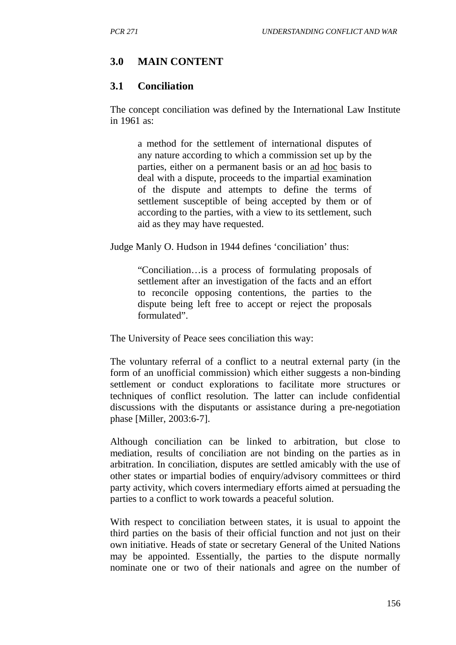### **3.0 MAIN CONTENT**

### **3.1 Conciliation**

The concept conciliation was defined by the International Law Institute in 1961 as:

a method for the settlement of international disputes of any nature according to which a commission set up by the parties, either on a permanent basis or an ad hoc basis to deal with a dispute, proceeds to the impartial examination of the dispute and attempts to define the terms of settlement susceptible of being accepted by them or of according to the parties, with a view to its settlement, such aid as they may have requested.

Judge Manly O. Hudson in 1944 defines 'conciliation' thus:

"Conciliation…is a process of formulating proposals of settlement after an investigation of the facts and an effort to reconcile opposing contentions, the parties to the dispute being left free to accept or reject the proposals formulated".

The University of Peace sees conciliation this way:

The voluntary referral of a conflict to a neutral external party (in the form of an unofficial commission) which either suggests a non-binding settlement or conduct explorations to facilitate more structures or techniques of conflict resolution. The latter can include confidential discussions with the disputants or assistance during a pre-negotiation phase [Miller, 2003:6-7].

Although conciliation can be linked to arbitration, but close to mediation, results of conciliation are not binding on the parties as in arbitration. In conciliation, disputes are settled amicably with the use of other states or impartial bodies of enquiry/advisory committees or third party activity, which covers intermediary efforts aimed at persuading the parties to a conflict to work towards a peaceful solution.

With respect to conciliation between states, it is usual to appoint the third parties on the basis of their official function and not just on their own initiative. Heads of state or secretary General of the United Nations may be appointed. Essentially, the parties to the dispute normally nominate one or two of their nationals and agree on the number of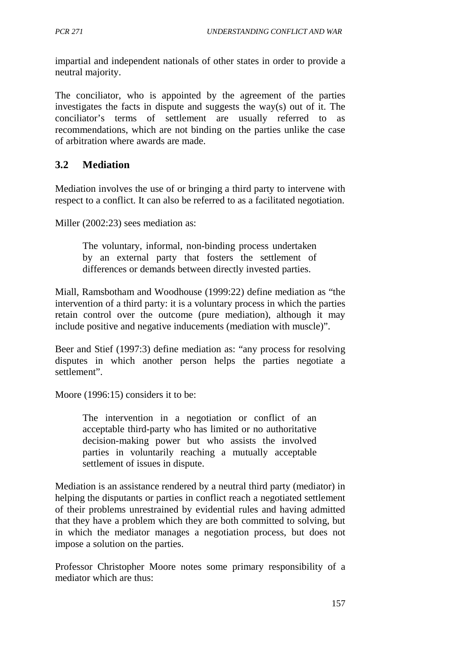impartial and independent nationals of other states in order to provide a neutral majority.

The conciliator, who is appointed by the agreement of the parties investigates the facts in dispute and suggests the way(s) out of it. The conciliator's terms of settlement are usually referred to as recommendations, which are not binding on the parties unlike the case of arbitration where awards are made.

# **3.2 Mediation**

Mediation involves the use of or bringing a third party to intervene with respect to a conflict. It can also be referred to as a facilitated negotiation.

Miller (2002:23) sees mediation as:

The voluntary, informal, non-binding process undertaken by an external party that fosters the settlement of differences or demands between directly invested parties.

Miall, Ramsbotham and Woodhouse (1999:22) define mediation as "the intervention of a third party: it is a voluntary process in which the parties retain control over the outcome (pure mediation), although it may include positive and negative inducements (mediation with muscle)".

Beer and Stief (1997:3) define mediation as: "any process for resolving disputes in which another person helps the parties negotiate a settlement".

Moore (1996:15) considers it to be:

The intervention in a negotiation or conflict of an acceptable third-party who has limited or no authoritative decision-making power but who assists the involved parties in voluntarily reaching a mutually acceptable settlement of issues in dispute.

Mediation is an assistance rendered by a neutral third party (mediator) in helping the disputants or parties in conflict reach a negotiated settlement of their problems unrestrained by evidential rules and having admitted that they have a problem which they are both committed to solving, but in which the mediator manages a negotiation process, but does not impose a solution on the parties.

Professor Christopher Moore notes some primary responsibility of a mediator which are thus: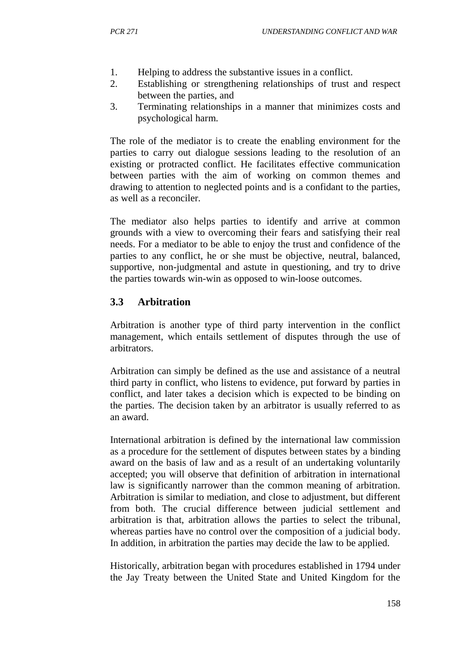- 1. Helping to address the substantive issues in a conflict.
- 2. Establishing or strengthening relationships of trust and respect between the parties, and
- 3. Terminating relationships in a manner that minimizes costs and psychological harm.

The role of the mediator is to create the enabling environment for the parties to carry out dialogue sessions leading to the resolution of an existing or protracted conflict. He facilitates effective communication between parties with the aim of working on common themes and drawing to attention to neglected points and is a confidant to the parties, as well as a reconciler.

The mediator also helps parties to identify and arrive at common grounds with a view to overcoming their fears and satisfying their real needs. For a mediator to be able to enjoy the trust and confidence of the parties to any conflict, he or she must be objective, neutral, balanced, supportive, non-judgmental and astute in questioning, and try to drive the parties towards win-win as opposed to win-loose outcomes.

# **3.3 Arbitration**

Arbitration is another type of third party intervention in the conflict management, which entails settlement of disputes through the use of arbitrators.

Arbitration can simply be defined as the use and assistance of a neutral third party in conflict, who listens to evidence, put forward by parties in conflict, and later takes a decision which is expected to be binding on the parties. The decision taken by an arbitrator is usually referred to as an award.

International arbitration is defined by the international law commission as a procedure for the settlement of disputes between states by a binding award on the basis of law and as a result of an undertaking voluntarily accepted; you will observe that definition of arbitration in international law is significantly narrower than the common meaning of arbitration. Arbitration is similar to mediation, and close to adjustment, but different from both. The crucial difference between judicial settlement and arbitration is that, arbitration allows the parties to select the tribunal, whereas parties have no control over the composition of a judicial body. In addition, in arbitration the parties may decide the law to be applied.

Historically, arbitration began with procedures established in 1794 under the Jay Treaty between the United State and United Kingdom for the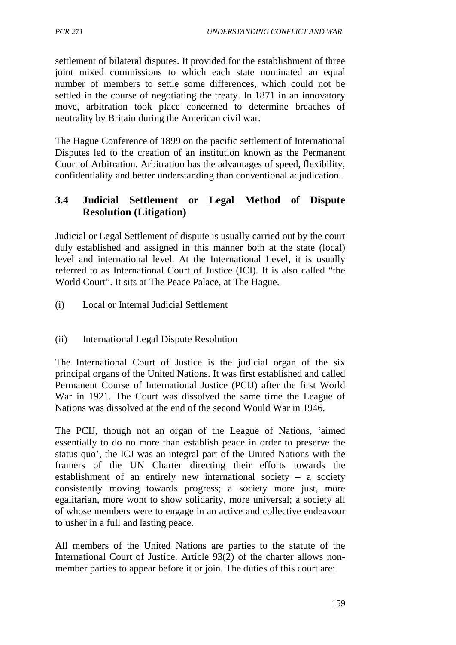settlement of bilateral disputes. It provided for the establishment of three joint mixed commissions to which each state nominated an equal number of members to settle some differences, which could not be settled in the course of negotiating the treaty. In 1871 in an innovatory move, arbitration took place concerned to determine breaches of neutrality by Britain during the American civil war.

The Hague Conference of 1899 on the pacific settlement of International Disputes led to the creation of an institution known as the Permanent Court of Arbitration. Arbitration has the advantages of speed, flexibility, confidentiality and better understanding than conventional adjudication.

# **3.4 Judicial Settlement or Legal Method of Dispute Resolution (Litigation)**

Judicial or Legal Settlement of dispute is usually carried out by the court duly established and assigned in this manner both at the state (local) level and international level. At the International Level, it is usually referred to as International Court of Justice (ICI). It is also called "the World Court". It sits at The Peace Palace, at The Hague.

- (i) Local or Internal Judicial Settlement
- (ii) International Legal Dispute Resolution

The International Court of Justice is the judicial organ of the six principal organs of the United Nations. It was first established and called Permanent Course of International Justice (PCIJ) after the first World War in 1921. The Court was dissolved the same time the League of Nations was dissolved at the end of the second Would War in 1946.

The PCIJ, though not an organ of the League of Nations, 'aimed essentially to do no more than establish peace in order to preserve the status quo', the ICJ was an integral part of the United Nations with the framers of the UN Charter directing their efforts towards the establishment of an entirely new international society – a society consistently moving towards progress; a society more just, more egalitarian, more wont to show solidarity, more universal; a society all of whose members were to engage in an active and collective endeavour to usher in a full and lasting peace.

All members of the United Nations are parties to the statute of the International Court of Justice. Article 93(2) of the charter allows nonmember parties to appear before it or join. The duties of this court are: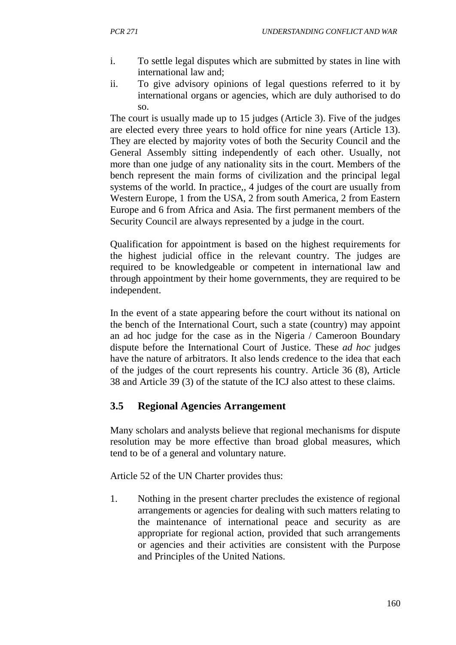- i. To settle legal disputes which are submitted by states in line with international law and;
- ii. To give advisory opinions of legal questions referred to it by international organs or agencies, which are duly authorised to do so.

The court is usually made up to 15 judges (Article 3). Five of the judges are elected every three years to hold office for nine years (Article 13). They are elected by majority votes of both the Security Council and the General Assembly sitting independently of each other. Usually, not more than one judge of any nationality sits in the court. Members of the bench represent the main forms of civilization and the principal legal systems of the world. In practice,, 4 judges of the court are usually from Western Europe, 1 from the USA, 2 from south America, 2 from Eastern Europe and 6 from Africa and Asia. The first permanent members of the Security Council are always represented by a judge in the court.

Qualification for appointment is based on the highest requirements for the highest judicial office in the relevant country. The judges are required to be knowledgeable or competent in international law and through appointment by their home governments, they are required to be independent.

In the event of a state appearing before the court without its national on the bench of the International Court, such a state (country) may appoint an ad hoc judge for the case as in the Nigeria / Cameroon Boundary dispute before the International Court of Justice. These *ad hoc* judges have the nature of arbitrators. It also lends credence to the idea that each of the judges of the court represents his country. Article 36 (8), Article 38 and Article 39 (3) of the statute of the ICJ also attest to these claims.

# **3.5 Regional Agencies Arrangement**

Many scholars and analysts believe that regional mechanisms for dispute resolution may be more effective than broad global measures, which tend to be of a general and voluntary nature.

Article 52 of the UN Charter provides thus:

1. Nothing in the present charter precludes the existence of regional arrangements or agencies for dealing with such matters relating to the maintenance of international peace and security as are appropriate for regional action, provided that such arrangements or agencies and their activities are consistent with the Purpose and Principles of the United Nations.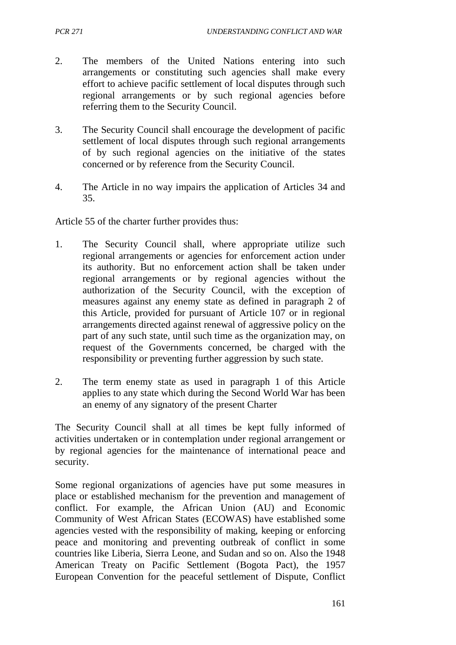- 2. The members of the United Nations entering into such arrangements or constituting such agencies shall make every effort to achieve pacific settlement of local disputes through such regional arrangements or by such regional agencies before referring them to the Security Council.
- 3. The Security Council shall encourage the development of pacific settlement of local disputes through such regional arrangements of by such regional agencies on the initiative of the states concerned or by reference from the Security Council.
- 4. The Article in no way impairs the application of Articles 34 and 35.

Article 55 of the charter further provides thus:

- 1. The Security Council shall, where appropriate utilize such regional arrangements or agencies for enforcement action under its authority. But no enforcement action shall be taken under regional arrangements or by regional agencies without the authorization of the Security Council, with the exception of measures against any enemy state as defined in paragraph 2 of this Article, provided for pursuant of Article 107 or in regional arrangements directed against renewal of aggressive policy on the part of any such state, until such time as the organization may, on request of the Governments concerned, be charged with the responsibility or preventing further aggression by such state.
- 2. The term enemy state as used in paragraph 1 of this Article applies to any state which during the Second World War has been an enemy of any signatory of the present Charter

The Security Council shall at all times be kept fully informed of activities undertaken or in contemplation under regional arrangement or by regional agencies for the maintenance of international peace and security.

Some regional organizations of agencies have put some measures in place or established mechanism for the prevention and management of conflict. For example, the African Union (AU) and Economic Community of West African States (ECOWAS) have established some agencies vested with the responsibility of making, keeping or enforcing peace and monitoring and preventing outbreak of conflict in some countries like Liberia, Sierra Leone, and Sudan and so on. Also the 1948 American Treaty on Pacific Settlement (Bogota Pact), the 1957 European Convention for the peaceful settlement of Dispute, Conflict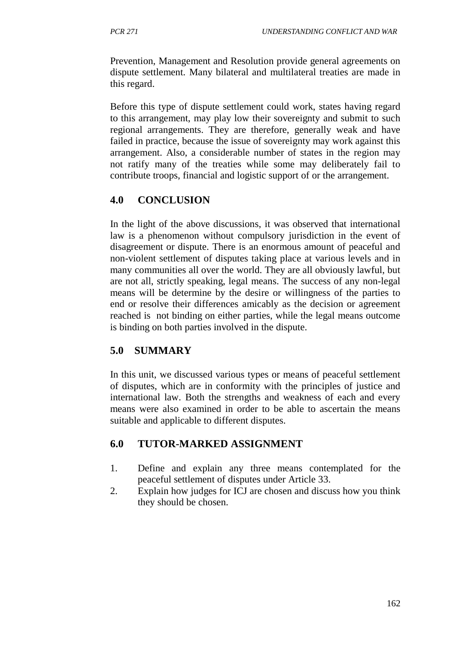Prevention, Management and Resolution provide general agreements on dispute settlement. Many bilateral and multilateral treaties are made in this regard.

Before this type of dispute settlement could work, states having regard to this arrangement, may play low their sovereignty and submit to such regional arrangements. They are therefore, generally weak and have failed in practice, because the issue of sovereignty may work against this arrangement. Also, a considerable number of states in the region may not ratify many of the treaties while some may deliberately fail to contribute troops, financial and logistic support of or the arrangement.

# **4.0 CONCLUSION**

In the light of the above discussions, it was observed that international law is a phenomenon without compulsory jurisdiction in the event of disagreement or dispute. There is an enormous amount of peaceful and non-violent settlement of disputes taking place at various levels and in many communities all over the world. They are all obviously lawful, but are not all, strictly speaking, legal means. The success of any non-legal means will be determine by the desire or willingness of the parties to end or resolve their differences amicably as the decision or agreement reached is not binding on either parties, while the legal means outcome is binding on both parties involved in the dispute.

# **5.0 SUMMARY**

In this unit, we discussed various types or means of peaceful settlement of disputes, which are in conformity with the principles of justice and international law. Both the strengths and weakness of each and every means were also examined in order to be able to ascertain the means suitable and applicable to different disputes.

## **6.0 TUTOR-MARKED ASSIGNMENT**

- 1. Define and explain any three means contemplated for the peaceful settlement of disputes under Article 33.
- 2. Explain how judges for ICJ are chosen and discuss how you think they should be chosen.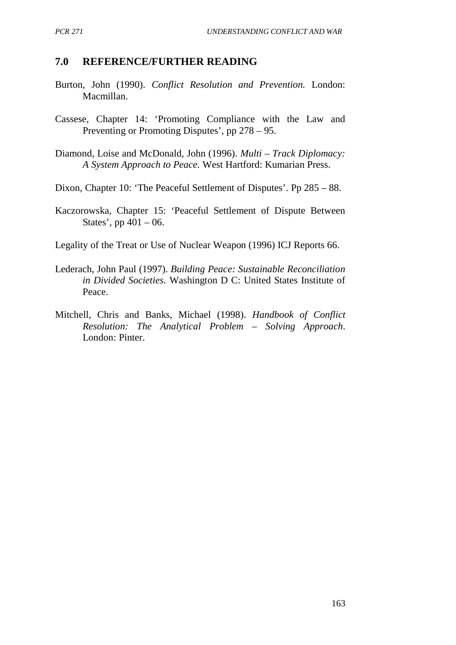### **7.0 REFERENCE/FURTHER READING**

- Burton, John (1990). *Conflict Resolution and Prevention.* London: Macmillan.
- Cassese, Chapter 14: 'Promoting Compliance with the Law and Preventing or Promoting Disputes', pp 278 – 95.
- Diamond, Loise and McDonald, John (1996). *Multi – Track Diplomacy: A System Approach to Peace.* West Hartford: Kumarian Press.
- Dixon, Chapter 10: 'The Peaceful Settlement of Disputes'. Pp 285 88.
- Kaczorowska, Chapter 15: 'Peaceful Settlement of Dispute Between States', pp  $401 - 06$ .
- Legality of the Treat or Use of Nuclear Weapon (1996) ICJ Reports 66.
- Lederach, John Paul (1997). *Building Peace: Sustainable Reconciliation in Divided Societies.* Washington D C: United States Institute of Peace.
- Mitchell, Chris and Banks, Michael (1998). *Handbook of Conflict Resolution: The Analytical Problem – Solving Approach*. London: Pinter.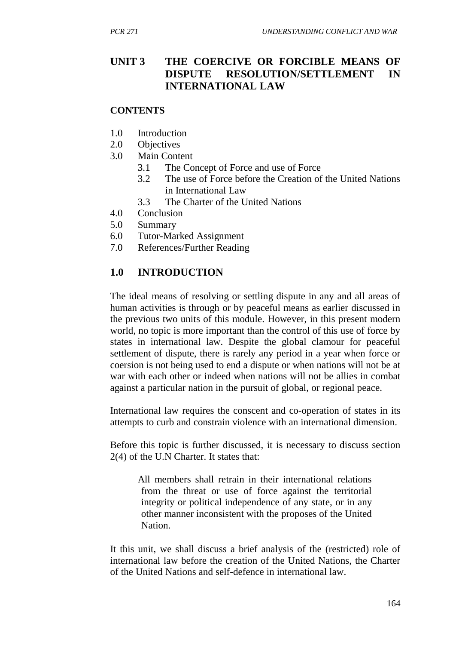## **UNIT 3 THE COERCIVE OR FORCIBLE MEANS OF DISPUTE RESOLUTION/SETTLEMENT IN INTERNATIONAL LAW**

#### **CONTENTS**

- 1.0 Introduction
- 2.0 Objectives
- 3.0 Main Content
	- 3.1 The Concept of Force and use of Force
	- 3.2 The use of Force before the Creation of the United Nations in International Law
	- 3.3 The Charter of the United Nations
- 4.0 Conclusion
- 5.0 Summary
- 6.0 Tutor-Marked Assignment
- 7.0 References/Further Reading

#### **1.0 INTRODUCTION**

The ideal means of resolving or settling dispute in any and all areas of human activities is through or by peaceful means as earlier discussed in the previous two units of this module. However, in this present modern world, no topic is more important than the control of this use of force by states in international law. Despite the global clamour for peaceful settlement of dispute, there is rarely any period in a year when force or coersion is not being used to end a dispute or when nations will not be at war with each other or indeed when nations will not be allies in combat against a particular nation in the pursuit of global, or regional peace.

International law requires the conscent and co-operation of states in its attempts to curb and constrain violence with an international dimension.

Before this topic is further discussed, it is necessary to discuss section 2(4) of the U.N Charter. It states that:

All members shall retrain in their international relations from the threat or use of force against the territorial integrity or political independence of any state, or in any other manner inconsistent with the proposes of the United Nation.

It this unit, we shall discuss a brief analysis of the (restricted) role of international law before the creation of the United Nations, the Charter of the United Nations and self-defence in international law.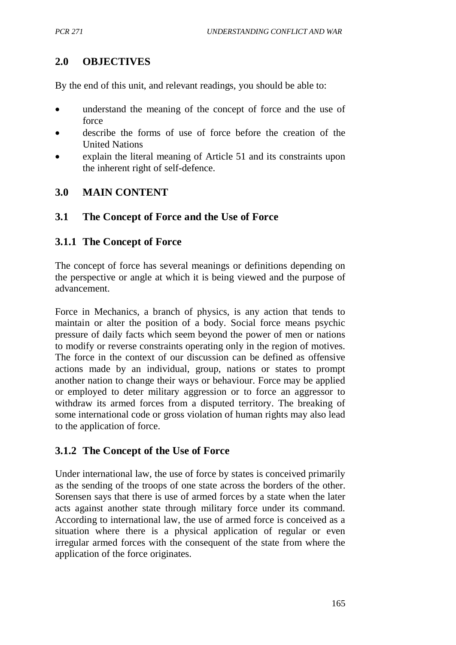# **2.0 OBJECTIVES**

By the end of this unit, and relevant readings, you should be able to:

- understand the meaning of the concept of force and the use of force
- describe the forms of use of force before the creation of the United Nations
- explain the literal meaning of Article 51 and its constraints upon the inherent right of self-defence.

## **3.0 MAIN CONTENT**

## **3.1 The Concept of Force and the Use of Force**

## **3.1.1 The Concept of Force**

The concept of force has several meanings or definitions depending on the perspective or angle at which it is being viewed and the purpose of advancement.

Force in Mechanics, a branch of physics, is any action that tends to maintain or alter the position of a body. Social force means psychic pressure of daily facts which seem beyond the power of men or nations to modify or reverse constraints operating only in the region of motives. The force in the context of our discussion can be defined as offensive actions made by an individual, group, nations or states to prompt another nation to change their ways or behaviour. Force may be applied or employed to deter military aggression or to force an aggressor to withdraw its armed forces from a disputed territory. The breaking of some international code or gross violation of human rights may also lead to the application of force.

## **3.1.2 The Concept of the Use of Force**

Under international law, the use of force by states is conceived primarily as the sending of the troops of one state across the borders of the other. Sorensen says that there is use of armed forces by a state when the later acts against another state through military force under its command. According to international law, the use of armed force is conceived as a situation where there is a physical application of regular or even irregular armed forces with the consequent of the state from where the application of the force originates.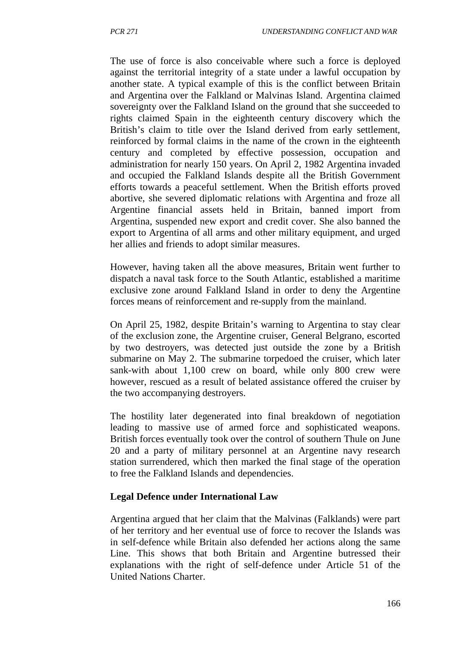The use of force is also conceivable where such a force is deployed against the territorial integrity of a state under a lawful occupation by another state. A typical example of this is the conflict between Britain and Argentina over the Falkland or Malvinas Island. Argentina claimed sovereignty over the Falkland Island on the ground that she succeeded to rights claimed Spain in the eighteenth century discovery which the British's claim to title over the Island derived from early settlement, reinforced by formal claims in the name of the crown in the eighteenth century and completed by effective possession, occupation and administration for nearly 150 years. On April 2, 1982 Argentina invaded and occupied the Falkland Islands despite all the British Government efforts towards a peaceful settlement. When the British efforts proved abortive, she severed diplomatic relations with Argentina and froze all Argentine financial assets held in Britain, banned import from Argentina, suspended new export and credit cover. She also banned the export to Argentina of all arms and other military equipment, and urged her allies and friends to adopt similar measures.

However, having taken all the above measures, Britain went further to dispatch a naval task force to the South Atlantic, established a maritime exclusive zone around Falkland Island in order to deny the Argentine forces means of reinforcement and re-supply from the mainland.

On April 25, 1982, despite Britain's warning to Argentina to stay clear of the exclusion zone, the Argentine cruiser, General Belgrano, escorted by two destroyers, was detected just outside the zone by a British submarine on May 2. The submarine torpedoed the cruiser, which later sank-with about 1,100 crew on board, while only 800 crew were however, rescued as a result of belated assistance offered the cruiser by the two accompanying destroyers.

The hostility later degenerated into final breakdown of negotiation leading to massive use of armed force and sophisticated weapons. British forces eventually took over the control of southern Thule on June 20 and a party of military personnel at an Argentine navy research station surrendered, which then marked the final stage of the operation to free the Falkland Islands and dependencies.

#### **Legal Defence under International Law**

Argentina argued that her claim that the Malvinas (Falklands) were part of her territory and her eventual use of force to recover the Islands was in self-defence while Britain also defended her actions along the same Line. This shows that both Britain and Argentine butressed their explanations with the right of self-defence under Article 51 of the United Nations Charter.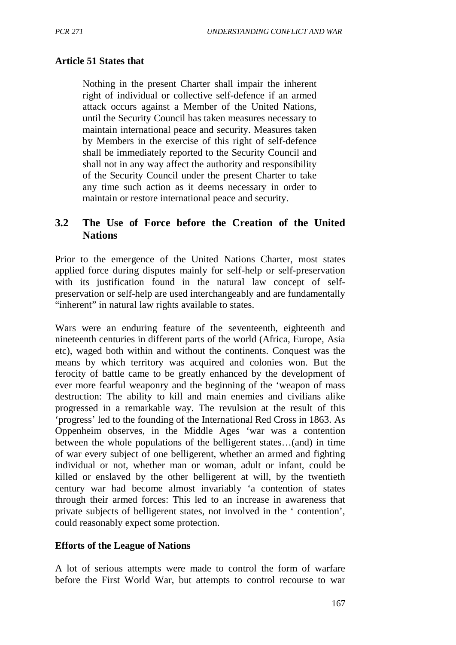#### **Article 51 States that**

Nothing in the present Charter shall impair the inherent right of individual or collective self-defence if an armed attack occurs against a Member of the United Nations, until the Security Council has taken measures necessary to maintain international peace and security. Measures taken by Members in the exercise of this right of self-defence shall be immediately reported to the Security Council and shall not in any way affect the authority and responsibility of the Security Council under the present Charter to take any time such action as it deems necessary in order to maintain or restore international peace and security.

## **3.2 The Use of Force before the Creation of the United Nations**

Prior to the emergence of the United Nations Charter, most states applied force during disputes mainly for self-help or self-preservation with its justification found in the natural law concept of selfpreservation or self-help are used interchangeably and are fundamentally "inherent" in natural law rights available to states.

Wars were an enduring feature of the seventeenth, eighteenth and nineteenth centuries in different parts of the world (Africa, Europe, Asia etc), waged both within and without the continents. Conquest was the means by which territory was acquired and colonies won. But the ferocity of battle came to be greatly enhanced by the development of ever more fearful weaponry and the beginning of the 'weapon of mass destruction: The ability to kill and main enemies and civilians alike progressed in a remarkable way. The revulsion at the result of this 'progress' led to the founding of the International Red Cross in 1863. As Oppenheim observes, in the Middle Ages 'war was a contention between the whole populations of the belligerent states…(and) in time of war every subject of one belligerent, whether an armed and fighting individual or not, whether man or woman, adult or infant, could be killed or enslaved by the other belligerent at will, by the twentieth century war had become almost invariably 'a contention of states through their armed forces: This led to an increase in awareness that private subjects of belligerent states, not involved in the ' contention', could reasonably expect some protection.

#### **Efforts of the League of Nations**

A lot of serious attempts were made to control the form of warfare before the First World War, but attempts to control recourse to war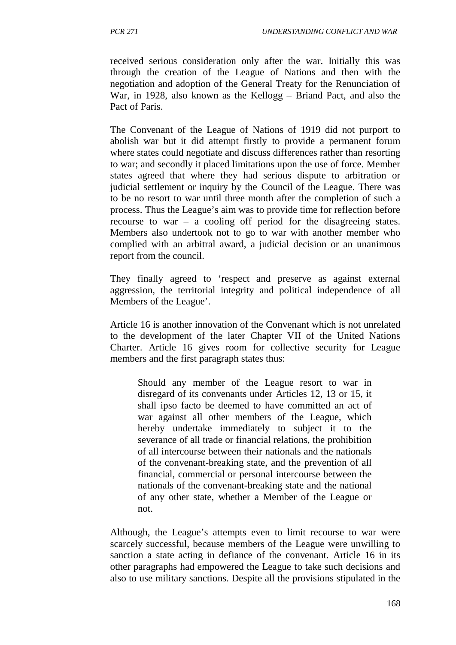received serious consideration only after the war. Initially this was through the creation of the League of Nations and then with the negotiation and adoption of the General Treaty for the Renunciation of War, in 1928, also known as the Kellogg – Briand Pact, and also the Pact of Paris.

The Convenant of the League of Nations of 1919 did not purport to abolish war but it did attempt firstly to provide a permanent forum where states could negotiate and discuss differences rather than resorting to war; and secondly it placed limitations upon the use of force. Member states agreed that where they had serious dispute to arbitration or judicial settlement or inquiry by the Council of the League. There was to be no resort to war until three month after the completion of such a process. Thus the League's aim was to provide time for reflection before recourse to war – a cooling off period for the disagreeing states. Members also undertook not to go to war with another member who complied with an arbitral award, a judicial decision or an unanimous report from the council.

They finally agreed to 'respect and preserve as against external aggression, the territorial integrity and political independence of all Members of the League'.

Article 16 is another innovation of the Convenant which is not unrelated to the development of the later Chapter VII of the United Nations Charter. Article 16 gives room for collective security for League members and the first paragraph states thus:

Should any member of the League resort to war in disregard of its convenants under Articles 12, 13 or 15, it shall ipso facto be deemed to have committed an act of war against all other members of the League, which hereby undertake immediately to subject it to the severance of all trade or financial relations, the prohibition of all intercourse between their nationals and the nationals of the convenant-breaking state, and the prevention of all financial, commercial or personal intercourse between the nationals of the convenant-breaking state and the national of any other state, whether a Member of the League or not.

Although, the League's attempts even to limit recourse to war were scarcely successful, because members of the League were unwilling to sanction a state acting in defiance of the convenant. Article 16 in its other paragraphs had empowered the League to take such decisions and also to use military sanctions. Despite all the provisions stipulated in the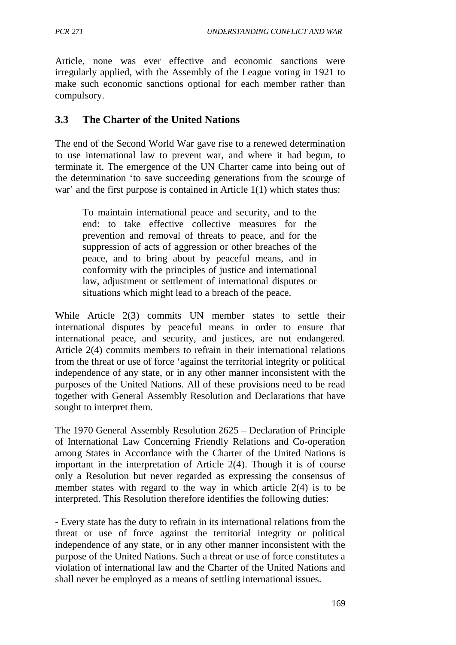Article, none was ever effective and economic sanctions were irregularly applied, with the Assembly of the League voting in 1921 to make such economic sanctions optional for each member rather than compulsory.

## **3.3 The Charter of the United Nations**

The end of the Second World War gave rise to a renewed determination to use international law to prevent war, and where it had begun, to terminate it. The emergence of the UN Charter came into being out of the determination 'to save succeeding generations from the scourge of war' and the first purpose is contained in Article 1(1) which states thus:

To maintain international peace and security, and to the end: to take effective collective measures for the prevention and removal of threats to peace, and for the suppression of acts of aggression or other breaches of the peace, and to bring about by peaceful means, and in conformity with the principles of justice and international law, adjustment or settlement of international disputes or situations which might lead to a breach of the peace.

While Article 2(3) commits UN member states to settle their international disputes by peaceful means in order to ensure that international peace, and security, and justices, are not endangered. Article 2(4) commits members to refrain in their international relations from the threat or use of force 'against the territorial integrity or political independence of any state, or in any other manner inconsistent with the purposes of the United Nations. All of these provisions need to be read together with General Assembly Resolution and Declarations that have sought to interpret them.

The 1970 General Assembly Resolution 2625 – Declaration of Principle of International Law Concerning Friendly Relations and Co-operation among States in Accordance with the Charter of the United Nations is important in the interpretation of Article 2(4). Though it is of course only a Resolution but never regarded as expressing the consensus of member states with regard to the way in which article 2(4) is to be interpreted. This Resolution therefore identifies the following duties:

- Every state has the duty to refrain in its international relations from the threat or use of force against the territorial integrity or political independence of any state, or in any other manner inconsistent with the purpose of the United Nations. Such a threat or use of force constitutes a violation of international law and the Charter of the United Nations and shall never be employed as a means of settling international issues.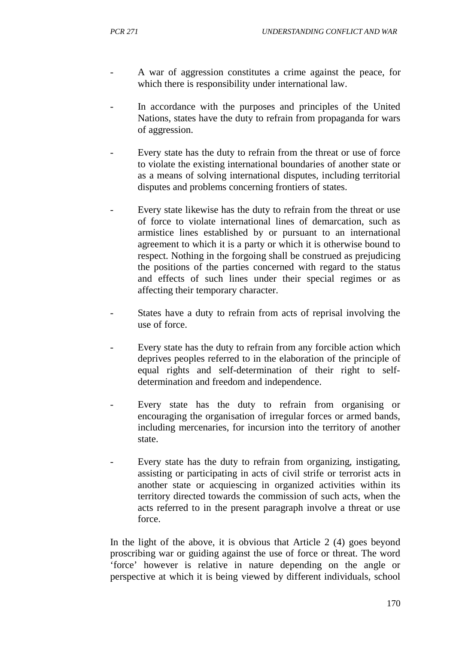- A war of aggression constitutes a crime against the peace, for which there is responsibility under international law.
- In accordance with the purposes and principles of the United Nations, states have the duty to refrain from propaganda for wars of aggression.
- Every state has the duty to refrain from the threat or use of force to violate the existing international boundaries of another state or as a means of solving international disputes, including territorial disputes and problems concerning frontiers of states.
- Every state likewise has the duty to refrain from the threat or use of force to violate international lines of demarcation, such as armistice lines established by or pursuant to an international agreement to which it is a party or which it is otherwise bound to respect. Nothing in the forgoing shall be construed as prejudicing the positions of the parties concerned with regard to the status and effects of such lines under their special regimes or as affecting their temporary character.
- States have a duty to refrain from acts of reprisal involving the use of force.
- Every state has the duty to refrain from any forcible action which deprives peoples referred to in the elaboration of the principle of equal rights and self-determination of their right to selfdetermination and freedom and independence.
- Every state has the duty to refrain from organising or encouraging the organisation of irregular forces or armed bands, including mercenaries, for incursion into the territory of another state.
- Every state has the duty to refrain from organizing, instigating, assisting or participating in acts of civil strife or terrorist acts in another state or acquiescing in organized activities within its territory directed towards the commission of such acts, when the acts referred to in the present paragraph involve a threat or use force.

In the light of the above, it is obvious that Article 2 (4) goes beyond proscribing war or guiding against the use of force or threat. The word 'force' however is relative in nature depending on the angle or perspective at which it is being viewed by different individuals, school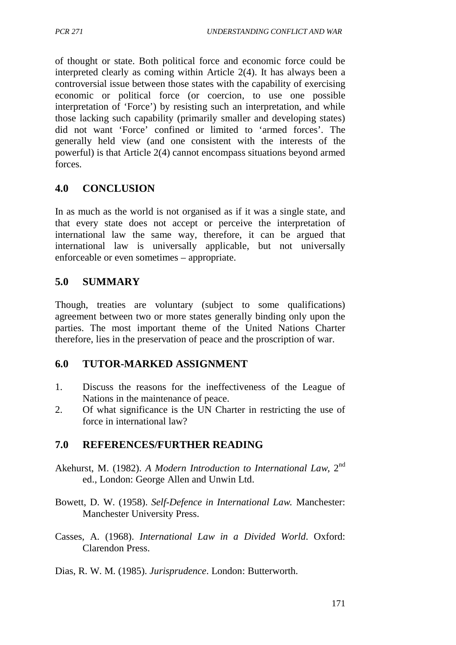of thought or state. Both political force and economic force could be interpreted clearly as coming within Article 2(4). It has always been a controversial issue between those states with the capability of exercising economic or political force (or coercion, to use one possible interpretation of 'Force') by resisting such an interpretation, and while those lacking such capability (primarily smaller and developing states) did not want 'Force' confined or limited to 'armed forces'. The generally held view (and one consistent with the interests of the powerful) is that Article 2(4) cannot encompass situations beyond armed forces.

## **4.0 CONCLUSION**

In as much as the world is not organised as if it was a single state, and that every state does not accept or perceive the interpretation of international law the same way, therefore, it can be argued that international law is universally applicable, but not universally enforceable or even sometimes – appropriate.

## **5.0 SUMMARY**

Though, treaties are voluntary (subject to some qualifications) agreement between two or more states generally binding only upon the parties. The most important theme of the United Nations Charter therefore, lies in the preservation of peace and the proscription of war.

## **6.0 TUTOR-MARKED ASSIGNMENT**

- 1. Discuss the reasons for the ineffectiveness of the League of Nations in the maintenance of peace.
- 2. Of what significance is the UN Charter in restricting the use of force in international law?

## **7.0 REFERENCES/FURTHER READING**

- Akehurst, M. (1982). *A Modern Introduction to International Law,* 2nd ed., London: George Allen and Unwin Ltd.
- Bowett, D. W. (1958). *Self-Defence in International Law.* Manchester: Manchester University Press.
- Casses, A. (1968). *International Law in a Divided World*. Oxford: Clarendon Press.
- Dias, R. W. M. (1985). *Jurisprudence*. London: Butterworth.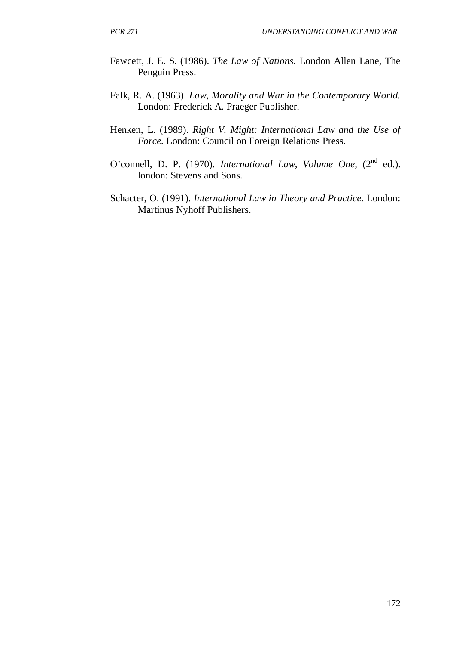- Fawcett, J. E. S. (1986). *The Law of Nations.* London Allen Lane, The Penguin Press.
- Falk, R. A. (1963). *Law, Morality and War in the Contemporary World.* London: Frederick A. Praeger Publisher.
- Henken, L. (1989). *Right V. Might: International Law and the Use of Force.* London: Council on Foreign Relations Press.
- O'connell, D. P. (1970). *International Law, Volume One,* (2<sup>nd</sup> ed.). london: Stevens and Sons.
- Schacter, O. (1991). *International Law in Theory and Practice.* London: Martinus Nyhoff Publishers.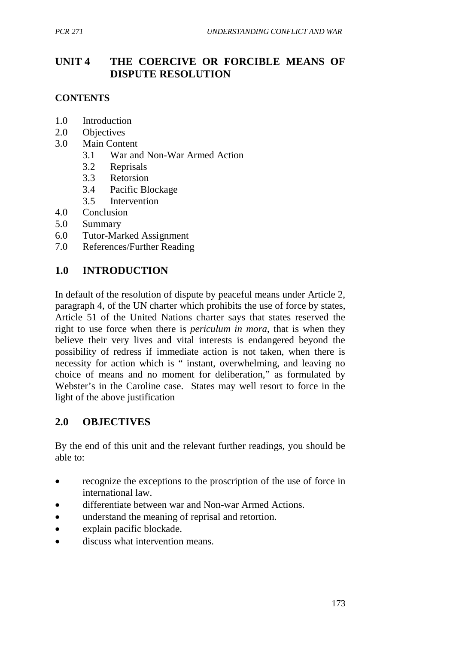# **UNIT 4 THE COERCIVE OR FORCIBLE MEANS OF DISPUTE RESOLUTION**

## **CONTENTS**

- 1.0 Introduction
- 2.0 Objectives
- 3.0 Main Content
	- 3.1 War and Non-War Armed Action
	- 3.2 Reprisals
	- 3.3 Retorsion
	- 3.4 Pacific Blockage
	- 3.5 Intervention
- 4.0 Conclusion
- 5.0 Summary
- 6.0 Tutor-Marked Assignment
- 7.0 References/Further Reading

## **1.0 INTRODUCTION**

In default of the resolution of dispute by peaceful means under Article 2, paragraph 4, of the UN charter which prohibits the use of force by states, Article 51 of the United Nations charter says that states reserved the right to use force when there is *periculum in mora*, that is when they believe their very lives and vital interests is endangered beyond the possibility of redress if immediate action is not taken, when there is necessity for action which is " instant, overwhelming, and leaving no choice of means and no moment for deliberation," as formulated by Webster's in the Caroline case. States may well resort to force in the light of the above justification

## **2.0 OBJECTIVES**

By the end of this unit and the relevant further readings, you should be able to:

- recognize the exceptions to the proscription of the use of force in international law.
- differentiate between war and Non-war Armed Actions.
- understand the meaning of reprisal and retortion.
- explain pacific blockade.
- discuss what intervention means.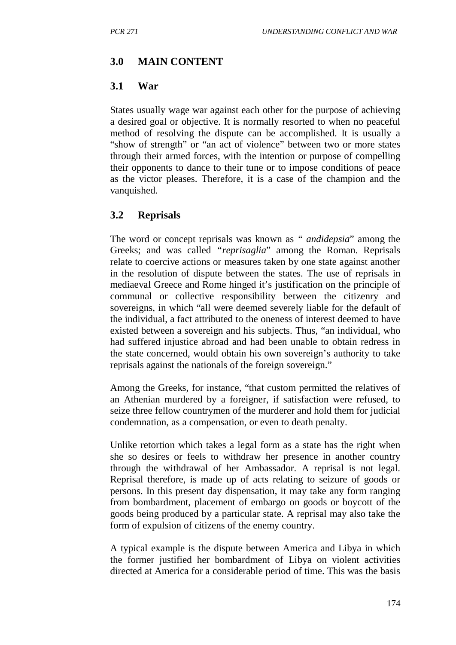### **3.0 MAIN CONTENT**

### **3.1 War**

States usually wage war against each other for the purpose of achieving a desired goal or objective. It is normally resorted to when no peaceful method of resolving the dispute can be accomplished. It is usually a "show of strength" or "an act of violence" between two or more states through their armed forces, with the intention or purpose of compelling their opponents to dance to their tune or to impose conditions of peace as the victor pleases. Therefore, it is a case of the champion and the vanquished.

## **3.2 Reprisals**

The word or concept reprisals was known as *" andidepsia*" among the Greeks; and was called *"reprisaglia*" among the Roman. Reprisals relate to coercive actions or measures taken by one state against another in the resolution of dispute between the states. The use of reprisals in mediaeval Greece and Rome hinged it's justification on the principle of communal or collective responsibility between the citizenry and sovereigns, in which "all were deemed severely liable for the default of the individual, a fact attributed to the oneness of interest deemed to have existed between a sovereign and his subjects. Thus, "an individual, who had suffered injustice abroad and had been unable to obtain redress in the state concerned, would obtain his own sovereign's authority to take reprisals against the nationals of the foreign sovereign."

Among the Greeks, for instance, "that custom permitted the relatives of an Athenian murdered by a foreigner, if satisfaction were refused, to seize three fellow countrymen of the murderer and hold them for judicial condemnation, as a compensation, or even to death penalty.

Unlike retortion which takes a legal form as a state has the right when she so desires or feels to withdraw her presence in another country through the withdrawal of her Ambassador. A reprisal is not legal. Reprisal therefore, is made up of acts relating to seizure of goods or persons. In this present day dispensation, it may take any form ranging from bombardment, placement of embargo on goods or boycott of the goods being produced by a particular state. A reprisal may also take the form of expulsion of citizens of the enemy country.

A typical example is the dispute between America and Libya in which the former justified her bombardment of Libya on violent activities directed at America for a considerable period of time. This was the basis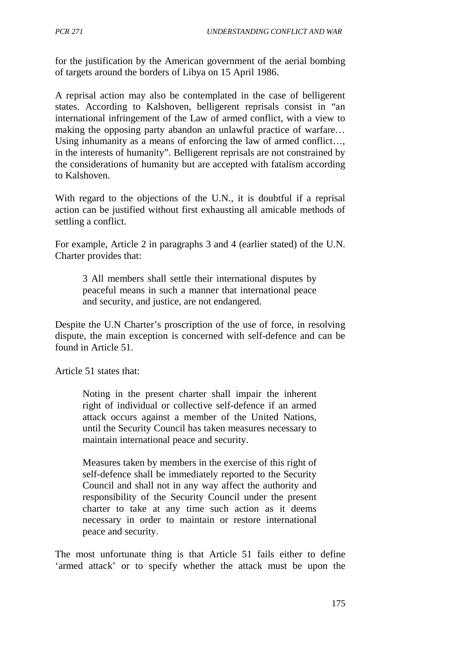for the justification by the American government of the aerial bombing of targets around the borders of Libya on 15 April 1986.

A reprisal action may also be contemplated in the case of belligerent states. According to Kalshoven, belligerent reprisals consist in "an international infringement of the Law of armed conflict, with a view to making the opposing party abandon an unlawful practice of warfare… Using inhumanity as a means of enforcing the law of armed conflict... in the interests of humanity". Belligerent reprisals are not constrained by the considerations of humanity but are accepted with fatalism according to Kalshoven.

With regard to the objections of the U.N., it is doubtful if a reprisal action can be justified without first exhausting all amicable methods of settling a conflict.

For example, Article 2 in paragraphs 3 and 4 (earlier stated) of the U.N. Charter provides that:

3 All members shall settle their international disputes by peaceful means in such a manner that international peace and security, and justice, are not endangered.

Despite the U.N Charter's proscription of the use of force, in resolving dispute, the main exception is concerned with self-defence and can be found in Article 51.

Article 51 states that:

Noting in the present charter shall impair the inherent right of individual or collective self-defence if an armed attack occurs against a member of the United Nations, until the Security Council has taken measures necessary to maintain international peace and security.

Measures taken by members in the exercise of this right of self-defence shall be immediately reported to the Security Council and shall not in any way affect the authority and responsibility of the Security Council under the present charter to take at any time such action as it deems necessary in order to maintain or restore international peace and security.

The most unfortunate thing is that Article 51 fails either to define 'armed attack' or to specify whether the attack must be upon the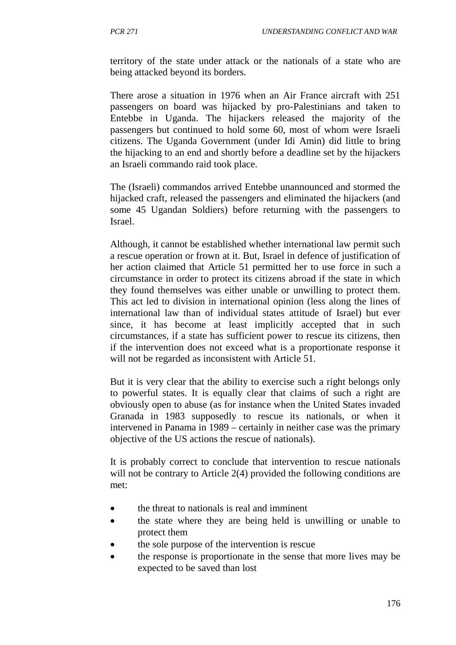territory of the state under attack or the nationals of a state who are being attacked beyond its borders.

There arose a situation in 1976 when an Air France aircraft with 251 passengers on board was hijacked by pro-Palestinians and taken to Entebbe in Uganda. The hijackers released the majority of the passengers but continued to hold some 60, most of whom were Israeli citizens. The Uganda Government (under Idi Amin) did little to bring the hijacking to an end and shortly before a deadline set by the hijackers an Israeli commando raid took place.

The (Israeli) commandos arrived Entebbe unannounced and stormed the hijacked craft, released the passengers and eliminated the hijackers (and some 45 Ugandan Soldiers) before returning with the passengers to Israel.

Although, it cannot be established whether international law permit such a rescue operation or frown at it. But, Israel in defence of justification of her action claimed that Article 51 permitted her to use force in such a circumstance in order to protect its citizens abroad if the state in which they found themselves was either unable or unwilling to protect them. This act led to division in international opinion (less along the lines of international law than of individual states attitude of Israel) but ever since, it has become at least implicitly accepted that in such circumstances, if a state has sufficient power to rescue its citizens, then if the intervention does not exceed what is a proportionate response it will not be regarded as inconsistent with Article 51.

But it is very clear that the ability to exercise such a right belongs only to powerful states. It is equally clear that claims of such a right are obviously open to abuse (as for instance when the United States invaded Granada in 1983 supposedly to rescue its nationals, or when it intervened in Panama in 1989 – certainly in neither case was the primary objective of the US actions the rescue of nationals).

It is probably correct to conclude that intervention to rescue nationals will not be contrary to Article 2(4) provided the following conditions are met:

- the threat to nationals is real and imminent
- the state where they are being held is unwilling or unable to protect them
- the sole purpose of the intervention is rescue
- the response is proportionate in the sense that more lives may be expected to be saved than lost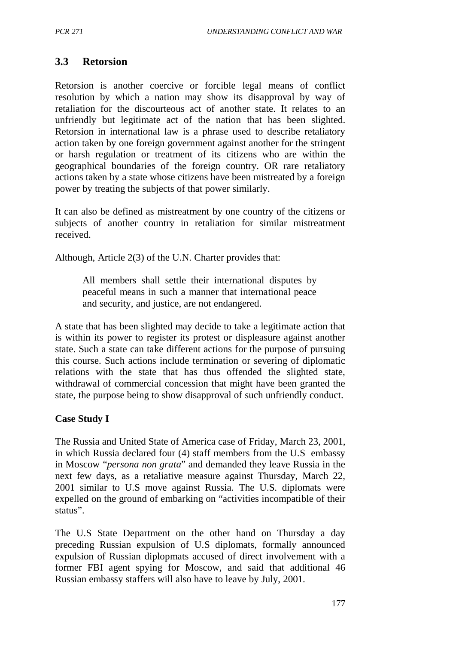## **3.3 Retorsion**

Retorsion is another coercive or forcible legal means of conflict resolution by which a nation may show its disapproval by way of retaliation for the discourteous act of another state. It relates to an unfriendly but legitimate act of the nation that has been slighted. Retorsion in international law is a phrase used to describe retaliatory action taken by one foreign government against another for the stringent or harsh regulation or treatment of its citizens who are within the geographical boundaries of the foreign country. OR rare retaliatory actions taken by a state whose citizens have been mistreated by a foreign power by treating the subjects of that power similarly.

It can also be defined as mistreatment by one country of the citizens or subjects of another country in retaliation for similar mistreatment received.

Although, Article 2(3) of the U.N. Charter provides that:

All members shall settle their international disputes by peaceful means in such a manner that international peace and security, and justice, are not endangered.

A state that has been slighted may decide to take a legitimate action that is within its power to register its protest or displeasure against another state. Such a state can take different actions for the purpose of pursuing this course. Such actions include termination or severing of diplomatic relations with the state that has thus offended the slighted state, withdrawal of commercial concession that might have been granted the state, the purpose being to show disapproval of such unfriendly conduct.

## **Case Study I**

The Russia and United State of America case of Friday, March 23, 2001, in which Russia declared four (4) staff members from the U.S embassy in Moscow "*persona non grata*" and demanded they leave Russia in the next few days, as a retaliative measure against Thursday, March 22, 2001 similar to U.S move against Russia. The U.S. diplomats were expelled on the ground of embarking on "activities incompatible of their status".

The U.S State Department on the other hand on Thursday a day preceding Russian expulsion of U.S diplomats, formally announced expulsion of Russian diplopmats accused of direct involvement with a former FBI agent spying for Moscow, and said that additional 46 Russian embassy staffers will also have to leave by July, 2001.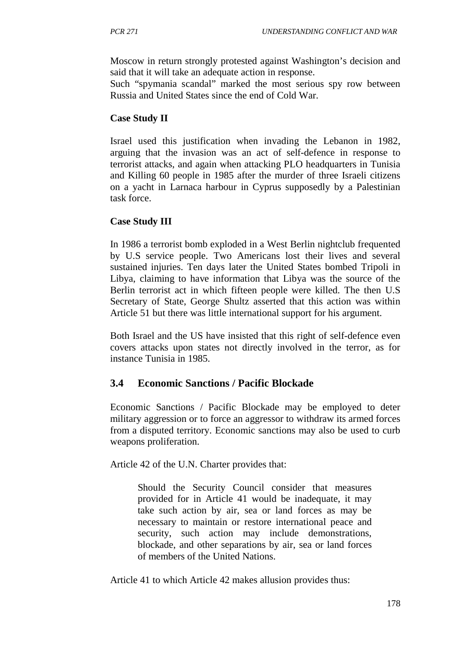Moscow in return strongly protested against Washington's decision and said that it will take an adequate action in response.

Such "spymania scandal" marked the most serious spy row between Russia and United States since the end of Cold War.

## **Case Study II**

Israel used this justification when invading the Lebanon in 1982, arguing that the invasion was an act of self-defence in response to terrorist attacks, and again when attacking PLO headquarters in Tunisia and Killing 60 people in 1985 after the murder of three Israeli citizens on a yacht in Larnaca harbour in Cyprus supposedly by a Palestinian task force.

## **Case Study III**

In 1986 a terrorist bomb exploded in a West Berlin nightclub frequented by U.S service people. Two Americans lost their lives and several sustained injuries. Ten days later the United States bombed Tripoli in Libya, claiming to have information that Libya was the source of the Berlin terrorist act in which fifteen people were killed. The then U.S Secretary of State, George Shultz asserted that this action was within Article 51 but there was little international support for his argument.

Both Israel and the US have insisted that this right of self-defence even covers attacks upon states not directly involved in the terror, as for instance Tunisia in 1985.

# **3.4 Economic Sanctions / Pacific Blockade**

Economic Sanctions / Pacific Blockade may be employed to deter military aggression or to force an aggressor to withdraw its armed forces from a disputed territory. Economic sanctions may also be used to curb weapons proliferation.

Article 42 of the U.N. Charter provides that:

Should the Security Council consider that measures provided for in Article 41 would be inadequate, it may take such action by air, sea or land forces as may be necessary to maintain or restore international peace and security, such action may include demonstrations, blockade, and other separations by air, sea or land forces of members of the United Nations.

Article 41 to which Article 42 makes allusion provides thus: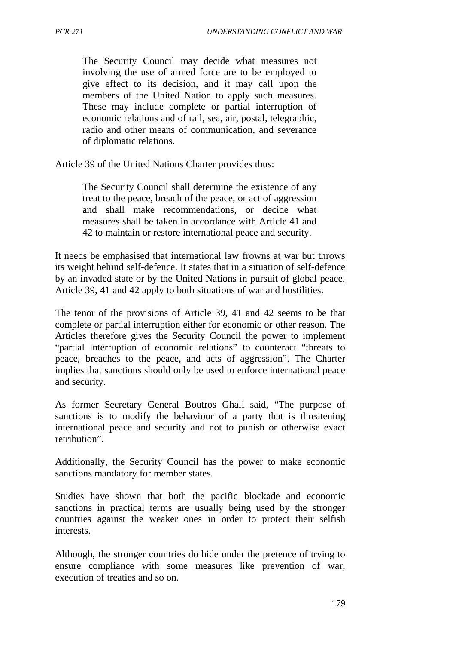The Security Council may decide what measures not involving the use of armed force are to be employed to give effect to its decision, and it may call upon the members of the United Nation to apply such measures. These may include complete or partial interruption of economic relations and of rail, sea, air, postal, telegraphic, radio and other means of communication, and severance of diplomatic relations.

Article 39 of the United Nations Charter provides thus:

The Security Council shall determine the existence of any treat to the peace, breach of the peace, or act of aggression and shall make recommendations, or decide what measures shall be taken in accordance with Article 41 and 42 to maintain or restore international peace and security.

It needs be emphasised that international law frowns at war but throws its weight behind self-defence. It states that in a situation of self-defence by an invaded state or by the United Nations in pursuit of global peace, Article 39, 41 and 42 apply to both situations of war and hostilities.

The tenor of the provisions of Article 39, 41 and 42 seems to be that complete or partial interruption either for economic or other reason. The Articles therefore gives the Security Council the power to implement "partial interruption of economic relations" to counteract "threats to peace, breaches to the peace, and acts of aggression". The Charter implies that sanctions should only be used to enforce international peace and security.

As former Secretary General Boutros Ghali said, "The purpose of sanctions is to modify the behaviour of a party that is threatening international peace and security and not to punish or otherwise exact retribution".

Additionally, the Security Council has the power to make economic sanctions mandatory for member states.

Studies have shown that both the pacific blockade and economic sanctions in practical terms are usually being used by the stronger countries against the weaker ones in order to protect their selfish interests.

Although, the stronger countries do hide under the pretence of trying to ensure compliance with some measures like prevention of war, execution of treaties and so on.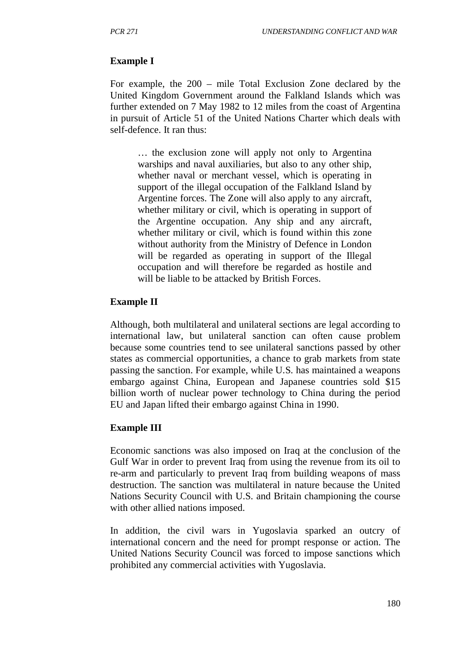### **Example I**

For example, the 200 – mile Total Exclusion Zone declared by the United Kingdom Government around the Falkland Islands which was further extended on 7 May 1982 to 12 miles from the coast of Argentina in pursuit of Article 51 of the United Nations Charter which deals with self-defence. It ran thus:

… the exclusion zone will apply not only to Argentina warships and naval auxiliaries, but also to any other ship, whether naval or merchant vessel, which is operating in support of the illegal occupation of the Falkland Island by Argentine forces. The Zone will also apply to any aircraft, whether military or civil, which is operating in support of the Argentine occupation. Any ship and any aircraft, whether military or civil, which is found within this zone without authority from the Ministry of Defence in London will be regarded as operating in support of the Illegal occupation and will therefore be regarded as hostile and will be liable to be attacked by British Forces.

### **Example II**

Although, both multilateral and unilateral sections are legal according to international law, but unilateral sanction can often cause problem because some countries tend to see unilateral sanctions passed by other states as commercial opportunities, a chance to grab markets from state passing the sanction. For example, while U.S. has maintained a weapons embargo against China, European and Japanese countries sold \$15 billion worth of nuclear power technology to China during the period EU and Japan lifted their embargo against China in 1990.

### **Example III**

Economic sanctions was also imposed on Iraq at the conclusion of the Gulf War in order to prevent Iraq from using the revenue from its oil to re-arm and particularly to prevent Iraq from building weapons of mass destruction. The sanction was multilateral in nature because the United Nations Security Council with U.S. and Britain championing the course with other allied nations imposed.

In addition, the civil wars in Yugoslavia sparked an outcry of international concern and the need for prompt response or action. The United Nations Security Council was forced to impose sanctions which prohibited any commercial activities with Yugoslavia.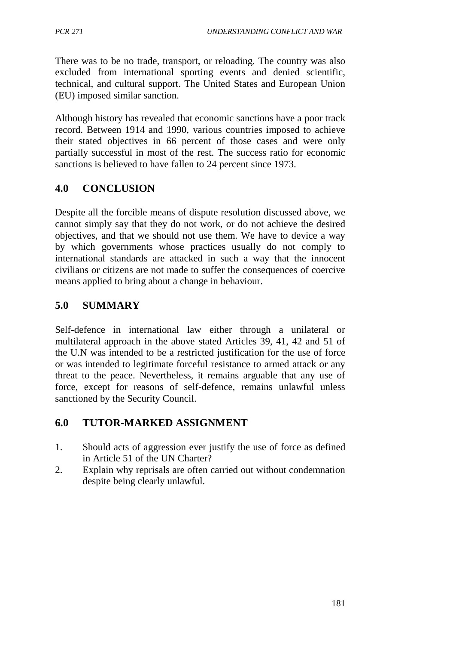There was to be no trade, transport, or reloading. The country was also excluded from international sporting events and denied scientific, technical, and cultural support. The United States and European Union (EU) imposed similar sanction.

Although history has revealed that economic sanctions have a poor track record. Between 1914 and 1990, various countries imposed to achieve their stated objectives in 66 percent of those cases and were only partially successful in most of the rest. The success ratio for economic sanctions is believed to have fallen to 24 percent since 1973.

## **4.0 CONCLUSION**

Despite all the forcible means of dispute resolution discussed above, we cannot simply say that they do not work, or do not achieve the desired objectives, and that we should not use them. We have to device a way by which governments whose practices usually do not comply to international standards are attacked in such a way that the innocent civilians or citizens are not made to suffer the consequences of coercive means applied to bring about a change in behaviour.

## **5.0 SUMMARY**

Self-defence in international law either through a unilateral or multilateral approach in the above stated Articles 39, 41, 42 and 51 of the U.N was intended to be a restricted justification for the use of force or was intended to legitimate forceful resistance to armed attack or any threat to the peace. Nevertheless, it remains arguable that any use of force, except for reasons of self-defence, remains unlawful unless sanctioned by the Security Council.

## **6.0 TUTOR-MARKED ASSIGNMENT**

- 1. Should acts of aggression ever justify the use of force as defined in Article 51 of the UN Charter?
- 2. Explain why reprisals are often carried out without condemnation despite being clearly unlawful.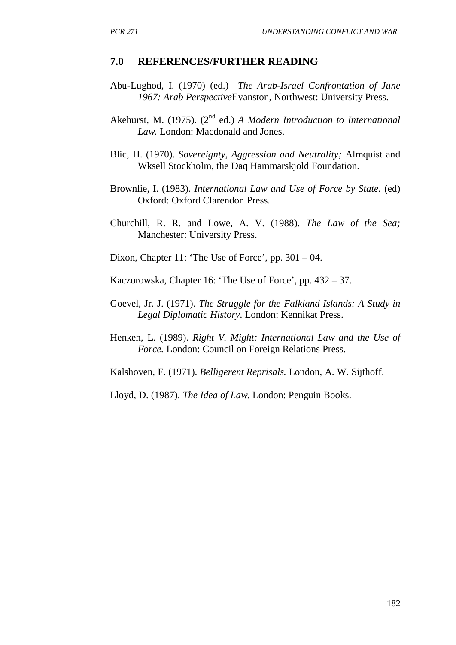#### **7.0 REFERENCES/FURTHER READING**

- Abu-Lughod, I. (1970) (ed.) *The Arab-Israel Confrontation of June 1967: Arab Perspective*Evanston, Northwest: University Press.
- Akehurst, M. (1975). (2<sup>nd</sup> ed.) *A Modern Introduction to International Law.* London: Macdonald and Jones.
- Blic, H. (1970). *Sovereignty, Aggression and Neutrality;* Almquist and Wksell Stockholm, the Daq Hammarskjold Foundation.
- Brownlie, I. (1983). *International Law and Use of Force by State.* (ed) Oxford: Oxford Clarendon Press.
- Churchill, R. R. and Lowe, A. V. (1988). *The Law of the Sea;* Manchester: University Press.
- Dixon, Chapter 11: 'The Use of Force', pp. 301 04.

Kaczorowska, Chapter 16: 'The Use of Force', pp. 432 – 37.

- Goevel, Jr. J. (1971). *The Struggle for the Falkland Islands: A Study in Legal Diplomatic History*. London: Kennikat Press.
- Henken, L. (1989). *Right V. Might: International Law and the Use of Force.* London: Council on Foreign Relations Press.

Kalshoven, F. (1971). *Belligerent Reprisals.* London, A. W. Sijthoff.

Lloyd, D. (1987). *The Idea of Law.* London: Penguin Books.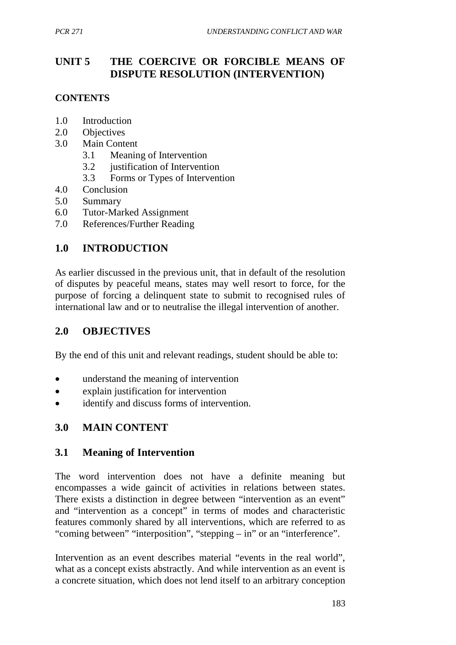# **UNIT 5 THE COERCIVE OR FORCIBLE MEANS OF DISPUTE RESOLUTION (INTERVENTION)**

## **CONTENTS**

- 1.0 Introduction
- 2.0 Objectives
- 3.0 Main Content
	- 3.1 Meaning of Intervention
	- 3.2 justification of Intervention
	- 3.3 Forms or Types of Intervention
- 4.0 Conclusion
- 5.0 Summary
- 6.0 Tutor-Marked Assignment
- 7.0 References/Further Reading

# **1.0 INTRODUCTION**

As earlier discussed in the previous unit, that in default of the resolution of disputes by peaceful means, states may well resort to force, for the purpose of forcing a delinquent state to submit to recognised rules of international law and or to neutralise the illegal intervention of another.

## **2.0 OBJECTIVES**

By the end of this unit and relevant readings, student should be able to:

- understand the meaning of intervention
- explain justification for intervention
- identify and discuss forms of intervention.

# **3.0 MAIN CONTENT**

## **3.1 Meaning of Intervention**

The word intervention does not have a definite meaning but encompasses a wide gaincit of activities in relations between states. There exists a distinction in degree between "intervention as an event" and "intervention as a concept" in terms of modes and characteristic features commonly shared by all interventions, which are referred to as "coming between" "interposition", "stepping – in" or an "interference".

Intervention as an event describes material "events in the real world", what as a concept exists abstractly. And while intervention as an event is a concrete situation, which does not lend itself to an arbitrary conception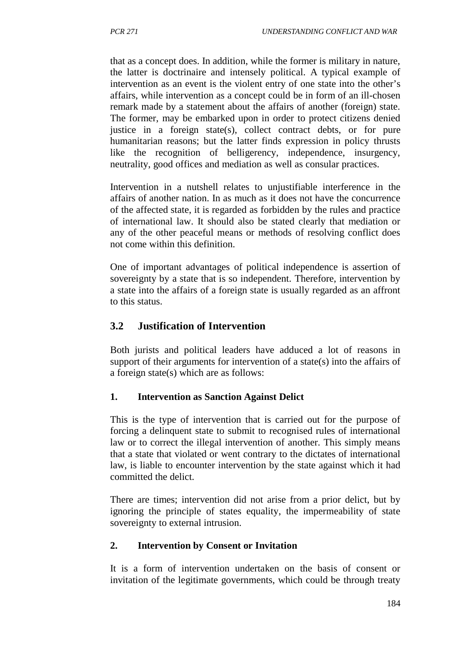that as a concept does. In addition, while the former is military in nature, the latter is doctrinaire and intensely political. A typical example of intervention as an event is the violent entry of one state into the other's affairs, while intervention as a concept could be in form of an ill-chosen remark made by a statement about the affairs of another (foreign) state. The former, may be embarked upon in order to protect citizens denied justice in a foreign state(s), collect contract debts, or for pure humanitarian reasons; but the latter finds expression in policy thrusts like the recognition of belligerency, independence, insurgency, neutrality, good offices and mediation as well as consular practices.

Intervention in a nutshell relates to unjustifiable interference in the affairs of another nation. In as much as it does not have the concurrence of the affected state, it is regarded as forbidden by the rules and practice of international law. It should also be stated clearly that mediation or any of the other peaceful means or methods of resolving conflict does not come within this definition.

One of important advantages of political independence is assertion of sovereignty by a state that is so independent. Therefore, intervention by a state into the affairs of a foreign state is usually regarded as an affront to this status.

# **3.2 Justification of Intervention**

Both jurists and political leaders have adduced a lot of reasons in support of their arguments for intervention of a state(s) into the affairs of a foreign state(s) which are as follows:

## **1. Intervention as Sanction Against Delict**

This is the type of intervention that is carried out for the purpose of forcing a delinquent state to submit to recognised rules of international law or to correct the illegal intervention of another. This simply means that a state that violated or went contrary to the dictates of international law, is liable to encounter intervention by the state against which it had committed the delict.

There are times; intervention did not arise from a prior delict, but by ignoring the principle of states equality, the impermeability of state sovereignty to external intrusion.

### **2. Intervention by Consent or Invitation**

It is a form of intervention undertaken on the basis of consent or invitation of the legitimate governments, which could be through treaty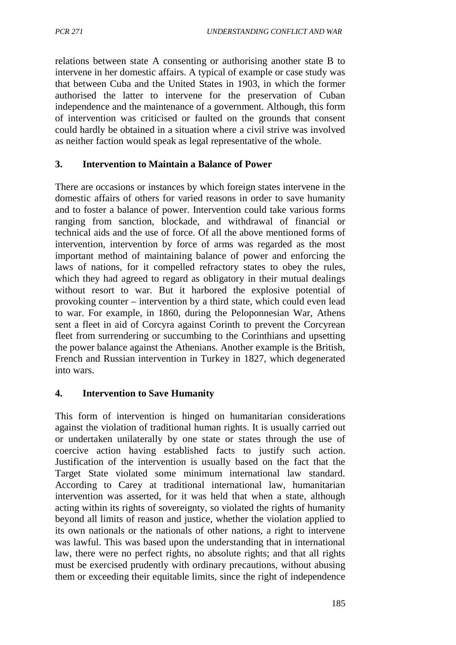relations between state A consenting or authorising another state B to intervene in her domestic affairs. A typical of example or case study was that between Cuba and the United States in 1903, in which the former authorised the latter to intervene for the preservation of Cuban independence and the maintenance of a government. Although, this form of intervention was criticised or faulted on the grounds that consent could hardly be obtained in a situation where a civil strive was involved as neither faction would speak as legal representative of the whole.

### **3. Intervention to Maintain a Balance of Power**

There are occasions or instances by which foreign states intervene in the domestic affairs of others for varied reasons in order to save humanity and to foster a balance of power. Intervention could take various forms ranging from sanction, blockade, and withdrawal of financial or technical aids and the use of force. Of all the above mentioned forms of intervention, intervention by force of arms was regarded as the most important method of maintaining balance of power and enforcing the laws of nations, for it compelled refractory states to obey the rules, which they had agreed to regard as obligatory in their mutual dealings without resort to war. But it harbored the explosive potential of provoking counter – intervention by a third state, which could even lead to war. For example, in 1860, during the Peloponnesian War, Athens sent a fleet in aid of Corcyra against Corinth to prevent the Corcyrean fleet from surrendering or succumbing to the Corinthians and upsetting the power balance against the Athenians. Another example is the British, French and Russian intervention in Turkey in 1827, which degenerated into wars.

### **4. Intervention to Save Humanity**

This form of intervention is hinged on humanitarian considerations against the violation of traditional human rights. It is usually carried out or undertaken unilaterally by one state or states through the use of coercive action having established facts to justify such action. Justification of the intervention is usually based on the fact that the Target State violated some minimum international law standard. According to Carey at traditional international law, humanitarian intervention was asserted, for it was held that when a state, although acting within its rights of sovereignty, so violated the rights of humanity beyond all limits of reason and justice, whether the violation applied to its own nationals or the nationals of other nations, a right to intervene was lawful. This was based upon the understanding that in international law, there were no perfect rights, no absolute rights; and that all rights must be exercised prudently with ordinary precautions, without abusing them or exceeding their equitable limits, since the right of independence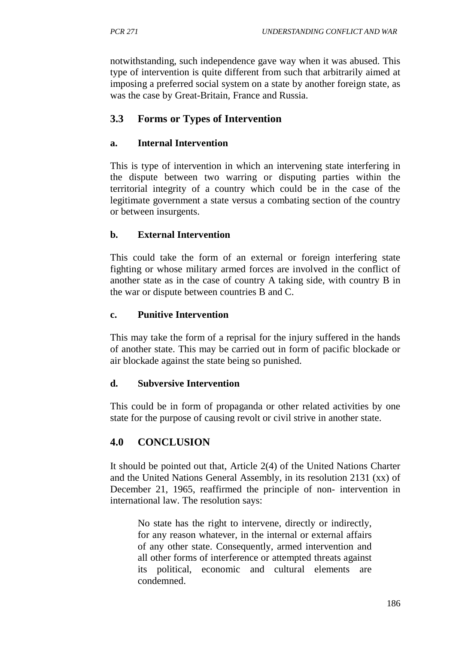notwithstanding, such independence gave way when it was abused. This type of intervention is quite different from such that arbitrarily aimed at imposing a preferred social system on a state by another foreign state, as was the case by Great-Britain, France and Russia.

# **3.3 Forms or Types of Intervention**

## **a. Internal Intervention**

This is type of intervention in which an intervening state interfering in the dispute between two warring or disputing parties within the territorial integrity of a country which could be in the case of the legitimate government a state versus a combating section of the country or between insurgents.

## **b. External Intervention**

This could take the form of an external or foreign interfering state fighting or whose military armed forces are involved in the conflict of another state as in the case of country A taking side, with country B in the war or dispute between countries B and C.

## **c. Punitive Intervention**

This may take the form of a reprisal for the injury suffered in the hands of another state. This may be carried out in form of pacific blockade or air blockade against the state being so punished.

## **d. Subversive Intervention**

This could be in form of propaganda or other related activities by one state for the purpose of causing revolt or civil strive in another state.

# **4.0 CONCLUSION**

It should be pointed out that, Article 2(4) of the United Nations Charter and the United Nations General Assembly, in its resolution 2131 (xx) of December 21, 1965, reaffirmed the principle of non- intervention in international law. The resolution says:

No state has the right to intervene, directly or indirectly, for any reason whatever, in the internal or external affairs of any other state. Consequently, armed intervention and all other forms of interference or attempted threats against its political, economic and cultural elements are condemned.